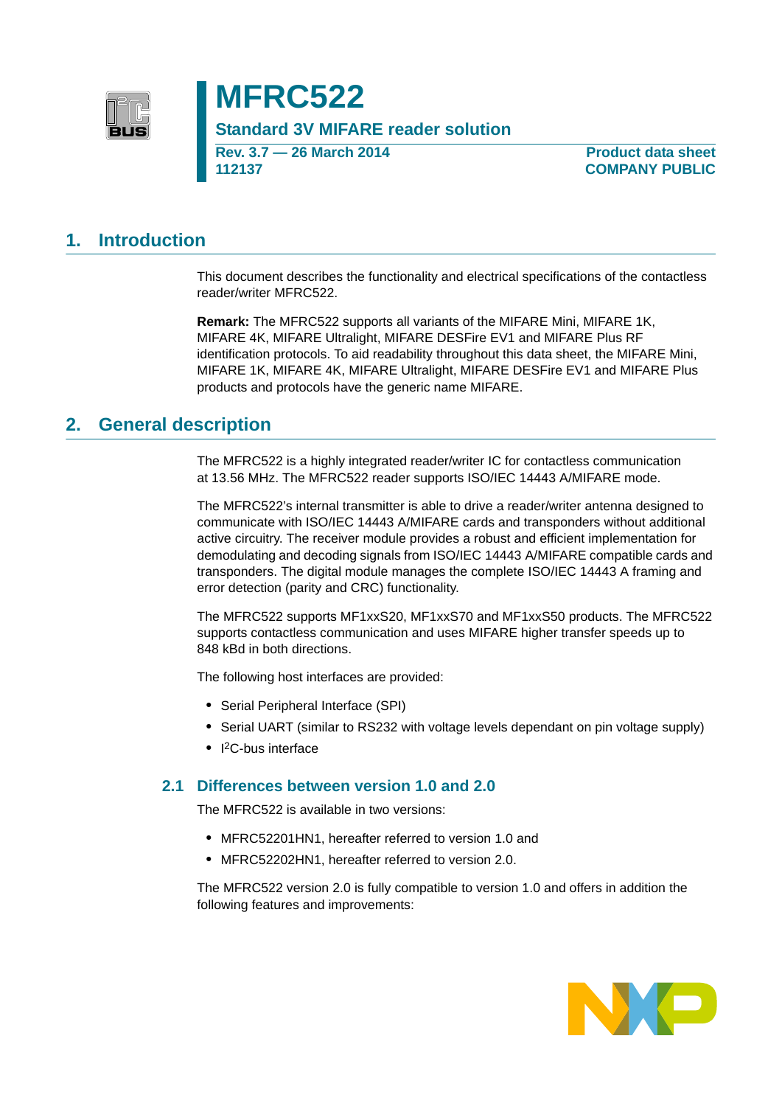

# **MFRC522**

**Standard 3V MIFARE reader solution**

**Rev. 3.7 — 26 March 2014 112137**

**Product data sheet COMPANY PUBLIC**

### **1. Introduction**

This document describes the functionality and electrical specifications of the contactless reader/writer MFRC522.

**Remark:** The MFRC522 supports all variants of the MIFARE Mini, MIFARE 1K, MIFARE 4K, MIFARE Ultralight, MIFARE DESFire EV1 and MIFARE Plus RF identification protocols. To aid readability throughout this data sheet, the MIFARE Mini, MIFARE 1K, MIFARE 4K, MIFARE Ultralight, MIFARE DESFire EV1 and MIFARE Plus products and protocols have the generic name MIFARE.

### **2. General description**

The MFRC522 is a highly integrated reader/writer IC for contactless communication at 13.56 MHz. The MFRC522 reader supports ISO/IEC 14443 A/MIFARE mode.

The MFRC522's internal transmitter is able to drive a reader/writer antenna designed to communicate with ISO/IEC 14443 A/MIFARE cards and transponders without additional active circuitry. The receiver module provides a robust and efficient implementation for demodulating and decoding signals from ISO/IEC 14443 A/MIFARE compatible cards and transponders. The digital module manages the complete ISO/IEC 14443 A framing and error detection (parity and CRC) functionality.

The MFRC522 supports MF1xxS20, MF1xxS70 and MF1xxS50 products. The MFRC522 supports contactless communication and uses MIFARE higher transfer speeds up to 848 kBd in both directions.

The following host interfaces are provided:

- **•** Serial Peripheral Interface (SPI)
- **•** Serial UART (similar to RS232 with voltage levels dependant on pin voltage supply)
- **•** I 2C-bus interface

#### **2.1 Differences between version 1.0 and 2.0**

The MFRC522 is available in two versions:

- **•** MFRC52201HN1, hereafter referred to version 1.0 and
- **•** MFRC52202HN1, hereafter referred to version 2.0.

The MFRC522 version 2.0 is fully compatible to version 1.0 and offers in addition the following features and improvements:

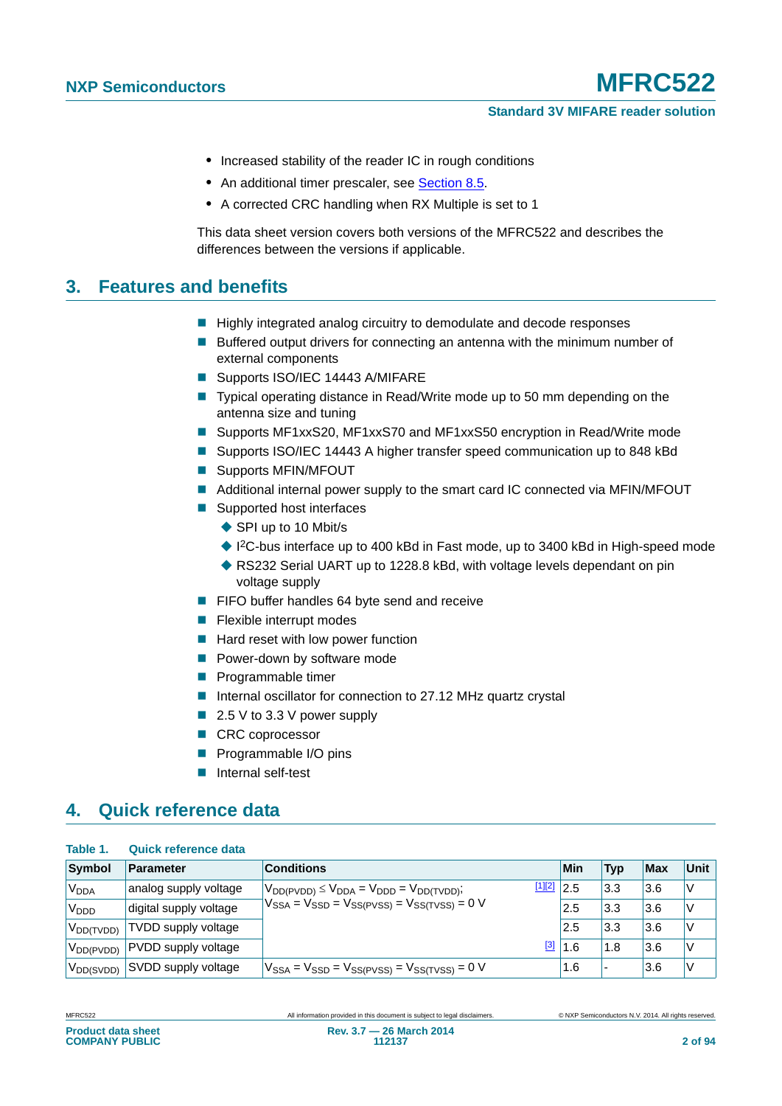#### **Standard 3V MIFARE reader solution**

- **•** Increased stability of the reader IC in rough conditions
- An additional timer prescaler, see [Section 8.5.](#page-29-0)
- **•** A corrected CRC handling when RX Multiple is set to 1

This data sheet version covers both versions of the MFRC522 and describes the differences between the versions if applicable.

### **3. Features and benefits**

- Highly integrated analog circuitry to demodulate and decode responses
- **Buffered output drivers for connecting an antenna with the minimum number of** external components
- Supports ISO/IEC 14443 A/MIFARE
- Typical operating distance in Read/Write mode up to 50 mm depending on the antenna size and tuning
- Supports MF1xxS20, MF1xxS70 and MF1xxS50 encryption in Read/Write mode
- Supports ISO/IEC 14443 A higher transfer speed communication up to 848 kBd
- Supports MFIN/MFOUT
- Additional internal power supply to the smart card IC connected via MFIN/MFOUT
- Supported host interfaces
	- ◆ SPI up to 10 Mbit/s
	- ◆ I<sup>2</sup>C-bus interface up to 400 kBd in Fast mode, up to 3400 kBd in High-speed mode
	- ◆ RS232 Serial UART up to 1228.8 kBd, with voltage levels dependant on pin voltage supply
- **FIFO buffer handles 64 byte send and receive**
- $\blacksquare$  Flexible interrupt modes
- $\blacksquare$  Hard reset with low power function
- **Power-down by software mode**
- **Programmable timer**
- Internal oscillator for connection to 27.12 MHz quartz crystal
- $\blacksquare$  2.5 V to 3.3 V power supply
- CRC coprocessor
- **Programmable I/O pins**
- Internal self-test

## **4. Quick reference data**

#### **Table 1. Quick reference data**

| Symbol                 | <b>Parameter</b>           | <b>Conditions</b>                                                | Min | <b>Typ</b> | <b>Max</b> | <b>Unit</b> |
|------------------------|----------------------------|------------------------------------------------------------------|-----|------------|------------|-------------|
| V <sub>DDA</sub>       | analog supply voltage      | [1][2]<br>$V_{DD(PVDD)} \leq V_{DDA} = V_{DDD} = V_{DD(TVDD)}$ ; | 2.5 | 3.3        | 3.6        | V           |
| V <sub>DDD</sub>       | digital supply voltage     | $V_{SSA} = V_{SSD} = V_{SS(PVSS)} = V_{SS(TVSS)} = 0$ V          | 2.5 | 3.3        | 3.6        | V           |
| V <sub>DD(TVDD)</sub>  | TVDD supply voltage        |                                                                  | 2.5 | 3.3        | 3.6        | V           |
| V <sub>DD</sub> (PVDD) | <b>PVDD</b> supply voltage | [3]                                                              | 1.6 | 1.8        | 3.6        | V           |
| V <sub>DD</sub> (SVDD) | <b>SVDD</b> supply voltage | $V_{SSA} = V_{SSD} = V_{SS(PVSS)} = V_{SS(TVSS)} = 0$ V          | 1.6 | ۔ ا        | 3.6        | $\vee$      |

**Product data sheet COMPANY PUBLIC**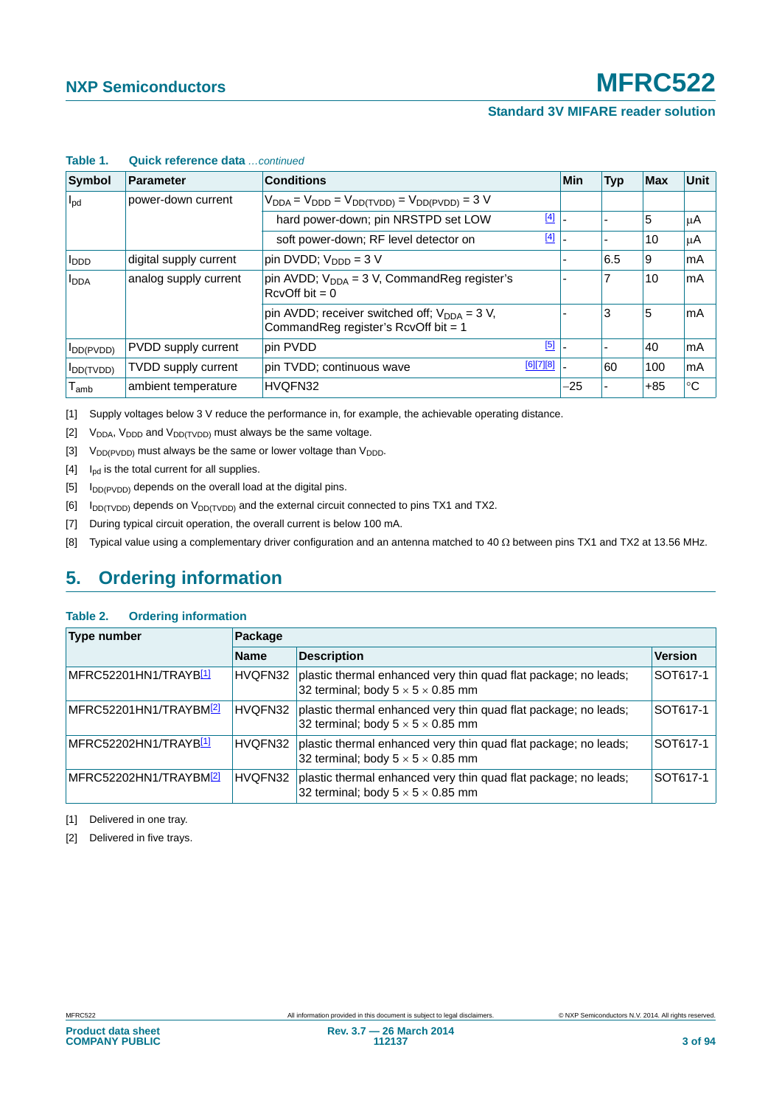#### **Standard 3V MIFARE reader solution**

| Table T.                                  | Quick reference data <i>continued</i> |                                                                                               |           |            |            |            |             |  |  |  |
|-------------------------------------------|---------------------------------------|-----------------------------------------------------------------------------------------------|-----------|------------|------------|------------|-------------|--|--|--|
| <b>Symbol</b>                             | <b>Parameter</b>                      | <b>Conditions</b>                                                                             |           | <b>Min</b> | <b>Typ</b> | <b>Max</b> | Unit        |  |  |  |
| $I_{\text{pd}}$                           | power-down current                    | $V_{DDA} = V_{DDD} = V_{DD(TVDD)} = V_{DD(PVDD)} = 3 V$                                       |           |            |            |            |             |  |  |  |
|                                           |                                       | hard power-down; pin NRSTPD set LOW                                                           | $[4]$     |            |            | 5          | μA          |  |  |  |
|                                           |                                       | soft power-down; RF level detector on                                                         | $[4]$     |            |            | 10         | μA          |  |  |  |
| I <sub>DDD</sub>                          | digital supply current                | pin DVDD; V <sub>DDD</sub> = 3 V                                                              |           |            | 6.5        | 9          | mA          |  |  |  |
| analog supply current<br>I <sub>DDA</sub> |                                       | pin AVDD; $V_{DDA}$ = 3 V, CommandReg register's<br>$RcvOff bit = 0$                          |           |            | 7          | 10         | mA          |  |  |  |
|                                           |                                       | pin AVDD; receiver switched off; $V_{DDA} = 3 V$ ,<br>Command Reg register's RcvOff bit = $1$ |           |            | 3          | 5          | mA          |  |  |  |
| $I_{DD(PVDD)}$                            | PVDD supply current                   | pin PVDD                                                                                      | [5]       |            |            | 40         | mA          |  |  |  |
| $I_{DD(TVDD)}$                            | <b>TVDD</b> supply current            | pin TVDD; continuous wave                                                                     | [6][7][8] |            | 60         | 100        | mA          |  |  |  |
| $\mathsf{T}_{\mathsf{amb}}$               | ambient temperature                   | HVQFN32                                                                                       |           | $-25$      |            | $+85$      | $^{\circ}C$ |  |  |  |

### **Table 1. Quick reference data** *…continued*

[1] Supply voltages below 3 V reduce the performance in, for example, the achievable operating distance.

- [2]  $V_{DDA}$ ,  $V_{DDD}$  and  $V_{DD(TVDD)}$  must always be the same voltage.
- [3]  $V_{DD(PVDD)}$  must always be the same or lower voltage than  $V_{DDD}$ .
- <span id="page-2-0"></span> $[4]$  I<sub>pd</sub> is the total current for all supplies.
- <span id="page-2-1"></span> $[5]$  I<sub>DD(PVDD)</sub> depends on the overall load at the digital pins.
- $[6]$  I<sub>DD(TVDD)</sub> depends on V<sub>DD(TVDD)</sub> and the external circuit connected to pins TX1 and TX2.
- [7] During typical circuit operation, the overall current is below 100 mA.
- <span id="page-2-2"></span>[8] Typical value using a complementary driver configuration and an antenna matched to 40  $\Omega$  between pins TX1 and TX2 at 13.56 MHz.

## **5. Ordering information**

#### **Table 2. Ordering information**

| <b>Type number</b>                 | Package     |                                                                                                                  |                |  |  |  |  |
|------------------------------------|-------------|------------------------------------------------------------------------------------------------------------------|----------------|--|--|--|--|
|                                    | <b>Name</b> | <b>Description</b>                                                                                               | <b>Version</b> |  |  |  |  |
| MFRC52201HN1/TRAYB <mark>11</mark> | HVQFN32     | plastic thermal enhanced very thin quad flat package; no leads;<br>32 terminal; body $5 \times 5 \times 0.85$ mm | SOT617-1       |  |  |  |  |
| MFRC52201HN1/TRAYBM2               | HVQFN32     | plastic thermal enhanced very thin quad flat package; no leads;<br>32 terminal; body $5 \times 5 \times 0.85$ mm | SOT617-1       |  |  |  |  |
| MFRC52202HN1/TRAYB <mark>11</mark> | HVQFN32     | plastic thermal enhanced very thin quad flat package; no leads;<br>32 terminal; body $5 \times 5 \times 0.85$ mm | SOT617-1       |  |  |  |  |
| MFRC52202HN1/TRAYBM2               | HVQFN32     | plastic thermal enhanced very thin quad flat package; no leads;<br>32 terminal; body $5 \times 5 \times 0.85$ mm | SOT617-1       |  |  |  |  |

<span id="page-2-3"></span>[1] Delivered in one tray.

<span id="page-2-4"></span>[2] Delivered in five trays.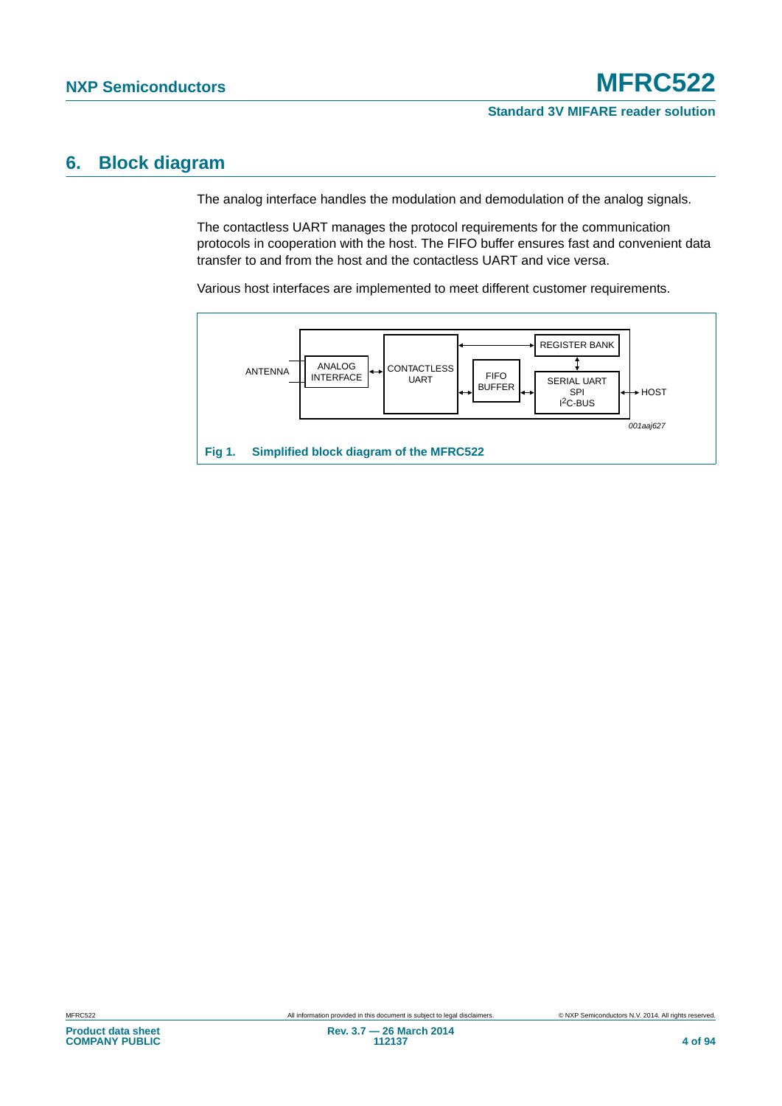### **6. Block diagram**

The analog interface handles the modulation and demodulation of the analog signals.

The contactless UART manages the protocol requirements for the communication protocols in cooperation with the host. The FIFO buffer ensures fast and convenient data transfer to and from the host and the contactless UART and vice versa.

Various host interfaces are implemented to meet different customer requirements.

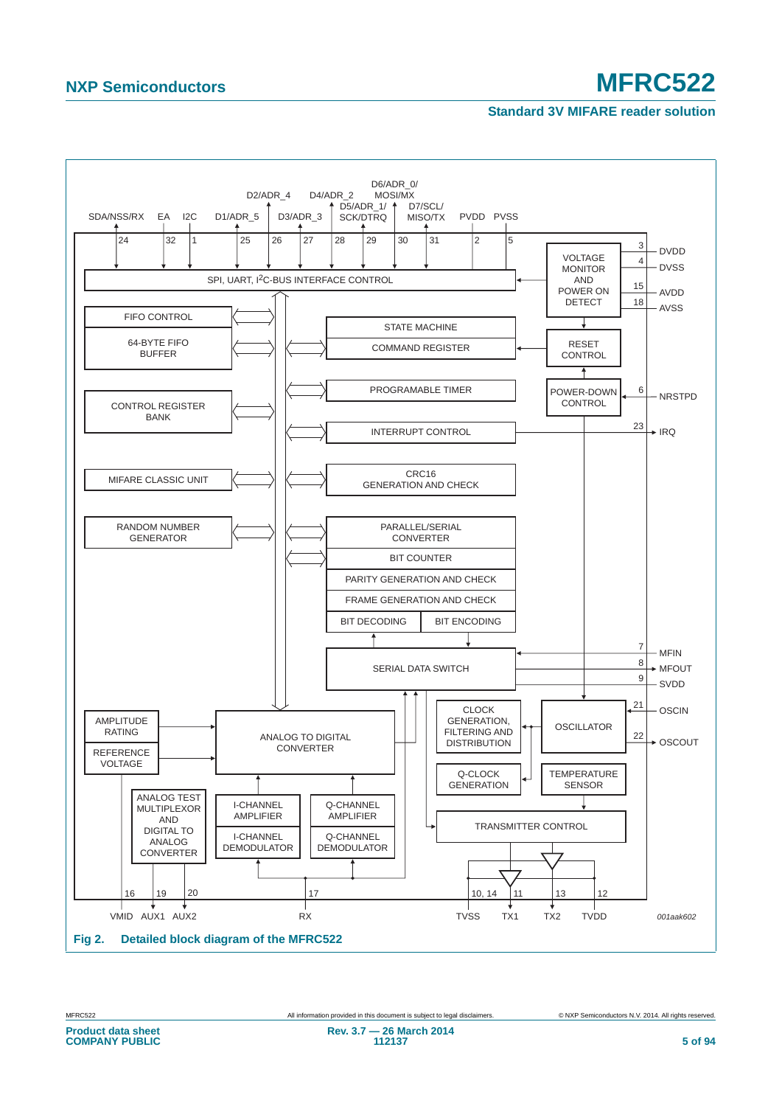#### **Standard 3V MIFARE reader solution**

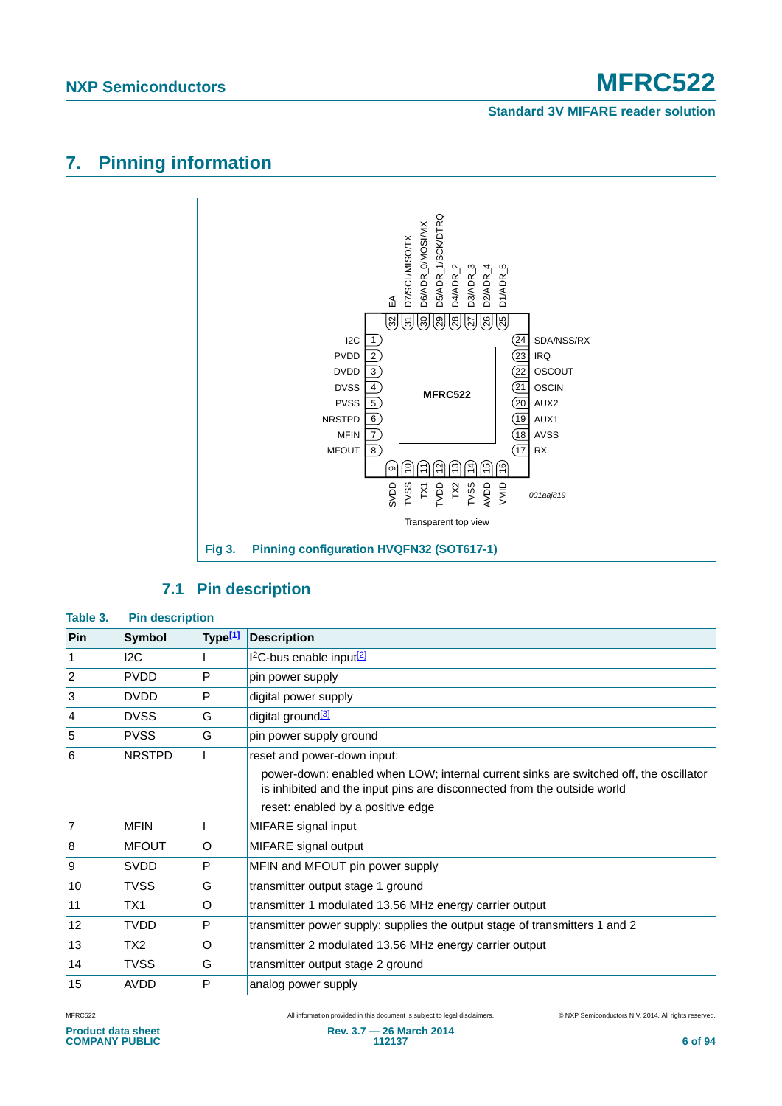#### **Standard 3V MIFARE reader solution**

## **7. Pinning information**



### **7.1 Pin description**

#### **Table 3. Pin description**

| Pin             | <b>Symbol</b> | Type <sup>[1]</sup> | <b>Description</b>                                                                                                                                               |
|-----------------|---------------|---------------------|------------------------------------------------------------------------------------------------------------------------------------------------------------------|
| 1               | 12C           |                     | $12C$ -bus enable input $\sqrt{2}$                                                                                                                               |
| $ 2\rangle$     | <b>PVDD</b>   | P                   | pin power supply                                                                                                                                                 |
| 3               | <b>DVDD</b>   | P                   | digital power supply                                                                                                                                             |
| $\vert 4 \vert$ | <b>DVSS</b>   | G                   | digital ground <sup>[3]</sup>                                                                                                                                    |
| 5               | <b>PVSS</b>   | G                   | pin power supply ground                                                                                                                                          |
| <b>6</b>        | <b>NRSTPD</b> |                     | reset and power-down input:                                                                                                                                      |
|                 |               |                     | power-down: enabled when LOW; internal current sinks are switched off, the oscillator<br>is inhibited and the input pins are disconnected from the outside world |
|                 |               |                     | reset: enabled by a positive edge                                                                                                                                |
| $\overline{7}$  | <b>MFIN</b>   |                     | MIFARE signal input                                                                                                                                              |
| 8               | <b>MFOUT</b>  | O                   | MIFARE signal output                                                                                                                                             |
| Ι9              | <b>SVDD</b>   | P                   | MFIN and MFOUT pin power supply                                                                                                                                  |
| 10              | <b>TVSS</b>   | G                   | transmitter output stage 1 ground                                                                                                                                |
| 11              | TX1           | O                   | transmitter 1 modulated 13.56 MHz energy carrier output                                                                                                          |
| 12              | TVDD          | P                   | transmitter power supply: supplies the output stage of transmitters 1 and 2                                                                                      |
| 13              | TX2           | O                   | transmitter 2 modulated 13.56 MHz energy carrier output                                                                                                          |
| 14              | TVSS          | G                   | transmitter output stage 2 ground                                                                                                                                |
| 15              | <b>AVDD</b>   | P                   | analog power supply                                                                                                                                              |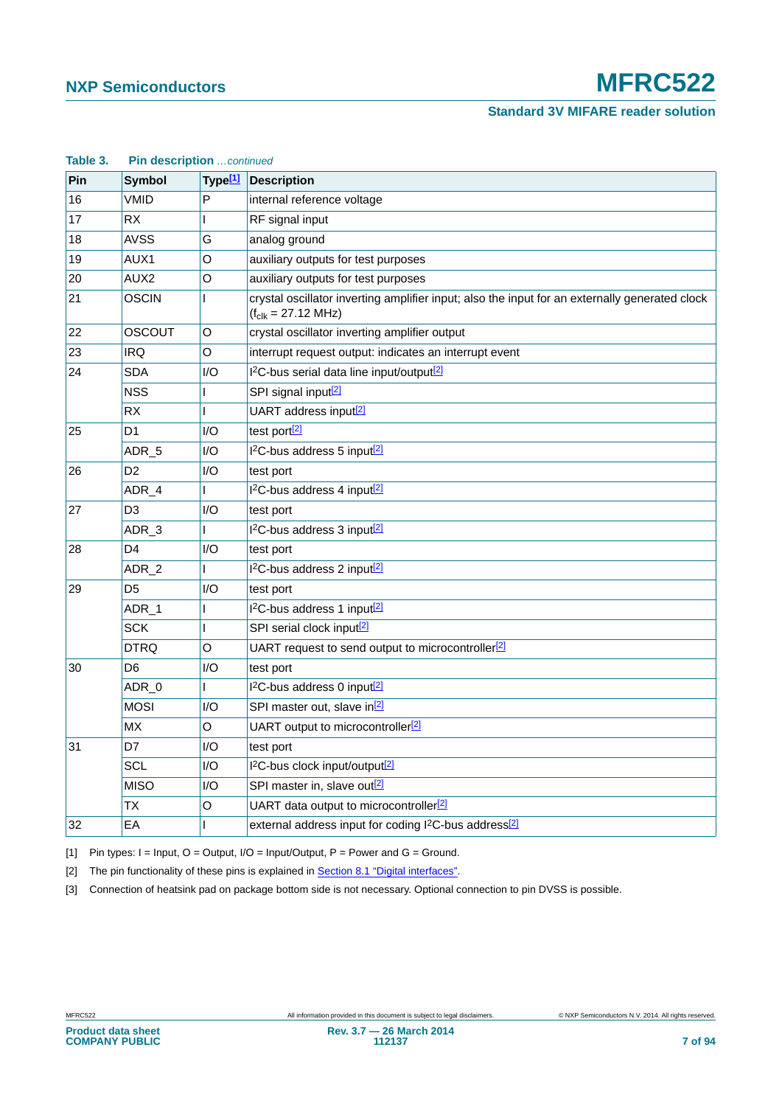**Standard 3V MIFARE reader solution**

| Table 3. | Pin description continued |                     |                                                                                                                                   |
|----------|---------------------------|---------------------|-----------------------------------------------------------------------------------------------------------------------------------|
| Pin      | <b>Symbol</b>             | Type <sup>[1]</sup> | <b>Description</b>                                                                                                                |
| 16       | <b>VMID</b>               | P                   | internal reference voltage                                                                                                        |
| 17       | <b>RX</b>                 | L                   | RF signal input                                                                                                                   |
| 18       | <b>AVSS</b>               | G                   | analog ground                                                                                                                     |
| 19       | AUX1                      | O                   | auxiliary outputs for test purposes                                                                                               |
| 20       | AUX2                      | O                   | auxiliary outputs for test purposes                                                                                               |
| 21       | <b>OSCIN</b>              | L                   | crystal oscillator inverting amplifier input; also the input for an externally generated clock<br>$(f_{clk} = 27.12 \text{ MHz})$ |
| 22       | <b>OSCOUT</b>             | O                   | crystal oscillator inverting amplifier output                                                                                     |
| 23       | <b>IRQ</b>                | O                   | interrupt request output: indicates an interrupt event                                                                            |
| 24       | <b>SDA</b>                | 1/O                 | I <sup>2</sup> C-bus serial data line input/output <sup>[2]</sup>                                                                 |
|          | <b>NSS</b>                |                     | SPI signal input <sup>[2]</sup>                                                                                                   |
|          | RX                        | I                   | UART address input <sup>[2]</sup>                                                                                                 |
| 25       | D <sub>1</sub>            | 1/O                 | test port[2]                                                                                                                      |
|          | ADR 5                     | I/O                 | I <sup>2</sup> C-bus address 5 input <sup>[2]</sup>                                                                               |
| 26       | D <sub>2</sub>            | 1/O                 | test port                                                                                                                         |
|          | ADR_4                     |                     | I <sup>2</sup> C-bus address 4 input <sup>[2]</sup>                                                                               |
| 27       | D <sub>3</sub>            | I/O                 | test port                                                                                                                         |
|          | ADR_3                     | L                   | I <sup>2</sup> C-bus address 3 input <sup>[2]</sup>                                                                               |
| 28       | D <sub>4</sub>            | I/O                 | test port                                                                                                                         |
|          | ADR <sub>2</sub>          | г                   | I <sup>2</sup> C-bus address 2 input <sup>[2]</sup>                                                                               |
| 29       | D <sub>5</sub>            | I/O                 | test port                                                                                                                         |
|          | ADR_1                     |                     | I <sup>2</sup> C-bus address 1 input <sup>[2]</sup>                                                                               |
|          | <b>SCK</b>                | L                   | SPI serial clock input <sup>[2]</sup>                                                                                             |
|          | <b>DTRQ</b>               | O                   | UART request to send output to microcontroller <sup>[2]</sup>                                                                     |
| 30       | D <sub>6</sub>            | 1/O                 | test port                                                                                                                         |
|          | ADR_0                     | L                   | I <sup>2</sup> C-bus address 0 input <sup>[2]</sup>                                                                               |
|          | <b>MOSI</b>               | 1/O                 | SPI master out, slave in <sup>[2]</sup>                                                                                           |
|          | МX                        | $\mathsf O$         | UART output to microcontroller <sup>[2]</sup>                                                                                     |
| 31       | D7                        | 1/O                 | test port                                                                                                                         |
|          | SCL                       | 1/O                 | I <sup>2</sup> C-bus clock input/output <sup>[2]</sup>                                                                            |
|          | <b>MISO</b>               | I/O                 | SPI master in, slave out <sup>[2]</sup>                                                                                           |
|          | ТX                        | O                   | UART data output to microcontroller <sup>[2]</sup>                                                                                |
| 32       | EA                        | L                   | external address input for coding I <sup>2</sup> C-bus address <sup>[2]</sup>                                                     |

<span id="page-6-0"></span>[1] Pin types:  $I = Input$ ,  $O = Output$ ,  $I/O = Input/Output$ ,  $P = Power$  and  $G = Ground$ .

<span id="page-6-1"></span>[2] The pin functionality of these pins is explained in **Section 8.1** "Digital interfaces".

<span id="page-6-2"></span>[3] Connection of heatsink pad on package bottom side is not necessary. Optional connection to pin DVSS is possible.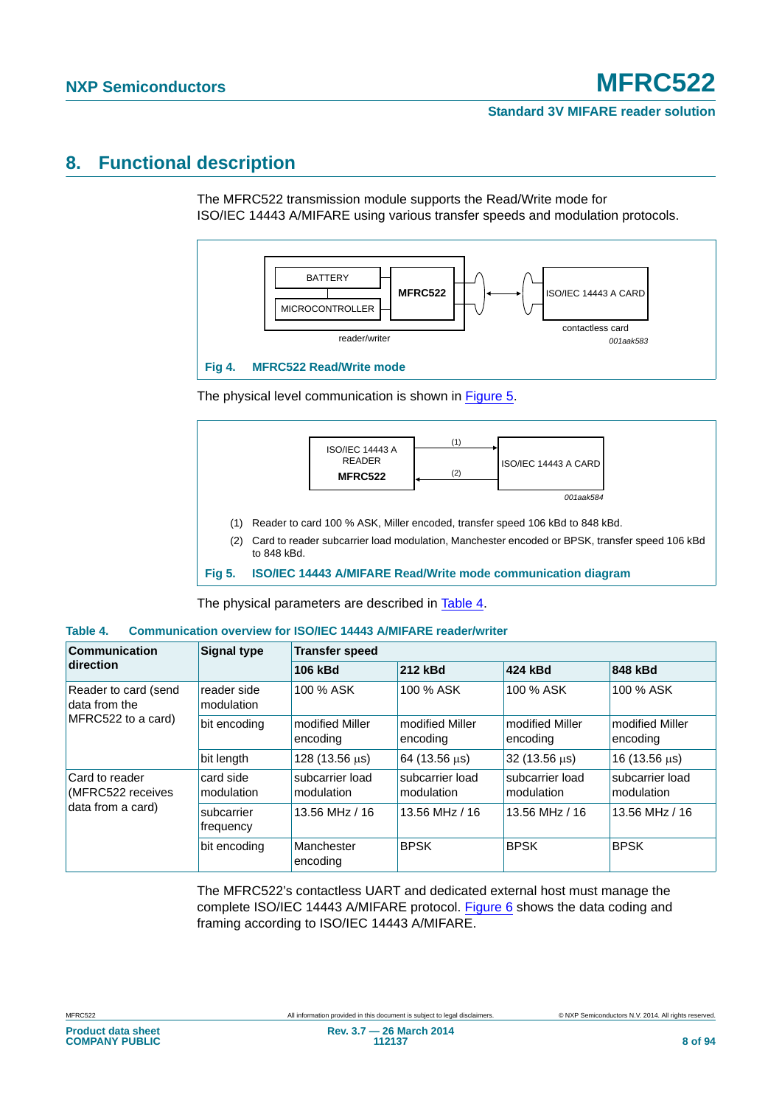### **8. Functional description**

The MFRC522 transmission module supports the Read/Write mode for ISO/IEC 14443 A/MIFARE using various transfer speeds and modulation protocols.



The physical level communication is shown in [Figure 5](#page-7-0).



<span id="page-7-0"></span>**Fig 5. ISO/IEC 14443 A/MIFARE Read/Write mode communication diagram**

The physical parameters are described in [Table 4](#page-7-1).

#### <span id="page-7-1"></span>**Table 4. Communication overview for ISO/IEC 14443 A/MIFARE reader/writer**

| Communication                                               | <b>Signal type</b>        | <b>Transfer speed</b>         |                               |                               |                               |  |  |  |
|-------------------------------------------------------------|---------------------------|-------------------------------|-------------------------------|-------------------------------|-------------------------------|--|--|--|
| direction                                                   |                           | 106 kBd                       | 212 kBd                       | 424 kBd                       | 848 kBd                       |  |  |  |
| Reader to card (send<br>data from the<br>MFRC522 to a card) | reader side<br>modulation | 100 % ASK                     | 100 % ASK                     | 100 % ASK                     | 100 % ASK                     |  |  |  |
|                                                             | bit encoding              | modified Miller<br>encoding   | modified Miller<br>encoding   | modified Miller<br>encoding   | modified Miller<br>encoding   |  |  |  |
|                                                             | bit length                | 128 (13.56 μs)                | 64 (13.56 us)                 | 32 (13.56 us)                 | $16(13.56 \,\mu s)$           |  |  |  |
| Card to reader<br>(MFRC522 receives                         | card side<br>modulation   | subcarrier load<br>modulation | subcarrier load<br>modulation | subcarrier load<br>modulation | subcarrier load<br>modulation |  |  |  |
| data from a card)                                           | subcarrier<br>frequency   | 13.56 MHz / 16                | 13.56 MHz / 16                | 13.56 MHz / 16                | 13.56 MHz / 16                |  |  |  |
|                                                             | bit encoding              | Manchester<br>encoding        | <b>BPSK</b>                   | <b>BPSK</b>                   | <b>BPSK</b>                   |  |  |  |

The MFRC522's contactless UART and dedicated external host must manage the complete ISO/IEC 14443 A/MIFARE protocol. [Figure 6](#page-8-1) shows the data coding and framing according to ISO/IEC 14443 A/MIFARE.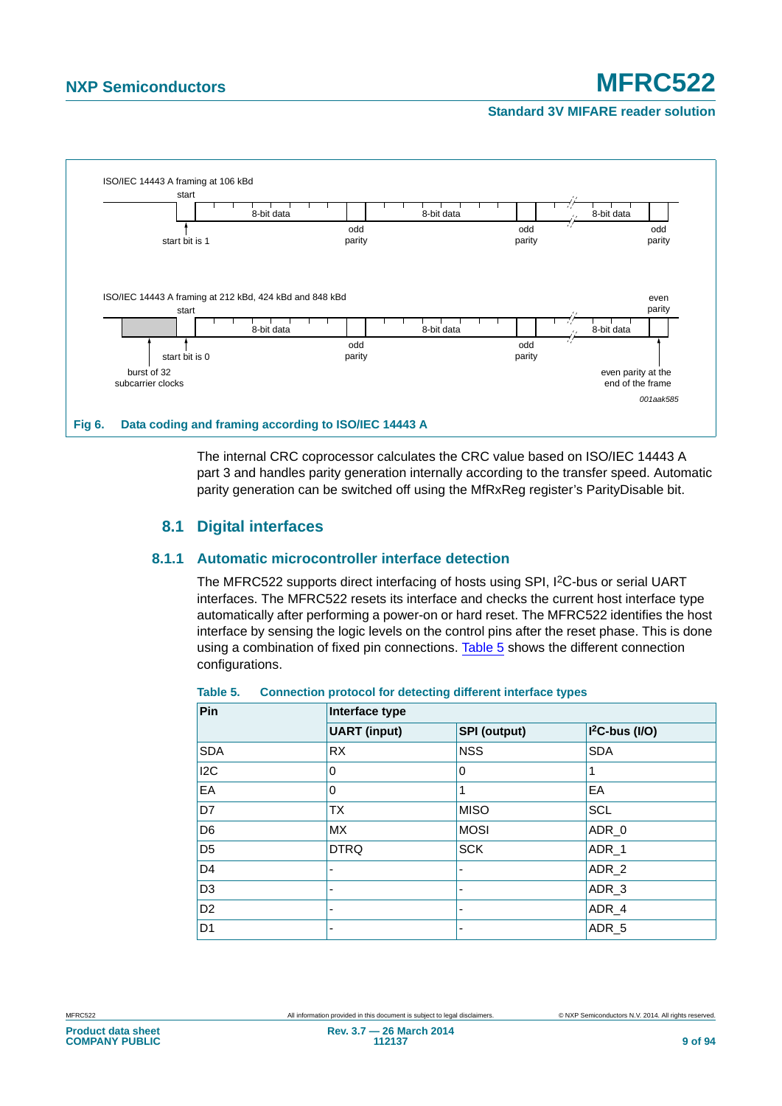#### **Standard 3V MIFARE reader solution**



<span id="page-8-1"></span>The internal CRC coprocessor calculates the CRC value based on ISO/IEC 14443 A part 3 and handles parity generation internally according to the transfer speed. Automatic parity generation can be switched off using the MfRxReg register's ParityDisable bit.

### **8.1 Digital interfaces**

#### <span id="page-8-0"></span>**8.1.1 Automatic microcontroller interface detection**

The MFRC522 supports direct interfacing of hosts using SPI, I<sup>2</sup>C-bus or serial UART interfaces. The MFRC522 resets its interface and checks the current host interface type automatically after performing a power-on or hard reset. The MFRC522 identifies the host interface by sensing the logic levels on the control pins after the reset phase. This is done using a combination of fixed pin connections. [Table 5](#page-8-2) shows the different connection configurations.

| Pin            | Interface type           |                     |                   |  |  |  |  |  |
|----------------|--------------------------|---------------------|-------------------|--|--|--|--|--|
|                | <b>UART</b> (input)      | <b>SPI (output)</b> | $I2C-bus (I/O)$   |  |  |  |  |  |
| <b>SDA</b>     | <b>RX</b>                | <b>NSS</b>          | <b>SDA</b>        |  |  |  |  |  |
| 12C            | 0                        | $\mathbf 0$         |                   |  |  |  |  |  |
| EA             | 0                        | 1                   | EA                |  |  |  |  |  |
| D7             | <b>TX</b>                | <b>MISO</b>         | <b>SCL</b>        |  |  |  |  |  |
| D <sub>6</sub> | <b>MX</b>                | <b>MOSI</b>         | ADR_0             |  |  |  |  |  |
| D <sub>5</sub> | <b>DTRQ</b>              | <b>SCK</b>          | ADR <sub>_1</sub> |  |  |  |  |  |
| D <sub>4</sub> | $\overline{\phantom{a}}$ |                     | ADR 2             |  |  |  |  |  |
| D <sub>3</sub> | $\overline{\phantom{0}}$ |                     | ADR <sub>3</sub>  |  |  |  |  |  |
| D <sub>2</sub> | $\overline{\phantom{0}}$ | ٠                   | ADR <sub>4</sub>  |  |  |  |  |  |
| D <sub>1</sub> |                          |                     | ADR <sub>5</sub>  |  |  |  |  |  |

#### <span id="page-8-2"></span>**Table 5. Connection protocol for detecting different interface types**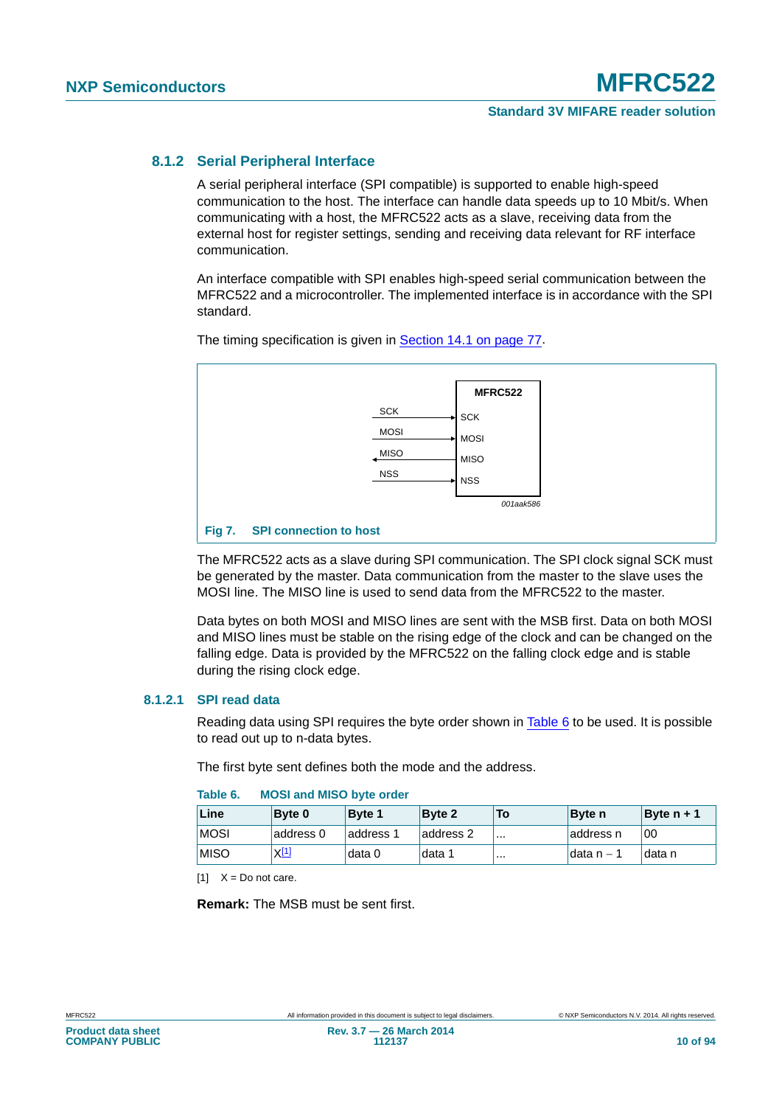#### **8.1.2 Serial Peripheral Interface**

A serial peripheral interface (SPI compatible) is supported to enable high-speed communication to the host. The interface can handle data speeds up to 10 Mbit/s. When communicating with a host, the MFRC522 acts as a slave, receiving data from the external host for register settings, sending and receiving data relevant for RF interface communication.

An interface compatible with SPI enables high-speed serial communication between the MFRC522 and a microcontroller. The implemented interface is in accordance with the SPI standard.



The timing specification is given in [Section 14.1 on page 77.](#page-76-2)

The MFRC522 acts as a slave during SPI communication. The SPI clock signal SCK must be generated by the master. Data communication from the master to the slave uses the MOSI line. The MISO line is used to send data from the MFRC522 to the master.

Data bytes on both MOSI and MISO lines are sent with the MSB first. Data on both MOSI and MISO lines must be stable on the rising edge of the clock and can be changed on the falling edge. Data is provided by the MFRC522 on the falling clock edge and is stable during the rising clock edge.

#### **8.1.2.1 SPI read data**

Reading data using SPI requires the byte order shown in [Table 6](#page-9-0) to be used. It is possible to read out up to n-data bytes.

The first byte sent defines both the mode and the address.

| Line        | <b>Byte 0</b> | <b>Byte 1</b> | <b>Byte 2</b> | To       | <b>Byte</b> n | Byte $n + 1$        |
|-------------|---------------|---------------|---------------|----------|---------------|---------------------|
| <b>MOSI</b> | address 0     | laddress 1    | address 2     | $\cdots$ | address n     | 00                  |
| <b>MISO</b> | $X^{[1]}$     | data 0        | data 1        |          | ∃data n – 1   | <sup>∣</sup> data n |

#### <span id="page-9-0"></span>**Table 6. MOSI and MISO byte order**

<span id="page-9-1"></span> $[11 \t X = Do$  not care.

**Remark:** The MSB must be sent first.

**Product data sheet COMPANY PUBLIC**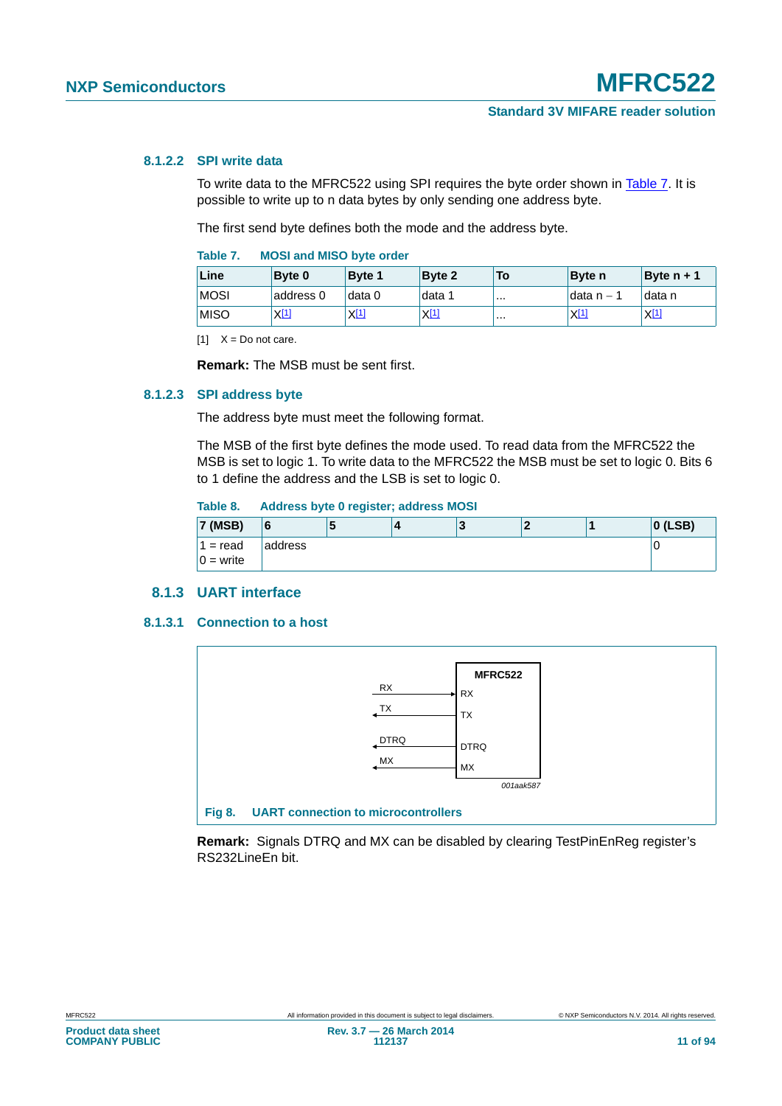#### **8.1.2.2 SPI write data**

To write data to the MFRC522 using SPI requires the byte order shown in [Table 7.](#page-10-0) It is possible to write up to n data bytes by only sending one address byte.

The first send byte defines both the mode and the address byte.

<span id="page-10-0"></span>

| Table 7. |  |  | <b>MOSI and MISO byte order</b> |  |  |
|----------|--|--|---------------------------------|--|--|
|----------|--|--|---------------------------------|--|--|

| Line         | <b>Byte 0</b> | Byte 1           | Byte 2    | To | <b>Byte</b> n | Byte $n + 1$ |
|--------------|---------------|------------------|-----------|----|---------------|--------------|
| <b>MOSI</b>  | address 0     | data 0           | data 1    |    | ldata n – 1   | data n       |
| <b>IMISO</b> | $X^{[1]}$     | X <sup>[1]</sup> | $X^{[1]}$ |    | $X^{[1]}$     | $X^{[1]}$    |

<span id="page-10-1"></span> $[1]$   $X = Do$  not care.

**Remark:** The MSB must be sent first.

#### **8.1.2.3 SPI address byte**

The address byte must meet the following format.

The MSB of the first byte defines the mode used. To read data from the MFRC522 the MSB is set to logic 1. To write data to the MFRC522 the MSB must be set to logic 0. Bits 6 to 1 define the address and the LSB is set to logic 0.

#### **Table 8. Address byte 0 register; address MOSI**

| $'7$ (MSB)  | 16      | ю | -2<br><b>N</b> |  | $ 0$ (LSB) |
|-------------|---------|---|----------------|--|------------|
| $1 = read$  | address |   |                |  | U          |
| $0 = write$ |         |   |                |  |            |

#### **8.1.3 UART interface**

#### **8.1.3.1 Connection to a host**



**Remark:** Signals DTRQ and MX can be disabled by clearing TestPinEnReg register's RS232LineEn bit.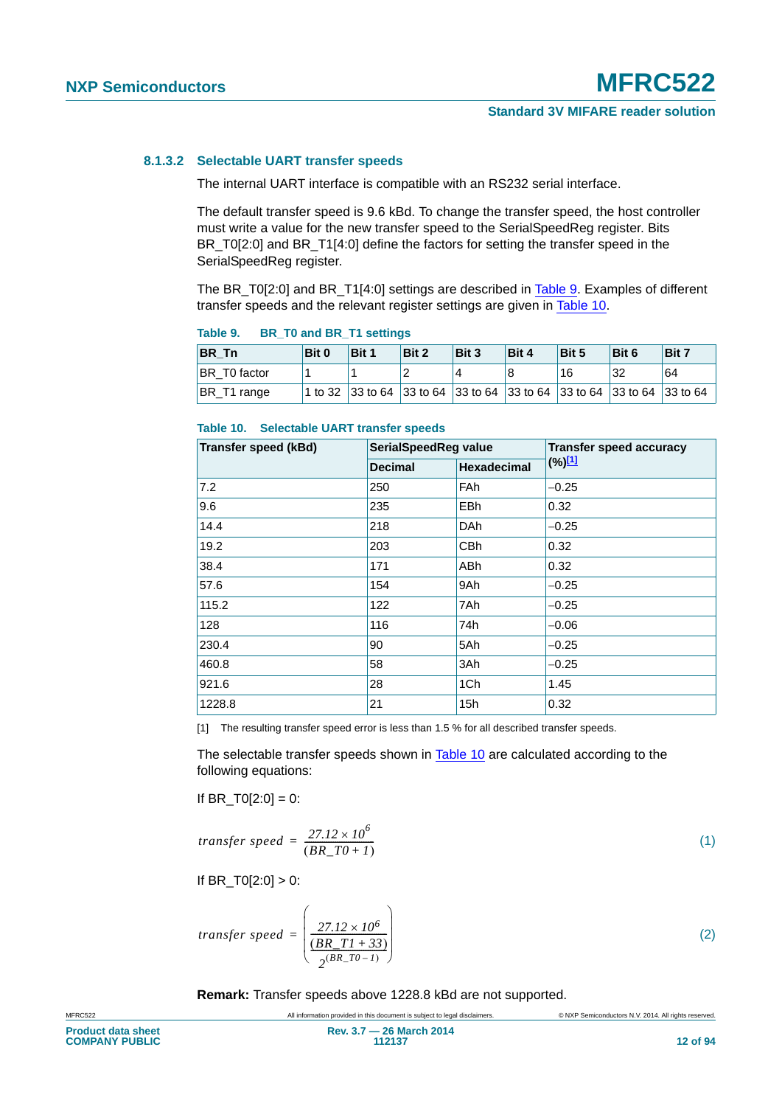### **8.1.3.2 Selectable UART transfer speeds**

The internal UART interface is compatible with an RS232 serial interface.

The default transfer speed is 9.6 kBd. To change the transfer speed, the host controller must write a value for the new transfer speed to the SerialSpeedReg register. Bits BR\_T0[2:0] and BR\_T1[4:0] define the factors for setting the transfer speed in the SerialSpeedReg register.

The BR\_T0[2:0] and BR\_T1[4:0] settings are described in [Table 9.](#page-11-0) Examples of different transfer speeds and the relevant register settings are given in [Table 10.](#page-11-1)

| .            |       |       |       |                                                                        |       |       |       |       |  |  |  |
|--------------|-------|-------|-------|------------------------------------------------------------------------|-------|-------|-------|-------|--|--|--|
| BR Tn        | Bit 0 | Bit 1 | Bit 2 | Bit 3                                                                  | Bit 4 | Bit 5 | Bit 6 | Bit 7 |  |  |  |
| BR T0 factor |       |       |       | 4                                                                      |       | 16    | 32    | 64    |  |  |  |
| BR T1 range  |       |       |       | 1 to 32 33 to 64 33 to 64 33 to 64 33 to 64 33 to 64 33 to 64 33 to 64 |       |       |       |       |  |  |  |

#### <span id="page-11-0"></span>**Table 9. BR\_T0 and BR\_T1 settings**

#### <span id="page-11-1"></span>**Table 10. Selectable UART transfer speeds**

| <b>Transfer speed (kBd)</b> | SerialSpeedReg value      |                    | <b>Transfer speed accuracy</b> |
|-----------------------------|---------------------------|--------------------|--------------------------------|
|                             | <b>Decimal</b>            | <b>Hexadecimal</b> | $(\%)^{[1]}$                   |
| 7.2                         | 250                       | <b>FAh</b>         | $-0.25$                        |
| 9.6                         | <b>EBh</b><br>235<br>0.32 |                    |                                |
| 14.4                        | 218                       | <b>DAh</b>         | $-0.25$                        |
| 19.2                        | 203                       | <b>CBh</b>         | 0.32                           |
| 38.4                        | 171                       | <b>ABh</b>         | 0.32                           |
| 57.6                        | 154                       | 9Ah                | $-0.25$                        |
| 115.2                       | 122                       | 7Ah                | $-0.25$                        |
| 128                         | 116                       | 74h                | $-0.06$                        |
| 230.4                       | 90                        | 5Ah                | $-0.25$                        |
| 460.8                       | 58                        | 3Ah                | $-0.25$                        |
| 921.6                       | 28                        | 1Ch                | 1.45                           |
| 1228.8                      | 21                        | 15h                | 0.32                           |

<span id="page-11-2"></span>[1] The resulting transfer speed error is less than 1.5 % for all described transfer speeds.

The selectable transfer speeds shown in [Table 10](#page-11-1) are calculated according to the following equations:

If BR  $TO[2:0] = 0$ :

$$
transfer\ speed = \frac{27.12 \times 10^6}{(BR\_T0 + 1)}\tag{1}
$$

If  $BR_T0[2:0] > 0$ :

$$
transfer\ speed = \left(\frac{27.12 \times 10^6}{\frac{(BR\_T1 + 33)}{2^{(BR\_T0 - 1)}}}\right)
$$
\n(2)

**Remark:** Transfer speeds above 1228.8 kBd are not supported.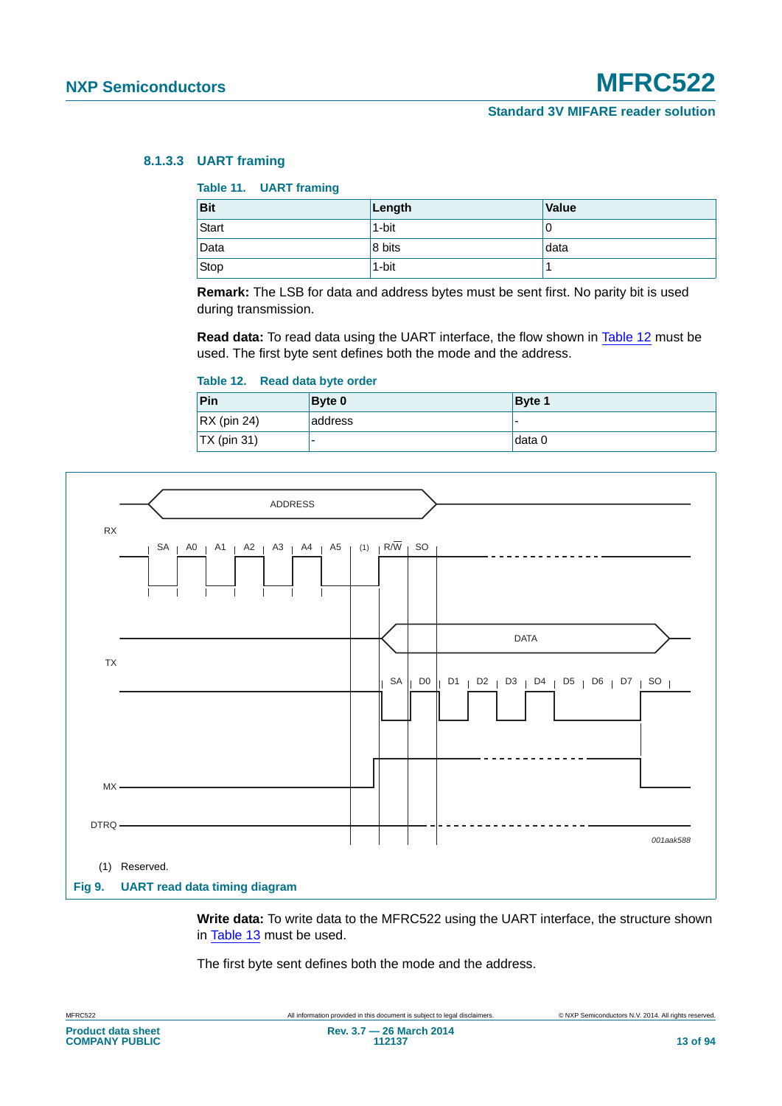#### **8.1.3.3 UART framing**

#### **Table 11. UART framing**

| <b>Bit</b> | Length | <b>Value</b> |
|------------|--------|--------------|
| Start      | 1-bit  | U            |
| Data       | 8 bits | data         |
| Stop       | 1-bit  |              |

**Remark:** The LSB for data and address bytes must be sent first. No parity bit is used during transmission.

**Read data:** To read data using the UART interface, the flow shown in [Table 12](#page-12-0) must be used. The first byte sent defines both the mode and the address.

#### <span id="page-12-0"></span>**Table 12. Read data byte order**

| Pin                 | <b>Byte 0</b> | Byte 1                   |
|---------------------|---------------|--------------------------|
| $\vert$ RX (pin 24) | address       | $\overline{\phantom{0}}$ |
| $\vert$ TX (pin 31) |               | ⊺data 0                  |



**Write data:** To write data to the MFRC522 using the UART interface, the structure shown in [Table 13](#page-13-0) must be used.

The first byte sent defines both the mode and the address.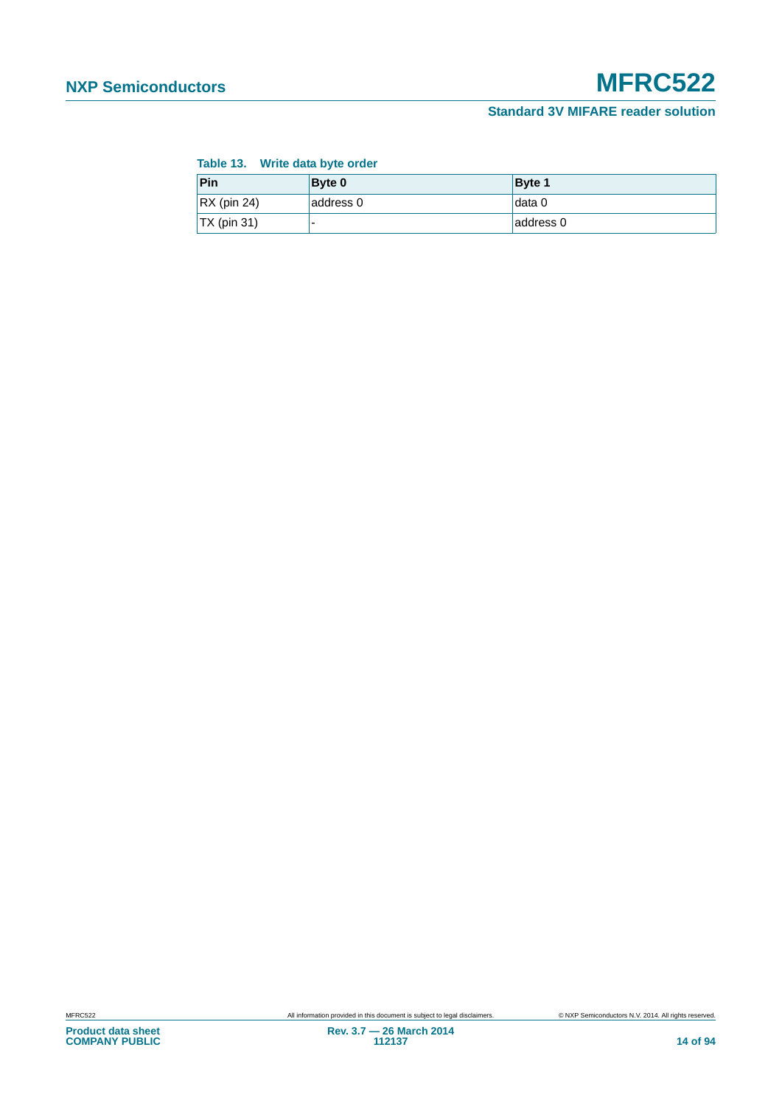#### <span id="page-13-0"></span>**Table 13. Write data byte order**

| Pin                 | <b>Byte 0</b> | Byte 1    |
|---------------------|---------------|-----------|
| $\vert$ RX (pin 24) | address 0     | data 0    |
| $\vert$ TX (pin 31) | -             | address 0 |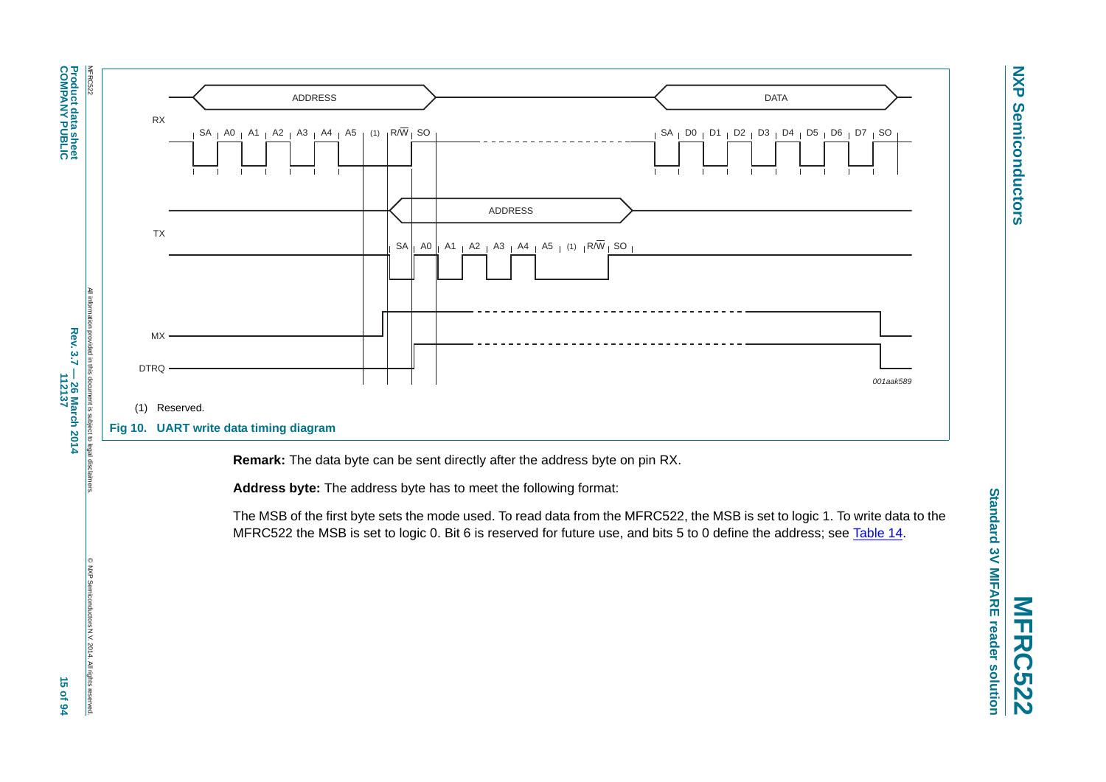**Product data sheet<br>COMPANY PUBLIC COMPANY PUBLIC Product data sheet**



**I** disc

© NXP Semiconductors N.V. 2014. All rights reserved.

luctors N.V. 2014. All rights reserved

 $rac{2}{6}$ 



**Remark:** The data byte can be sent directly after the address byte on pin RX.

**Address byte:** The address byte has to meet the following format:

The MSB of the first byte sets the mode used. To read data from the MFRC522, the MSB is set to logic 1. To write data to the MFRC522 the MSB is set to logic 0. Bit 6 is reserved for future use, and bits 5 to 0 define the address; see [Table](#page-15-0) 14.

**NXP Semiconductors**

**Semiconductors** 

**NXP**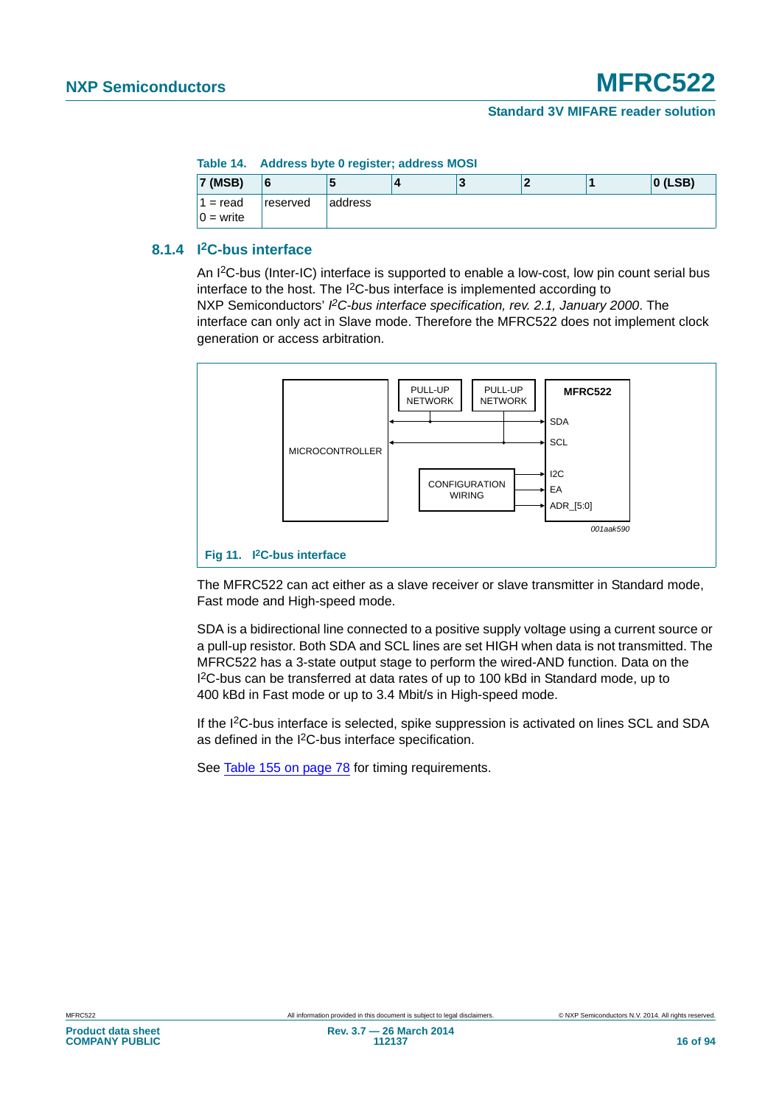#### **Table 14. Address byte 0 register; address MOSI**

<span id="page-15-0"></span>

| <b>7 (MSB)</b>            |          |          | 4 |  | $ 0$ (LSB) |
|---------------------------|----------|----------|---|--|------------|
| $1 = read$<br>$0 = write$ | reserved | laddress |   |  |            |

#### **8.1.4 I2C-bus interface**

An I2C-bus (Inter-IC) interface is supported to enable a low-cost, low pin count serial bus interface to the host. The I<sup>2</sup>C-bus interface is implemented according to NXP Semiconductors' PC-bus interface specification, rev. 2.1, January 2000. The interface can only act in Slave mode. Therefore the MFRC522 does not implement clock generation or access arbitration.



The MFRC522 can act either as a slave receiver or slave transmitter in Standard mode, Fast mode and High-speed mode.

SDA is a bidirectional line connected to a positive supply voltage using a current source or a pull-up resistor. Both SDA and SCL lines are set HIGH when data is not transmitted. The MFRC522 has a 3-state output stage to perform the wired-AND function. Data on the I 2C-bus can be transferred at data rates of up to 100 kBd in Standard mode, up to 400 kBd in Fast mode or up to 3.4 Mbit/s in High-speed mode.

If the I2C-bus interface is selected, spike suppression is activated on lines SCL and SDA as defined in the I<sup>2</sup>C-bus interface specification.

See [Table 155 on page 78](#page-77-0) for timing requirements.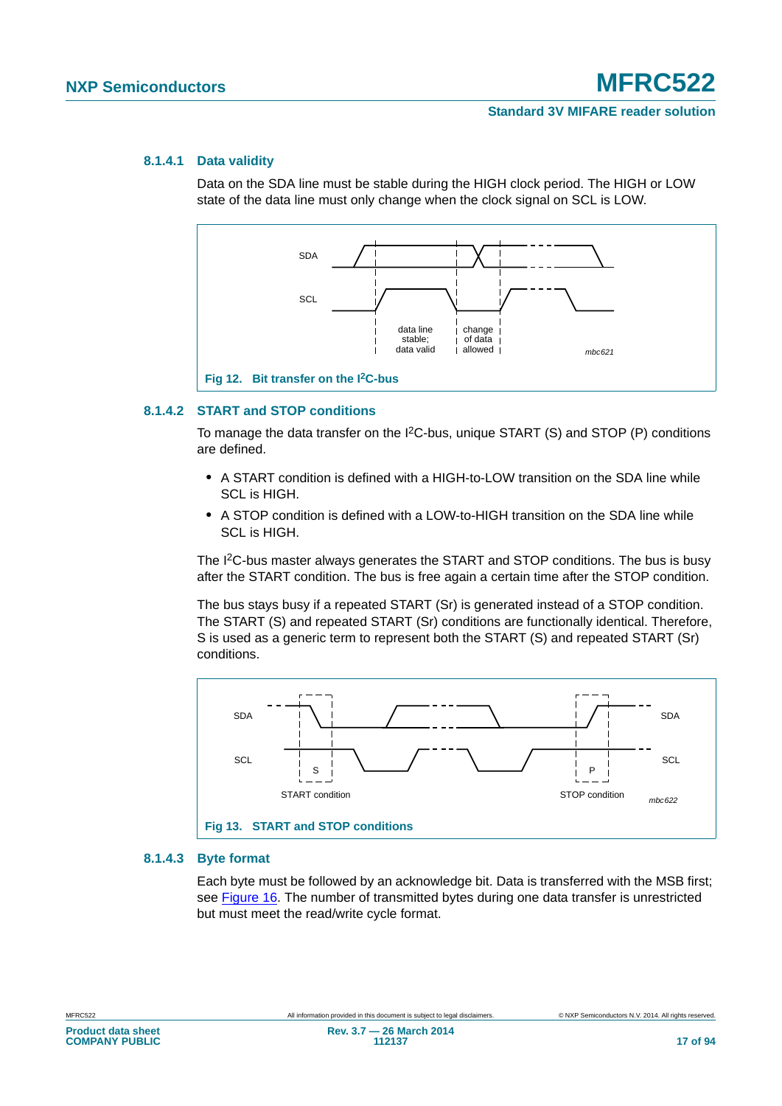#### **8.1.4.1 Data validity**

Data on the SDA line must be stable during the HIGH clock period. The HIGH or LOW state of the data line must only change when the clock signal on SCL is LOW.



#### **8.1.4.2 START and STOP conditions**

To manage the data transfer on the I2C-bus, unique START (S) and STOP (P) conditions are defined.

- **•** A START condition is defined with a HIGH-to-LOW transition on the SDA line while SCL is HIGH.
- **•** A STOP condition is defined with a LOW-to-HIGH transition on the SDA line while SCL is HIGH

The I2C-bus master always generates the START and STOP conditions. The bus is busy after the START condition. The bus is free again a certain time after the STOP condition.

The bus stays busy if a repeated START (Sr) is generated instead of a STOP condition. The START (S) and repeated START (Sr) conditions are functionally identical. Therefore, S is used as a generic term to represent both the START (S) and repeated START (Sr) conditions.



#### **8.1.4.3 Byte format**

Each byte must be followed by an acknowledge bit. Data is transferred with the MSB first; see [Figure 16](#page-18-0). The number of transmitted bytes during one data transfer is unrestricted but must meet the read/write cycle format.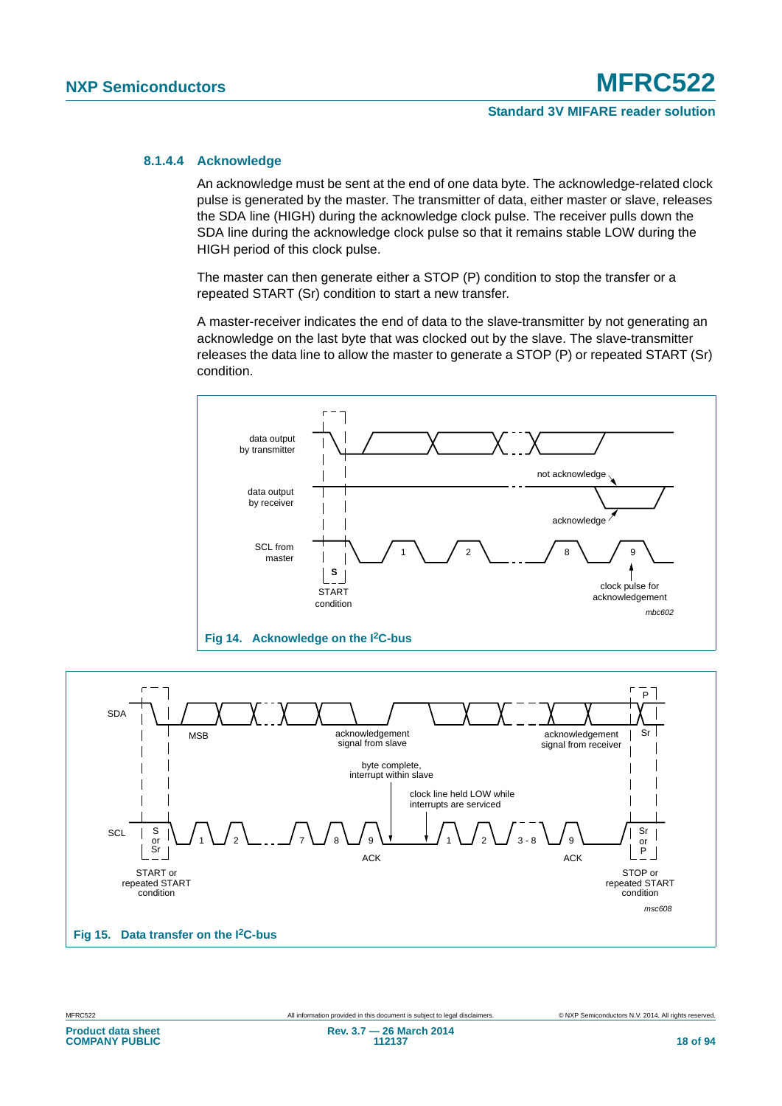#### **8.1.4.4 Acknowledge**

An acknowledge must be sent at the end of one data byte. The acknowledge-related clock pulse is generated by the master. The transmitter of data, either master or slave, releases the SDA line (HIGH) during the acknowledge clock pulse. The receiver pulls down the SDA line during the acknowledge clock pulse so that it remains stable LOW during the HIGH period of this clock pulse.

The master can then generate either a STOP (P) condition to stop the transfer or a repeated START (Sr) condition to start a new transfer.

A master-receiver indicates the end of data to the slave-transmitter by not generating an acknowledge on the last byte that was clocked out by the slave. The slave-transmitter releases the data line to allow the master to generate a STOP (P) or repeated START (Sr) condition.





**COMPANY PUBLIC**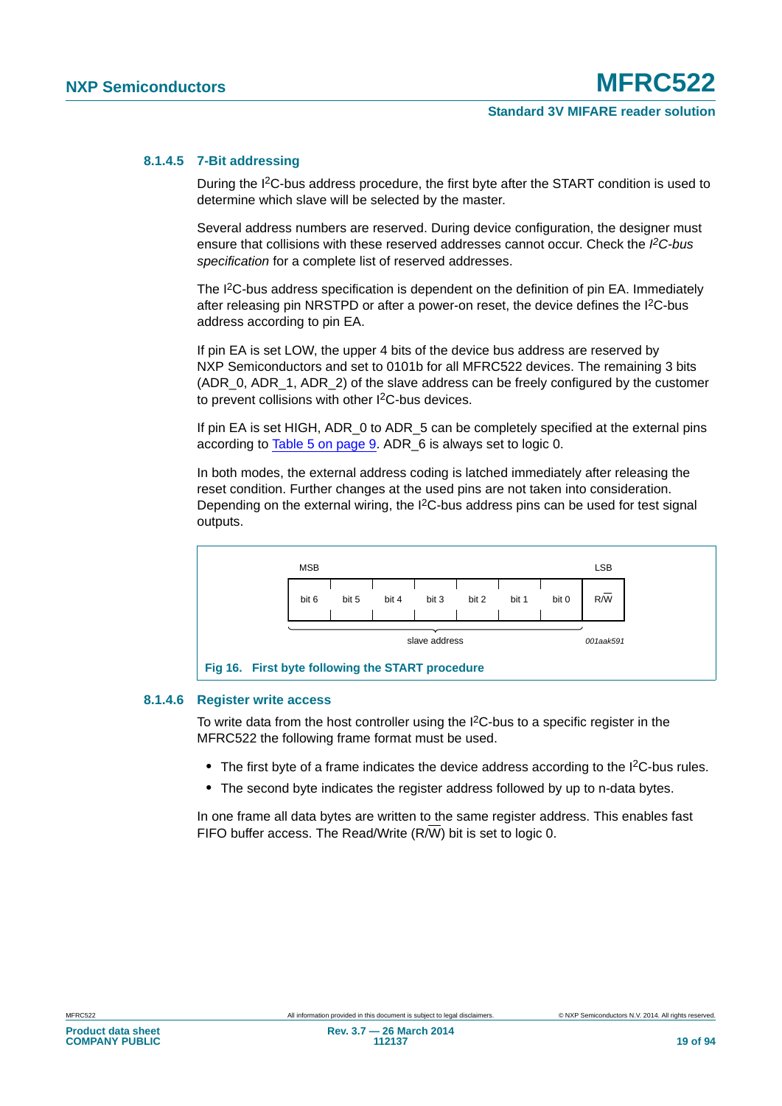#### **8.1.4.5 7-Bit addressing**

During the I2C-bus address procedure, the first byte after the START condition is used to determine which slave will be selected by the master.

Several address numbers are reserved. During device configuration, the designer must ensure that collisions with these reserved addresses cannot occur. Check the PC-bus *specification* for a complete list of reserved addresses.

The I<sup>2</sup>C-bus address specification is dependent on the definition of pin EA. Immediately after releasing pin NRSTPD or after a power-on reset, the device defines the I2C-bus address according to pin EA.

If pin EA is set LOW, the upper 4 bits of the device bus address are reserved by NXP Semiconductors and set to 0101b for all MFRC522 devices. The remaining 3 bits (ADR\_0, ADR\_1, ADR\_2) of the slave address can be freely configured by the customer to prevent collisions with other I2C-bus devices.

If pin EA is set HIGH, ADR 0 to ADR 5 can be completely specified at the external pins according to [Table 5 on page 9.](#page-8-2) ADR\_6 is always set to logic 0.

In both modes, the external address coding is latched immediately after releasing the reset condition. Further changes at the used pins are not taken into consideration. Depending on the external wiring, the  $1<sup>2</sup>C$ -bus address pins can be used for test signal outputs.



#### **8.1.4.6 Register write access**

<span id="page-18-0"></span>To write data from the host controller using the  ${}^{12}C$ -bus to a specific register in the MFRC522 the following frame format must be used.

- The first byte of a frame indicates the device address according to the I<sup>2</sup>C-bus rules.
- **•** The second byte indicates the register address followed by up to n-data bytes.

In one frame all data bytes are written to the same register address. This enables fast FIFO buffer access. The Read/Write (R/W) bit is set to logic 0.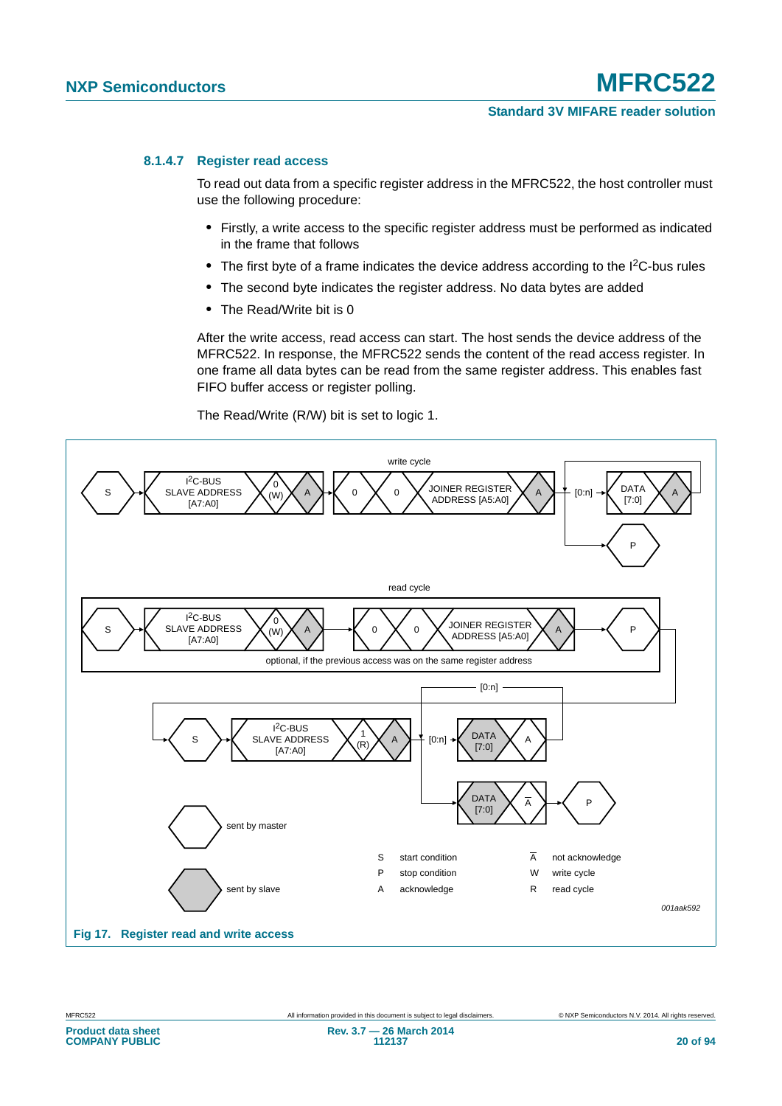#### **8.1.4.7 Register read access**

To read out data from a specific register address in the MFRC522, the host controller must use the following procedure:

- **•** Firstly, a write access to the specific register address must be performed as indicated in the frame that follows
- The first byte of a frame indicates the device address according to the I<sup>2</sup>C-bus rules
- **•** The second byte indicates the register address. No data bytes are added
- **•** The Read/Write bit is 0

After the write access, read access can start. The host sends the device address of the MFRC522. In response, the MFRC522 sends the content of the read access register. In one frame all data bytes can be read from the same register address. This enables fast FIFO buffer access or register polling.

The Read/Write (R/W) bit is set to logic 1.



**COMPANY PUBLIC**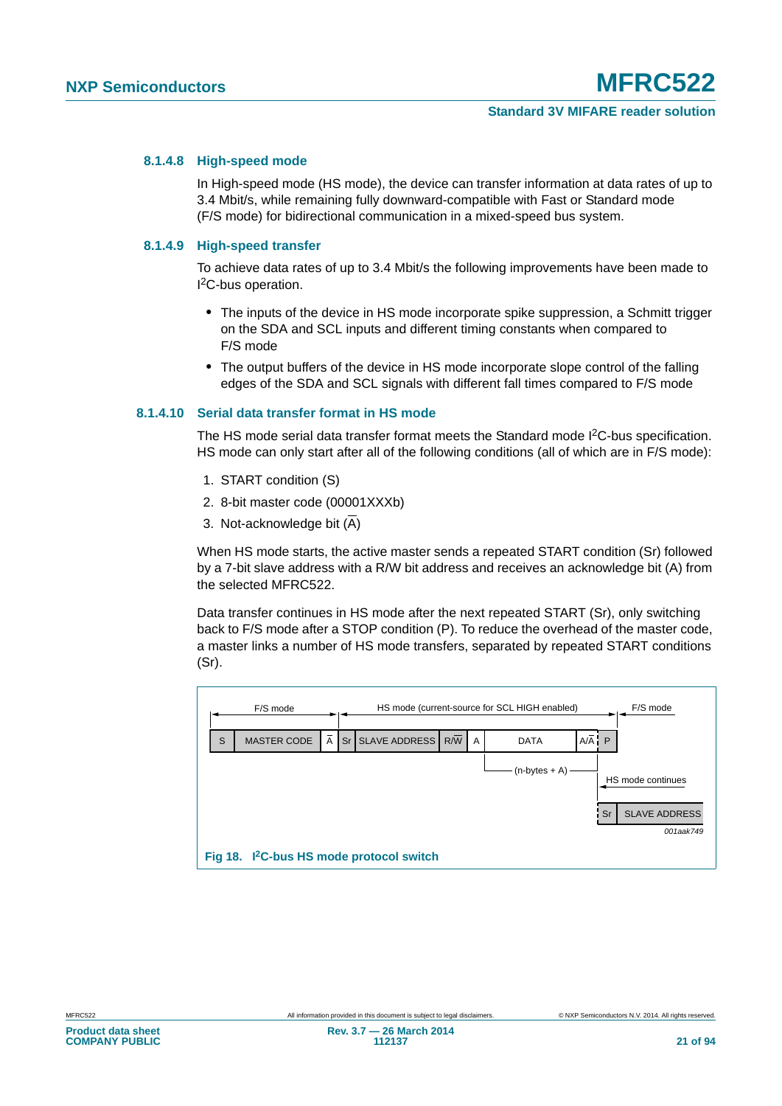#### **8.1.4.8 High-speed mode**

In High-speed mode (HS mode), the device can transfer information at data rates of up to 3.4 Mbit/s, while remaining fully downward-compatible with Fast or Standard mode (F/S mode) for bidirectional communication in a mixed-speed bus system.

#### **8.1.4.9 High-speed transfer**

To achieve data rates of up to 3.4 Mbit/s the following improvements have been made to I 2C-bus operation.

- **•** The inputs of the device in HS mode incorporate spike suppression, a Schmitt trigger on the SDA and SCL inputs and different timing constants when compared to F/S mode
- **•** The output buffers of the device in HS mode incorporate slope control of the falling edges of the SDA and SCL signals with different fall times compared to F/S mode

#### **8.1.4.10 Serial data transfer format in HS mode**

The HS mode serial data transfer format meets the Standard mode I<sup>2</sup>C-bus specification. HS mode can only start after all of the following conditions (all of which are in F/S mode):

- 1. START condition (S)
- 2. 8-bit master code (00001XXXb)
- 3. Not-acknowledge bit  $(\overline{A})$

When HS mode starts, the active master sends a repeated START condition (Sr) followed by a 7-bit slave address with a R/W bit address and receives an acknowledge bit (A) from the selected MFRC522.

Data transfer continues in HS mode after the next repeated START (Sr), only switching back to F/S mode after a STOP condition (P). To reduce the overhead of the master code, a master links a number of HS mode transfers, separated by repeated START conditions (Sr).

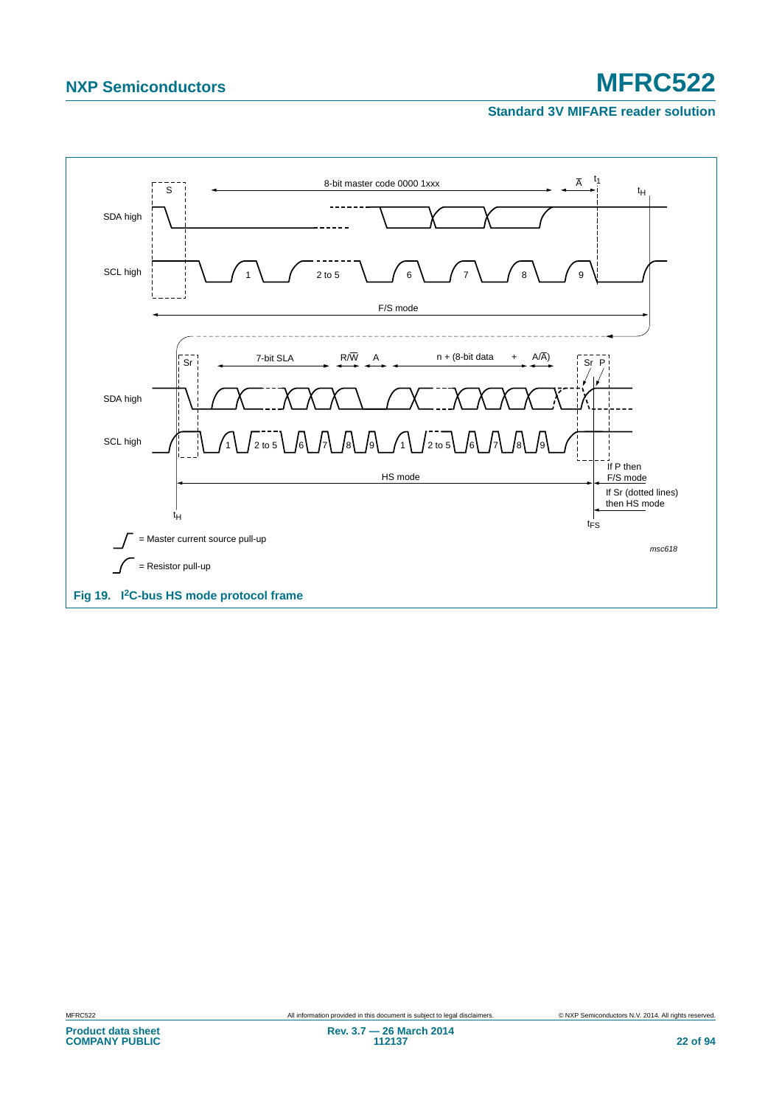#### **Standard 3V MIFARE reader solution**

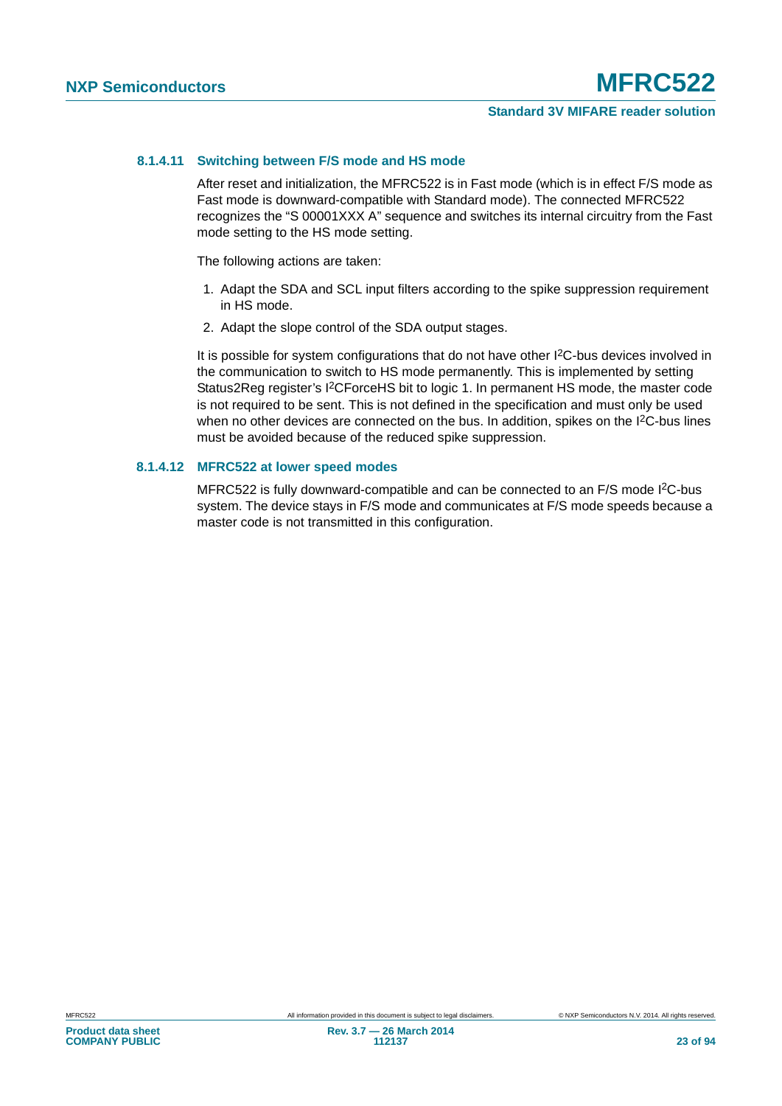#### **8.1.4.11 Switching between F/S mode and HS mode**

After reset and initialization, the MFRC522 is in Fast mode (which is in effect F/S mode as Fast mode is downward-compatible with Standard mode). The connected MFRC522 recognizes the "S 00001XXX A" sequence and switches its internal circuitry from the Fast mode setting to the HS mode setting.

The following actions are taken:

- 1. Adapt the SDA and SCL input filters according to the spike suppression requirement in HS mode.
- 2. Adapt the slope control of the SDA output stages.

It is possible for system configurations that do not have other I<sup>2</sup>C-bus devices involved in the communication to switch to HS mode permanently. This is implemented by setting Status2Reg register's I2CForceHS bit to logic 1. In permanent HS mode, the master code is not required to be sent. This is not defined in the specification and must only be used when no other devices are connected on the bus. In addition, spikes on the I<sup>2</sup>C-bus lines must be avoided because of the reduced spike suppression.

#### **8.1.4.12 MFRC522 at lower speed modes**

MFRC522 is fully downward-compatible and can be connected to an F/S mode I<sup>2</sup>C-bus system. The device stays in F/S mode and communicates at F/S mode speeds because a master code is not transmitted in this configuration.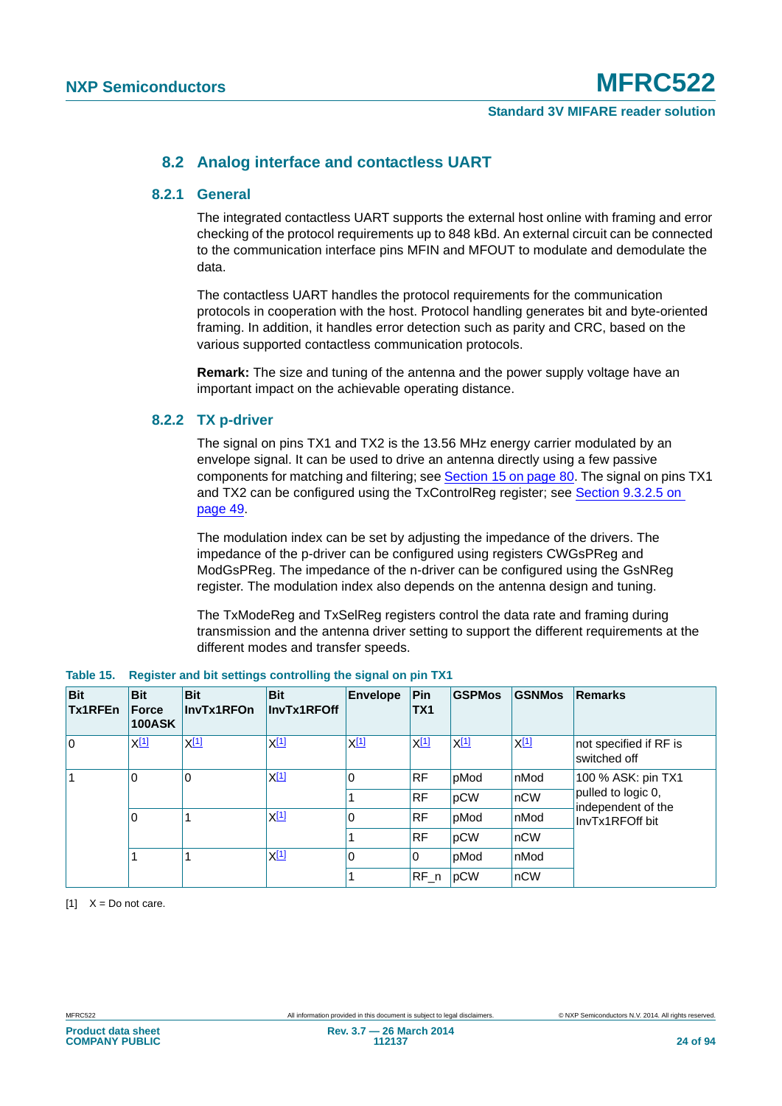### **8.2 Analog interface and contactless UART**

#### **8.2.1 General**

The integrated contactless UART supports the external host online with framing and error checking of the protocol requirements up to 848 kBd. An external circuit can be connected to the communication interface pins MFIN and MFOUT to modulate and demodulate the data.

The contactless UART handles the protocol requirements for the communication protocols in cooperation with the host. Protocol handling generates bit and byte-oriented framing. In addition, it handles error detection such as parity and CRC, based on the various supported contactless communication protocols.

**Remark:** The size and tuning of the antenna and the power supply voltage have an important impact on the achievable operating distance.

#### **8.2.2 TX p-driver**

The signal on pins TX1 and TX2 is the 13.56 MHz energy carrier modulated by an envelope signal. It can be used to drive an antenna directly using a few passive components for matching and filtering; see [Section 15 on page 80](#page-79-0). The signal on pins TX1 and TX2 can be configured using the TxControlReg register; see [Section 9.3.2.5 on](#page-48-0)  [page 49](#page-48-0).

The modulation index can be set by adjusting the impedance of the drivers. The impedance of the p-driver can be configured using registers CWGsPReg and ModGsPReg. The impedance of the n-driver can be configured using the GsNReg register. The modulation index also depends on the antenna design and tuning.

The TxModeReg and TxSelReg registers control the data rate and framing during transmission and the antenna driver setting to support the different requirements at the different modes and transfer speeds.

| <b>Bit</b><br>Tx1RFEn | <b>Bit</b><br>Force<br><b>100ASK</b> | <b>Bit</b><br>InvTx1RFOn                                                                                                            | <b>Bit</b><br>InvTx1RFOff | <b>Envelope</b> | Pin<br>TX <sub>1</sub> | <b>GSPMos</b> | <b>GSNMos</b>    | <b>Remarks</b>                           |
|-----------------------|--------------------------------------|-------------------------------------------------------------------------------------------------------------------------------------|---------------------------|-----------------|------------------------|---------------|------------------|------------------------------------------|
| 0                     | <u>X[1]</u>                          | $X^{[1]}$                                                                                                                           | $X^{[1]}$                 | $X^{[1]}$       | X[1]                   | $X^{[1]}$     | X <sup>[1]</sup> | not specified if RF is<br>switched off   |
|                       | 0<br>0<br>0                          | X <sup>[1]</sup><br>$\Omega$<br><b>RF</b><br>pMod<br>nMod<br><b>RF</b><br>pCW<br>nCW<br>$X^{[1]}$<br><b>RF</b><br>0<br>pMod<br>nMod |                           |                 |                        |               |                  | 100 % ASK: pin TX1                       |
|                       |                                      |                                                                                                                                     |                           |                 |                        |               |                  | pulled to logic 0,<br>independent of the |
|                       |                                      |                                                                                                                                     |                           | InvTx1RFOff bit |                        |               |                  |                                          |
|                       |                                      |                                                                                                                                     |                           |                 | <b>RF</b>              | pCW           | $n$ CW           |                                          |
|                       |                                      |                                                                                                                                     | $X^{[1]}$                 | $\mathbf 0$     | 0                      | pMod          | nMod             |                                          |
|                       |                                      |                                                                                                                                     |                           |                 | $RF_n$                 | pCW           | nCW              |                                          |

<span id="page-23-1"></span>

|  | Table 15. Register and bit settings controlling the signal on pin TX1 |  |  |  |  |
|--|-----------------------------------------------------------------------|--|--|--|--|
|--|-----------------------------------------------------------------------|--|--|--|--|

<span id="page-23-0"></span> $[1]$   $X = Do$  not care.

**Product data sheet COMPANY PUBLIC**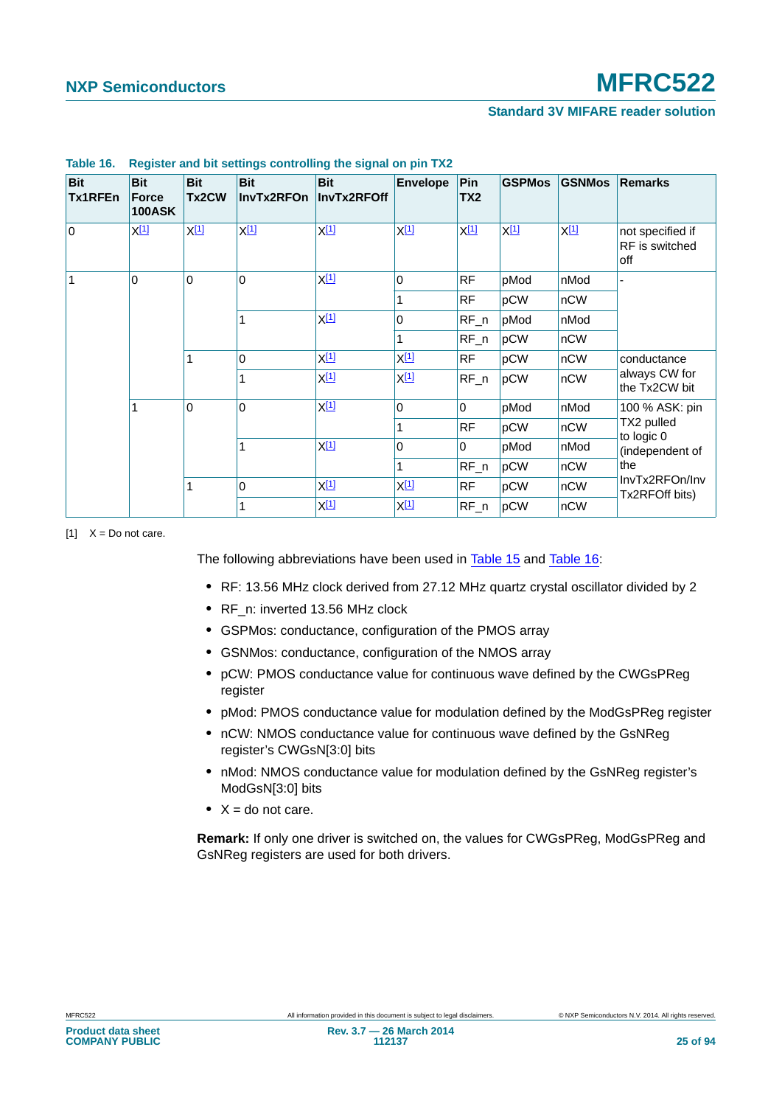| <b>Bit</b><br>Tx1RFEn | <b>Bit</b><br><b>Force</b><br><b>100ASK</b> | <b>Bit</b><br>Tx2CW | <b>Bit</b><br>InvTx2RFOn | <b>Bit</b><br>InvTx2RFOff | <b>Envelope</b> | Pin<br>TX <sub>2</sub> | <b>GSPMos</b> | <b>GSNMos</b>                    | <b>Remarks</b>                            |
|-----------------------|---------------------------------------------|---------------------|--------------------------|---------------------------|-----------------|------------------------|---------------|----------------------------------|-------------------------------------------|
| $\overline{0}$        | $X^{[1]}$                                   | $X^{[1]}$           | $X^{[1]}$                | $X^{[1]}$                 | $X^{[1]}$       | $X^{[1]}$              | $X^{[1]}$     | $X^{[1]}$                        | not specified if<br>RF is switched<br>off |
| 1                     | $\mathbf 0$                                 | $\mathbf 0$         | $\mathbf 0$              | $X^{[1]}$                 | 0               | <b>RF</b>              | pMod          | nMod                             |                                           |
|                       |                                             |                     |                          |                           | 1               | <b>RF</b>              | pCW           | nCW                              |                                           |
|                       |                                             |                     | 1                        | $X^{[1]}$                 | $\Omega$        | $RF_n$                 | pMod          | nMod                             |                                           |
|                       |                                             |                     |                          |                           | 1               | $RF_n$                 | pCW           | nCW                              |                                           |
|                       | 1                                           |                     | $\Omega$                 | $X^{[1]}$                 | $X^{[1]}$       | <b>RF</b>              | pCW           | nCW                              | conductance                               |
|                       |                                             | 1                   | $X^{[1]}$                | $X^{[1]}$                 | $RF_n$          | pCW                    | nCW           | always CW for<br>the Tx2CW bit   |                                           |
|                       | $\mathbf 0$<br>1                            | X[1]<br>$\mathbf 0$ |                          | $\mathbf 0$               | 0               | pMod                   | nMod          | 100 % ASK: pin                   |                                           |
|                       |                                             |                     |                          | 1                         | <b>RF</b>       | pCW                    | nCW           | TX2 pulled<br>to logic 0         |                                           |
|                       |                                             | 1                   | $X^{[1]}$                | $\Omega$                  | 0               | pMod                   | nMod          | (independent of                  |                                           |
|                       |                                             |                     |                          | 1                         | $RF_n$          | pCW                    | nCW           | the                              |                                           |
|                       | 1                                           | $\mathbf 0$         | X <u>[1]</u>             | $X^{[1]}$                 | <b>RF</b>       | pCW                    | nCW           | InvTx2RFOn/Inv<br>Tx2RFOff bits) |                                           |
|                       |                                             | 1                   |                          | $X_1$ <sup>1</sup>        | X[1]            | $RF_n$                 | pCW           | nCW                              |                                           |

#### <span id="page-24-1"></span>**Table 16. Register and bit settings controlling the signal on pin TX2**

<span id="page-24-0"></span> $[1]$   $X = Do$  not care.

The following abbreviations have been used in [Table 15](#page-23-1) and [Table 16](#page-24-1):

- **•** RF: 13.56 MHz clock derived from 27.12 MHz quartz crystal oscillator divided by 2
- **•** RF\_n: inverted 13.56 MHz clock
- **•** GSPMos: conductance, configuration of the PMOS array
- **•** GSNMos: conductance, configuration of the NMOS array
- **•** pCW: PMOS conductance value for continuous wave defined by the CWGsPReg register
- **•** pMod: PMOS conductance value for modulation defined by the ModGsPReg register
- **•** nCW: NMOS conductance value for continuous wave defined by the GsNReg register's CWGsN[3:0] bits
- **•** nMod: NMOS conductance value for modulation defined by the GsNReg register's ModGsN[3:0] bits
- **•** X = do not care.

**Remark:** If only one driver is switched on, the values for CWGsPReg, ModGsPReg and GsNReg registers are used for both drivers.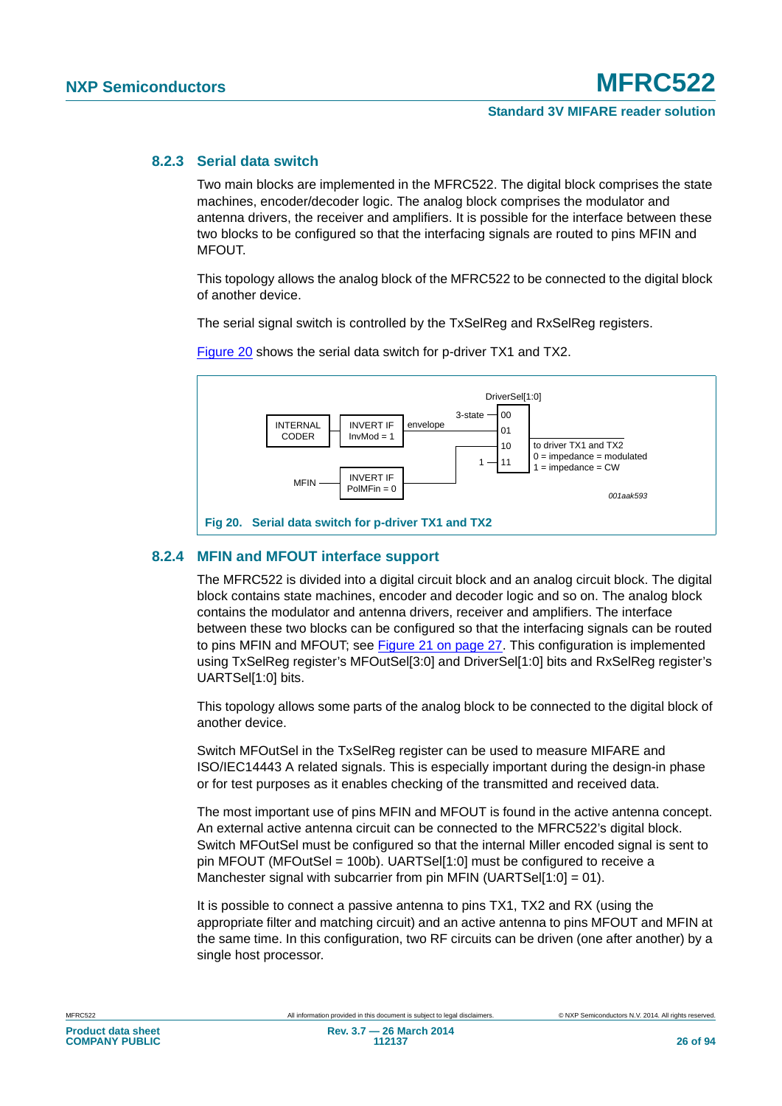#### **8.2.3 Serial data switch**

Two main blocks are implemented in the MFRC522. The digital block comprises the state machines, encoder/decoder logic. The analog block comprises the modulator and antenna drivers, the receiver and amplifiers. It is possible for the interface between these two blocks to be configured so that the interfacing signals are routed to pins MFIN and MFOUT.

This topology allows the analog block of the MFRC522 to be connected to the digital block of another device.

The serial signal switch is controlled by the TxSelReg and RxSelReg registers.



[Figure 20](#page-25-0) shows the serial data switch for p-driver TX1 and TX2.

#### <span id="page-25-0"></span>**8.2.4 MFIN and MFOUT interface support**

The MFRC522 is divided into a digital circuit block and an analog circuit block. The digital block contains state machines, encoder and decoder logic and so on. The analog block contains the modulator and antenna drivers, receiver and amplifiers. The interface between these two blocks can be configured so that the interfacing signals can be routed to pins MFIN and MFOUT; see [Figure 21 on page 27.](#page-26-0) This configuration is implemented using TxSelReg register's MFOutSel[3:0] and DriverSel[1:0] bits and RxSelReg register's UARTSel[1:0] bits.

This topology allows some parts of the analog block to be connected to the digital block of another device.

Switch MFOutSel in the TxSelReg register can be used to measure MIFARE and ISO/IEC14443 A related signals. This is especially important during the design-in phase or for test purposes as it enables checking of the transmitted and received data.

The most important use of pins MFIN and MFOUT is found in the active antenna concept. An external active antenna circuit can be connected to the MFRC522's digital block. Switch MFOutSel must be configured so that the internal Miller encoded signal is sent to pin MFOUT (MFOutSel = 100b). UARTSel[1:0] must be configured to receive a Manchester signal with subcarrier from pin MFIN (UARTSel[1:0] = 01).

It is possible to connect a passive antenna to pins TX1, TX2 and RX (using the appropriate filter and matching circuit) and an active antenna to pins MFOUT and MFIN at the same time. In this configuration, two RF circuits can be driven (one after another) by a single host processor.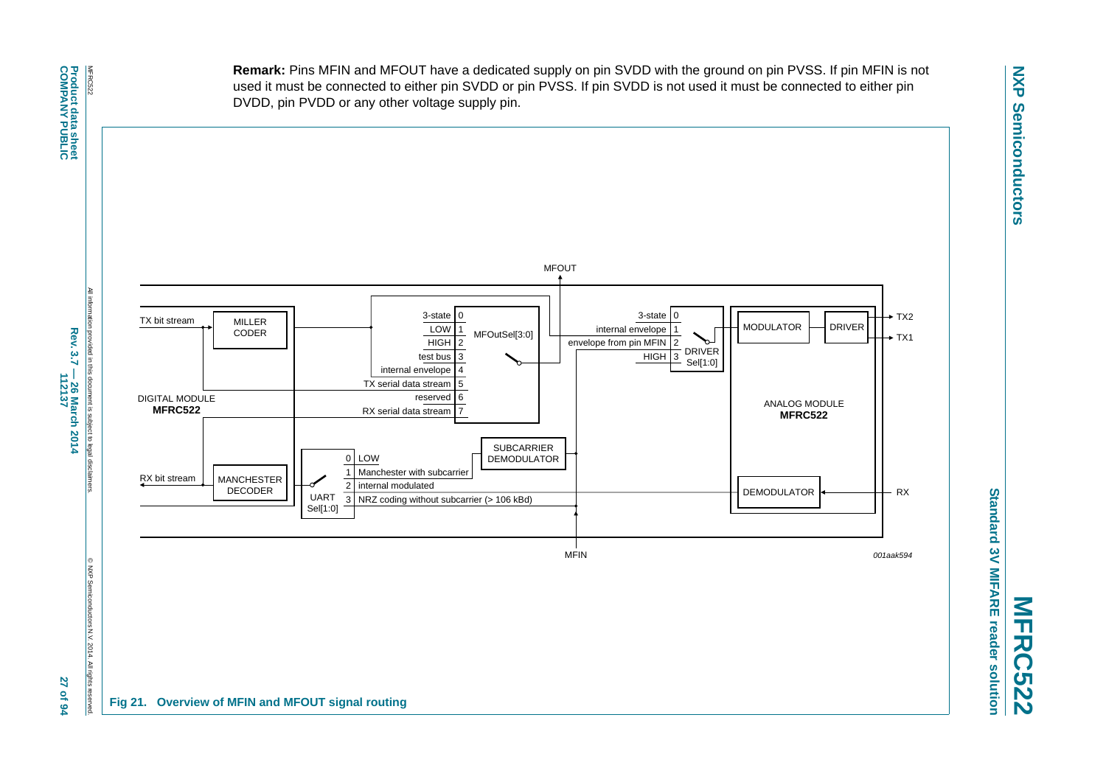**Remark:** Pins MFIN and MFOUT have a dedicated supply on pin SVDD with the ground on pin PVSS. If pin MFIN is not used it must be connected to either pin SVDD or pin PVSS. If pin SVDD is not used it must be connected to either pin DVDD, pin PVDD or any other voltage supply pin.



<span id="page-26-0"></span>Standard 3V MIFARE reader solution **Standard 3V MIFARE reader solution MFRC522**

All information provided in this document is subject to legal disclaimers. Rev. 3.7 - 26 March 2014<br>Rev. 3.7 - 26 March 2014 **Rev. 3.7 — 26 March 2014** provided in this document is subject to legal disclaim **112137 27 of 94**

© NXP Semiconductors N.V. 2014. All rights reserved.

2014. All rights

27 of 94

onductors N.V

O NXP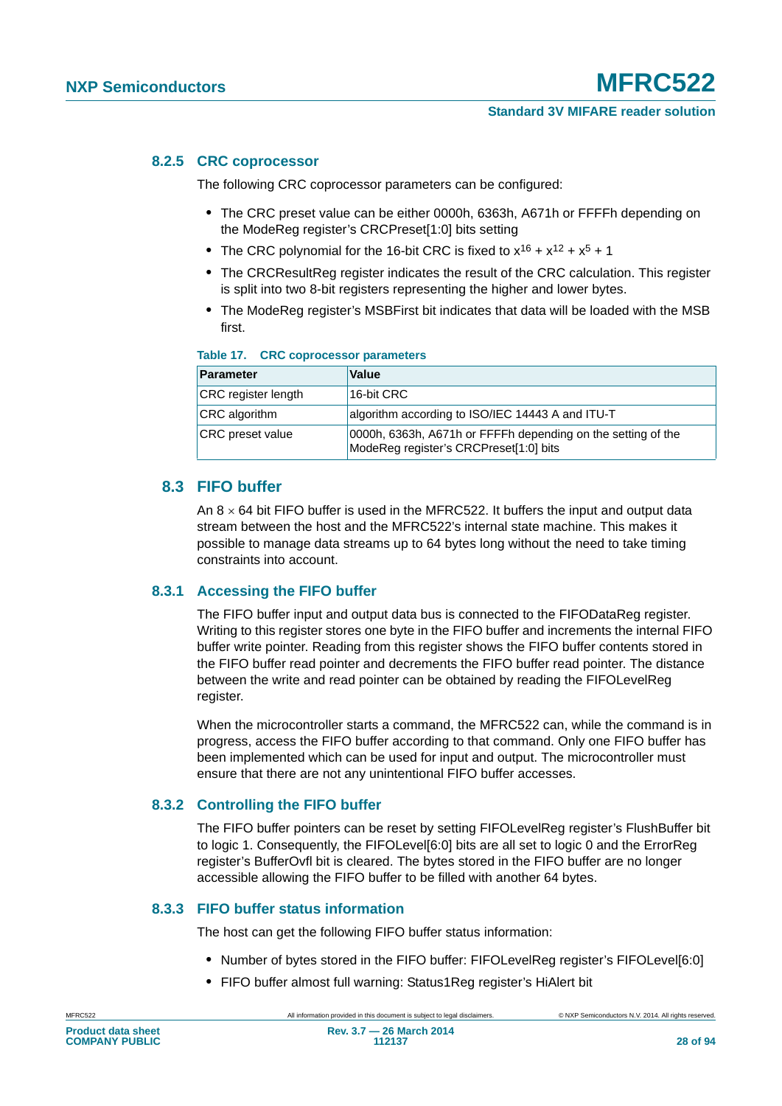#### **8.2.5 CRC coprocessor**

The following CRC coprocessor parameters can be configured:

- **•** The CRC preset value can be either 0000h, 6363h, A671h or FFFFh depending on the ModeReg register's CRCPreset[1:0] bits setting
- The CRC polynomial for the 16-bit CRC is fixed to  $x^{16} + x^{12} + x^5 + 1$
- **•** The CRCResultReg register indicates the result of the CRC calculation. This register is split into two 8-bit registers representing the higher and lower bytes.
- **•** The ModeReg register's MSBFirst bit indicates that data will be loaded with the MSB first.

#### **Table 17. CRC coprocessor parameters**

| Parameter                  | <b>Value</b>                                                                                           |
|----------------------------|--------------------------------------------------------------------------------------------------------|
| <b>CRC</b> register length | 16-bit CRC                                                                                             |
| <b>CRC</b> algorithm       | algorithm according to ISO/IEC 14443 A and ITU-T                                                       |
| <b>CRC</b> preset value    | 0000h, 6363h, A671h or FFFFh depending on the setting of the<br>ModeReg register's CRCPreset[1:0] bits |

#### **8.3 FIFO buffer**

An  $8 \times 64$  bit FIFO buffer is used in the MFRC522. It buffers the input and output data stream between the host and the MFRC522's internal state machine. This makes it possible to manage data streams up to 64 bytes long without the need to take timing constraints into account.

#### **8.3.1 Accessing the FIFO buffer**

The FIFO buffer input and output data bus is connected to the FIFODataReg register. Writing to this register stores one byte in the FIFO buffer and increments the internal FIFO buffer write pointer. Reading from this register shows the FIFO buffer contents stored in the FIFO buffer read pointer and decrements the FIFO buffer read pointer. The distance between the write and read pointer can be obtained by reading the FIFOLevelReg register.

When the microcontroller starts a command, the MFRC522 can, while the command is in progress, access the FIFO buffer according to that command. Only one FIFO buffer has been implemented which can be used for input and output. The microcontroller must ensure that there are not any unintentional FIFO buffer accesses.

#### **8.3.2 Controlling the FIFO buffer**

The FIFO buffer pointers can be reset by setting FIFOLevelReg register's FlushBuffer bit to logic 1. Consequently, the FIFOLevel[6:0] bits are all set to logic 0 and the ErrorReg register's BufferOvfl bit is cleared. The bytes stored in the FIFO buffer are no longer accessible allowing the FIFO buffer to be filled with another 64 bytes.

#### **8.3.3 FIFO buffer status information**

The host can get the following FIFO buffer status information:

- **•** Number of bytes stored in the FIFO buffer: FIFOLevelReg register's FIFOLevel[6:0]
- **•** FIFO buffer almost full warning: Status1Reg register's HiAlert bit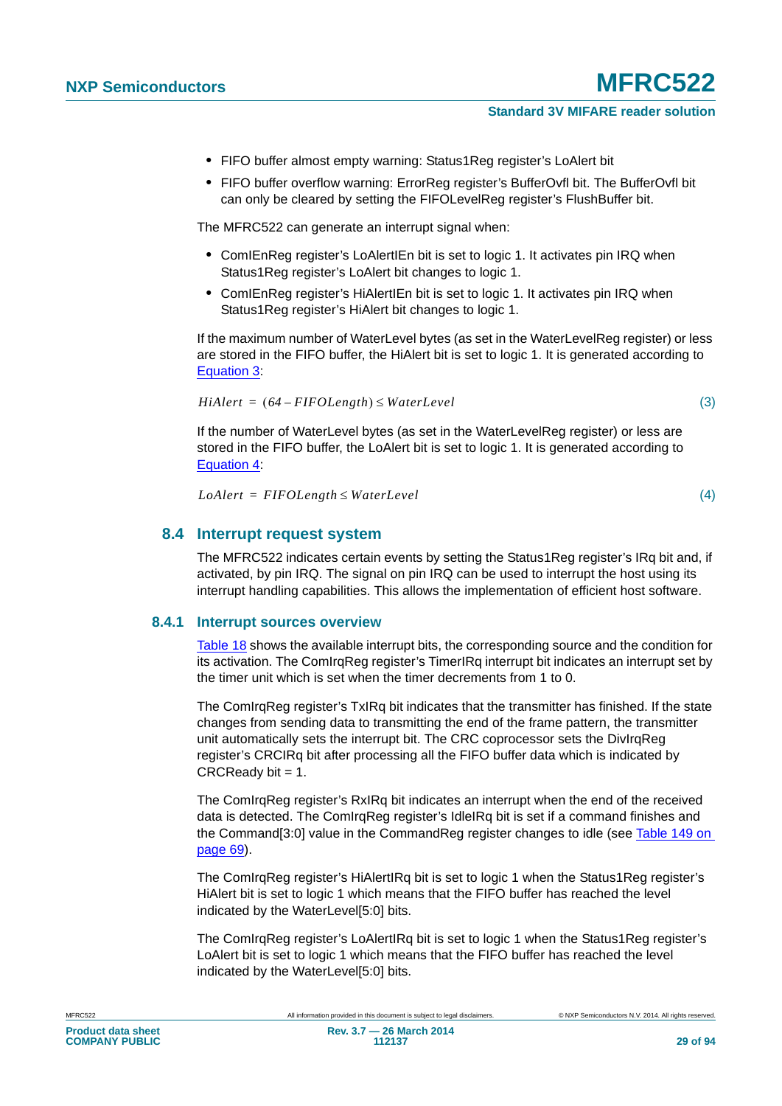- **•** FIFO buffer almost empty warning: Status1Reg register's LoAlert bit
- **•** FIFO buffer overflow warning: ErrorReg register's BufferOvfl bit. The BufferOvfl bit can only be cleared by setting the FIFOLevelReg register's FlushBuffer bit.

The MFRC522 can generate an interrupt signal when:

- **•** ComIEnReg register's LoAlertIEn bit is set to logic 1. It activates pin IRQ when Status1Reg register's LoAlert bit changes to logic 1.
- **•** ComIEnReg register's HiAlertIEn bit is set to logic 1. It activates pin IRQ when Status1Reg register's HiAlert bit changes to logic 1.

If the maximum number of WaterLevel bytes (as set in the WaterLevelReg register) or less are stored in the FIFO buffer, the HiAlert bit is set to logic 1. It is generated according to [Equation 3:](#page-28-0)

<span id="page-28-0"></span>
$$
HiAlert = (64 - FIFOLength) \le WaterLevel
$$
\n(3)

If the number of WaterLevel bytes (as set in the WaterLevelReg register) or less are stored in the FIFO buffer, the LoAlert bit is set to logic 1. It is generated according to [Equation 4:](#page-28-1)

<span id="page-28-1"></span> $L\text{o}$ *Alert* = FIFOLength  $\leq$  WaterLevel

(4)

#### **8.4 Interrupt request system**

The MFRC522 indicates certain events by setting the Status1Reg register's IRq bit and, if activated, by pin IRQ. The signal on pin IRQ can be used to interrupt the host using its interrupt handling capabilities. This allows the implementation of efficient host software.

#### **8.4.1 Interrupt sources overview**

[Table 18](#page-29-1) shows the available interrupt bits, the corresponding source and the condition for its activation. The ComIrgReg register's TimerIRg interrupt bit indicates an interrupt set by the timer unit which is set when the timer decrements from 1 to 0.

The ComIrqReg register's TxIRq bit indicates that the transmitter has finished. If the state changes from sending data to transmitting the end of the frame pattern, the transmitter unit automatically sets the interrupt bit. The CRC coprocessor sets the DivIrqReg register's CRCIRq bit after processing all the FIFO buffer data which is indicated by  $CRCReadv bit = 1.$ 

The ComIrqReg register's RxIRq bit indicates an interrupt when the end of the received data is detected. The ComIrqReg register's IdleIRq bit is set if a command finishes and the Command[3:0] value in the CommandReg register changes to idle (see [Table 149 on](#page-68-0)  [page 69](#page-68-0)).

The ComIrqReg register's HiAlertIRq bit is set to logic 1 when the Status1Reg register's HiAlert bit is set to logic 1 which means that the FIFO buffer has reached the level indicated by the WaterLevel[5:0] bits.

The ComIrqReg register's LoAlertIRq bit is set to logic 1 when the Status1Reg register's LoAlert bit is set to logic 1 which means that the FIFO buffer has reached the level indicated by the WaterLevel[5:0] bits.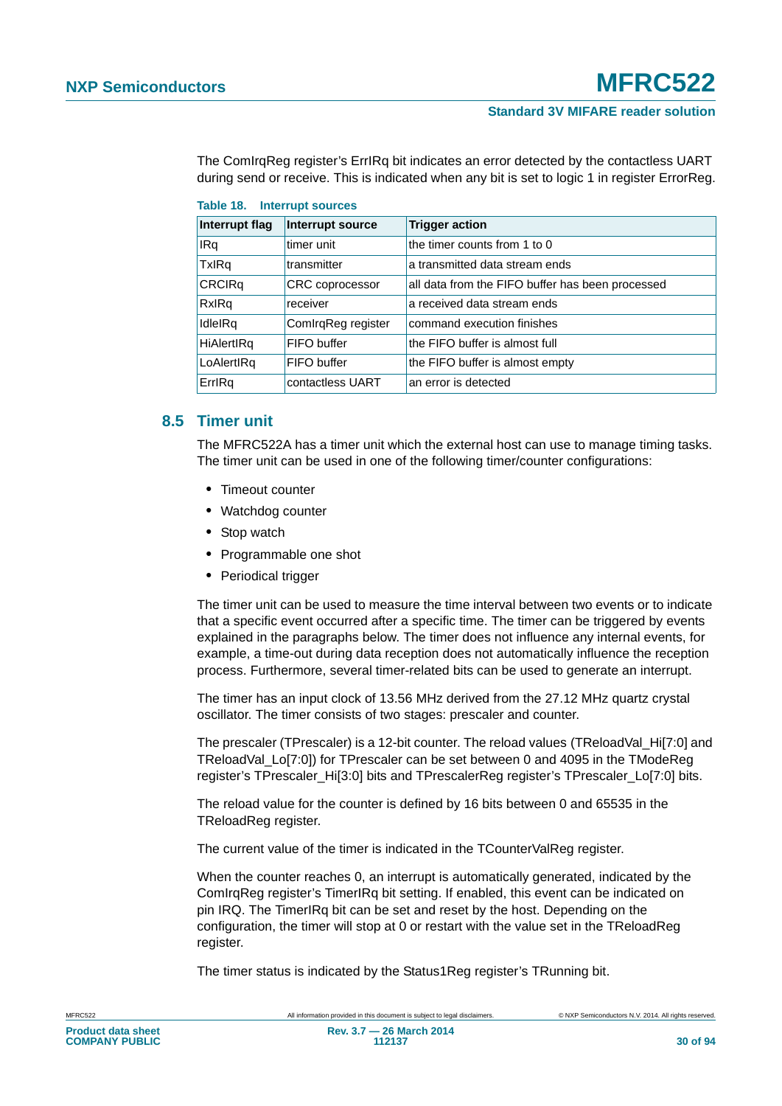The ComIrqReg register's ErrIRq bit indicates an error detected by the contactless UART during send or receive. This is indicated when any bit is set to logic 1 in register ErrorReg.

| Interrupt flag    | Interrupt source       | <b>Trigger action</b>                            |  |  |
|-------------------|------------------------|--------------------------------------------------|--|--|
| IRq               | timer unit             | the timer counts from 1 to 0                     |  |  |
| <b>TxIRq</b>      | transmitter            | a transmitted data stream ends                   |  |  |
| <b>CRCIRq</b>     | <b>CRC</b> coprocessor | all data from the FIFO buffer has been processed |  |  |
| RxIRq             | receiver               | a received data stream ends                      |  |  |
| IdleIRq           | ComIrqReg register     | command execution finishes                       |  |  |
| <b>HiAlertIRg</b> | FIFO buffer            | the FIFO buffer is almost full                   |  |  |
| LoAlertIRq        | FIFO buffer            | the FIFO buffer is almost empty                  |  |  |
| ErrlRq            | contactless UART       | an error is detected                             |  |  |

<span id="page-29-1"></span>

|  | Table 18. Interrupt sources |
|--|-----------------------------|
|--|-----------------------------|

#### <span id="page-29-0"></span>**8.5 Timer unit**

The MFRC522A has a timer unit which the external host can use to manage timing tasks. The timer unit can be used in one of the following timer/counter configurations:

- **•** Timeout counter
- **•** Watchdog counter
- **•** Stop watch
- **•** Programmable one shot
- **•** Periodical trigger

The timer unit can be used to measure the time interval between two events or to indicate that a specific event occurred after a specific time. The timer can be triggered by events explained in the paragraphs below. The timer does not influence any internal events, for example, a time-out during data reception does not automatically influence the reception process. Furthermore, several timer-related bits can be used to generate an interrupt.

The timer has an input clock of 13.56 MHz derived from the 27.12 MHz quartz crystal oscillator. The timer consists of two stages: prescaler and counter.

The prescaler (TPrescaler) is a 12-bit counter. The reload values (TReloadVal Hi[7:0] and TReloadVal\_Lo[7:0]) for TPrescaler can be set between 0 and 4095 in the TModeReg register's TPrescaler Hi[3:0] bits and TPrescalerReg register's TPrescaler Lo[7:0] bits.

The reload value for the counter is defined by 16 bits between 0 and 65535 in the TReloadReg register.

The current value of the timer is indicated in the TCounterValReg register.

When the counter reaches 0, an interrupt is automatically generated, indicated by the ComIrqReg register's TimerIRq bit setting. If enabled, this event can be indicated on pin IRQ. The TimerIRq bit can be set and reset by the host. Depending on the configuration, the timer will stop at 0 or restart with the value set in the TReloadReg register.

The timer status is indicated by the Status1Reg register's TRunning bit.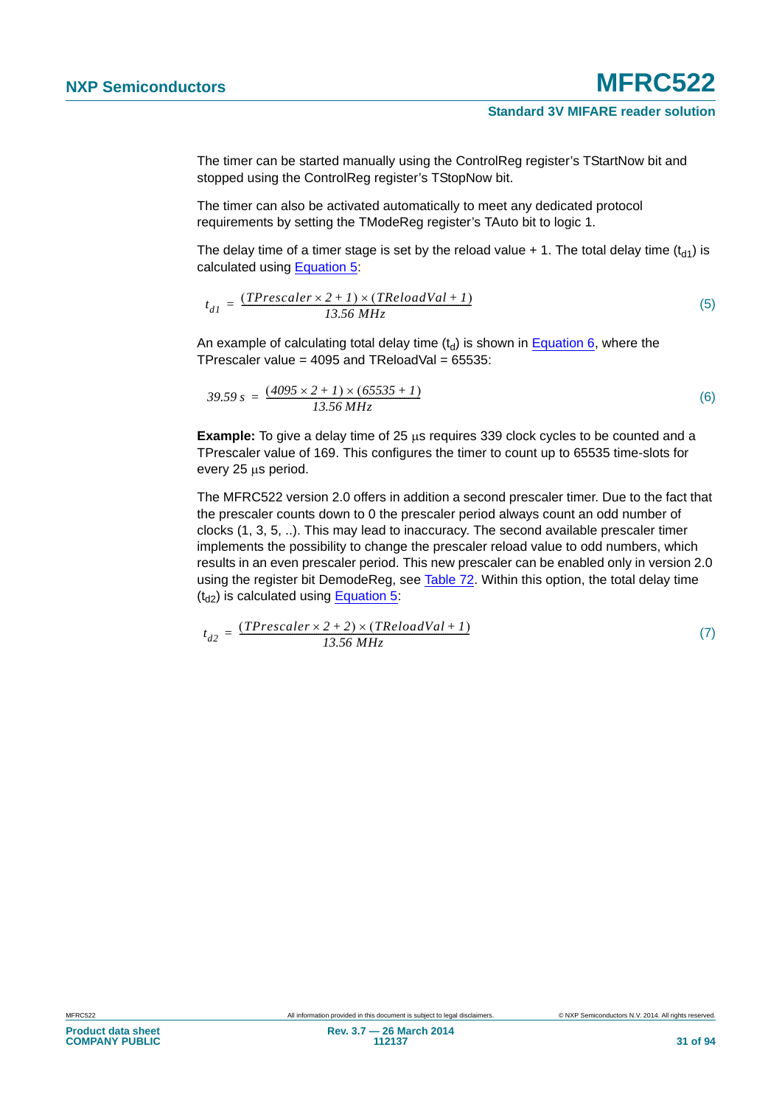The timer can be started manually using the ControlReg register's TStartNow bit and stopped using the ControlReg register's TStopNow bit.

The timer can also be activated automatically to meet any dedicated protocol requirements by setting the TModeReg register's TAuto bit to logic 1.

The delay time of a timer stage is set by the reload value  $+1$ . The total delay time (t<sub>d1</sub>) is calculated using [Equation 5](#page-30-0):

<span id="page-30-0"></span>
$$
t_{dI} = \frac{(TPrescale r \times 2 + I) \times (TReloadVal + I)}{13.56 MHz}
$$
 (5)

An example of calculating total delay time  $(t_d)$  is shown in [Equation 6](#page-30-1), where the TPrescaler value =  $4095$  and TReloadVal =  $65535$ :

<span id="page-30-1"></span>
$$
39.59 s = \frac{(4095 \times 2 + 1) \times (65535 + 1)}{13.56 MHz}
$$
 (6)

**Example:** To give a delay time of 25  $\mu$ s requires 339 clock cycles to be counted and a TPrescaler value of 169. This configures the timer to count up to 65535 time-slots for every 25 us period.

The MFRC522 version 2.0 offers in addition a second prescaler timer. Due to the fact that the prescaler counts down to 0 the prescaler period always count an odd number of clocks (1, 3, 5, ..). This may lead to inaccuracy. The second available prescaler timer implements the possibility to change the prescaler reload value to odd numbers, which results in an even prescaler period. This new prescaler can be enabled only in version 2.0 using the register bit DemodeReg, see [Table 72](#page-51-0). Within this option, the total delay time  $(t_{d2})$  is calculated using [Equation 5:](#page-30-0)

$$
t_{d2} = \frac{(TPrescale r \times 2 + 2) \times (TReloadVal + 1)}{13.56 MHz}
$$
 (7)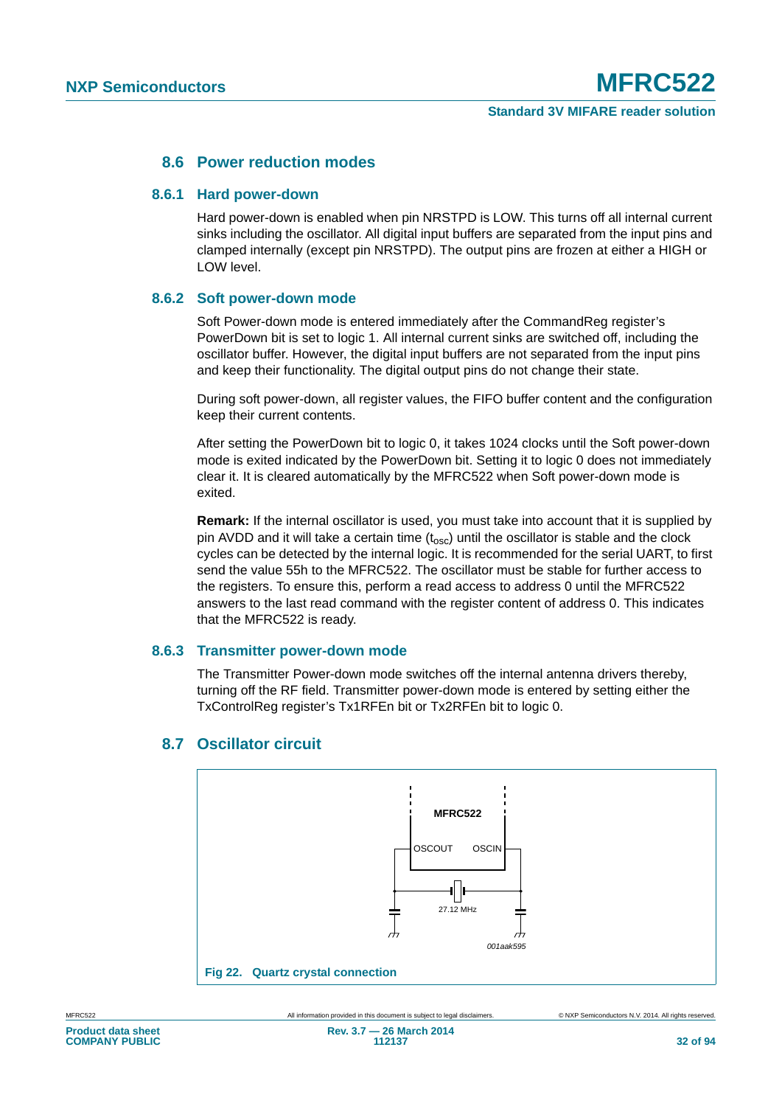#### **8.6 Power reduction modes**

#### **8.6.1 Hard power-down**

Hard power-down is enabled when pin NRSTPD is LOW. This turns off all internal current sinks including the oscillator. All digital input buffers are separated from the input pins and clamped internally (except pin NRSTPD). The output pins are frozen at either a HIGH or LOW level.

#### **8.6.2 Soft power-down mode**

Soft Power-down mode is entered immediately after the CommandReg register's PowerDown bit is set to logic 1. All internal current sinks are switched off, including the oscillator buffer. However, the digital input buffers are not separated from the input pins and keep their functionality. The digital output pins do not change their state.

During soft power-down, all register values, the FIFO buffer content and the configuration keep their current contents.

After setting the PowerDown bit to logic 0, it takes 1024 clocks until the Soft power-down mode is exited indicated by the PowerDown bit. Setting it to logic 0 does not immediately clear it. It is cleared automatically by the MFRC522 when Soft power-down mode is exited.

**Remark:** If the internal oscillator is used, you must take into account that it is supplied by pin AVDD and it will take a certain time  $(t_{\text{osc}})$  until the oscillator is stable and the clock cycles can be detected by the internal logic. It is recommended for the serial UART, to first send the value 55h to the MFRC522. The oscillator must be stable for further access to the registers. To ensure this, perform a read access to address 0 until the MFRC522 answers to the last read command with the register content of address 0. This indicates that the MFRC522 is ready.

#### **8.6.3 Transmitter power-down mode**

The Transmitter Power-down mode switches off the internal antenna drivers thereby, turning off the RF field. Transmitter power-down mode is entered by setting either the TxControlReg register's Tx1RFEn bit or Tx2RFEn bit to logic 0.



### **8.7 Oscillator circuit**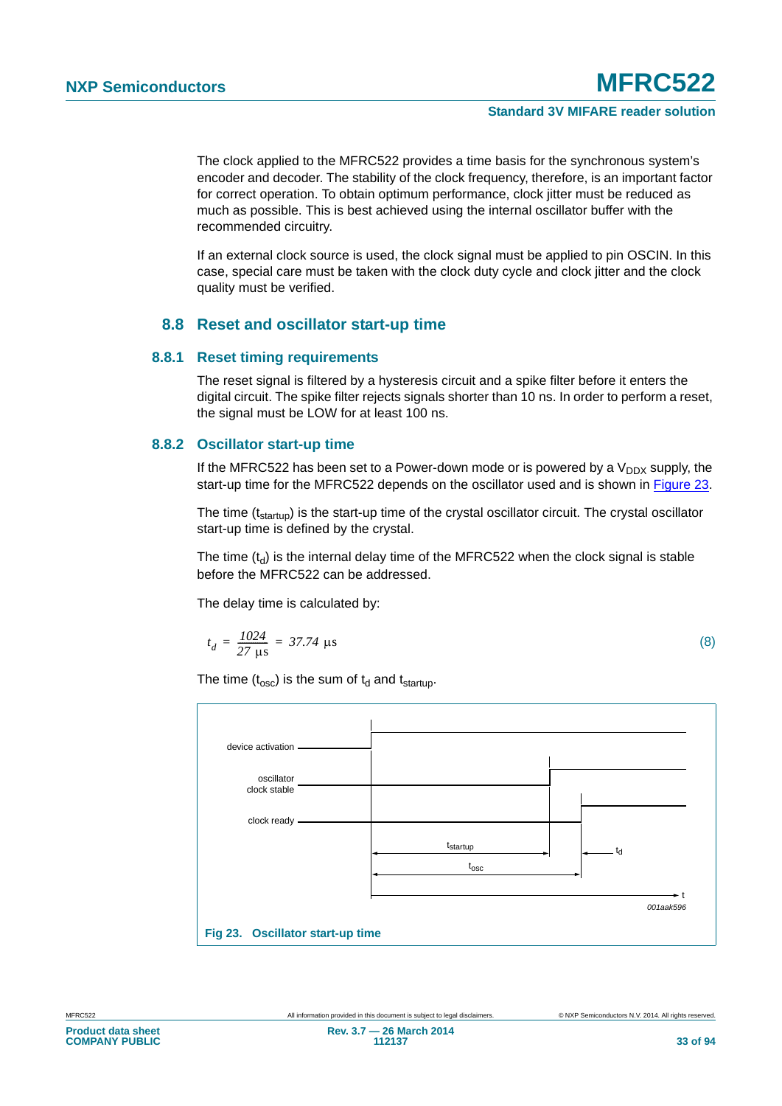The clock applied to the MFRC522 provides a time basis for the synchronous system's encoder and decoder. The stability of the clock frequency, therefore, is an important factor for correct operation. To obtain optimum performance, clock jitter must be reduced as much as possible. This is best achieved using the internal oscillator buffer with the recommended circuitry.

If an external clock source is used, the clock signal must be applied to pin OSCIN. In this case, special care must be taken with the clock duty cycle and clock jitter and the clock quality must be verified.

#### **8.8 Reset and oscillator start-up time**

#### **8.8.1 Reset timing requirements**

The reset signal is filtered by a hysteresis circuit and a spike filter before it enters the digital circuit. The spike filter rejects signals shorter than 10 ns. In order to perform a reset, the signal must be LOW for at least 100 ns.

#### **8.8.2 Oscillator start-up time**

If the MFRC522 has been set to a Power-down mode or is powered by a  $V_{DDX}$  supply, the start-up time for the MFRC522 depends on the oscillator used and is shown in [Figure 23.](#page-32-0)

The time (t<sub>startup</sub>) is the start-up time of the crystal oscillator circuit. The crystal oscillator start-up time is defined by the crystal.

The time  $(t<sub>d</sub>)$  is the internal delay time of the MFRC522 when the clock signal is stable before the MFRC522 can be addressed.

The delay time is calculated by:

$$
t_d = \frac{1024}{27 \text{ }\mu\text{s}} = 37.74 \text{ }\mu\text{s}
$$
 (8)

The time  $(t_{\rm osc})$  is the sum of  $t_d$  and  $t_{\rm startup}$ .

<span id="page-32-0"></span>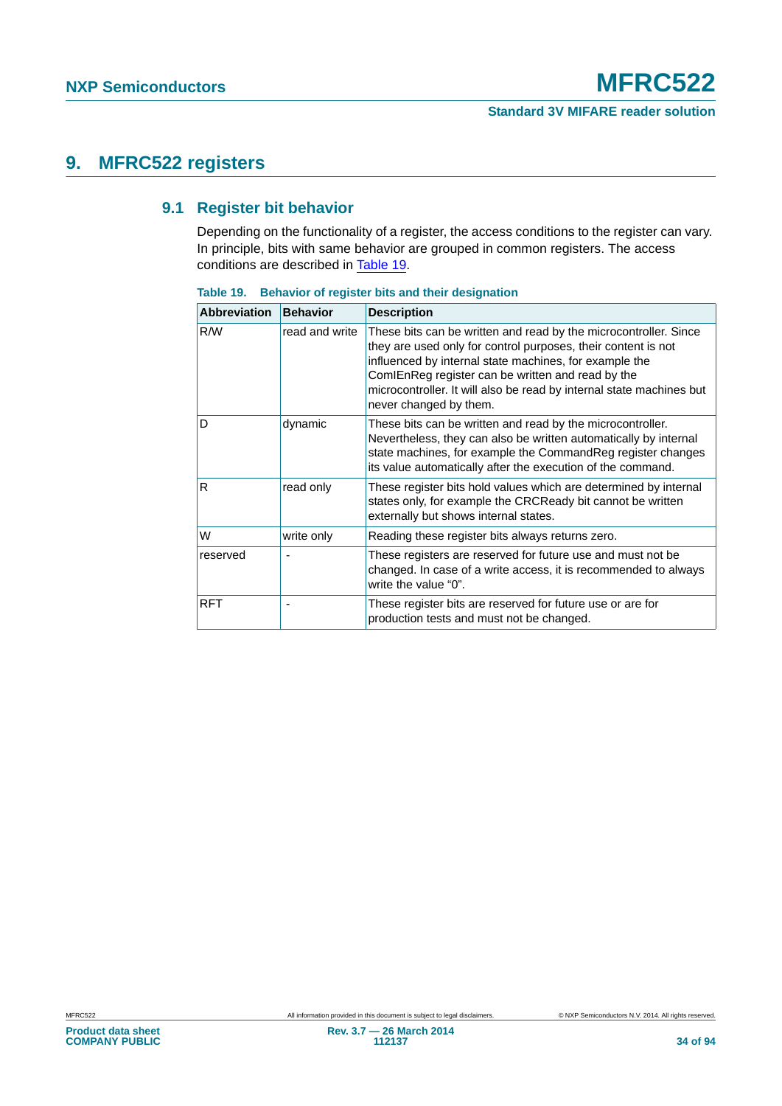### **9. MFRC522 registers**

#### **9.1 Register bit behavior**

Depending on the functionality of a register, the access conditions to the register can vary. In principle, bits with same behavior are grouped in common registers. The access conditions are described in [Table 19.](#page-33-0)

| <b>Abbreviation</b> | <b>Behavior</b> | <b>Description</b>                                                                                                                                                                                                                                                                                                                                 |
|---------------------|-----------------|----------------------------------------------------------------------------------------------------------------------------------------------------------------------------------------------------------------------------------------------------------------------------------------------------------------------------------------------------|
| R/W                 | read and write  | These bits can be written and read by the microcontroller. Since<br>they are used only for control purposes, their content is not<br>influenced by internal state machines, for example the<br>ComIEnReg register can be written and read by the<br>microcontroller. It will also be read by internal state machines but<br>never changed by them. |
| D                   | dynamic         | These bits can be written and read by the microcontroller.<br>Nevertheless, they can also be written automatically by internal<br>state machines, for example the CommandReg register changes<br>its value automatically after the execution of the command.                                                                                       |
| R                   | read only       | These register bits hold values which are determined by internal<br>states only, for example the CRCReady bit cannot be written<br>externally but shows internal states.                                                                                                                                                                           |
| W                   | write only      | Reading these register bits always returns zero.                                                                                                                                                                                                                                                                                                   |
| reserved            |                 | These registers are reserved for future use and must not be<br>changed. In case of a write access, it is recommended to always<br>write the value "0".                                                                                                                                                                                             |
| <b>RFT</b>          |                 | These register bits are reserved for future use or are for<br>production tests and must not be changed.                                                                                                                                                                                                                                            |

<span id="page-33-0"></span>**Table 19. Behavior of register bits and their designation**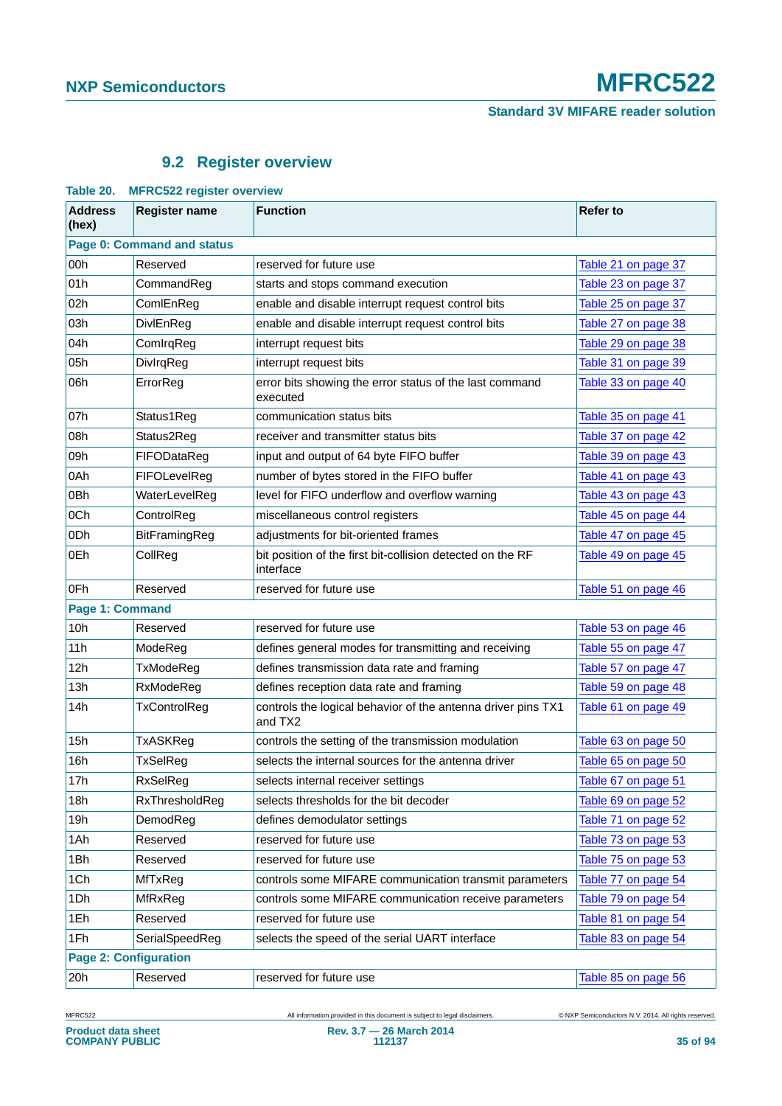## **9.2 Register overview**

|                              | Table 20. MFRC322 register overview |                                                                         |                     |  |  |
|------------------------------|-------------------------------------|-------------------------------------------------------------------------|---------------------|--|--|
| <b>Address</b><br>(hex)      | <b>Register name</b>                | <b>Function</b>                                                         | <b>Refer to</b>     |  |  |
| Page 0: Command and status   |                                     |                                                                         |                     |  |  |
| 00h                          | Reserved                            | reserved for future use                                                 | Table 21 on page 37 |  |  |
| 01h                          | CommandReg                          | starts and stops command execution                                      | Table 23 on page 37 |  |  |
| 02h                          | ComlEnReg                           | enable and disable interrupt request control bits                       | Table 25 on page 37 |  |  |
| 03h                          | DivlEnReg                           | enable and disable interrupt request control bits                       | Table 27 on page 38 |  |  |
| 04h                          | ComIrqReg                           | interrupt request bits                                                  | Table 29 on page 38 |  |  |
| 05h                          | DivlrqReg                           | interrupt request bits                                                  | Table 31 on page 39 |  |  |
| 06h                          | ErrorReg                            | error bits showing the error status of the last command<br>executed     | Table 33 on page 40 |  |  |
| 07h                          | Status1Reg                          | communication status bits                                               | Table 35 on page 41 |  |  |
| 08h                          | Status2Reg                          | receiver and transmitter status bits                                    | Table 37 on page 42 |  |  |
| 09h                          | FIFODataReg                         | input and output of 64 byte FIFO buffer                                 | Table 39 on page 43 |  |  |
| 0Ah                          | FIFOLevelReg                        | number of bytes stored in the FIFO buffer                               | Table 41 on page 43 |  |  |
| 0Bh                          | WaterLevelReg                       | level for FIFO underflow and overflow warning                           | Table 43 on page 43 |  |  |
| 0Ch                          | ControlReg                          | miscellaneous control registers                                         | Table 45 on page 44 |  |  |
| 0 <sub>Dh</sub>              | BitFramingReg                       | adjustments for bit-oriented frames                                     | Table 47 on page 45 |  |  |
| 0Eh                          | CollReg                             | bit position of the first bit-collision detected on the RF<br>interface | Table 49 on page 45 |  |  |
| 0Fh                          | Reserved                            | reserved for future use                                                 | Table 51 on page 46 |  |  |
| Page 1: Command              |                                     |                                                                         |                     |  |  |
| 10h                          | Reserved                            | reserved for future use                                                 | Table 53 on page 46 |  |  |
| 11h                          | ModeReg                             | defines general modes for transmitting and receiving                    | Table 55 on page 47 |  |  |
| 12h                          | TxModeReg                           | defines transmission data rate and framing                              | Table 57 on page 47 |  |  |
| 13h                          | RxModeReg                           | defines reception data rate and framing                                 | Table 59 on page 48 |  |  |
| 14h                          | TxControlReg                        | controls the logical behavior of the antenna driver pins TX1<br>and TX2 | Table 61 on page 49 |  |  |
| 15h                          | TxASKReg                            | controls the setting of the transmission modulation                     | Table 63 on page 50 |  |  |
| 16h                          | TxSelReg                            | selects the internal sources for the antenna driver                     | Table 65 on page 50 |  |  |
| 17h                          | RxSelReg                            | selects internal receiver settings                                      | Table 67 on page 51 |  |  |
| 18h                          | RxThresholdReg                      | selects thresholds for the bit decoder                                  | Table 69 on page 52 |  |  |
| 19h                          | DemodReg                            | defines demodulator settings                                            | Table 71 on page 52 |  |  |
| 1Ah                          | Reserved                            | reserved for future use                                                 | Table 73 on page 53 |  |  |
| 1Bh                          | Reserved                            | reserved for future use                                                 | Table 75 on page 53 |  |  |
| 1Ch                          | MfTxReg                             | controls some MIFARE communication transmit parameters                  | Table 77 on page 54 |  |  |
| 1Dh                          | MfRxReg                             | controls some MIFARE communication receive parameters                   | Table 79 on page 54 |  |  |
| 1Eh                          | Reserved                            | reserved for future use                                                 | Table 81 on page 54 |  |  |
| 1Fh                          | SerialSpeedReg                      | selects the speed of the serial UART interface                          | Table 83 on page 54 |  |  |
| <b>Page 2: Configuration</b> |                                     |                                                                         |                     |  |  |
| 20h                          | Reserved                            | reserved for future use                                                 | Table 85 on page 56 |  |  |

#### **Table 20. MFRC522 register overview**

MFRC522 All information provided in this document is subject to legal disclaimers. © NXP Semiconductors N.V. 2014. All rights reserved.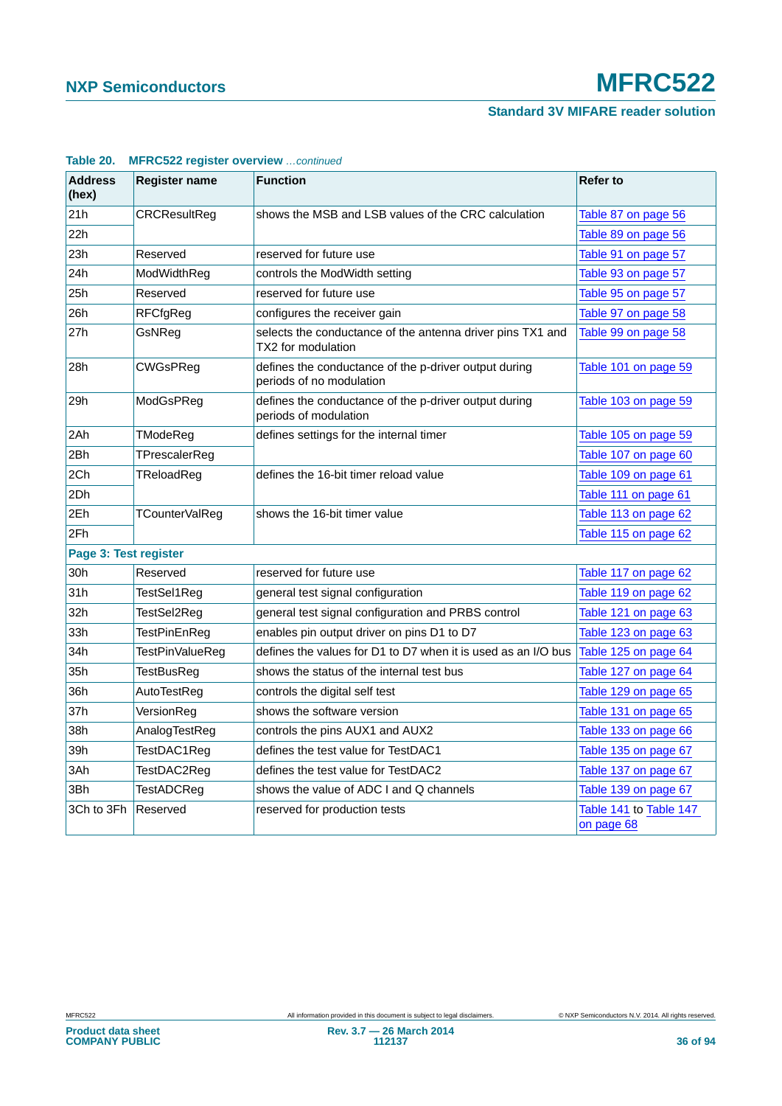### **Standard 3V MIFARE reader solution**

| <b>Address</b><br>(hex) | <b>Register name</b> | <b>Function</b>                                                                   | <b>Refer to</b>                      |  |  |
|-------------------------|----------------------|-----------------------------------------------------------------------------------|--------------------------------------|--|--|
| 21h                     | CRCResultReg         | shows the MSB and LSB values of the CRC calculation                               | Table 87 on page 56                  |  |  |
| 22h                     |                      |                                                                                   | Table 89 on page 56                  |  |  |
| 23h                     | Reserved             | reserved for future use                                                           | Table 91 on page 57                  |  |  |
| 24h                     | ModWidthReg          | controls the ModWidth setting                                                     | Table 93 on page 57                  |  |  |
| 25h                     | Reserved             | reserved for future use                                                           | Table 95 on page 57                  |  |  |
| 26h                     | RFCfgReg             | configures the receiver gain                                                      | Table 97 on page 58                  |  |  |
| 27h                     | GsNRea               | selects the conductance of the antenna driver pins TX1 and<br>TX2 for modulation  | Table 99 on page 58                  |  |  |
| 28h                     | CWGsPReg             | defines the conductance of the p-driver output during<br>periods of no modulation | Table 101 on page 59                 |  |  |
| 29h                     | ModGsPReg            | defines the conductance of the p-driver output during<br>periods of modulation    | Table 103 on page 59                 |  |  |
| 2Ah                     | TModeReg             | defines settings for the internal timer                                           | Table 105 on page 59                 |  |  |
| 2Bh                     | TPrescalerReg        |                                                                                   | Table 107 on page 60                 |  |  |
| 2Ch                     | TReloadReg           | defines the 16-bit timer reload value                                             | Table 109 on page 61                 |  |  |
| 2Dh                     |                      |                                                                                   | Table 111 on page 61                 |  |  |
| 2Eh                     | TCounterValReg       | shows the 16-bit timer value                                                      | Table 113 on page 62                 |  |  |
| 2Fh                     |                      |                                                                                   | Table 115 on page 62                 |  |  |
| Page 3: Test register   |                      |                                                                                   |                                      |  |  |
| 30h                     | Reserved             | reserved for future use                                                           | Table 117 on page 62                 |  |  |
| 31h                     | TestSel1Reg          | general test signal configuration                                                 | Table 119 on page 62                 |  |  |
| 32h                     | TestSel2Reg          | general test signal configuration and PRBS control                                | Table 121 on page 63                 |  |  |
| 33h                     | TestPinEnReg         | enables pin output driver on pins D1 to D7                                        | Table 123 on page 63                 |  |  |
| 34h                     | TestPinValueReg      | defines the values for D1 to D7 when it is used as an I/O bus                     | Table 125 on page 64                 |  |  |
| 35h                     | TestBusReg           | shows the status of the internal test bus                                         | Table 127 on page 64                 |  |  |
| 36h                     | AutoTestReg          | controls the digital self test                                                    | Table 129 on page 65                 |  |  |
| 37h                     | VersionReg           | shows the software version                                                        | Table 131 on page 65                 |  |  |
| 38h                     | AnalogTestReg        | controls the pins AUX1 and AUX2                                                   | Table 133 on page 66                 |  |  |
| 39h                     | TestDAC1Reg          | defines the test value for TestDAC1                                               | Table 135 on page 67                 |  |  |
| 3Ah                     | TestDAC2Reg          | defines the test value for TestDAC2                                               | Table 137 on page 67                 |  |  |
| 3Bh                     | TestADCReg           | shows the value of ADC I and Q channels                                           | Table 139 on page 67                 |  |  |
| 3Ch to 3Fh              | Reserved             | reserved for production tests                                                     | Table 141 to Table 147<br>on page 68 |  |  |

#### **Table 20. MFRC522 register overview** *…continued*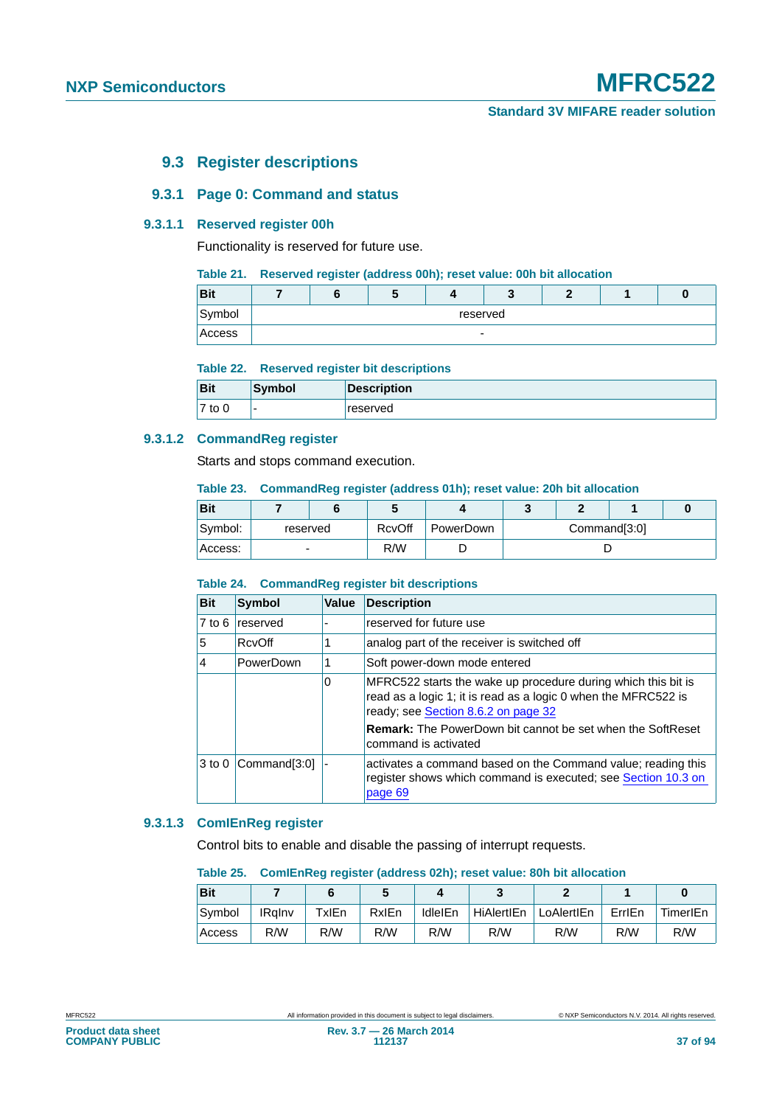# **9.3 Register descriptions**

# **9.3.1 Page 0: Command and status**

# **9.3.1.1 Reserved register 00h**

Functionality is reserved for future use.

#### **Table 21. Reserved register (address 00h); reset value: 00h bit allocation**

| <b>Bit</b> |                          |  |  |  |  |  |  |
|------------|--------------------------|--|--|--|--|--|--|
| Symbol     | reserved                 |  |  |  |  |  |  |
| Access     | $\overline{\phantom{0}}$ |  |  |  |  |  |  |

#### **Table 22. Reserved register bit descriptions**

| <b>Bit</b> | Symbol                   | <b>Description</b> |
|------------|--------------------------|--------------------|
| $7$ to $0$ | $\overline{\phantom{0}}$ | reserved           |

# **9.3.1.2 CommandReg register**

Starts and stops command execution.

#### **Table 23. CommandReg register (address 01h); reset value: 20h bit allocation**

| Bit      |          |  | w      |           |              |  |  |  |
|----------|----------|--|--------|-----------|--------------|--|--|--|
| Symbol:  | reserved |  | RcvOff | PowerDown | Command[3:0] |  |  |  |
| ⊦Access: | -        |  | R/W    |           |              |  |  |  |

# **Table 24. CommandReg register bit descriptions**

| <b>Bit</b>        | <b>Symbol</b> | <b>Value</b> | <b>Description</b>                                                                                                                                                     |
|-------------------|---------------|--------------|------------------------------------------------------------------------------------------------------------------------------------------------------------------------|
| $7$ to $6$        | reserved      |              | reserved for future use                                                                                                                                                |
| 5                 | RcvOff        |              | analog part of the receiver is switched off                                                                                                                            |
| 4                 | PowerDown     |              | Soft power-down mode entered                                                                                                                                           |
|                   |               | 0            | MFRC522 starts the wake up procedure during which this bit is<br>read as a logic 1; it is read as a logic 0 when the MFRC522 is<br>ready; see Section 8.6.2 on page 32 |
|                   |               |              | <b>Remark:</b> The PowerDown bit cannot be set when the SoftReset<br>command is activated                                                                              |
| 3 <sub>to</sub> 0 | Command[3:0]  |              | activates a command based on the Command value; reading this<br>register shows which command is executed; see Section 10.3 on<br>page 69                               |

# **9.3.1.3 ComIEnReg register**

Control bits to enable and disable the passing of interrupt requests.

#### **Table 25. ComIEnReg register (address 02h); reset value: 80h bit allocation**

| <b>Bit</b> |               |       |       |                |            |            |        |          |
|------------|---------------|-------|-------|----------------|------------|------------|--------|----------|
| Symbol     | <b>IRalnv</b> | ™xlEn | RxIEn | <b>IdleIEn</b> | HiAlertIEn | LoAlertIEn | ErrlEn | TimerIEn |
| Access     | R/W           | R/W   | R/W   | R/W            | R/W        | R/W        | R/W    | R/W      |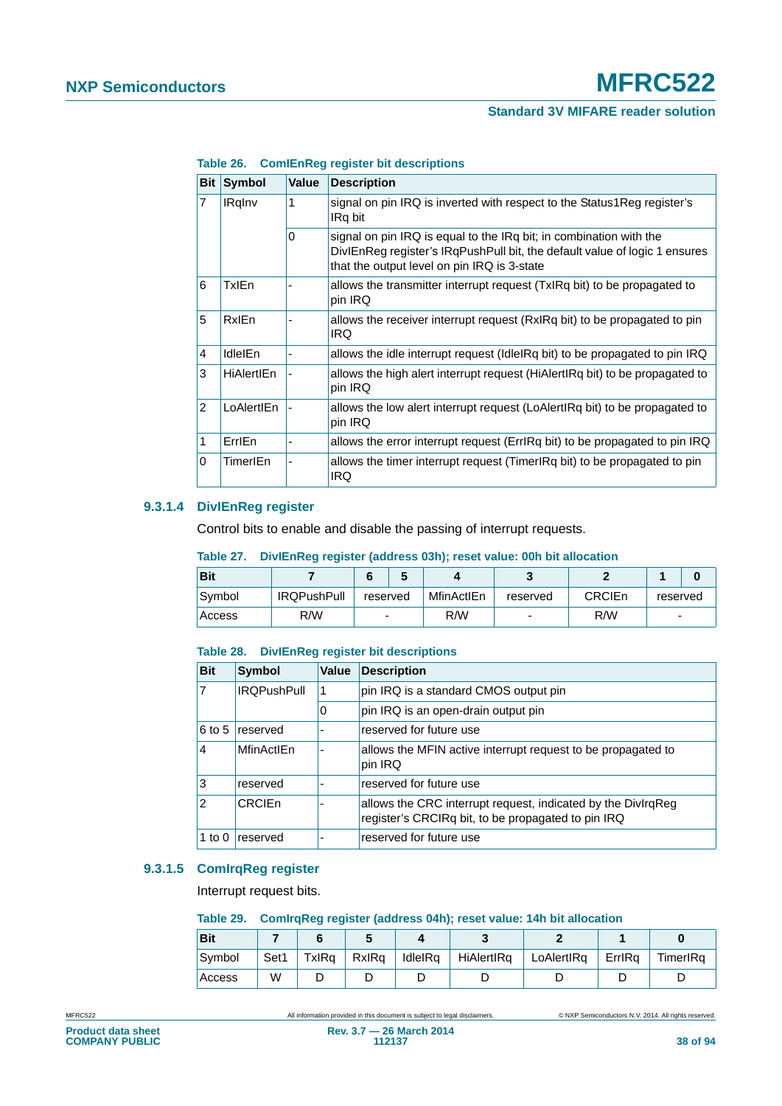| <b>Bit</b>     | <b>Symbol</b>     | <b>Value</b> | <b>Description</b>                                                                                                                                                                              |
|----------------|-------------------|--------------|-------------------------------------------------------------------------------------------------------------------------------------------------------------------------------------------------|
| $\overline{7}$ | <b>IRgInv</b>     | 1            | signal on pin IRQ is inverted with respect to the Status1Reg register's<br>IRq bit                                                                                                              |
|                |                   | 0            | signal on pin IRQ is equal to the IRq bit; in combination with the<br>DivIEnReg register's IRqPushPull bit, the default value of logic 1 ensures<br>that the output level on pin IRQ is 3-state |
| 6              | TxlEn             |              | allows the transmitter interrupt request (TxIRq bit) to be propagated to<br>pin IRQ                                                                                                             |
| 5              | <b>RxIEn</b>      |              | allows the receiver interrupt request (RxIRq bit) to be propagated to pin<br>IRQ.                                                                                                               |
| 4              | <b>IdleIEn</b>    |              | allows the idle interrupt request (IdleIRq bit) to be propagated to pin IRQ                                                                                                                     |
| 3              | <b>HiAlertIEn</b> |              | allows the high alert interrupt request (HiAlertIRq bit) to be propagated to<br>pin IRQ                                                                                                         |
| $\overline{2}$ | LoAlertIEn        |              | allows the low alert interrupt request (LoAlertIRq bit) to be propagated to<br>pin IRQ                                                                                                          |
| 1              | ErrlEn            |              | allows the error interrupt request (ErrlRq bit) to be propagated to pin IRQ                                                                                                                     |
| 0              | <b>TimerIEn</b>   |              | allows the timer interrupt request (TimerlRq bit) to be propagated to pin<br><b>IRQ</b>                                                                                                         |

**Table 26. ComIEnReg register bit descriptions**

#### **9.3.1.4 DivIEnReg register**

Control bits to enable and disable the passing of interrupt requests.

### **Table 27. DivIEnReg register (address 03h); reset value: 00h bit allocation**

| <b>Bit</b> |                    |          |  |            |          |               |                          |  |
|------------|--------------------|----------|--|------------|----------|---------------|--------------------------|--|
| Symbol     | <b>IRQPushPull</b> | reserved |  | MfinActIEn | reserved | <b>CRCIEn</b> | reserved                 |  |
| Access     | R/W                | -        |  | R/W        | ۰        | R/W           | $\overline{\phantom{0}}$ |  |

#### **Table 28. DivIEnReg register bit descriptions**

| <b>Bit</b>     | Symbol             | Value | <b>Description</b>                                                                                                 |
|----------------|--------------------|-------|--------------------------------------------------------------------------------------------------------------------|
|                | <b>IROPushPull</b> | 1     | pin IRQ is a standard CMOS output pin                                                                              |
|                |                    | O     | pin IRQ is an open-drain output pin                                                                                |
| $6$ to 5       | reserved           |       | reserved for future use                                                                                            |
| 4              | MfinActIEn         |       | allows the MFIN active interrupt request to be propagated to<br>pin IRQ                                            |
| 3              | reserved           |       | reserved for future use                                                                                            |
| $\overline{2}$ | CRCIEn             |       | allows the CRC interrupt request, indicated by the DivIrqReg<br>register's CRCIRq bit, to be propagated to pin IRQ |
| 1 to 0         | reserved           |       | reserved for future use                                                                                            |

# **9.3.1.5 ComIrqReg register**

Interrupt request bits.

#### **Table 29. ComIrqReg register (address 04h); reset value: 14h bit allocation**

| <b>Bit</b> |      |       |       |         |            |            |        |          |
|------------|------|-------|-------|---------|------------|------------|--------|----------|
| Symbol     | Set1 | TxIRa | RxIRa | IdleIRa | HiAlertIRa | LoAlertIRa | ErriRa | TimerIRa |
| Access     | W    |       |       |         |            |            |        |          |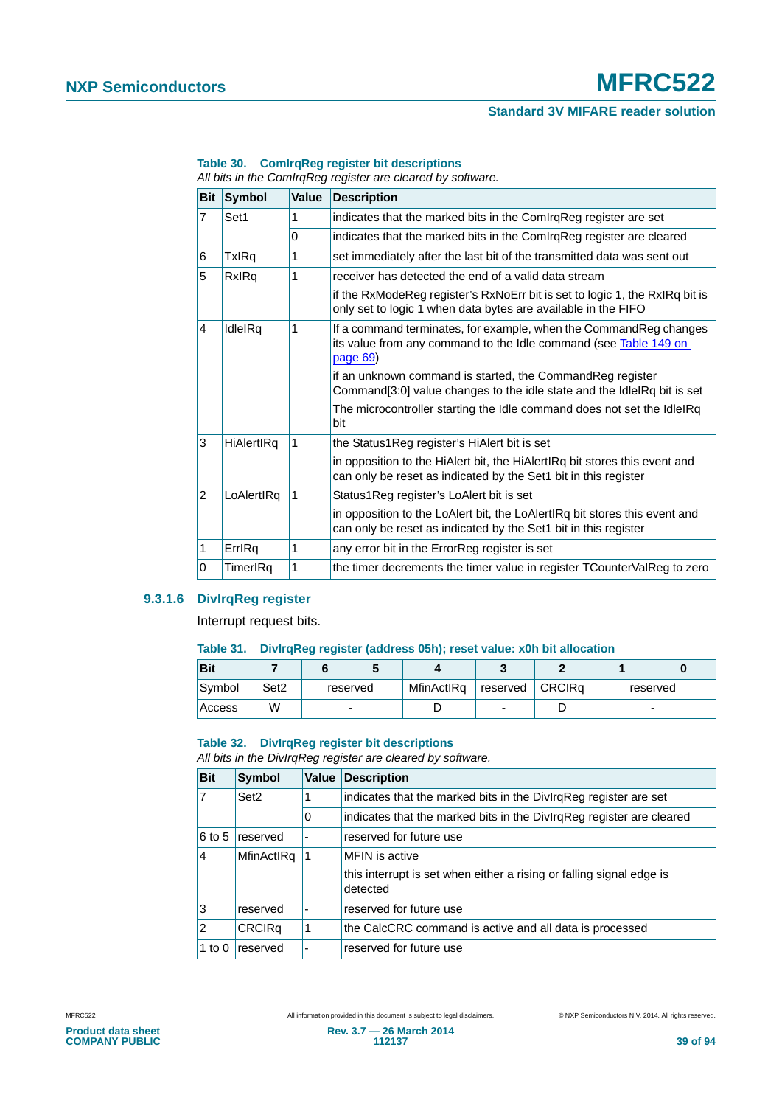# **NXP Semiconductors MFRC522**

# **Standard 3V MIFARE reader solution**

| <b>Bit</b>     | <b>Symbol</b> | Value        | <b>Description</b>                                                                                                                                  |
|----------------|---------------|--------------|-----------------------------------------------------------------------------------------------------------------------------------------------------|
| 7              | Set1          | 1            | indicates that the marked bits in the ComIrqReg register are set                                                                                    |
|                |               | $\Omega$     | indicates that the marked bits in the ComIrqReg register are cleared                                                                                |
| 6              | TxIRq         | 1            | set immediately after the last bit of the transmitted data was sent out                                                                             |
| 5              | RxIRq         | 1            | receiver has detected the end of a valid data stream                                                                                                |
|                |               |              | if the RxModeReg register's RxNoErr bit is set to logic 1, the RxIRq bit is<br>only set to logic 1 when data bytes are available in the FIFO        |
| 4              | IdleIRq       | 1            | If a command terminates, for example, when the Command Reg changes<br>its value from any command to the Idle command (see Table 149 on<br>page $69$ |
|                |               |              | if an unknown command is started, the CommandReg register<br>Command[3:0] value changes to the idle state and the IdleIRq bit is set                |
|                |               |              | The microcontroller starting the Idle command does not set the IdleIRq<br>bit                                                                       |
| 3              | HiAlertIRq    | 1            | the Status1Reg register's HiAlert bit is set                                                                                                        |
|                |               |              | in opposition to the HiAlert bit, the HiAlertIRq bit stores this event and<br>can only be reset as indicated by the Set1 bit in this register       |
| $\overline{2}$ | LoAlertIRq    | 1            | Status1Reg register's LoAlert bit is set                                                                                                            |
|                |               |              | in opposition to the LoAlert bit, the LoAlertIRq bit stores this event and<br>can only be reset as indicated by the Set1 bit in this register       |
| 1              | ErrlRg        | $\mathbf{1}$ | any error bit in the ErrorReg register is set                                                                                                       |
| 0              | TimerIRa      | 1            | the timer decrements the timer value in register TCounterValReg to zero                                                                             |

#### **Table 30. ComIrqReg register bit descriptions**

*All bits in the ComIrqReg register are cleared by software.*

# **9.3.1.6 DivIrqReg register**

Interrupt request bits.

#### **Table 31. DivIrqReg register (address 05h); reset value: x0h bit allocation**

| <b>Bit</b> |      |          |  |            |                   |          |  |
|------------|------|----------|--|------------|-------------------|----------|--|
| Symbol     | Set2 | reserved |  | MfinActIRq | reserved   CRCIRq | reserved |  |
| Access     | W    |          |  |            |                   | -        |  |

#### **Table 32. DivIrqReg register bit descriptions**

*All bits in the DivIrqReg register are cleared by software.*

| <b>Bit</b>     | <b>Symbol</b>    | Value | <b>Description</b>                                                               |
|----------------|------------------|-------|----------------------------------------------------------------------------------|
| 7              | Set <sub>2</sub> |       | indicates that the marked bits in the DivirgReg register are set                 |
|                |                  | 0     | indicates that the marked bits in the DivlrqReg register are cleared             |
| 6 to 5         | reserved         |       | reserved for future use                                                          |
| $\overline{4}$ | MfinActIRq       | 1     | MFIN is active                                                                   |
|                |                  |       | this interrupt is set when either a rising or falling signal edge is<br>detected |
| 3              | reserved         |       | reserved for future use                                                          |
| 2              | <b>CRCIRq</b>    | 1     | the CalcCRC command is active and all data is processed                          |
| 1 to $0$       | reserved         | ٠     | reserved for future use                                                          |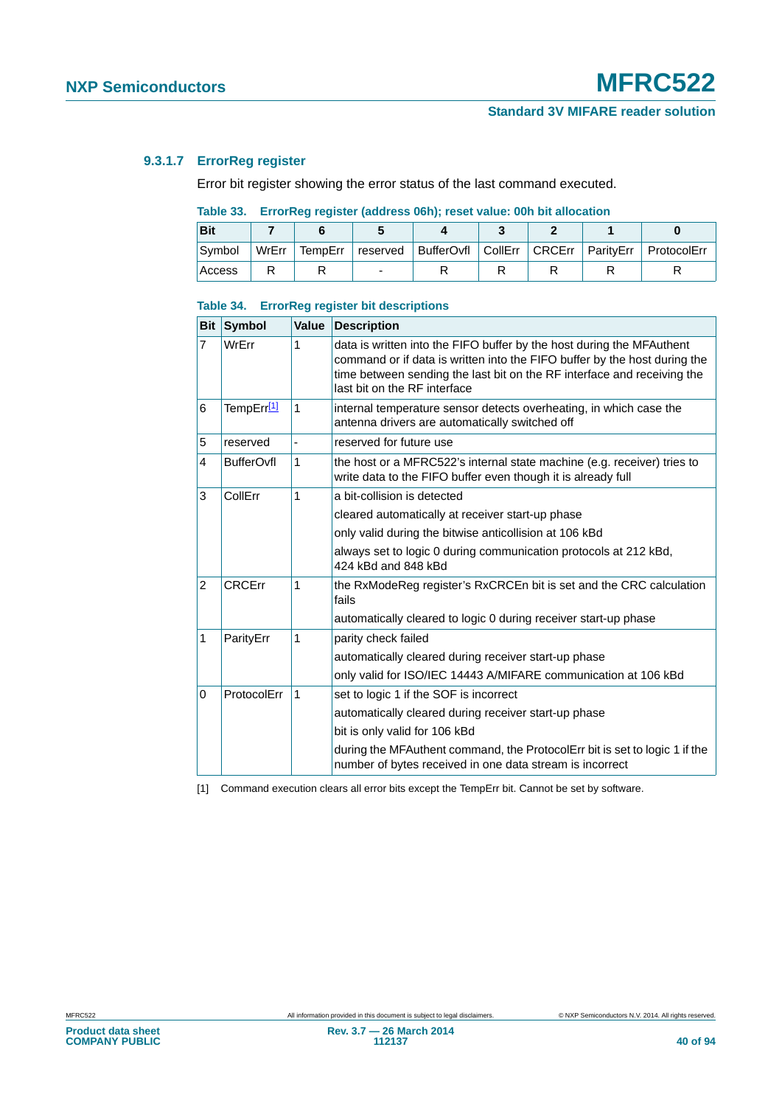# **9.3.1.7 ErrorReg register**

Error bit register showing the error status of the last command executed.

# **Table 33. ErrorReg register (address 06h); reset value: 00h bit allocation**

| <b>Bit</b> |       |   |  |  |                                                                              |
|------------|-------|---|--|--|------------------------------------------------------------------------------|
| Symbol     | WrErr |   |  |  | TempErr   reserved   BufferOvfl   CollErr   CRCErr   ParityErr   ProtocolErr |
| Access     |       | - |  |  |                                                                              |

#### **Table 34. ErrorReg register bit descriptions**

| <b>Bit</b>     | Symbol            | Value | <b>Description</b>                                                                                                                                                                                                                                            |
|----------------|-------------------|-------|---------------------------------------------------------------------------------------------------------------------------------------------------------------------------------------------------------------------------------------------------------------|
| $\overline{7}$ | WrErr             | 1     | data is written into the FIFO buffer by the host during the MFAuthent<br>command or if data is written into the FIFO buffer by the host during the<br>time between sending the last bit on the RF interface and receiving the<br>last bit on the RF interface |
| 6              | TempErr[1]        | 1     | internal temperature sensor detects overheating, in which case the<br>antenna drivers are automatically switched off                                                                                                                                          |
| 5              | reserved          |       | reserved for future use                                                                                                                                                                                                                                       |
| 4              | <b>BufferOvfl</b> | 1     | the host or a MFRC522's internal state machine (e.g. receiver) tries to<br>write data to the FIFO buffer even though it is already full                                                                                                                       |
| 3              | CollErr           | 1     | a bit-collision is detected                                                                                                                                                                                                                                   |
|                |                   |       | cleared automatically at receiver start-up phase                                                                                                                                                                                                              |
|                |                   |       | only valid during the bitwise anticollision at 106 kBd                                                                                                                                                                                                        |
|                |                   |       | always set to logic 0 during communication protocols at 212 kBd,<br>424 kBd and 848 kBd                                                                                                                                                                       |
| $\overline{2}$ | <b>CRCErr</b>     | 1     | the RxModeReg register's RxCRCEn bit is set and the CRC calculation<br>fails                                                                                                                                                                                  |
|                |                   |       | automatically cleared to logic 0 during receiver start-up phase                                                                                                                                                                                               |
| 1              | ParityErr         | 1     | parity check failed                                                                                                                                                                                                                                           |
|                |                   |       | automatically cleared during receiver start-up phase                                                                                                                                                                                                          |
|                |                   |       | only valid for ISO/IEC 14443 A/MIFARE communication at 106 kBd                                                                                                                                                                                                |
| 0              | ProtocolErr       | 1     | set to logic 1 if the SOF is incorrect                                                                                                                                                                                                                        |
|                |                   |       | automatically cleared during receiver start-up phase                                                                                                                                                                                                          |
|                |                   |       | bit is only valid for 106 kBd                                                                                                                                                                                                                                 |
|                |                   |       | during the MFAuthent command, the ProtocolErr bit is set to logic 1 if the<br>number of bytes received in one data stream is incorrect                                                                                                                        |

<span id="page-39-0"></span>[1] Command execution clears all error bits except the TempErr bit. Cannot be set by software.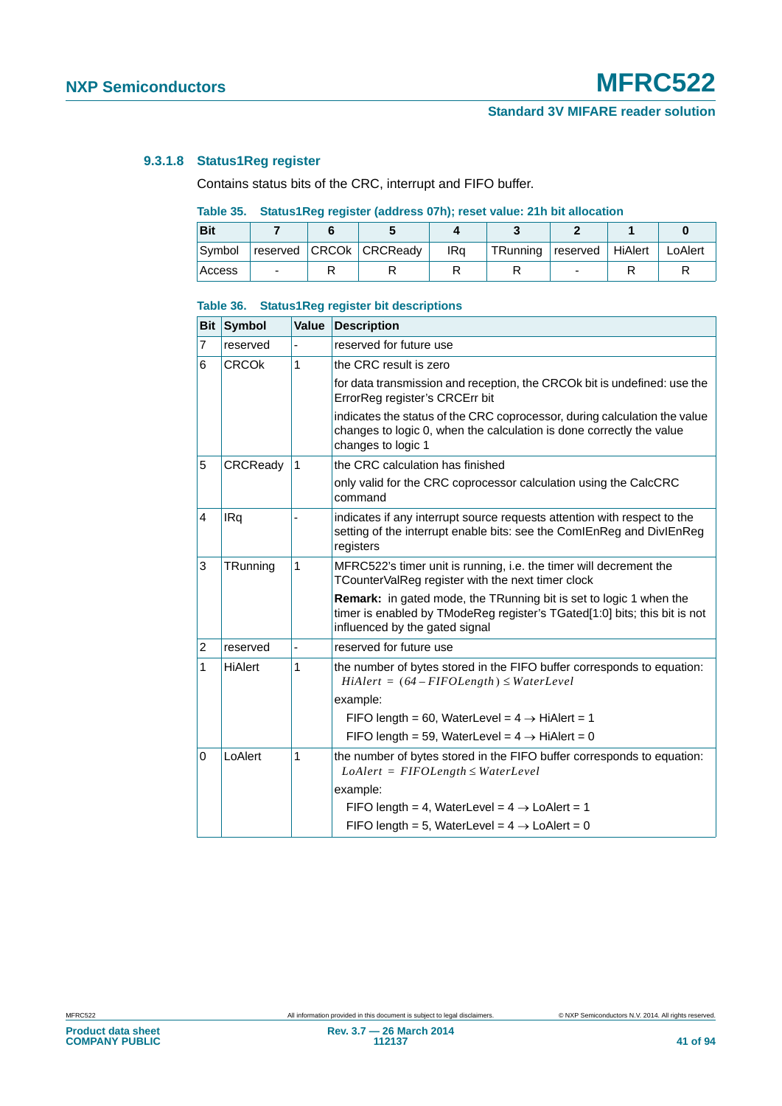# <span id="page-40-0"></span>**9.3.1.8 Status1Reg register**

Contains status bits of the CRC, interrupt and FIFO buffer.

# **Table 35. Status1Reg register (address 07h); reset value: 21h bit allocation**

| <b>Bit</b> |  |                         |     |          |                    |         |
|------------|--|-------------------------|-----|----------|--------------------|---------|
| Symbol     |  | reserved CRCOk CRCReady | IRa | TRunning | reserved   HiAlert | LoAlert |
| Access     |  |                         |     |          | -                  |         |

#### **Table 36. Status1Reg register bit descriptions**

| <b>Bit</b>     | Symbol       | Value | <b>Description</b>                                                                                                                                                                       |
|----------------|--------------|-------|------------------------------------------------------------------------------------------------------------------------------------------------------------------------------------------|
| 7              | reserved     |       | reserved for future use                                                                                                                                                                  |
| 6              | <b>CRCOK</b> | 1     | the CRC result is zero                                                                                                                                                                   |
|                |              |       | for data transmission and reception, the CRCOK bit is undefined: use the<br>ErrorReg register's CRCErr bit                                                                               |
|                |              |       | indicates the status of the CRC coprocessor, during calculation the value<br>changes to logic 0, when the calculation is done correctly the value<br>changes to logic 1                  |
| 5              | CRCReady     | 1     | the CRC calculation has finished                                                                                                                                                         |
|                |              |       | only valid for the CRC coprocessor calculation using the CalcCRC<br>command                                                                                                              |
| 4              | IRq          |       | indicates if any interrupt source requests attention with respect to the<br>setting of the interrupt enable bits: see the ComIEnReg and DivIEnReg<br>registers                           |
| 3              | TRunning     | 1     | MFRC522's timer unit is running, i.e. the timer will decrement the<br>TCounterValReg register with the next timer clock                                                                  |
|                |              |       | <b>Remark:</b> in gated mode, the TRunning bit is set to logic 1 when the<br>timer is enabled by TModeReg register's TGated[1:0] bits; this bit is not<br>influenced by the gated signal |
| $\overline{2}$ | reserved     |       | reserved for future use                                                                                                                                                                  |
| 1              | HiAlert      | 1     | the number of bytes stored in the FIFO buffer corresponds to equation:<br>$H\ddot{\imath}$ Alert = (64 – FIFOLength) $\leq$ WaterLevel                                                   |
|                |              |       | example:                                                                                                                                                                                 |
|                |              |       | FIFO length = 60, WaterLevel = $4 \rightarrow H$ HiAlert = 1                                                                                                                             |
|                |              |       | FIFO length = 59, WaterLevel = $4 \rightarrow H$ iAlert = 0                                                                                                                              |
| 0              | LoAlert      | 1     | the number of bytes stored in the FIFO buffer corresponds to equation:<br>$LoAlert = FIFOLength \le WaterLevel$                                                                          |
|                |              |       | example:                                                                                                                                                                                 |
|                |              |       | FIFO length = 4, WaterLevel = $4 \rightarrow$ LoAlert = 1                                                                                                                                |
|                |              |       | FIFO length = 5, WaterLevel = $4 \rightarrow$ LoAlert = 0                                                                                                                                |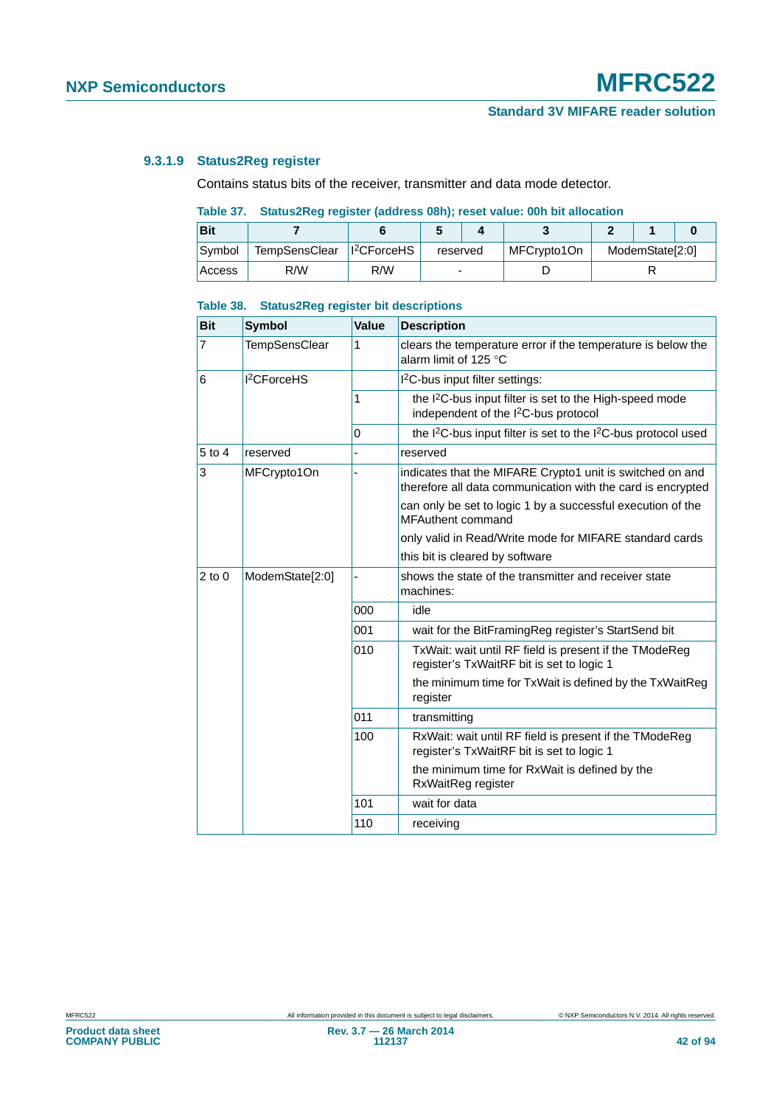# **9.3.1.9 Status2Reg register**

Contains status bits of the receiver, transmitter and data mode detector.

# **Table 37. Status2Reg register (address 08h); reset value: 00h bit allocation**

| <b>Bit</b> |                                         |     |          |  |             |                 |  |  |  |
|------------|-----------------------------------------|-----|----------|--|-------------|-----------------|--|--|--|
| Symbol     | TempSensClear   1 <sup>2</sup> CForceHS |     | reserved |  | MFCrypto1On | ModemState[2:0] |  |  |  |
| Access     | R/W                                     | R/W | -        |  |             |                 |  |  |  |

#### **Table 38. Status2Reg register bit descriptions**

| <b>Bit</b>     | <b>Symbol</b>           | Value | <b>Description</b>                                                                                                       |
|----------------|-------------------------|-------|--------------------------------------------------------------------------------------------------------------------------|
| $\overline{7}$ | <b>TempSensClear</b>    | 1     | clears the temperature error if the temperature is below the<br>alarm limit of 125 $^{\circ}$ C                          |
| 6              | I <sup>2</sup> CForceHS |       | I <sup>2</sup> C-bus input filter settings:                                                                              |
|                |                         | 1     | the I <sup>2</sup> C-bus input filter is set to the High-speed mode<br>independent of the I <sup>2</sup> C-bus protocol  |
|                |                         | 0     | the I <sup>2</sup> C-bus input filter is set to the I <sup>2</sup> C-bus protocol used                                   |
| 5 to 4         | reserved                |       | reserved                                                                                                                 |
| 3              | MFCrypto1On             |       | indicates that the MIFARE Crypto1 unit is switched on and<br>therefore all data communication with the card is encrypted |
|                |                         |       | can only be set to logic 1 by a successful execution of the<br>MFAuthent command                                         |
|                |                         |       | only valid in Read/Write mode for MIFARE standard cards                                                                  |
|                |                         |       | this bit is cleared by software                                                                                          |
| $2$ to $0$     | ModemState[2:0]         |       | shows the state of the transmitter and receiver state<br>machines:                                                       |
|                |                         | 000   | idle                                                                                                                     |
|                |                         | 001   | wait for the BitFramingReg register's StartSend bit                                                                      |
|                |                         | 010   | TxWait: wait until RF field is present if the TModeReg<br>register's TxWaitRF bit is set to logic 1                      |
|                |                         |       | the minimum time for TxWait is defined by the TxWaitReg<br>register                                                      |
|                |                         | 011   | transmitting                                                                                                             |
|                |                         | 100   | RxWait: wait until RF field is present if the TModeReg<br>register's TxWaitRF bit is set to logic 1                      |
|                |                         |       | the minimum time for RxWait is defined by the<br>RxWaitReg register                                                      |
|                |                         | 101   | wait for data                                                                                                            |
|                |                         | 110   | receiving                                                                                                                |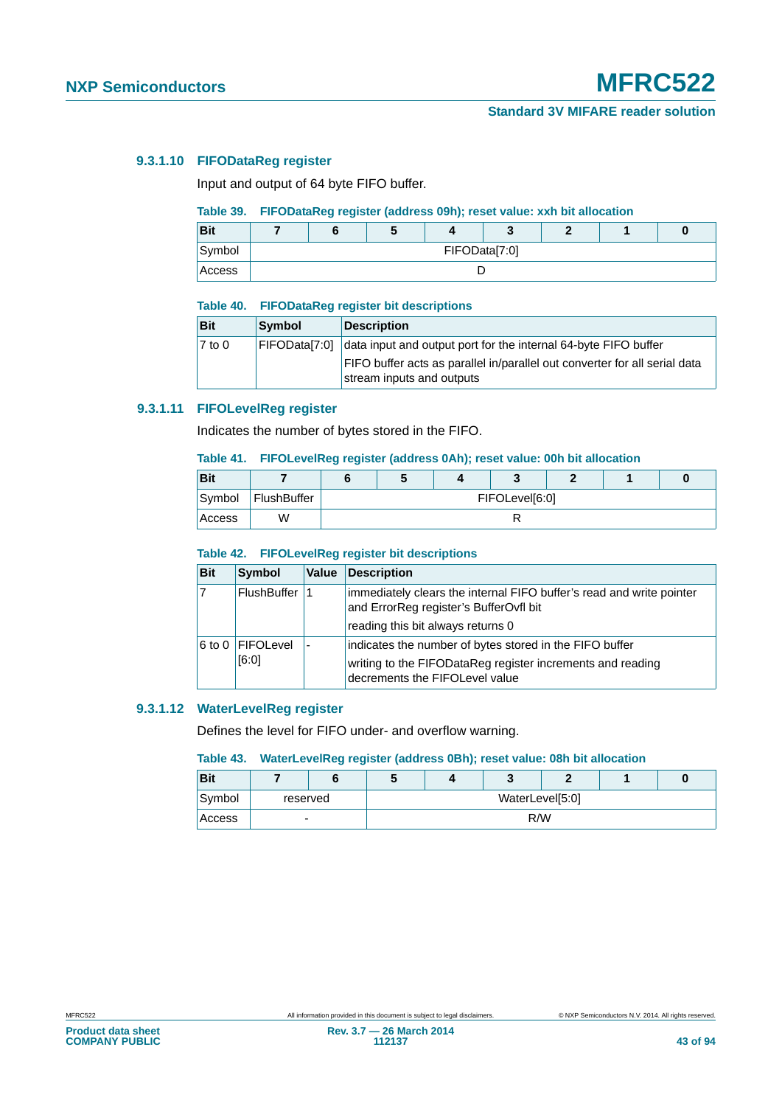# **9.3.1.10 FIFODataReg register**

Input and output of 64 byte FIFO buffer.

## **Table 39. FIFODataReg register (address 09h); reset value: xxh bit allocation**

| <b>Bit</b> |               | w |  |  |  |  |  |
|------------|---------------|---|--|--|--|--|--|
| Symbol     | FIFOData[7:0] |   |  |  |  |  |  |
| Access     |               |   |  |  |  |  |  |

#### **Table 40. FIFODataReg register bit descriptions**

| <b>Bit</b> | <b>Symbol</b> | <b>Description</b>                                                                                      |
|------------|---------------|---------------------------------------------------------------------------------------------------------|
| $7$ to 0   | FIFODatal7:01 | data input and output port for the internal 64-byte FIFO buffer                                         |
|            |               | FIFO buffer acts as parallel in/parallel out converter for all serial data<br>stream inputs and outputs |

# **9.3.1.11 FIFOLevelReg register**

Indicates the number of bytes stored in the FIFO.

#### **Table 41. FIFOLevelReg register (address 0Ah); reset value: 00h bit allocation**

| <b>Bit</b> |             |                |  |  |  |  |  |
|------------|-------------|----------------|--|--|--|--|--|
| Symbol     | FlushBuffer | FIFOLevel[6:0] |  |  |  |  |  |
| Access     | W           |                |  |  |  |  |  |

#### **Table 42. FIFOLevelReg register bit descriptions**

| <b>Bit</b> | Symbol             | Value | Description                                                                                                    |
|------------|--------------------|-------|----------------------------------------------------------------------------------------------------------------|
|            | <b>FlushBuffer</b> |       | immediately clears the internal FIFO buffer's read and write pointer<br>and ErrorReg register's BufferOvfl bit |
|            |                    |       | reading this bit always returns 0                                                                              |
|            | 6 to 0 FIFOLevel   |       | indicates the number of bytes stored in the FIFO buffer                                                        |
|            | [6:0]              |       | writing to the FIFODataReg register increments and reading<br>decrements the FIFOLevel value                   |

#### **9.3.1.12 WaterLevelReg register**

Defines the level for FIFO under- and overflow warning.

### **Table 43. WaterLevelReg register (address 0Bh); reset value: 08h bit allocation**

| <b>Bit</b> |          |  | v               |  |     |  |  |  |
|------------|----------|--|-----------------|--|-----|--|--|--|
| Symbol     | reserved |  | WaterLevel[5:0] |  |     |  |  |  |
| Access     | -        |  |                 |  | R/W |  |  |  |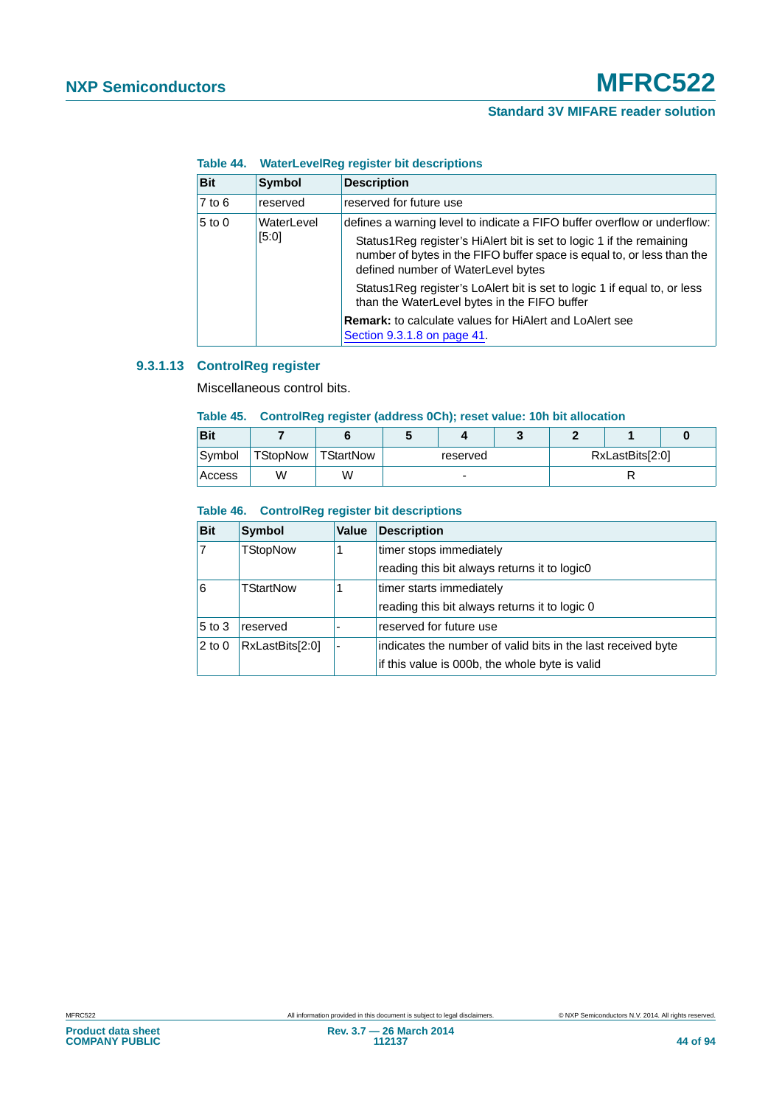#### **Table 44. WaterLevelReg register bit descriptions**

| <b>Bit</b> | <b>Symbol</b>       | <b>Description</b>                                                                                                                                                                                                                                               |
|------------|---------------------|------------------------------------------------------------------------------------------------------------------------------------------------------------------------------------------------------------------------------------------------------------------|
| $7$ to 6   | reserved            | reserved for future use                                                                                                                                                                                                                                          |
| $5$ to 0   | WaterLevel<br>[5:0] | defines a warning level to indicate a FIFO buffer overflow or underflow:<br>Status1Reg register's HiAlert bit is set to logic 1 if the remaining<br>number of bytes in the FIFO buffer space is equal to, or less than the<br>defined number of WaterLevel bytes |
|            |                     | Status 1 Reg register's LoAlert bit is set to logic 1 if equal to, or less<br>than the WaterLevel bytes in the FIFO buffer                                                                                                                                       |
|            |                     | <b>Remark:</b> to calculate values for HiAlert and LoAlert see<br>Section 9.3.1.8 on page 41.                                                                                                                                                                    |

# **9.3.1.13 ControlReg register**

Miscellaneous control bits.

#### **Table 45. ControlReg register (address 0Ch); reset value: 10h bit allocation**

| <b>Bit</b> |          |           |                          |  |  |  |                 |  |
|------------|----------|-----------|--------------------------|--|--|--|-----------------|--|
| Symbol     | TStopNow | TStartNow | reserved                 |  |  |  | RxLastBits[2:0] |  |
| Access     | W        | W         | $\overline{\phantom{a}}$ |  |  |  |                 |  |

### **Table 46. ControlReg register bit descriptions**

| <b>Bit</b> | <b>Symbol</b>   | Value | <b>Description</b>                                           |
|------------|-----------------|-------|--------------------------------------------------------------|
| 17         | <b>TStopNow</b> |       | timer stops immediately                                      |
|            |                 |       | reading this bit always returns it to logic0                 |
| l6         | TStartNow       |       | timer starts immediately                                     |
|            |                 |       | reading this bit always returns it to logic 0                |
| $5$ to 3   | reserved        |       | reserved for future use                                      |
| $2$ to 0   | RxLastBits[2:0] |       | indicates the number of valid bits in the last received byte |
|            |                 |       | if this value is 000b, the whole byte is valid               |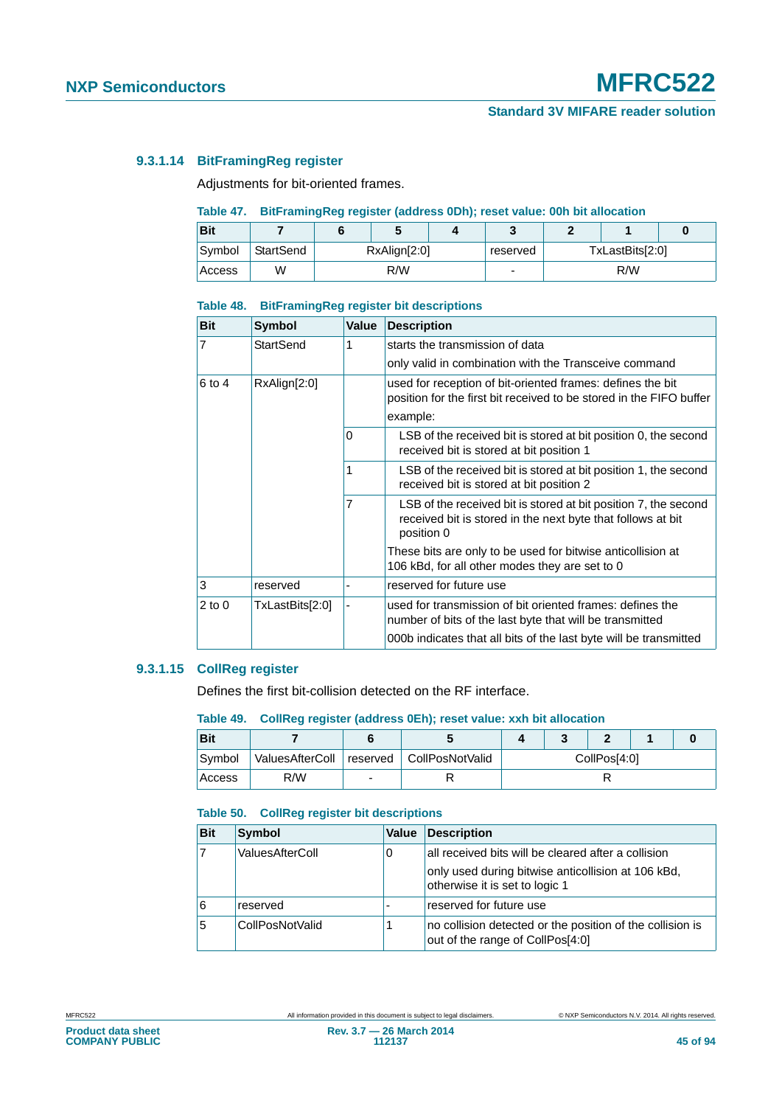# **9.3.1.14 BitFramingReg register**

Adjustments for bit-oriented frames.

## **Table 47. BitFramingReg register (address 0Dh); reset value: 00h bit allocation**

| <b>Bit</b> |           |                          |  |     |                 |  |  |  |
|------------|-----------|--------------------------|--|-----|-----------------|--|--|--|
| Symbol     | StartSend | RxAlign[2:0]<br>reserved |  |     | TxLastBits[2:0] |  |  |  |
| Access     | W         | R/W<br>-                 |  | R/W |                 |  |  |  |

#### **Table 48. BitFramingReg register bit descriptions**

| <b>Bit</b>     | <b>Symbol</b>    | <b>Value</b> | <b>Description</b>                                                                                                                           |
|----------------|------------------|--------------|----------------------------------------------------------------------------------------------------------------------------------------------|
| $\overline{7}$ | <b>StartSend</b> | 1            | starts the transmission of data                                                                                                              |
|                |                  |              | only valid in combination with the Transceive command                                                                                        |
| $6$ to 4       | RxAlign[2:0]     |              | used for reception of bit-oriented frames: defines the bit<br>position for the first bit received to be stored in the FIFO buffer            |
|                |                  |              | example:                                                                                                                                     |
|                |                  | 0            | LSB of the received bit is stored at bit position 0, the second<br>received bit is stored at bit position 1                                  |
|                |                  | 1            | LSB of the received bit is stored at bit position 1, the second<br>received bit is stored at bit position 2                                  |
|                |                  | 7            | LSB of the received bit is stored at bit position 7, the second<br>received bit is stored in the next byte that follows at bit<br>position 0 |
|                |                  |              | These bits are only to be used for bitwise anticollision at<br>106 kBd, for all other modes they are set to 0                                |
| 3              | reserved         |              | reserved for future use                                                                                                                      |
| $2$ to 0       | TxLastBits[2:0]  |              | used for transmission of bit oriented frames: defines the<br>number of bits of the last byte that will be transmitted                        |
|                |                  |              | 000b indicates that all bits of the last byte will be transmitted                                                                            |

# **9.3.1.15 CollReg register**

Defines the first bit-collision detected on the RF interface.

#### **Table 49. CollReg register (address 0Eh); reset value: xxh bit allocation**

| Bit           |                 |                            |              |  |  |  |  |
|---------------|-----------------|----------------------------|--------------|--|--|--|--|
| Symbol        | ValuesAfterColl | reserved   CollPosNotValid | CollPos[4:0] |  |  |  |  |
| <b>Access</b> | R/W             |                            |              |  |  |  |  |

# **Table 50. CollReg register bit descriptions**

| <b>Bit</b> | Symbol          | <b>Value</b> | <b>Description</b>                                                                            |
|------------|-----------------|--------------|-----------------------------------------------------------------------------------------------|
|            | ValuesAfterColl |              | all received bits will be cleared after a collision                                           |
|            |                 |              | only used during bitwise anticollision at 106 kBd,<br>otherwise it is set to logic 1          |
| 6          | reserved        |              | reserved for future use                                                                       |
| 5          | CollPosNotValid |              | no collision detected or the position of the collision is<br>out of the range of CollPos[4:0] |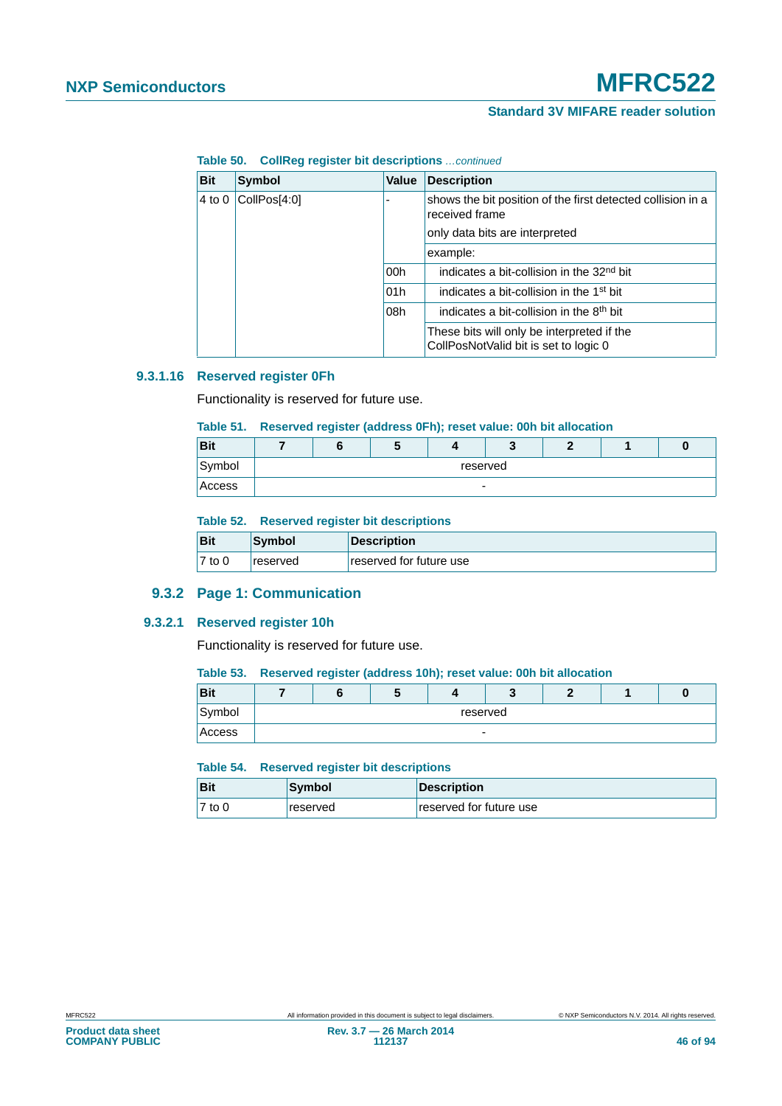**Table 50. CollReg register bit descriptions** *…continued*

| <b>Bit</b> | <b>Symbol</b> | Value | <b>Description</b>                                                                  |
|------------|---------------|-------|-------------------------------------------------------------------------------------|
| 4 to 0     | CollPos[4:0]  |       | shows the bit position of the first detected collision in a<br>received frame       |
|            |               |       | only data bits are interpreted                                                      |
|            |               |       | example:                                                                            |
|            |               | 00h   | indicates a bit-collision in the 32 <sup>nd</sup> bit                               |
|            |               | 01h   | indicates a bit-collision in the 1 <sup>st</sup> bit                                |
|            |               | 08h   | indicates a bit-collision in the 8 <sup>th</sup> bit                                |
|            |               |       | These bits will only be interpreted if the<br>CollPosNotValid bit is set to logic 0 |

## **9.3.1.16 Reserved register 0Fh**

Functionality is reserved for future use.

# **Table 51. Reserved register (address 0Fh); reset value: 00h bit allocation**

| <b>Bit</b> |  | $\bullet$ |          |  |  |
|------------|--|-----------|----------|--|--|
| Symbol     |  |           | reserved |  |  |
| Access     |  |           | -        |  |  |

#### **Table 52. Reserved register bit descriptions**

| <b>Bit</b> | Symbol   | Description             |
|------------|----------|-------------------------|
| $7$ to 0   | reserved | reserved for future use |

# **9.3.2 Page 1: Communication**

#### **9.3.2.1 Reserved register 10h**

Functionality is reserved for future use.

#### **Table 53. Reserved register (address 10h); reset value: 00h bit allocation**

| Bit    |  |                          |  |  |
|--------|--|--------------------------|--|--|
| Symbol |  | reserved                 |  |  |
| Access |  | $\overline{\phantom{0}}$ |  |  |

## **Table 54. Reserved register bit descriptions**

| <b>Bit</b> | Symbol   | Description             |
|------------|----------|-------------------------|
| $7$ to 0   | reserved | reserved for future use |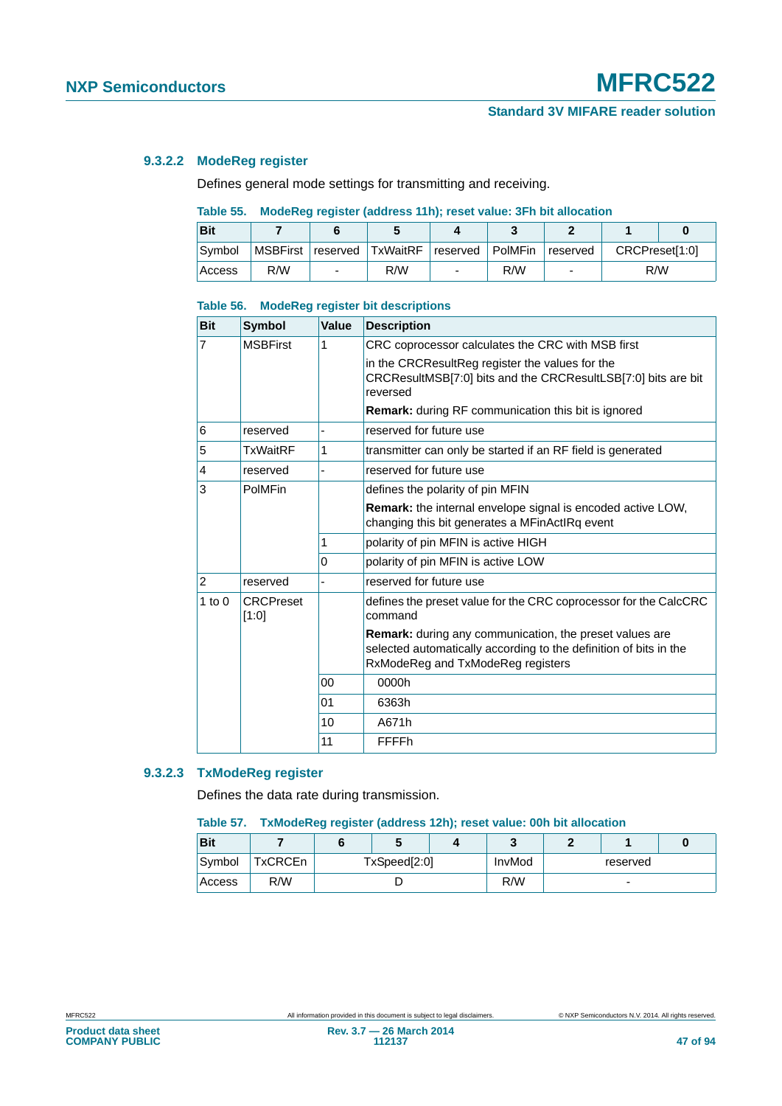# **9.3.2.2 ModeReg register**

Defines general mode settings for transmitting and receiving.

# **Table 55. ModeReg register (address 11h); reset value: 3Fh bit allocation**

| <b>Bit</b> |     |                                                     |     |          |                |  |
|------------|-----|-----------------------------------------------------|-----|----------|----------------|--|
| Symbol     |     | MSBFirst   reserved   TxWaitRF   reserved   PolMFin |     | reserved | CRCPreset[1:0] |  |
| Access     | R/W | R/W                                                 | R/W |          | R/W            |  |

#### **Table 56. ModeReg register bit descriptions**

| <b>Bit</b>     | <b>Symbol</b>             | <b>Value</b> | <b>Description</b>                                                                                                                                                       |
|----------------|---------------------------|--------------|--------------------------------------------------------------------------------------------------------------------------------------------------------------------------|
| $\overline{7}$ | <b>MSBFirst</b>           | 1            | CRC coprocessor calculates the CRC with MSB first                                                                                                                        |
|                |                           |              | in the CRCResultReg register the values for the<br>CRCResultMSB[7:0] bits and the CRCResultLSB[7:0] bits are bit<br>reversed                                             |
|                |                           |              | <b>Remark:</b> during RF communication this bit is ignored                                                                                                               |
| 6              | reserved                  |              | reserved for future use                                                                                                                                                  |
| 5              | <b>TxWaitRF</b>           | 1            | transmitter can only be started if an RF field is generated                                                                                                              |
| $\overline{4}$ | reserved                  |              | reserved for future use                                                                                                                                                  |
| 3              | PolMFin                   |              | defines the polarity of pin MFIN                                                                                                                                         |
|                |                           |              | <b>Remark:</b> the internal envelope signal is encoded active LOW.<br>changing this bit generates a MFinActIRq event                                                     |
|                |                           | 1            | polarity of pin MFIN is active HIGH                                                                                                                                      |
|                |                           | $\Omega$     | polarity of pin MFIN is active LOW                                                                                                                                       |
| $\overline{2}$ | reserved                  |              | reserved for future use                                                                                                                                                  |
| $1$ to $0$     | <b>CRCPreset</b><br>[1:0] |              | defines the preset value for the CRC coprocessor for the CalcCRC<br>command                                                                                              |
|                |                           |              | <b>Remark:</b> during any communication, the preset values are<br>selected automatically according to the definition of bits in the<br>RxModeReg and TxModeReg registers |
|                |                           | 00           | 0000h                                                                                                                                                                    |
|                |                           | 01           | 6363h                                                                                                                                                                    |
|                |                           | 10           | A671h                                                                                                                                                                    |
|                |                           | 11           | FFFFh                                                                                                                                                                    |

# **9.3.2.3 TxModeReg register**

Defines the data rate during transmission.

#### **Table 57. TxModeReg register (address 12h); reset value: 00h bit allocation**

| <b>Bit</b> |         |              |  | $\overline{\phantom{a}}$ |          |                          |  |
|------------|---------|--------------|--|--------------------------|----------|--------------------------|--|
| Symbol     | TxCRCEn | TxSpeed[2:0] |  |                          | reserved |                          |  |
| Access     | R/W     |              |  |                          |          | $\overline{\phantom{0}}$ |  |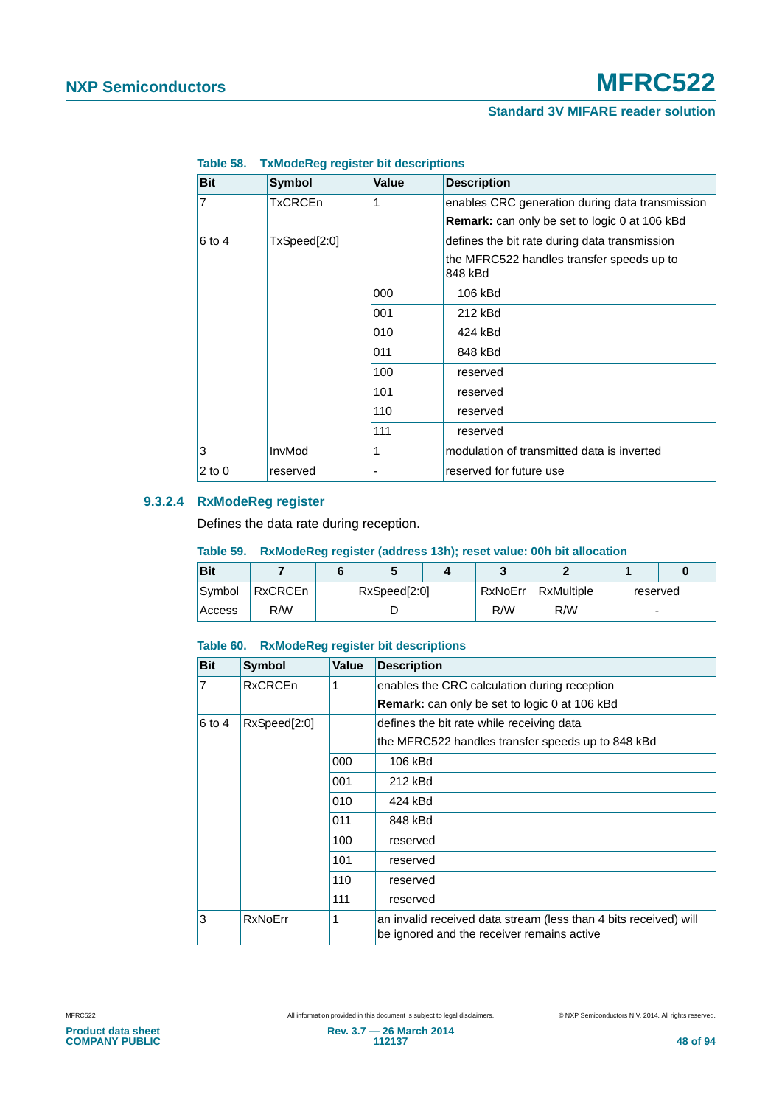| <b>Bit</b> | Symbol         | <b>Value</b> | <b>Description</b>                                   |
|------------|----------------|--------------|------------------------------------------------------|
| 7          | <b>TxCRCEn</b> | 1            | enables CRC generation during data transmission      |
|            |                |              | <b>Remark:</b> can only be set to logic 0 at 106 kBd |
| 6 to 4     | TxSpeed[2:0]   |              | defines the bit rate during data transmission        |
|            |                |              | the MFRC522 handles transfer speeds up to<br>848 kBd |
|            |                | 000          | 106 kBd                                              |
|            |                | 001          | 212 kBd                                              |
|            |                | 010          | 424 kBd                                              |
|            |                | 011          | 848 kBd                                              |
|            |                | 100          | reserved                                             |
|            |                | 101          | reserved                                             |
|            |                | 110          | reserved                                             |
|            |                | 111          | reserved                                             |
| 3          | InvMod         | 1            | modulation of transmitted data is inverted           |
| $2$ to $0$ | reserved       |              | reserved for future use                              |

## **Table 58. TxModeReg register bit descriptions**

# **9.3.2.4 RxModeReg register**

Defines the data rate during reception.

#### **Table 59. RxModeReg register (address 13h); reset value: 00h bit allocation**

| <b>Bit</b> |                |  |                         |  |     |            |                          |  |
|------------|----------------|--|-------------------------|--|-----|------------|--------------------------|--|
| Symbol     | <b>RxCRCEn</b> |  | RxNoErr<br>RxSpeed[2:0] |  |     | RxMultiple | reserved                 |  |
| Access     | R/W            |  |                         |  | R/W | R/W        | $\overline{\phantom{0}}$ |  |

#### **Table 60. RxModeReg register bit descriptions**

| <b>Bit</b>     | <b>Symbol</b>  | Value | <b>Description</b>                                                                                             |
|----------------|----------------|-------|----------------------------------------------------------------------------------------------------------------|
| $\overline{7}$ | <b>RxCRCEn</b> | 1     | enables the CRC calculation during reception                                                                   |
|                |                |       | <b>Remark:</b> can only be set to logic 0 at 106 kBd                                                           |
| 6 to 4         | RxSpeed[2:0]   |       | defines the bit rate while receiving data                                                                      |
|                |                |       | the MFRC522 handles transfer speeds up to 848 kBd                                                              |
|                |                | 000   | 106 kBd                                                                                                        |
|                |                | 001   | 212 kBd                                                                                                        |
|                |                | 010   | 424 kBd                                                                                                        |
|                |                | 011   | 848 kBd                                                                                                        |
|                |                | 100   | reserved                                                                                                       |
|                |                | 101   | reserved                                                                                                       |
|                |                | 110   | reserved                                                                                                       |
|                |                | 111   | reserved                                                                                                       |
| 3              | <b>RxNoErr</b> | 1     | an invalid received data stream (less than 4 bits received) will<br>be ignored and the receiver remains active |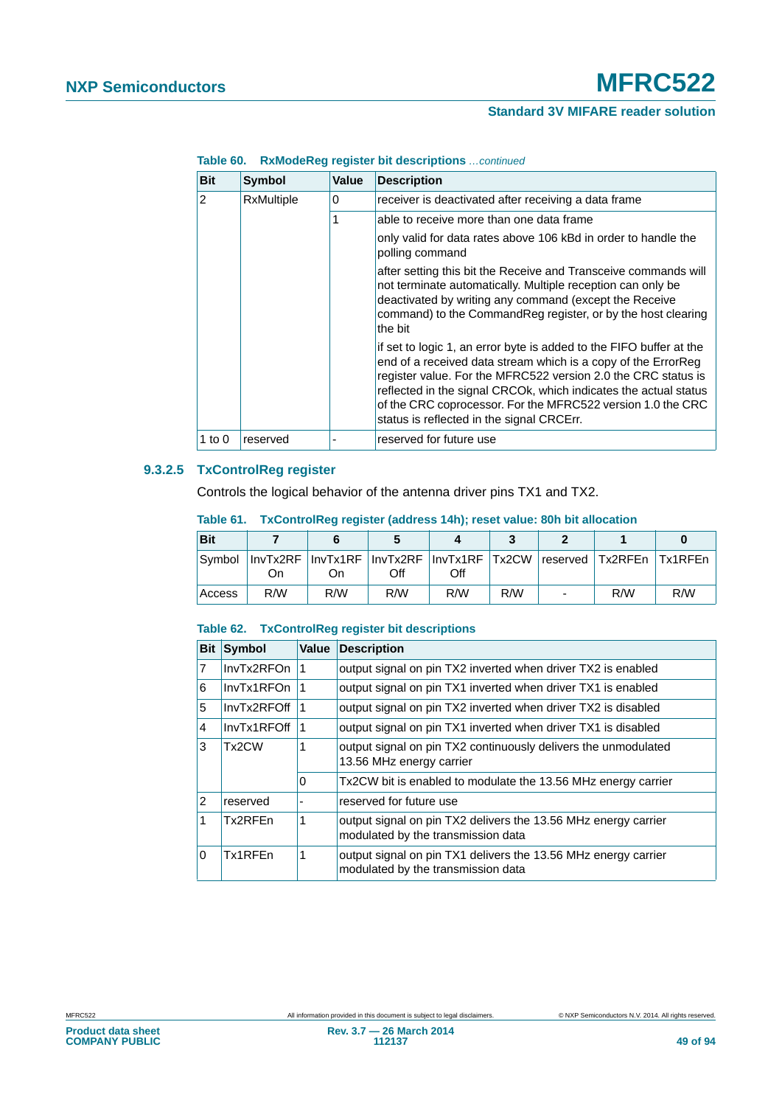# **NXP Semiconductors MFRC522**

# **Standard 3V MIFARE reader solution**

| <b>Bit</b> | Symbol                 | Value | <b>Description</b>                                                                                                                                                                                                                                                                                                                                                                    |
|------------|------------------------|-------|---------------------------------------------------------------------------------------------------------------------------------------------------------------------------------------------------------------------------------------------------------------------------------------------------------------------------------------------------------------------------------------|
| 2          | <b>RxMultiple</b><br>0 |       | receiver is deactivated after receiving a data frame                                                                                                                                                                                                                                                                                                                                  |
|            |                        | 1     | able to receive more than one data frame                                                                                                                                                                                                                                                                                                                                              |
|            |                        |       | only valid for data rates above 106 kBd in order to handle the<br>polling command                                                                                                                                                                                                                                                                                                     |
|            |                        |       | after setting this bit the Receive and Transceive commands will<br>not terminate automatically. Multiple reception can only be<br>deactivated by writing any command (except the Receive<br>command) to the CommandReg register, or by the host clearing<br>the bit                                                                                                                   |
|            |                        |       | if set to logic 1, an error byte is added to the FIFO buffer at the<br>end of a received data stream which is a copy of the ErrorReg<br>register value. For the MFRC522 version 2.0 the CRC status is<br>reflected in the signal CRCOk, which indicates the actual status<br>of the CRC coprocessor. For the MFRC522 version 1.0 the CRC<br>status is reflected in the signal CRCErr. |
| 1 to 0     | reserved               |       | reserved for future use                                                                                                                                                                                                                                                                                                                                                               |

**Table 60. RxModeReg register bit descriptions** *…continued*

## **9.3.2.5 TxControlReg register**

Controls the logical behavior of the antenna driver pins TX1 and TX2.

| <b>Bit</b> |     |                                                                                     |     |     |     |     |     |
|------------|-----|-------------------------------------------------------------------------------------|-----|-----|-----|-----|-----|
|            | On  | Symbol InvTx2RF InvTx1RF InvTx2RF InvTx1RF ITx2CW Ireserved ITx2RFEn ITx1RFEn<br>On | Off | Off |     |     |     |
| Access     | R/W | R/W                                                                                 | R/W | R/W | R/W | R/W | R/W |

#### **Table 61. TxControlReg register (address 14h); reset value: 80h bit allocation**

## **Table 62. TxControlReg register bit descriptions**

| <b>Bit</b>   | <b>Symbol</b> | <b>Value</b> | <b>Description</b>                                                                                   |
|--------------|---------------|--------------|------------------------------------------------------------------------------------------------------|
| 17           | InvTx2RFOn    |              | output signal on pin TX2 inverted when driver TX2 is enabled                                         |
| 6            | InvTx1RFOn    |              | output signal on pin TX1 inverted when driver TX1 is enabled                                         |
| 5            | InvTx2RFOff   |              | output signal on pin TX2 inverted when driver TX2 is disabled                                        |
| $\vert$ 4    | InvTx1RFOff   |              | output signal on pin TX1 inverted when driver TX1 is disabled                                        |
| 3            | Tx2CW         | 1            | output signal on pin TX2 continuously delivers the unmodulated<br>13.56 MHz energy carrier           |
|              |               | 0            | Tx2CW bit is enabled to modulate the 13.56 MHz energy carrier                                        |
| 12           | reserved      |              | reserved for future use                                                                              |
| $\mathbf{1}$ | Tx2RFEn       | 1            | output signal on pin TX2 delivers the 13.56 MHz energy carrier<br>modulated by the transmission data |
| ۱O           | Tx1RFFn       | 1            | output signal on pin TX1 delivers the 13.56 MHz energy carrier<br>modulated by the transmission data |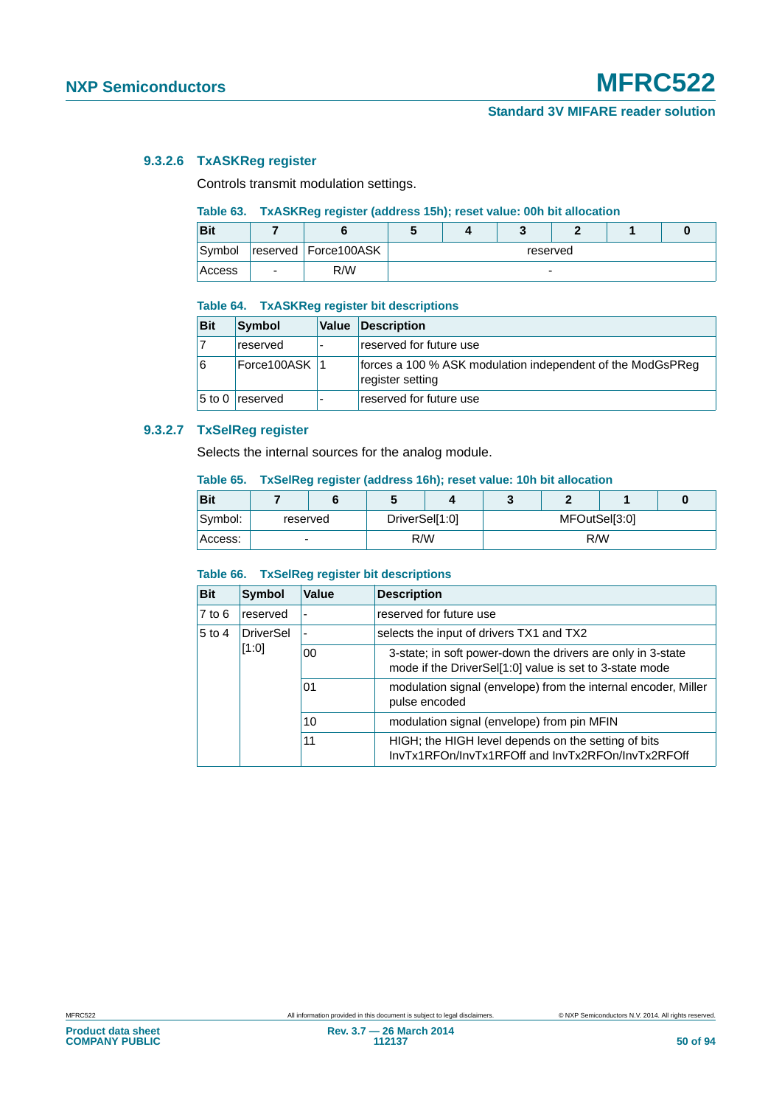# **9.3.2.6 TxASKReg register**

Controls transmit modulation settings.

# **Table 63. TxASKReg register (address 15h); reset value: 00h bit allocation**

| <b>Bit</b> |   |                        |          | c |  |  |  |  |
|------------|---|------------------------|----------|---|--|--|--|--|
| Symbol     |   | reserved   Force100ASK | reserved |   |  |  |  |  |
| Access     | - | R/W                    | -        |   |  |  |  |  |

#### **Table 64. TxASKReg register bit descriptions**

| <b>Bit</b> | Symbol          | Value Description                                                              |
|------------|-----------------|--------------------------------------------------------------------------------|
|            | reserved        | reserved for future use                                                        |
| 16         | Force100ASK 1   | forces a 100 % ASK modulation independent of the ModGsPReg<br>register setting |
|            | 5 to 0 reserved | reserved for future use                                                        |

# **9.3.2.7 TxSelReg register**

Selects the internal sources for the analog module.

#### **Table 65. TxSelReg register (address 16h); reset value: 10h bit allocation**

| <b>Bit</b> |   |          |     |                |     |               |  |  |  |
|------------|---|----------|-----|----------------|-----|---------------|--|--|--|
| Symbol:    |   | reserved |     | DriverSel[1:0] |     | MFOutSel[3:0] |  |  |  |
| Access:    | ۰ |          | R/W |                | R/W |               |  |  |  |

#### **Table 66. TxSelReg register bit descriptions**

| <b>Bit</b> | <b>Symbol</b> | Value                    | <b>Description</b>                                                                                                     |
|------------|---------------|--------------------------|------------------------------------------------------------------------------------------------------------------------|
| $7$ to $6$ | reserved      | $\overline{\phantom{0}}$ | reserved for future use                                                                                                |
| $5$ to $4$ | DriverSel     | ٠                        | selects the input of drivers TX1 and TX2                                                                               |
|            | [1:0]<br>00   |                          | 3-state; in soft power-down the drivers are only in 3-state<br>mode if the DriverSel[1:0] value is set to 3-state mode |
|            |               | 01                       | modulation signal (envelope) from the internal encoder, Miller<br>pulse encoded                                        |
|            |               | 10                       | modulation signal (envelope) from pin MFIN                                                                             |
|            |               | 11                       | HIGH; the HIGH level depends on the setting of bits<br>InvTx1RFOn/InvTx1RFOff and InvTx2RFOn/InvTx2RFOff               |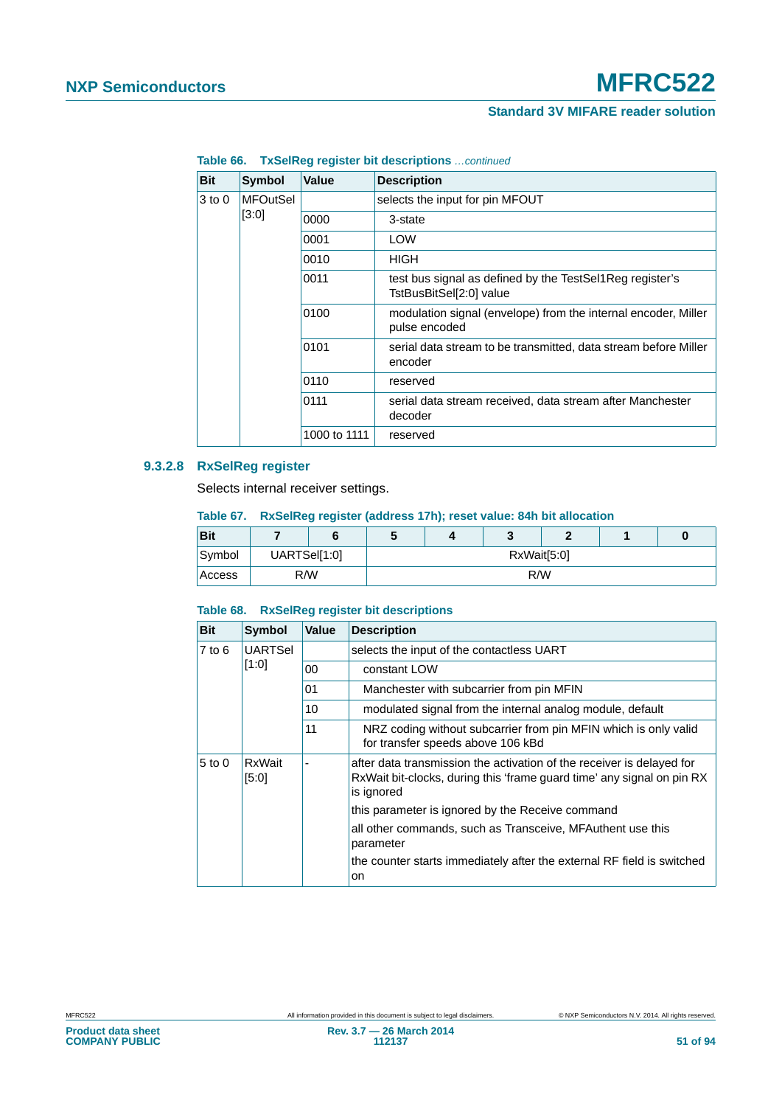| <b>Bit</b> | Symbol          | Value        | <b>Description</b>                                                                  |
|------------|-----------------|--------------|-------------------------------------------------------------------------------------|
| $3$ to $0$ | <b>MFOutSel</b> |              | selects the input for pin MFOUT                                                     |
|            | [3:0]           | 0000         | 3-state                                                                             |
|            |                 | 0001         | <b>LOW</b>                                                                          |
|            |                 | 0010         | <b>HIGH</b>                                                                         |
|            |                 | 0011         | test bus signal as defined by the TestSel1Reg register's<br>TstBusBitSel[2:0] value |
|            |                 | 0100         | modulation signal (envelope) from the internal encoder, Miller<br>pulse encoded     |
|            |                 | 0101         | serial data stream to be transmitted, data stream before Miller<br>encoder          |
|            |                 | 0110         | reserved                                                                            |
|            |                 | 0111         | serial data stream received, data stream after Manchester<br>decoder                |
|            |                 | 1000 to 1111 | reserved                                                                            |

**Table 66. TxSelReg register bit descriptions** *…continued*

# **9.3.2.8 RxSelReg register**

Selects internal receiver settings.

**Table 67. RxSelReg register (address 17h); reset value: 84h bit allocation**

| <b>Bit</b> |              |  | v           |  |  |  |  |  |
|------------|--------------|--|-------------|--|--|--|--|--|
| Symbol     | UARTSel[1:0] |  | RxWait[5:0] |  |  |  |  |  |
| Access     | R/W          |  | R/W         |  |  |  |  |  |

## **Table 68. RxSelReg register bit descriptions**

| <b>Bit</b> | <b>Symbol</b>   | <b>Value</b> | <b>Description</b>                                                                                                                                            |
|------------|-----------------|--------------|---------------------------------------------------------------------------------------------------------------------------------------------------------------|
| 7 to 6     | <b>UARTSel</b>  |              | selects the input of the contactless UART                                                                                                                     |
|            | [1:0]           | 00           | constant LOW                                                                                                                                                  |
|            |                 | 01           | Manchester with subcarrier from pin MFIN                                                                                                                      |
|            |                 | 10           | modulated signal from the internal analog module, default                                                                                                     |
|            | 11              |              | NRZ coding without subcarrier from pin MFIN which is only valid<br>for transfer speeds above 106 kBd                                                          |
| $5$ to $0$ | RxWait<br>[5:0] |              | after data transmission the activation of the receiver is delayed for<br>RxWait bit-clocks, during this 'frame guard time' any signal on pin RX<br>is ignored |
|            |                 |              | this parameter is ignored by the Receive command                                                                                                              |
|            |                 |              | all other commands, such as Transceive, MFAuthent use this<br>parameter                                                                                       |
|            |                 |              | the counter starts immediately after the external RF field is switched<br>on                                                                                  |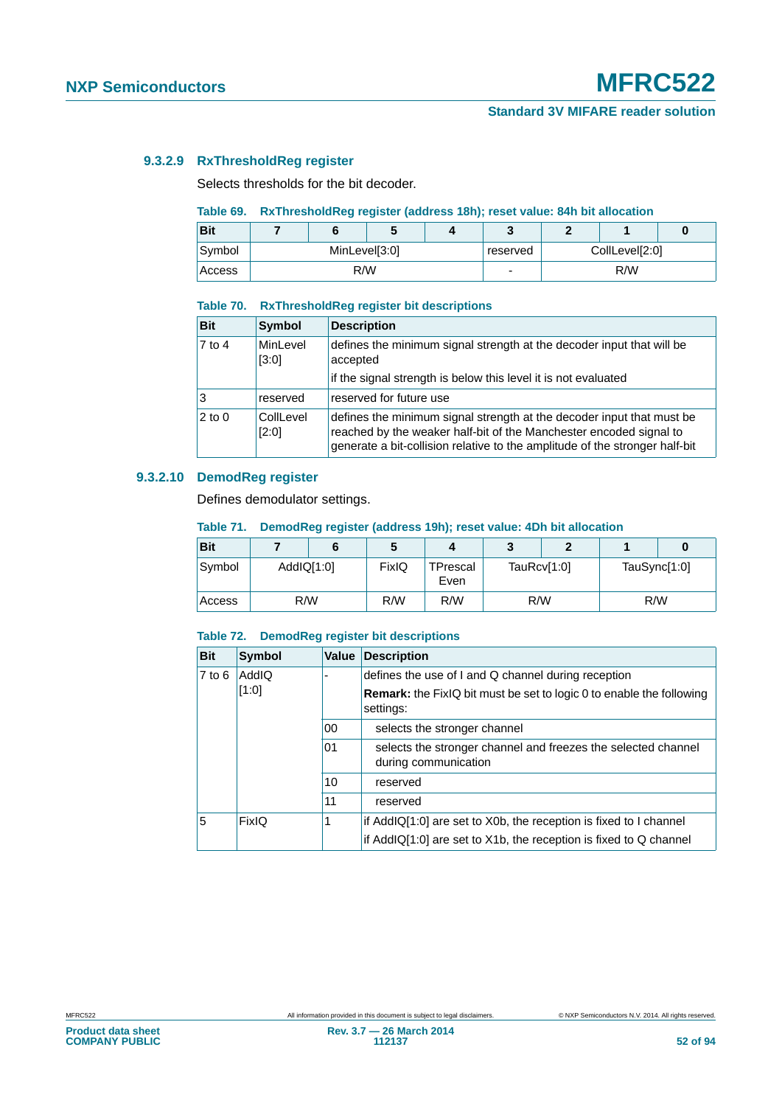# **9.3.2.9 RxThresholdReg register**

Selects thresholds for the bit decoder.

## **Table 69. RxThresholdReg register (address 18h); reset value: 84h bit allocation**

| Bit           |               |     |          |                |     |  |
|---------------|---------------|-----|----------|----------------|-----|--|
| Symbol        | MinLevel[3:0] |     | reserved | CollLevel[2:0] |     |  |
| <b>Access</b> |               | R/W | -        |                | R/W |  |

#### **Table 70. RxThresholdReg register bit descriptions**

| <b>Bit</b> | <b>Symbol</b>      | <b>Description</b>                                                                                                                                                                                                         |
|------------|--------------------|----------------------------------------------------------------------------------------------------------------------------------------------------------------------------------------------------------------------------|
| $7$ to 4   | MinLevel<br>[3:0]  | defines the minimum signal strength at the decoder input that will be<br>accepted                                                                                                                                          |
|            |                    | if the signal strength is below this level it is not evaluated                                                                                                                                                             |
| Ι3         | reserved           | reserved for future use                                                                                                                                                                                                    |
| $2$ to 0   | CollLevel<br>[2:0] | defines the minimum signal strength at the decoder input that must be<br>reached by the weaker half-bit of the Manchester encoded signal to<br>generate a bit-collision relative to the amplitude of the stronger half-bit |

# **9.3.2.10 DemodReg register**

Defines demodulator settings.

#### **Table 71. DemodReg register (address 19h); reset value: 4Dh bit allocation**

| <b>Bit</b> |            |     | 5     | л                |             |  |              |  |
|------------|------------|-----|-------|------------------|-------------|--|--------------|--|
| Symbol     | AddIQ[1:0] |     | FixIQ | TPrescal<br>Even | TauRcv[1:0] |  | TauSync[1:0] |  |
| Access     |            | R/W | R/W   | R/W              | R/W         |  | R/W          |  |

### **Table 72. DemodReg register bit descriptions**

| <b>Bit</b> | <b>Symbol</b> | Value | <b>Description</b>                                                                       |
|------------|---------------|-------|------------------------------------------------------------------------------------------|
| $7$ to 6   | <b>AddIQ</b>  |       | defines the use of I and Q channel during reception                                      |
|            | [1:0]         |       | <b>Remark:</b> the FixIQ bit must be set to logic 0 to enable the following<br>settings: |
|            |               | 00    | selects the stronger channel                                                             |
|            |               | 01    | selects the stronger channel and freezes the selected channel<br>during communication    |
|            |               | 10    | reserved                                                                                 |
|            |               | 11    | reserved                                                                                 |
| 5          | <b>FixIQ</b>  | 1     | if AddIQ[1:0] are set to X0b, the reception is fixed to I channel                        |
|            |               |       | if AddIQ[1:0] are set to X1b, the reception is fixed to Q channel                        |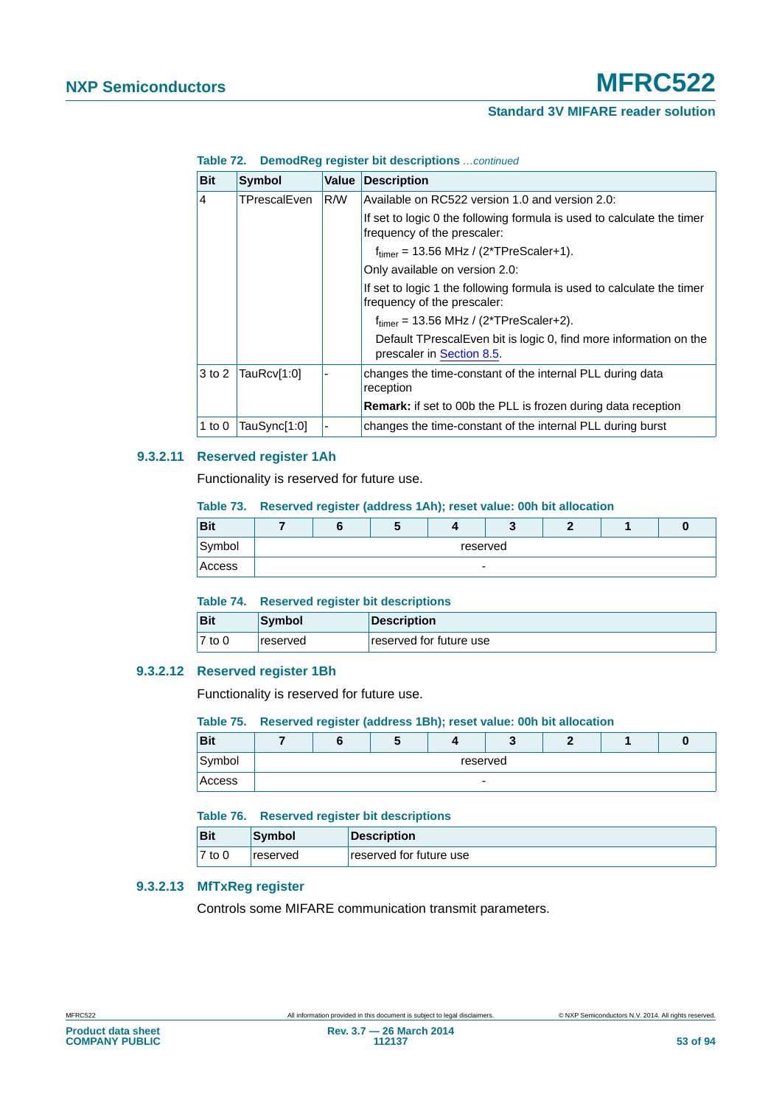#### **Table 72. DemodReg register bit descriptions** *…continued*

| <b>Bit</b>     | <b>Symbol</b> | <b>Value</b> | <b>Description</b>                                                                                    |
|----------------|---------------|--------------|-------------------------------------------------------------------------------------------------------|
| $\overline{4}$ | TPrescalEven  | R/W          | Available on RC522 version 1.0 and version 2.0:                                                       |
|                |               |              | If set to logic 0 the following formula is used to calculate the timer<br>frequency of the prescaler: |
|                |               |              | $f_{\text{timer}}$ = 13.56 MHz / (2*TPreScaler+1).                                                    |
|                |               |              | Only available on version 2.0:                                                                        |
|                |               |              | If set to logic 1 the following formula is used to calculate the timer<br>frequency of the prescaler: |
|                |               |              | $ftimer = 13.56 MHz / (2*TPreScaler+2).$                                                              |
|                |               |              | Default TPrescalEven bit is logic 0, find more information on the<br>prescaler in Section 8.5.        |
| $3$ to 2       | TauRcv[1:0]   |              | changes the time-constant of the internal PLL during data<br>reception                                |
|                |               |              | <b>Remark:</b> if set to 00b the PLL is frozen during data reception                                  |
| 1 to $0$       | TauSync[1:0]  |              | changes the time-constant of the internal PLL during burst                                            |

## **9.3.2.11 Reserved register 1Ah**

Functionality is reserved for future use.

### **Table 73. Reserved register (address 1Ah); reset value: 00h bit allocation**

| <b>Bit</b> |                          |  |  |  |  |  |  |  |
|------------|--------------------------|--|--|--|--|--|--|--|
| Symbol     | reserved                 |  |  |  |  |  |  |  |
| Access     | $\overline{\phantom{0}}$ |  |  |  |  |  |  |  |

|                     |               | Table 74. Reserved register bit descriptions |  |  |  |  |  |
|---------------------|---------------|----------------------------------------------|--|--|--|--|--|
| Bit                 | <b>Symbol</b> | <b>Description</b>                           |  |  |  |  |  |
| $\overline{7}$ to 0 | reserved      | reserved for future use                      |  |  |  |  |  |

## **9.3.2.12 Reserved register 1Bh**

Functionality is reserved for future use.

#### **Table 75. Reserved register (address 1Bh); reset value: 00h bit allocation**

| <b>Bit</b> |          |  |  |                          |  |  |  |  |
|------------|----------|--|--|--------------------------|--|--|--|--|
| Symbol     | reserved |  |  |                          |  |  |  |  |
| Access     |          |  |  | $\overline{\phantom{0}}$ |  |  |  |  |

## **Table 76. Reserved register bit descriptions**

| <b>Bit</b> | <b>Symbol</b> | <b>Description</b>      |
|------------|---------------|-------------------------|
| $7$ to 0   | reserved      | reserved for future use |

# **9.3.2.13 MfTxReg register**

Controls some MIFARE communication transmit parameters.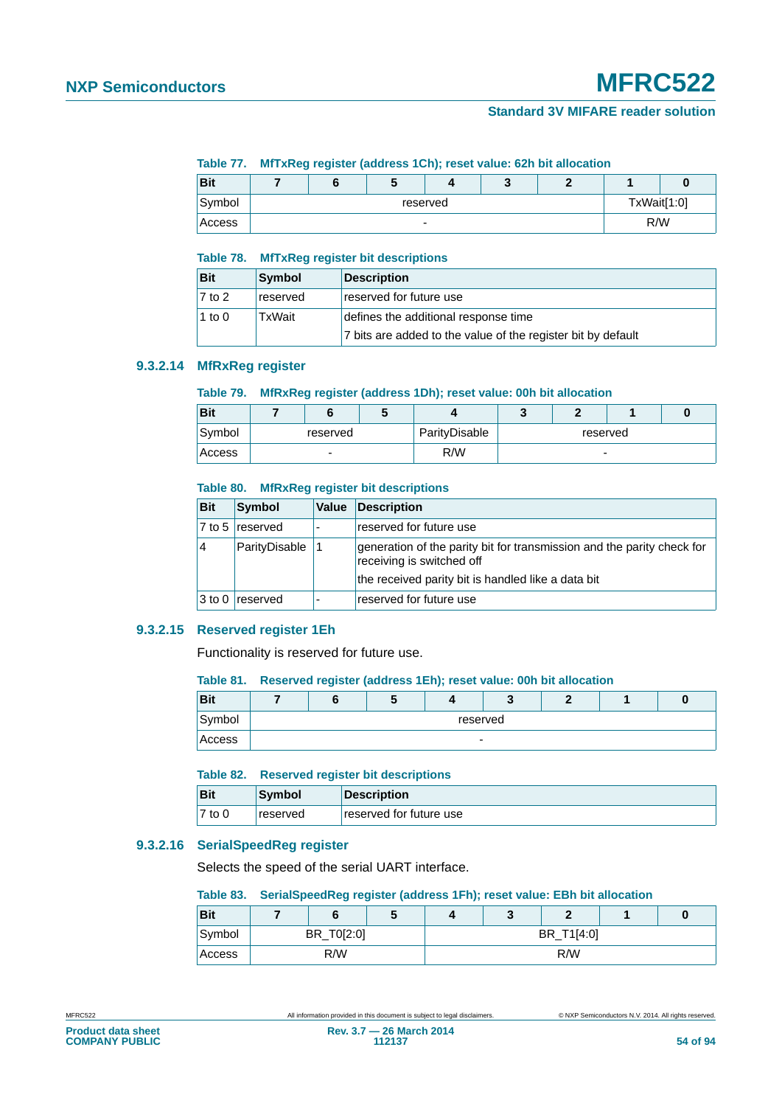#### **Table 77. MfTxReg register (address 1Ch); reset value: 62h bit allocation**

| <b>Bit</b> |                          | ື |  | w |  |  |     |
|------------|--------------------------|---|--|---|--|--|-----|
| Symbol     | reserved                 |   |  |   |  |  |     |
| Access     | $\overline{\phantom{0}}$ |   |  |   |  |  | R/W |

#### **Table 78. MfTxReg register bit descriptions**

| <b>Bit</b>          | Symbol   | <b>Description</b>                                           |
|---------------------|----------|--------------------------------------------------------------|
| $\overline{7}$ to 2 | reserved | reserved for future use                                      |
| 1 to 0              | TxWait   | defines the additional response time                         |
|                     |          | 7 bits are added to the value of the register bit by default |

# **9.3.2.14 MfRxReg register**

# **Table 79. MfRxReg register (address 1Dh); reset value: 00h bit allocation**

| <b>Bit</b>         |          |  |  |               |          |  |  |  |
|--------------------|----------|--|--|---------------|----------|--|--|--|
| Symbol             | reserved |  |  | ParityDisable | reserved |  |  |  |
| R/W<br>Access<br>- |          |  |  | -             |          |  |  |  |

#### **Table 80. MfRxReg register bit descriptions**

| <b>Bit</b>     | Symbol          | Value | <b>Description</b>                                                                                  |
|----------------|-----------------|-------|-----------------------------------------------------------------------------------------------------|
|                | 7 to 5 reserved |       | reserved for future use                                                                             |
| $\overline{4}$ | ParityDisable   |       | generation of the parity bit for transmission and the parity check for<br>receiving is switched off |
|                |                 |       | the received parity bit is handled like a data bit                                                  |
| $3$ to 0       | reserved        |       | reserved for future use                                                                             |

### **9.3.2.15 Reserved register 1Eh**

Functionality is reserved for future use.

#### **Table 81. Reserved register (address 1Eh); reset value: 00h bit allocation**

| <b>Bit</b> |          |  |                          |  |  |  |  |  |
|------------|----------|--|--------------------------|--|--|--|--|--|
| Symbol     | reserved |  |                          |  |  |  |  |  |
| Access     |          |  | $\overline{\phantom{0}}$ |  |  |  |  |  |

#### **Table 82. Reserved register bit descriptions**

| <b>Bit</b> | Symbol          | Description             |
|------------|-----------------|-------------------------|
| 7 to 0     | <b>reserved</b> | reserved for future use |

# **9.3.2.16 SerialSpeedReg register**

Selects the speed of the serial UART interface.

#### **Table 83. SerialSpeedReg register (address 1Fh); reset value: EBh bit allocation**

| <b>Bit</b> |     | o          | w |  |            |     |  |  |  |
|------------|-----|------------|---|--|------------|-----|--|--|--|
| Symbol     |     | BR_T0[2:0] |   |  | BR_T1[4:0] |     |  |  |  |
| Access     | R/W |            |   |  |            | R/W |  |  |  |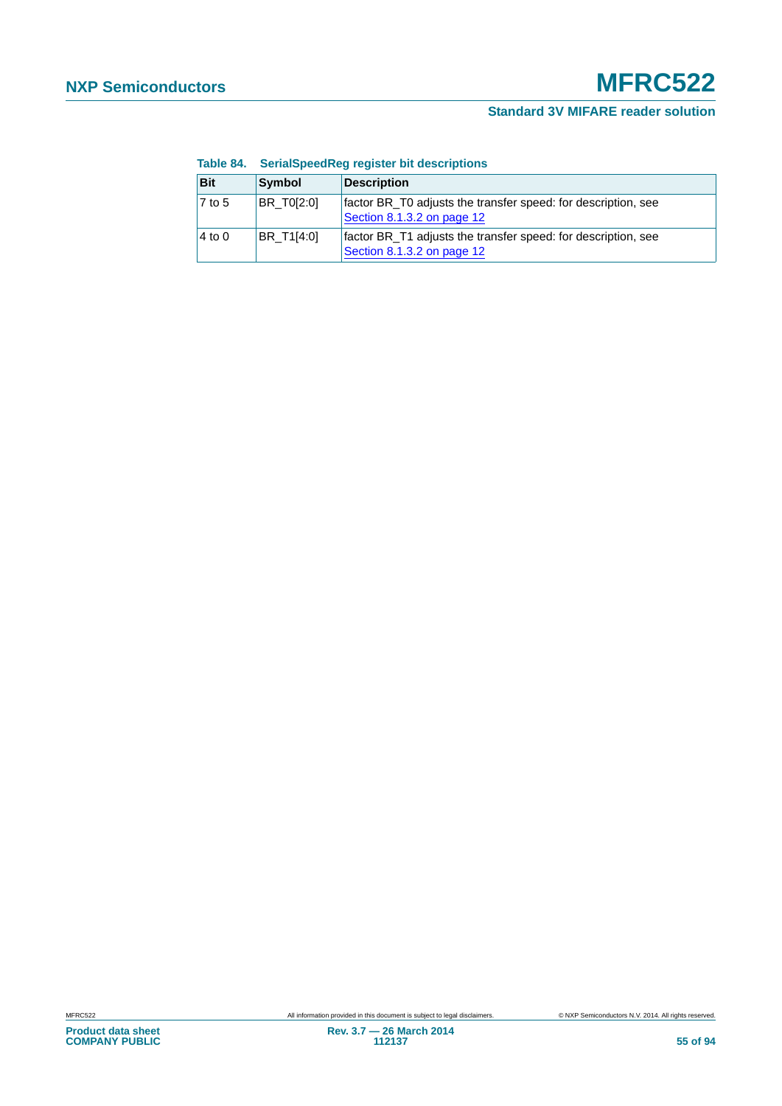|                     |                   | <b>TUDIO OTHER INTERNATIONAL CONTROL INTERNATIONAL STATE</b>                                |
|---------------------|-------------------|---------------------------------------------------------------------------------------------|
| <b>Bit</b>          | Symbol            | <b>Description</b>                                                                          |
| $\overline{7}$ to 5 | <b>BR T0[2:0]</b> | factor BR_T0 adjusts the transfer speed: for description, see<br>Section 8.1.3.2 on page 12 |
| $4$ to 0            | BR T1[4:0]        | factor BR_T1 adjusts the transfer speed: for description, see<br>Section 8.1.3.2 on page 12 |

#### **Table 84. SerialSpeedReg register bit descriptions**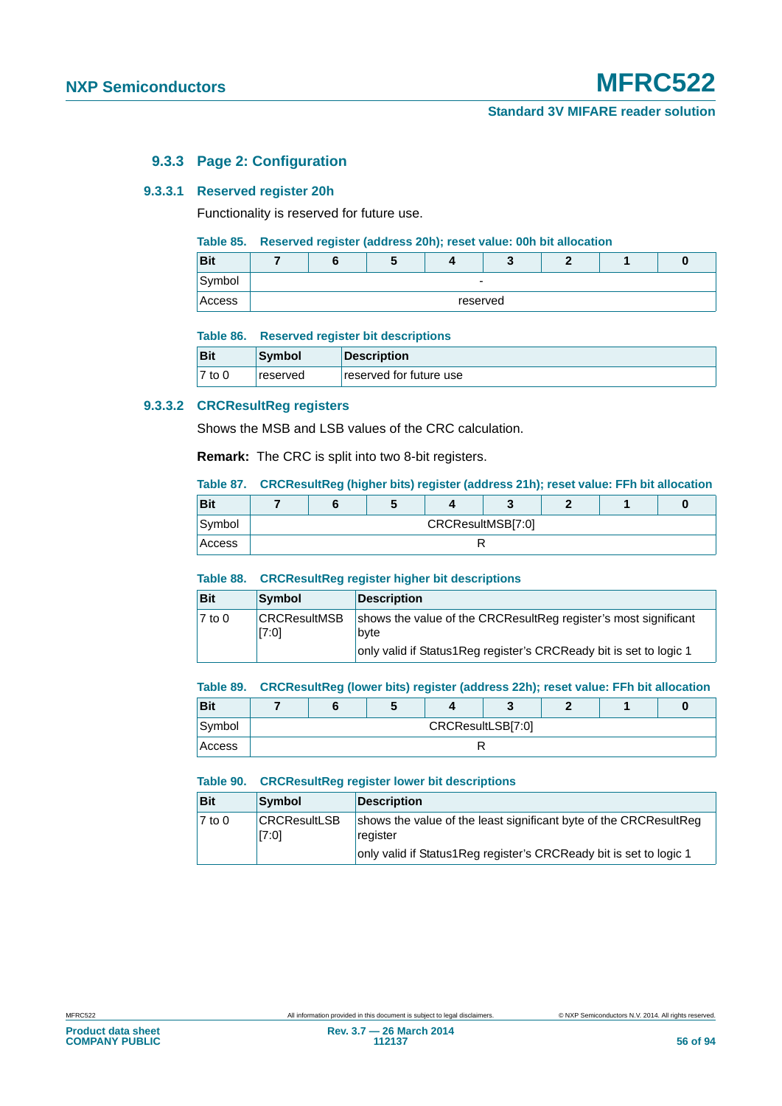# **9.3.3 Page 2: Configuration**

#### **9.3.3.1 Reserved register 20h**

Functionality is reserved for future use.

#### **Table 85. Reserved register (address 20h); reset value: 00h bit allocation**

| <b>Bit</b> |  | w |                          |  |  |
|------------|--|---|--------------------------|--|--|
| Symbol     |  |   | $\overline{\phantom{0}}$ |  |  |
| Access     |  |   | reserved                 |  |  |

#### **Table 86. Reserved register bit descriptions**

| <b>Bit</b> | Symbol   | Description             |
|------------|----------|-------------------------|
| 7 to 0     | reserved | reserved for future use |

#### **9.3.3.2 CRCResultReg registers**

Shows the MSB and LSB values of the CRC calculation.

**Remark:** The CRC is split into two 8-bit registers.

## **Table 87. CRCResultReg (higher bits) register (address 21h); reset value: FFh bit allocation**

| <b>Bit</b> |                   |  |  |  |  |  |  |  |
|------------|-------------------|--|--|--|--|--|--|--|
| Symbol     | CRCResultMSB[7:0] |  |  |  |  |  |  |  |
| Access     |                   |  |  |  |  |  |  |  |

#### **Table 88. CRCResultReg register higher bit descriptions**

| <b>Bit</b> | Symbol                       | <b>Description</b>                                                                                                                            |
|------------|------------------------------|-----------------------------------------------------------------------------------------------------------------------------------------------|
| $7$ to 0   | <b>CRCResultMSB</b><br>[7:0] | shows the value of the CRCResultReg register's most significant<br>byte<br>only valid if Status1Reg register's CRCReady bit is set to logic 1 |

#### **Table 89. CRCResultReg (lower bits) register (address 22h); reset value: FFh bit allocation**

| <b>Bit</b> |                   |  |  |  |  |  |  |
|------------|-------------------|--|--|--|--|--|--|
| Symbol     | CRCResultLSB[7:0] |  |  |  |  |  |  |
| Access     |                   |  |  |  |  |  |  |

#### **Table 90. CRCResultReg register lower bit descriptions**

| <b>Bit</b> | Symbol                       | Description                                                                                                                                         |
|------------|------------------------------|-----------------------------------------------------------------------------------------------------------------------------------------------------|
| $7$ to 0   | <b>CRCResultLSB</b><br>[7:0] | shows the value of the least significant byte of the CRCResultReg<br>register<br>only valid if Status1Reg register's CRCReady bit is set to logic 1 |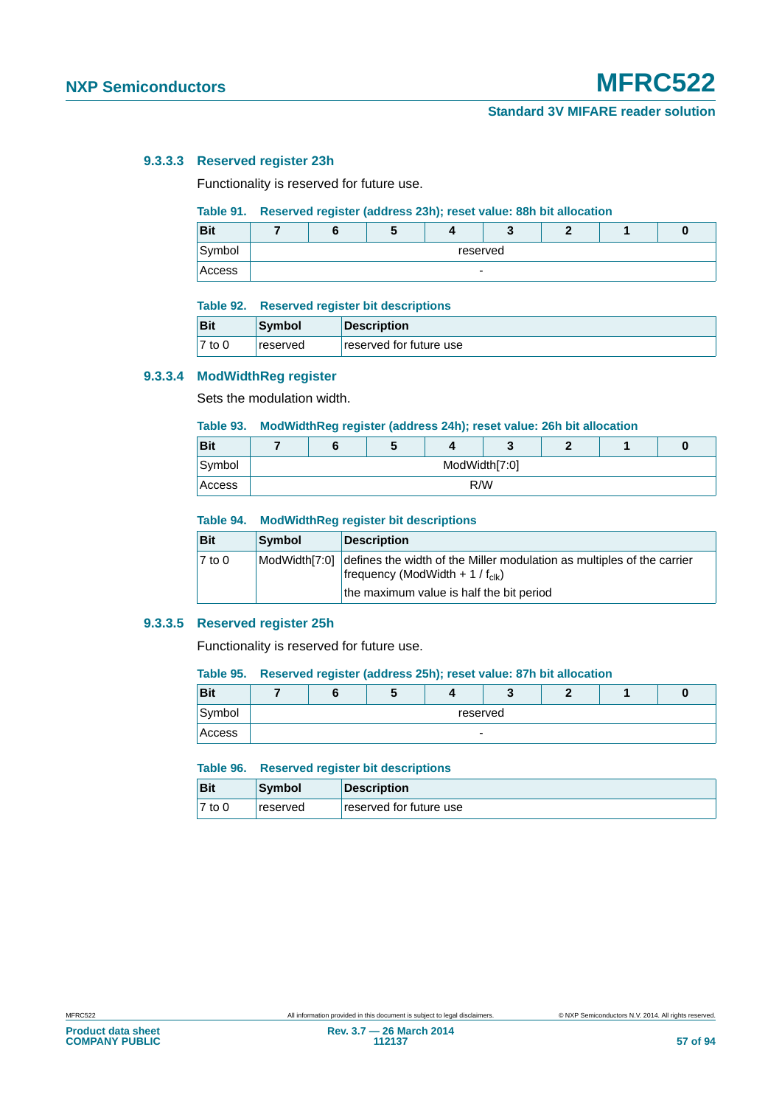### **9.3.3.3 Reserved register 23h**

Functionality is reserved for future use.

## **Table 91. Reserved register (address 23h); reset value: 88h bit allocation**

| <b>Bit</b> |                          |          |  |  |  |  |  |  |
|------------|--------------------------|----------|--|--|--|--|--|--|
| Symbol     |                          | reserved |  |  |  |  |  |  |
| Access     | $\overline{\phantom{0}}$ |          |  |  |  |  |  |  |

#### **Table 92. Reserved register bit descriptions**

| <b>Bit</b> | Symbol          | Description             |
|------------|-----------------|-------------------------|
| $7$ to 0   | <b>reserved</b> | reserved for future use |

#### **9.3.3.4 ModWidthReg register**

Sets the modulation width.

# **Table 93. ModWidthReg register (address 24h); reset value: 26h bit allocation**

| <b>Bit</b> |     |  | w |               |  |  |  |  |
|------------|-----|--|---|---------------|--|--|--|--|
| Symbol     |     |  |   | ModWidth[7:0] |  |  |  |  |
| Access     | R/W |  |   |               |  |  |  |  |

#### **Table 94. ModWidthReg register bit descriptions**

| Bit                 | Symbol | <b>Description</b>                                                                                                                                                               |
|---------------------|--------|----------------------------------------------------------------------------------------------------------------------------------------------------------------------------------|
| $\overline{7}$ to 0 |        | ModWidth[7:0] defines the width of the Miller modulation as multiples of the carrier<br>frequency (ModWidth + 1 / $f_{\text{clk}}$ )<br>the maximum value is half the bit period |

#### **9.3.3.5 Reserved register 25h**

Functionality is reserved for future use.

#### **Table 95. Reserved register (address 25h); reset value: 87h bit allocation**

| <b>Bit</b> |                          |          |  |  |  |  |  |  |
|------------|--------------------------|----------|--|--|--|--|--|--|
| Symbol     |                          | reserved |  |  |  |  |  |  |
| Access     | $\overline{\phantom{0}}$ |          |  |  |  |  |  |  |

#### **Table 96. Reserved register bit descriptions**

| <b>Bit</b> | Symbol          | Description             |
|------------|-----------------|-------------------------|
| $7$ to 0   | <b>reserved</b> | reserved for future use |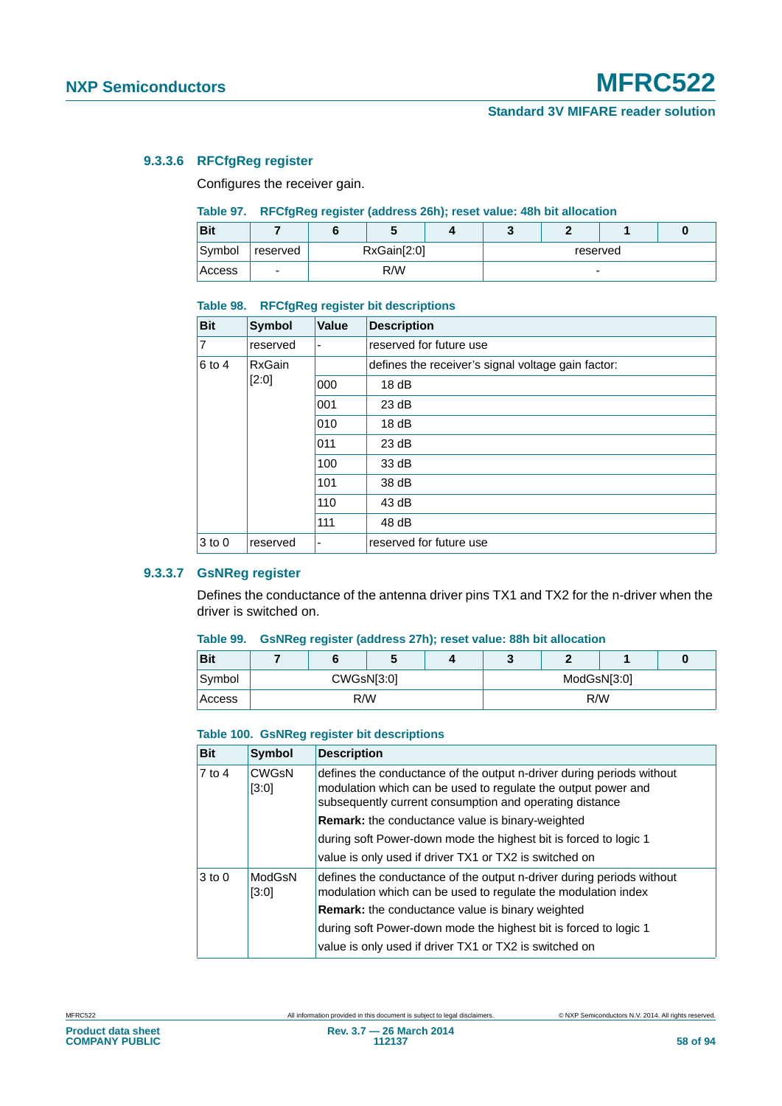# **9.3.3.6 RFCfgReg register**

Configures the receiver gain.

#### **Table 97. RFCfgReg register (address 26h); reset value: 48h bit allocation**

| <b>Bit</b> |                          |             |  |  |          |  |  |  |
|------------|--------------------------|-------------|--|--|----------|--|--|--|
| Symbol     | reserved                 | RxGain[2:0] |  |  | reserved |  |  |  |
| Access     | $\overline{\phantom{a}}$ | R/W         |  |  | -        |  |  |  |

#### **Table 98. RFCfgReg register bit descriptions**

| <b>Bit</b>     | <b>Symbol</b> | <b>Value</b>             | <b>Description</b>                                 |
|----------------|---------------|--------------------------|----------------------------------------------------|
| $\overline{7}$ | reserved      | $\overline{\phantom{0}}$ | reserved for future use                            |
| $6$ to 4       | <b>RxGain</b> |                          | defines the receiver's signal voltage gain factor: |
|                | [2:0]         | 000                      | 18dB                                               |
|                |               | 001                      | 23 dB                                              |
|                |               | 010                      | 18dB                                               |
|                |               | 011                      | 23 dB                                              |
|                |               | 100                      | 33 dB                                              |
|                |               | 101                      | 38 dB                                              |
|                |               | 110                      | 43 dB                                              |
|                |               | 111                      | 48 dB                                              |
| $3$ to 0       | reserved      | ۰                        | reserved for future use                            |

# **9.3.3.7 GsNReg register**

Defines the conductance of the antenna driver pins TX1 and TX2 for the n-driver when the driver is switched on.

#### **Table 99. GsNReg register (address 27h); reset value: 88h bit allocation**

| <b>Bit</b> |            | О | w |  |             | c   |  |  |
|------------|------------|---|---|--|-------------|-----|--|--|
| Symbol     | CWGsN[3:0] |   |   |  | ModGsN[3:0] |     |  |  |
| Access     | R/W        |   |   |  |             | R/W |  |  |

#### **Table 100. GsNReg register bit descriptions**

| <b>Bit</b> | <b>Symbol</b>         | <b>Description</b>                                                                                                                                                                                |
|------------|-----------------------|---------------------------------------------------------------------------------------------------------------------------------------------------------------------------------------------------|
| $7$ to 4   | <b>CWGsN</b><br>[3:0] | defines the conductance of the output n-driver during periods without<br>modulation which can be used to regulate the output power and<br>subsequently current consumption and operating distance |
|            |                       | <b>Remark:</b> the conductance value is binary-weighted                                                                                                                                           |
|            |                       | during soft Power-down mode the highest bit is forced to logic 1                                                                                                                                  |
|            |                       | value is only used if driver TX1 or TX2 is switched on                                                                                                                                            |
| $3$ to 0   | ModGsN<br>[3:0]       | defines the conductance of the output n-driver during periods without<br>modulation which can be used to regulate the modulation index                                                            |
|            |                       | <b>Remark:</b> the conductance value is binary weighted                                                                                                                                           |
|            |                       | during soft Power-down mode the highest bit is forced to logic 1                                                                                                                                  |
|            |                       | value is only used if driver TX1 or TX2 is switched on                                                                                                                                            |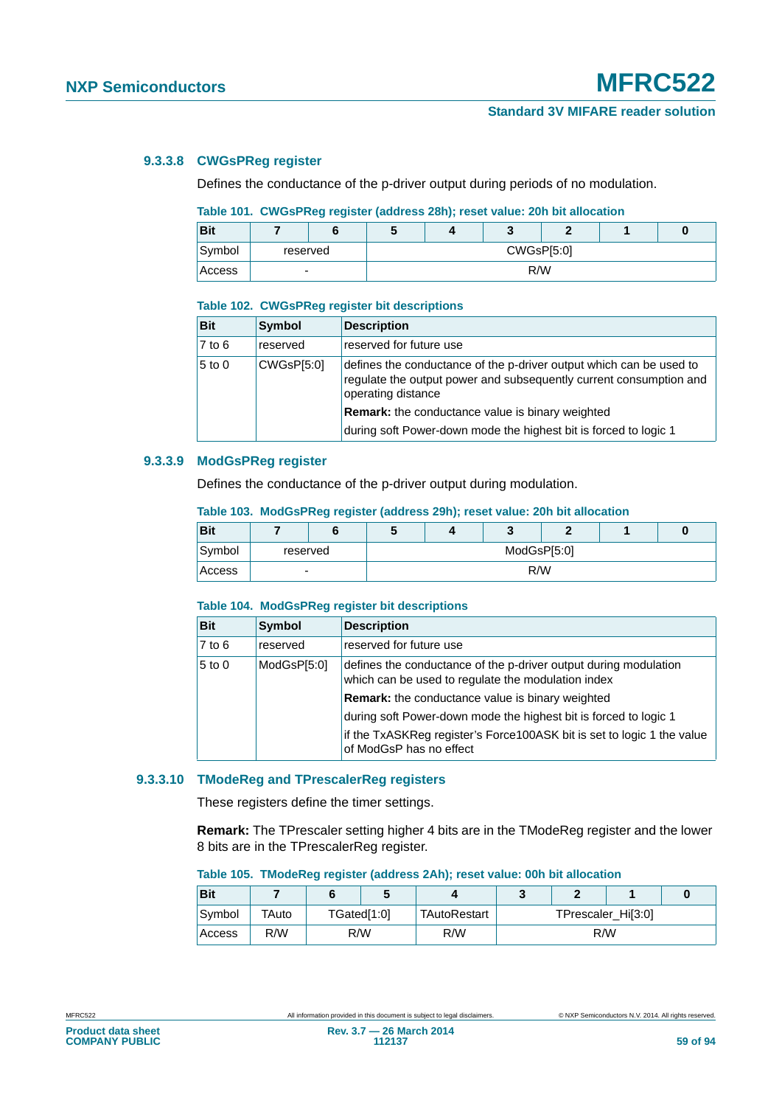## **9.3.3.8 CWGsPReg register**

Defines the conductance of the p-driver output during periods of no modulation.

# **Table 101. CWGsPReg register (address 28h); reset value: 20h bit allocation**

| <b>Bit</b> |                |  |            |  | υ |  |  |
|------------|----------------|--|------------|--|---|--|--|
| Symbol     | reserved       |  | CWGsP[5:0] |  |   |  |  |
| Access     | $\blacksquare$ |  | R/W        |  |   |  |  |

#### **Table 102. CWGsPReg register bit descriptions**

| <b>Bit</b> | <b>Symbol</b> | <b>Description</b>                                                                                                                                              |
|------------|---------------|-----------------------------------------------------------------------------------------------------------------------------------------------------------------|
| $7$ to $6$ | reserved      | reserved for future use                                                                                                                                         |
| $5$ to 0   | CWGsP[5:0]    | defines the conductance of the p-driver output which can be used to<br>regulate the output power and subsequently current consumption and<br>operating distance |
|            |               | Remark: the conductance value is binary weighted                                                                                                                |
|            |               | during soft Power-down mode the highest bit is forced to logic 1                                                                                                |

## **9.3.3.9 ModGsPReg register**

Defines the conductance of the p-driver output during modulation.

## **Table 103. ModGsPReg register (address 29h); reset value: 20h bit allocation**

| <b>Bit</b> |   |          | w           |  |     |  |  | O |  |
|------------|---|----------|-------------|--|-----|--|--|---|--|
| Symbol     |   | reserved | ModGsP[5:0] |  |     |  |  |   |  |
| Access     | ۰ |          |             |  | R/W |  |  |   |  |

#### **Table 104. ModGsPReg register bit descriptions**

| <b>Bit</b> | Symbol      | <b>Description</b>                                                                                                     |
|------------|-------------|------------------------------------------------------------------------------------------------------------------------|
| $7$ to 6   | reserved    | reserved for future use                                                                                                |
| $5$ to 0   | ModGsP[5:0] | defines the conductance of the p-driver output during modulation<br>which can be used to regulate the modulation index |
|            |             | <b>Remark:</b> the conductance value is binary weighted                                                                |
|            |             | during soft Power-down mode the highest bit is forced to logic 1                                                       |
|            |             | if the TxASKReg register's Force100ASK bit is set to logic 1 the value<br>of ModGsP has no effect                      |

#### **9.3.3.10 TModeReg and TPrescalerReg registers**

These registers define the timer settings.

**Remark:** The TPrescaler setting higher 4 bits are in the TModeReg register and the lower 8 bits are in the TPrescalerReg register.

#### **Table 105. TModeReg register (address 2Ah); reset value: 00h bit allocation**

| <b>Bit</b> |       |     |             |              |                    |     |  |  |
|------------|-------|-----|-------------|--------------|--------------------|-----|--|--|
| Symbol     | TAuto |     | TGated[1:0] | TAutoRestart | TPrescaler_Hi[3:0] |     |  |  |
| Access     | R/W   | R/W |             | R/W          |                    | R/W |  |  |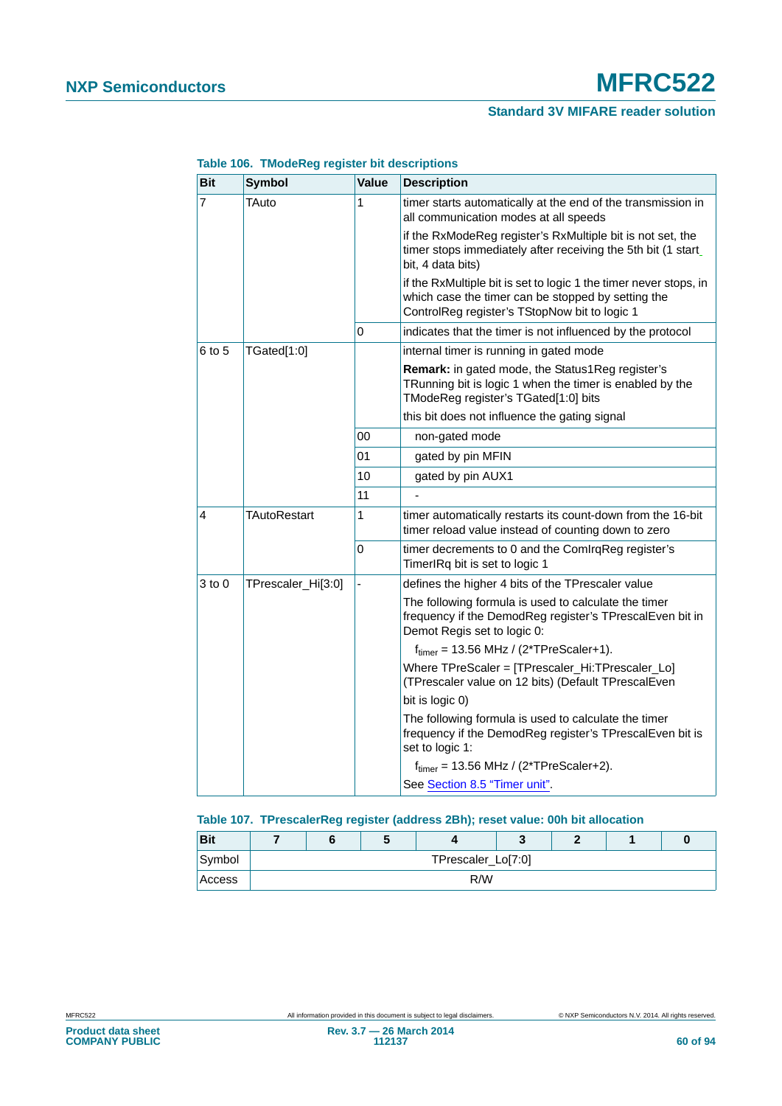# **NXP Semiconductors MFRC522**

# **Standard 3V MIFARE reader solution**

| <b>Bit</b>     | <b>Symbol</b>       | <b>Value</b> | <b>Description</b>                                                                                                                                                       |
|----------------|---------------------|--------------|--------------------------------------------------------------------------------------------------------------------------------------------------------------------------|
| $\overline{7}$ | TAuto               | 1            | timer starts automatically at the end of the transmission in<br>all communication modes at all speeds                                                                    |
|                |                     |              | if the RxModeReg register's RxMultiple bit is not set, the<br>timer stops immediately after receiving the 5th bit (1 start_<br>bit, 4 data bits)                         |
|                |                     |              | if the RxMultiple bit is set to logic 1 the timer never stops, in<br>which case the timer can be stopped by setting the<br>ControlReg register's TStopNow bit to logic 1 |
|                |                     | 0            | indicates that the timer is not influenced by the protocol                                                                                                               |
| 6 to 5         | TGated[1:0]         |              | internal timer is running in gated mode                                                                                                                                  |
|                |                     |              | <b>Remark:</b> in gated mode, the Status1Reg register's<br>TRunning bit is logic 1 when the timer is enabled by the<br>TModeReg register's TGated[1:0] bits              |
|                |                     |              | this bit does not influence the gating signal                                                                                                                            |
|                |                     | 00           | non-gated mode                                                                                                                                                           |
|                |                     | 01           | gated by pin MFIN                                                                                                                                                        |
|                |                     | 10           | gated by pin AUX1                                                                                                                                                        |
|                |                     | 11           |                                                                                                                                                                          |
| 4              | <b>TAutoRestart</b> | 1            | timer automatically restarts its count-down from the 16-bit<br>timer reload value instead of counting down to zero                                                       |
|                |                     | 0            | timer decrements to 0 and the ComlrqReg register's<br>TimerIRq bit is set to logic 1                                                                                     |
| $3$ to $0$     | TPrescaler_Hi[3:0]  |              | defines the higher 4 bits of the TPrescaler value                                                                                                                        |
|                |                     |              | The following formula is used to calculate the timer<br>frequency if the DemodReg register's TPrescalEven bit in<br>Demot Regis set to logic 0:                          |
|                |                     |              | $ftimer = 13.56 MHz / (2*TPreScalar+1).$                                                                                                                                 |
|                |                     |              | Where TPreScaler = [TPrescaler_Hi:TPrescaler_Lo]<br>(TPrescaler value on 12 bits) (Default TPrescalEven                                                                  |
|                |                     |              | bit is logic 0)                                                                                                                                                          |
|                |                     |              | The following formula is used to calculate the timer<br>frequency if the DemodReg register's TPrescalEven bit is<br>set to logic 1:                                      |
|                |                     |              | $ftimer = 13.56 MHz / (2*TPreScalar+2).$                                                                                                                                 |
|                |                     |              | See Section 8.5 "Timer unit".                                                                                                                                            |

#### **Table 106. TModeReg register bit descriptions**

# **Table 107. TPrescalerReg register (address 2Bh); reset value: 00h bit allocation**

| <b>Bit</b> |  |                    |  |  |
|------------|--|--------------------|--|--|
| Symbol     |  | TPrescaler_Lo[7:0] |  |  |
| Access     |  | R/W                |  |  |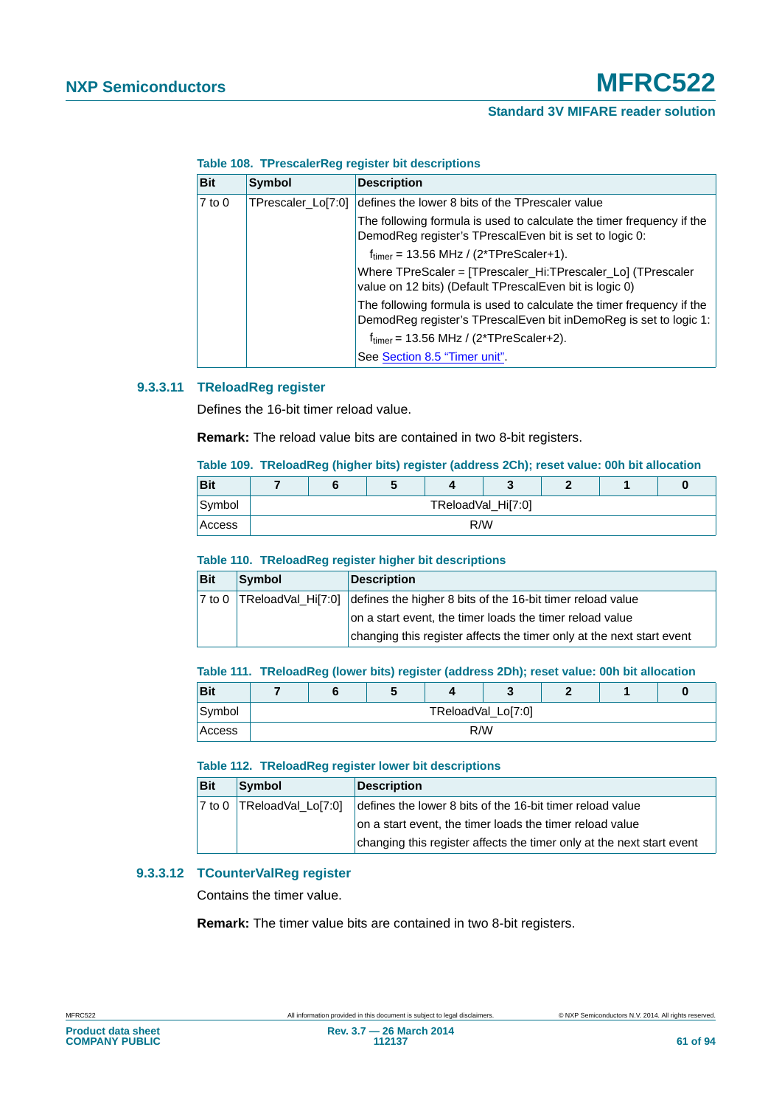|  | Table 108. TPrescalerReg register bit descriptions |  |  |
|--|----------------------------------------------------|--|--|
|--|----------------------------------------------------|--|--|

| <b>Bit</b> | <b>Symbol</b>      | <b>Description</b>                                                                                                                         |
|------------|--------------------|--------------------------------------------------------------------------------------------------------------------------------------------|
| $7$ to $0$ | TPrescaler_Lo[7:0] | defines the lower 8 bits of the TPrescaler value                                                                                           |
|            |                    | The following formula is used to calculate the timer frequency if the<br>DemodReg register's TPrescalEven bit is set to logic 0:           |
|            |                    | $f_{\text{timer}} = 13.56 \text{ MHz} / (2 \text{*TPreScalar+1}).$                                                                         |
|            |                    | Where TPreScaler = [TPrescaler_Hi:TPrescaler_Lo] (TPrescaler<br>value on 12 bits) (Default TPrescalEven bit is logic 0)                    |
|            |                    | The following formula is used to calculate the timer frequency if the<br>DemodReg register's TPrescalEven bit inDemoReg is set to logic 1: |
|            |                    | $f_{\text{timer}}$ = 13.56 MHz / (2*TPreScaler+2).                                                                                         |
|            |                    | See Section 8.5 "Timer unit".                                                                                                              |

## **9.3.3.11 TReloadReg register**

Defines the 16-bit timer reload value.

**Remark:** The reload value bits are contained in two 8-bit registers.

### **Table 109. TReloadReg (higher bits) register (address 2Ch); reset value: 00h bit allocation**

| Bit    |  | w |     |                    |  | U |
|--------|--|---|-----|--------------------|--|---|
| Symbol |  |   |     | TReloadVal_Hi[7:0] |  |   |
| Access |  |   | R/W |                    |  |   |

#### **Table 110. TReloadReg register higher bit descriptions**

| <b>Bit</b> | Symbol | <b>Description</b>                                                                   |
|------------|--------|--------------------------------------------------------------------------------------|
|            |        | 7 to 0 TReloadVal_Hi[7:0] defines the higher 8 bits of the 16-bit timer reload value |
|            |        | on a start event, the timer loads the timer reload value                             |
|            |        | changing this register affects the timer only at the next start event                |

#### **Table 111. TReloadReg (lower bits) register (address 2Dh); reset value: 00h bit allocation**

| Bit    |  | Ð |                    |  | U |
|--------|--|---|--------------------|--|---|
| Symbol |  |   | TReloadVal_Lo[7:0] |  |   |
| Access |  |   | R/W                |  |   |

#### **Table 112. TReloadReg register lower bit descriptions**

| <b>Bit</b> | Symbol                      | <b>Description</b>                                                    |
|------------|-----------------------------|-----------------------------------------------------------------------|
|            | 7 to 0   TReloadVal_Lo[7:0] | defines the lower 8 bits of the 16-bit timer reload value             |
|            |                             | on a start event, the timer loads the timer reload value              |
|            |                             | changing this register affects the timer only at the next start event |

# **9.3.3.12 TCounterValReg register**

Contains the timer value.

**Remark:** The timer value bits are contained in two 8-bit registers.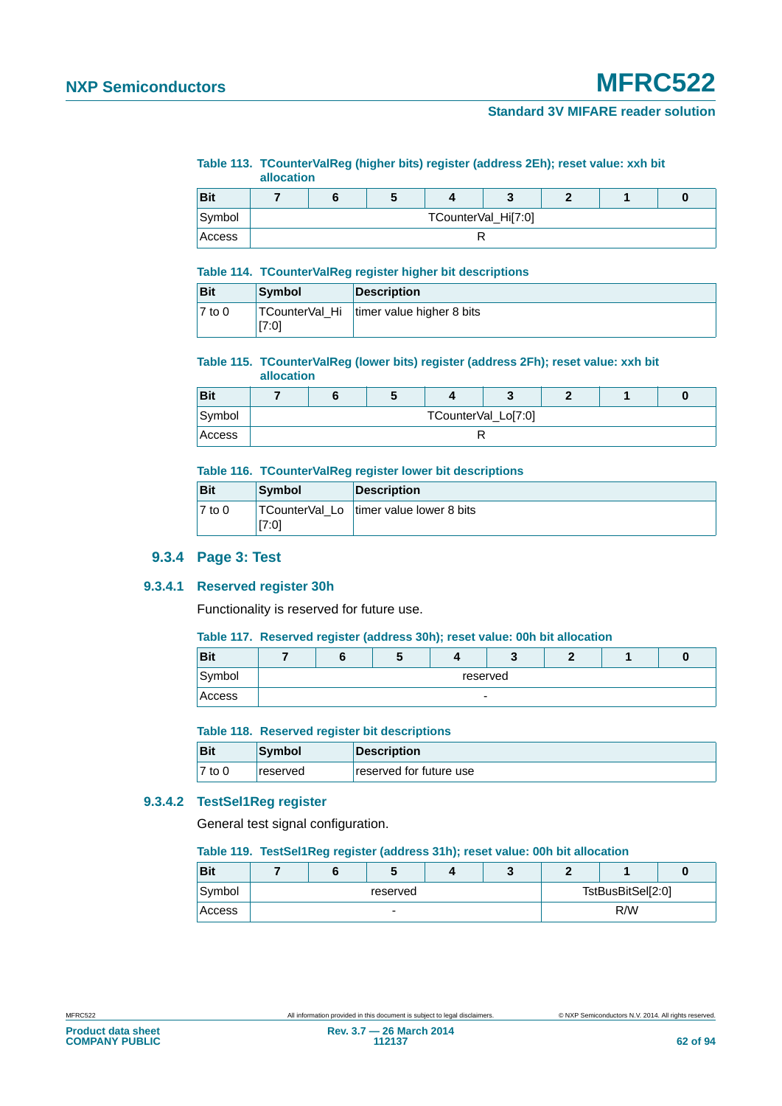# **NXP Semiconductors MFRC522**

# **Standard 3V MIFARE reader solution**

#### **Table 113. TCounterValReg (higher bits) register (address 2Eh); reset value: xxh bit allocation**

|        | -------------- |                     |  |  |  |  |  |   |
|--------|----------------|---------------------|--|--|--|--|--|---|
| Bit    |                |                     |  |  |  |  |  | U |
| Symbol |                | TCounterVal_Hi[7:0] |  |  |  |  |  |   |
| Access |                |                     |  |  |  |  |  |   |

#### **Table 114. TCounterValReg register higher bit descriptions**

| <b>Bit</b>          | Symbol | <b>Description</b>                         |
|---------------------|--------|--------------------------------------------|
| $\overline{7}$ to 0 | [7:0]  | TCounterVal_Hi   timer value higher 8 bits |

# **Table 115. TCounterValReg (lower bits) register (address 2Fh); reset value: xxh bit**

| allocation |  |
|------------|--|
|            |  |

| <b>Bit</b> |                     |  |  |  |  |  |  |  |
|------------|---------------------|--|--|--|--|--|--|--|
| Symbol     | TCounterVal_Lo[7:0] |  |  |  |  |  |  |  |
| Access     |                     |  |  |  |  |  |  |  |

## **Table 116. TCounterValReg register lower bit descriptions**

| <b>Bit</b> | Symbol                  | <b>Description</b>       |
|------------|-------------------------|--------------------------|
| $7$ to 0   | TCounterVal_Lo<br>[7:0] | timer value lower 8 bits |

# **9.3.4 Page 3: Test**

# **9.3.4.1 Reserved register 30h**

Functionality is reserved for future use.

#### **Table 117. Reserved register (address 30h); reset value: 00h bit allocation**

| <b>Bit</b> |          |  |  |  |  |  |  |  |
|------------|----------|--|--|--|--|--|--|--|
| Symbol     | reserved |  |  |  |  |  |  |  |
| Access     |          |  |  |  |  |  |  |  |

#### **Table 118. Reserved register bit descriptions**

| Bit    | <b>Symbol</b>   | <b>Description</b>      |
|--------|-----------------|-------------------------|
| 7 to 0 | <b>reserved</b> | reserved for future use |

# **9.3.4.2 TestSel1Reg register**

General test signal configuration.

#### **Table 119. TestSel1Reg register (address 31h); reset value: 00h bit allocation**

| <b>Bit</b> |  | J        |                   |     |  |  |  |
|------------|--|----------|-------------------|-----|--|--|--|
| Symbol     |  | reserved | TstBusBitSel[2:0] |     |  |  |  |
| Access     |  | -        |                   | R/W |  |  |  |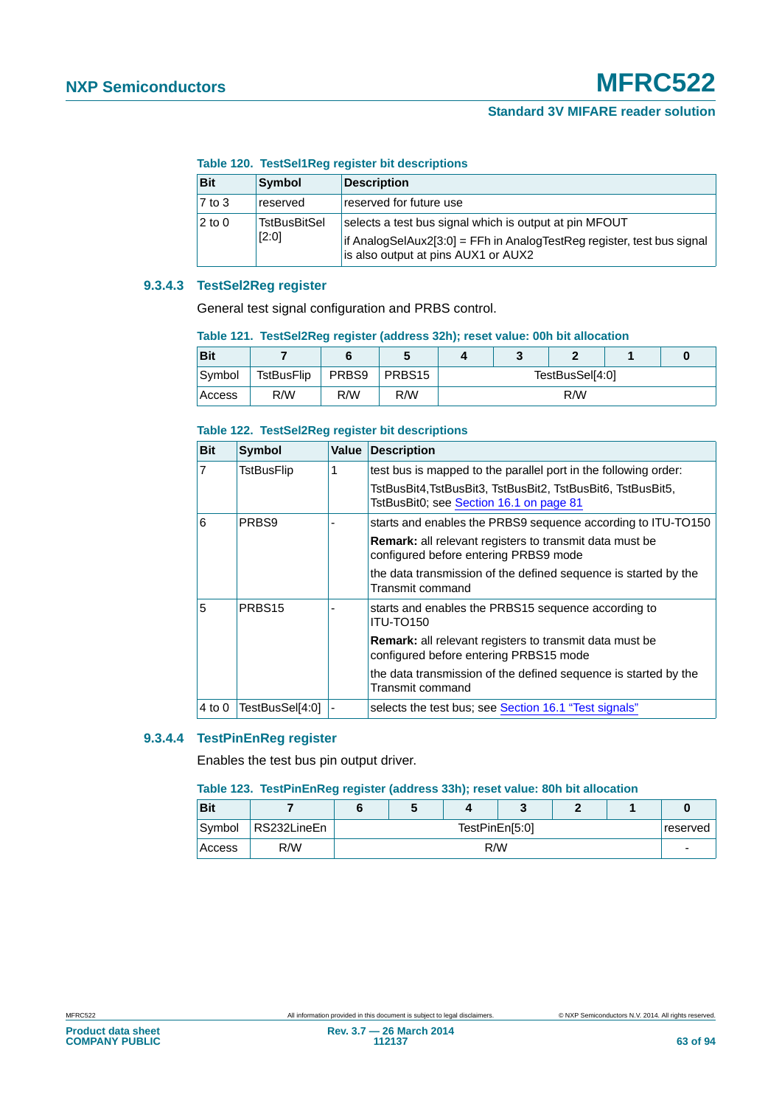#### **Table 120. TestSel1Reg register bit descriptions**

| <b>Bit</b> | Symbol                       | <b>Description</b>                                                                                                                                                      |
|------------|------------------------------|-------------------------------------------------------------------------------------------------------------------------------------------------------------------------|
| $7$ to $3$ | reserved                     | reserved for future use                                                                                                                                                 |
| $2$ to $0$ | <b>TstBusBitSel</b><br>[2:0] | selects a test bus signal which is output at pin MFOUT<br>if AnalogSelAux2[3:0] = FFh in AnalogTestReg register, test bus signal<br>is also output at pins AUX1 or AUX2 |

# **9.3.4.3 TestSel2Reg register**

General test signal configuration and PRBS control.

#### **Table 121. TestSel2Reg register (address 32h); reset value: 00h bit allocation**

| Bit     |            |       | u      |                 | w |     |  |
|---------|------------|-------|--------|-----------------|---|-----|--|
| Symbol  | TstBusFlip | PRBS9 | PRBS15 | TestBusSel[4:0] |   |     |  |
| ⊦Access | R/W        | R/W   | R/W    |                 |   | R/W |  |

#### **Table 122. TestSel2Reg register bit descriptions**

| <b>Bit</b>     | <b>Symbol</b>      | Value | <b>Description</b>                                                                                       |
|----------------|--------------------|-------|----------------------------------------------------------------------------------------------------------|
| $\overline{7}$ | TstBusFlip         |       | test bus is mapped to the parallel port in the following order:                                          |
|                |                    |       | TstBusBit4,TstBusBit3, TstBusBit2, TstBusBit6, TstBusBit5,<br>TstBusBit0; see Section 16.1 on page 81    |
| 6              | PRBS9              |       | starts and enables the PRBS9 sequence according to ITU-TO150                                             |
|                |                    |       | <b>Remark:</b> all relevant registers to transmit data must be<br>configured before entering PRBS9 mode  |
|                |                    |       | the data transmission of the defined sequence is started by the<br>Transmit command                      |
| 5              | PRBS <sub>15</sub> |       | starts and enables the PRBS15 sequence according to<br><b>ITU-TO150</b>                                  |
|                |                    |       | <b>Remark:</b> all relevant registers to transmit data must be<br>configured before entering PRBS15 mode |
|                |                    |       | the data transmission of the defined sequence is started by the<br>Transmit command                      |
| 4 to 0         | TestBusSel[4:0]    |       | selects the test bus; see Section 16.1 "Test signals"                                                    |

#### **9.3.4.4 TestPinEnReg register**

Enables the test bus pin output driver.

#### **Table 123. TestPinEnReg register (address 33h); reset value: 80h bit allocation**

| <b>Bit</b> |             |                            |  |  |  |  |  |  |  |
|------------|-------------|----------------------------|--|--|--|--|--|--|--|
| Symbol     | RS232LineEn | TestPinEn[5:0]<br>reserved |  |  |  |  |  |  |  |
| Access     | R/W         | R/W                        |  |  |  |  |  |  |  |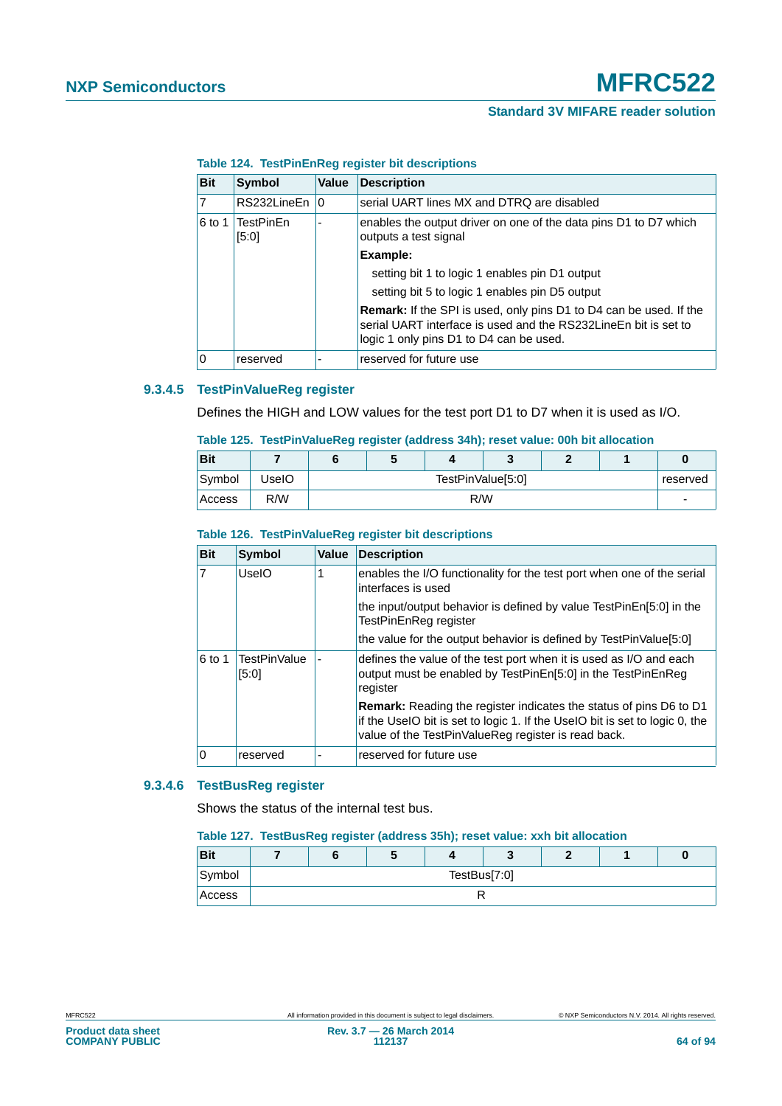| <b>Bit</b> | <b>Symbol</b>      | Value | <b>Description</b>                                                                                                                                                               |
|------------|--------------------|-------|----------------------------------------------------------------------------------------------------------------------------------------------------------------------------------|
|            | RS232LineEn        | 10    | serial UART lines MX and DTRQ are disabled                                                                                                                                       |
| 6 to 1     | TestPinFn<br>[5:0] |       | enables the output driver on one of the data pins D1 to D7 which<br>outputs a test signal                                                                                        |
|            |                    |       | Example:                                                                                                                                                                         |
|            |                    |       | setting bit 1 to logic 1 enables pin D1 output                                                                                                                                   |
|            |                    |       | setting bit 5 to logic 1 enables pin D5 output                                                                                                                                   |
|            |                    |       | Remark: If the SPI is used, only pins D1 to D4 can be used. If the<br>serial UART interface is used and the RS232LineEn bit is set to<br>logic 1 only pins D1 to D4 can be used. |
|            | reserved           |       | reserved for future use                                                                                                                                                          |

#### **Table 124. TestPinEnReg register bit descriptions**

# **9.3.4.5 TestPinValueReg register**

Defines the HIGH and LOW values for the test port D1 to D7 when it is used as I/O.

|  | Table 125. TestPinValueReg register (address 34h); reset value: 00h bit allocation |  |  |  |  |  |  |  |  |
|--|------------------------------------------------------------------------------------|--|--|--|--|--|--|--|--|
|--|------------------------------------------------------------------------------------|--|--|--|--|--|--|--|--|

| <b>Bit</b> |       |                               | J   |  |  |  |  |  |  |
|------------|-------|-------------------------------|-----|--|--|--|--|--|--|
| Symbol     | UseIO | TestPinValue[5:0]<br>reserved |     |  |  |  |  |  |  |
| Access     | R/W   |                               | R/W |  |  |  |  |  |  |

#### **Table 126. TestPinValueReg register bit descriptions**

| <b>Bit</b> | <b>Symbol</b>                | <b>Value</b> | <b>Description</b>                                                                                                                                                                                              |
|------------|------------------------------|--------------|-----------------------------------------------------------------------------------------------------------------------------------------------------------------------------------------------------------------|
| 7          | UselO                        |              | enables the I/O functionality for the test port when one of the serial<br>interfaces is used                                                                                                                    |
|            |                              |              | the input/output behavior is defined by value TestPinEn[5:0] in the<br>TestPinEnReg register                                                                                                                    |
|            |                              |              | the value for the output behavior is defined by TestPinValue[5:0]                                                                                                                                               |
| $6$ to 1   | <b>TestPinValue</b><br>[5:0] |              | defines the value of the test port when it is used as I/O and each<br>output must be enabled by TestPinEn[5:0] in the TestPinEnReg<br>register                                                                  |
|            |                              |              | <b>Remark:</b> Reading the register indicates the status of pins D6 to D1<br>if the UseIO bit is set to logic 1. If the UseIO bit is set to logic 0, the<br>value of the TestPinValueReg register is read back. |
| ١o         | reserved                     |              | reserved for future use                                                                                                                                                                                         |

# **9.3.4.6 TestBusReg register**

Shows the status of the internal test bus.

#### **Table 127. TestBusReg register (address 35h); reset value: xxh bit allocation**

| <b>Bit</b> |  |              | $\overline{\phantom{a}}$ |  |  |  |  |  |  |  |  |
|------------|--|--------------|--------------------------|--|--|--|--|--|--|--|--|
| Symbol     |  | TestBus[7:0] |                          |  |  |  |  |  |  |  |  |
| Access     |  |              |                          |  |  |  |  |  |  |  |  |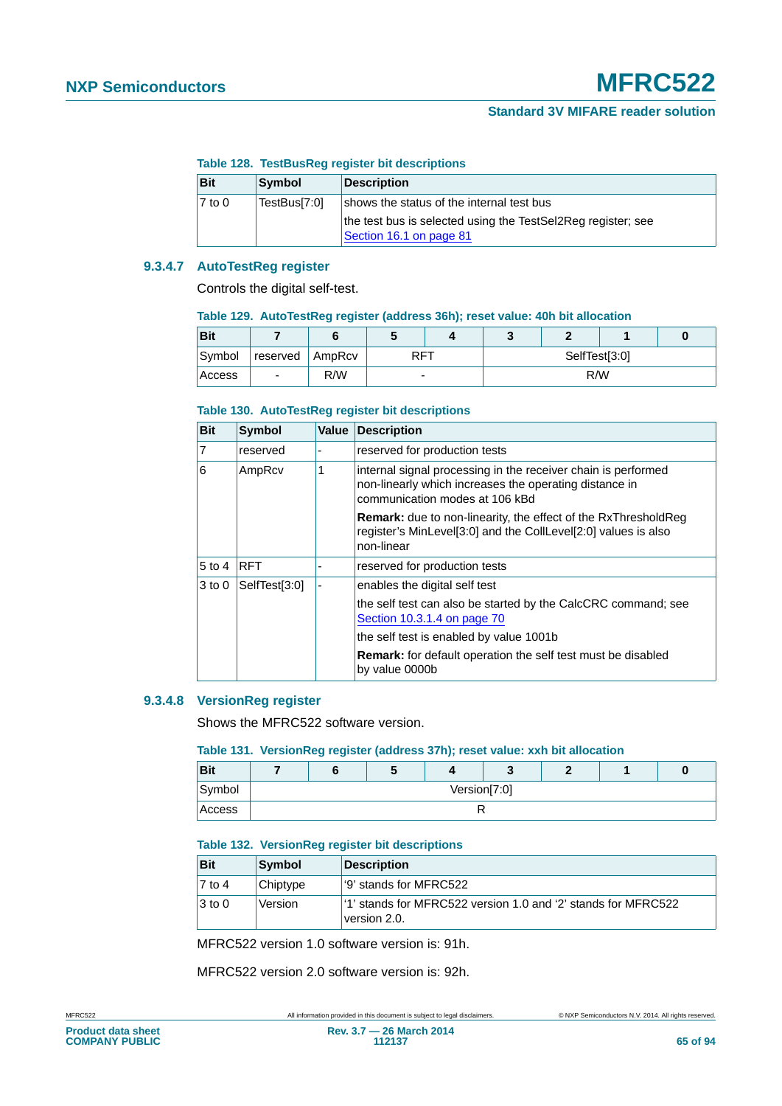## **Table 128. TestBusReg register bit descriptions**

| <b>Bit</b> | <b>Symbol</b> | <b>Description</b>                                                                      |
|------------|---------------|-----------------------------------------------------------------------------------------|
| $7$ to 0   | TestBus[7:0]  | shows the status of the internal test bus                                               |
|            |               | the test bus is selected using the TestSel2Reg register; see<br>Section 16.1 on page 81 |

# **9.3.4.7 AutoTestReg register**

Controls the digital self-test.

#### **Table 129. AutoTestReg register (address 36h); reset value: 40h bit allocation**

| <b>Bit</b> |                          |     |                          |  |               |  |  |  |  |
|------------|--------------------------|-----|--------------------------|--|---------------|--|--|--|--|
| Symbol     | reserved   AmpRcv        |     | <b>RFT</b>               |  | SelfTest[3:0] |  |  |  |  |
| Access     | $\overline{\phantom{0}}$ | R/W | $\overline{\phantom{0}}$ |  | R/W           |  |  |  |  |

#### **Table 130. AutoTestReg register bit descriptions**

| <b>Bit</b>     | <b>Symbol</b> | Value | <b>Description</b>                                                                                                                                        |
|----------------|---------------|-------|-----------------------------------------------------------------------------------------------------------------------------------------------------------|
| $\overline{7}$ | reserved      |       | reserved for production tests                                                                                                                             |
| 6              | AmpRcv        | 1     | internal signal processing in the receiver chain is performed<br>non-linearly which increases the operating distance in<br>communication modes at 106 kBd |
|                |               |       | <b>Remark:</b> due to non-linearity, the effect of the RxThresholdReg<br>register's MinLevel[3:0] and the CollLevel[2:0] values is also<br>non-linear     |
| $5$ to 4       | <b>RFT</b>    |       | reserved for production tests                                                                                                                             |
| $3$ to 0       | SelfTest[3:0] |       | enables the digital self test                                                                                                                             |
|                |               |       | the self test can also be started by the CalcCRC command; see<br>Section 10.3.1.4 on page 70                                                              |
|                |               |       | the self test is enabled by value 1001b                                                                                                                   |
|                |               |       | <b>Remark:</b> for default operation the self test must be disabled<br>by value 0000b                                                                     |

# **9.3.4.8 VersionReg register**

Shows the MFRC522 software version.

#### **Table 131. VersionReg register (address 37h); reset value: xxh bit allocation**

| <b>Bit</b> |  |              | $\cdot$ |  |  |  |  |  |  |  |
|------------|--|--------------|---------|--|--|--|--|--|--|--|
| Symbol     |  | Version[7:0] |         |  |  |  |  |  |  |  |
| Access     |  |              |         |  |  |  |  |  |  |  |

## **Table 132. VersionReg register bit descriptions**

| <b>Bit</b>          | Symbol   | Description                                                                               |
|---------------------|----------|-------------------------------------------------------------------------------------------|
| $\overline{7}$ to 4 | Chiptype | 19' stands for MFRC522                                                                    |
| $ 3 \text{ to } 0$  | Version  | <sup>1</sup> 1' stands for MFRC522 version 1.0 and '2' stands for MFRC522<br>version 2.0. |

MFRC522 version 1.0 software version is: 91h.

MFRC522 version 2.0 software version is: 92h.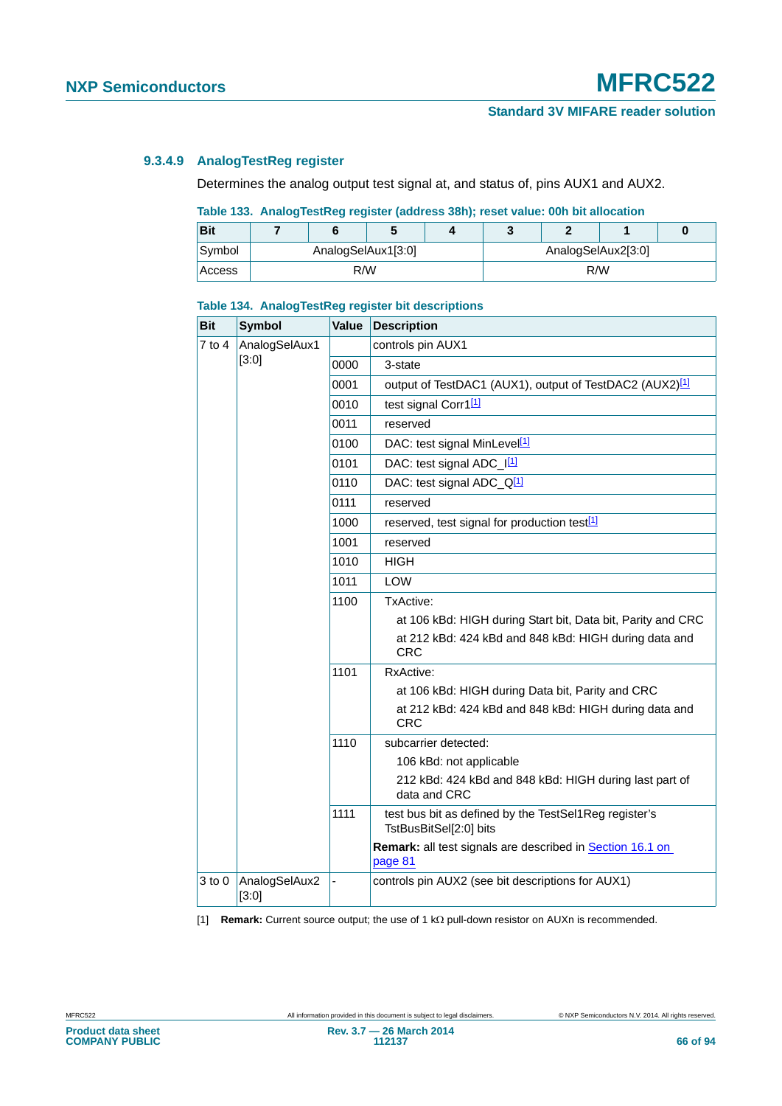# **9.3.4.9 AnalogTestReg register**

Determines the analog output test signal at, and status of, pins AUX1 and AUX2.

# **Table 133. AnalogTestReg register (address 38h); reset value: 00h bit allocation**

| <b>Bit</b> |                    |  |                    |     |  |  |  |
|------------|--------------------|--|--------------------|-----|--|--|--|
| Symbol     | AnalogSelAux1[3:0] |  | AnalogSelAux2[3:0] |     |  |  |  |
| Access     | R/W                |  |                    | R/W |  |  |  |

| <b>Bit</b> | <b>Symbol</b>          | Value | <b>Description</b>                                                              |  |  |  |
|------------|------------------------|-------|---------------------------------------------------------------------------------|--|--|--|
| 7 to 4     | AnalogSelAux1          |       | controls pin AUX1                                                               |  |  |  |
|            | [3:0]                  | 0000  | 3-state                                                                         |  |  |  |
|            |                        | 0001  | output of TestDAC1 (AUX1), output of TestDAC2 (AUX2) <sup>[1]</sup>             |  |  |  |
|            |                        | 0010  | test signal Corr1[1]                                                            |  |  |  |
|            |                        | 0011  | reserved                                                                        |  |  |  |
|            |                        | 0100  | DAC: test signal MinLevel <sup>[1]</sup>                                        |  |  |  |
|            |                        | 0101  | DAC: test signal ADC_I[1]                                                       |  |  |  |
|            |                        | 0110  | DAC: test signal ADC_Q <sup>[1]</sup>                                           |  |  |  |
|            |                        | 0111  | reserved                                                                        |  |  |  |
|            |                        | 1000  | reserved, test signal for production test <sup>[1]</sup>                        |  |  |  |
|            |                        | 1001  | reserved                                                                        |  |  |  |
|            |                        | 1010  | HIGH                                                                            |  |  |  |
|            |                        | 1011  | <b>LOW</b>                                                                      |  |  |  |
|            |                        | 1100  | TxActive:                                                                       |  |  |  |
|            |                        |       | at 106 kBd: HIGH during Start bit, Data bit, Parity and CRC                     |  |  |  |
|            |                        |       | at 212 kBd: 424 kBd and 848 kBd: HIGH during data and<br><b>CRC</b>             |  |  |  |
|            |                        | 1101  | RxActive:                                                                       |  |  |  |
|            |                        |       | at 106 kBd: HIGH during Data bit, Parity and CRC                                |  |  |  |
|            |                        |       | at 212 kBd: 424 kBd and 848 kBd: HIGH during data and<br><b>CRC</b>             |  |  |  |
|            |                        | 1110  | subcarrier detected:                                                            |  |  |  |
|            |                        |       | 106 kBd: not applicable                                                         |  |  |  |
|            |                        |       | 212 kBd: 424 kBd and 848 kBd: HIGH during last part of<br>data and CRC          |  |  |  |
|            |                        | 1111  | test bus bit as defined by the TestSel1Reg register's<br>TstBusBitSel[2:0] bits |  |  |  |
|            |                        |       | Remark: all test signals are described in Section 16.1 on<br>page 81            |  |  |  |
| 3 to 0     | AnalogSelAux2<br>[3:0] |       | controls pin AUX2 (see bit descriptions for AUX1)                               |  |  |  |

#### **Table 134. AnalogTestReg register bit descriptions**

<span id="page-65-0"></span>[1] **Remark:** Current source output; the use of 1 k $\Omega$  pull-down resistor on AUXn is recommended.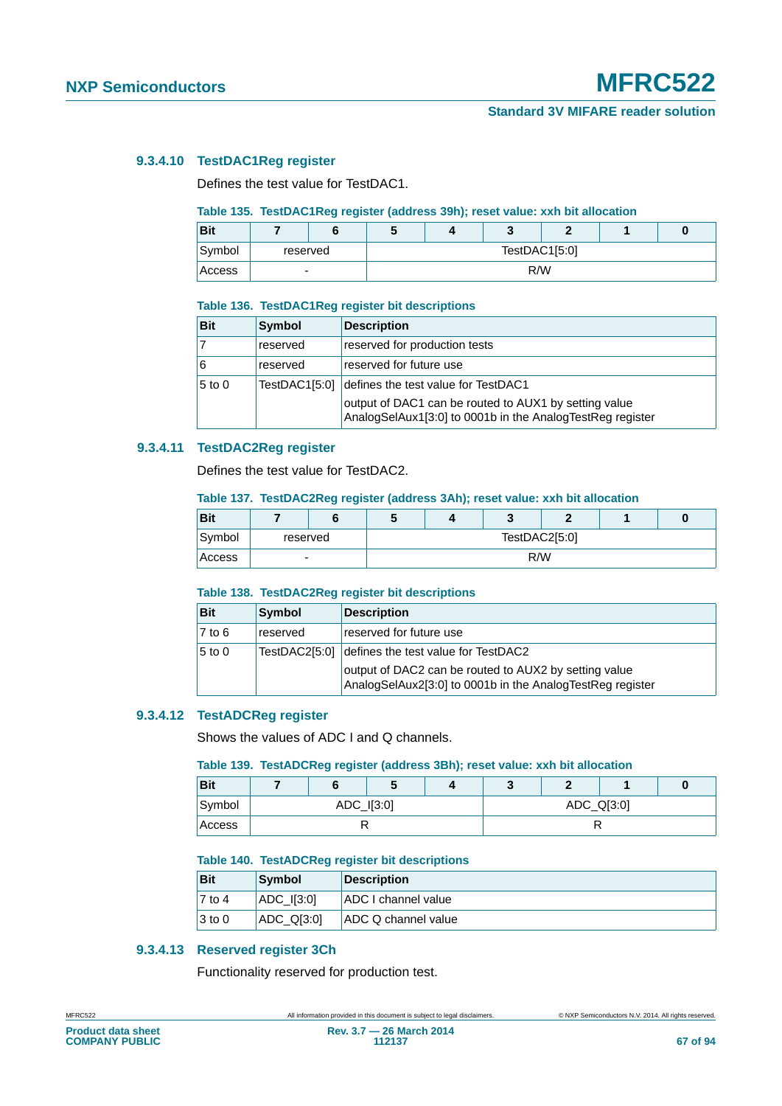# **9.3.4.10 TestDAC1Reg register**

Defines the test value for TestDAC1.

# **Table 135. TestDAC1Reg register (address 39h); reset value: xxh bit allocation**

| <b>Bit</b> |   |          |               |  |  |  |  |  |
|------------|---|----------|---------------|--|--|--|--|--|
| Symbol     |   | reserved | TestDAC1[5:0] |  |  |  |  |  |
| Access     | - |          | R/W           |  |  |  |  |  |

#### **Table 136. TestDAC1Reg register bit descriptions**

| <b>Bit</b> | <b>Symbol</b> | <b>Description</b>                                                                                                 |
|------------|---------------|--------------------------------------------------------------------------------------------------------------------|
| 17         | reserved      | reserved for production tests                                                                                      |
| 16         | reserved      | reserved for future use                                                                                            |
| $5$ to 0   | TestDAC1[5:0] | defines the test value for TestDAC1                                                                                |
|            |               | output of DAC1 can be routed to AUX1 by setting value<br>AnalogSelAux1[3:0] to 0001b in the AnalogTestReg register |

## **9.3.4.11 TestDAC2Reg register**

Defines the test value for TestDAC2.

#### **Table 137. TestDAC2Reg register (address 3Ah); reset value: xxh bit allocation**

| <b>Bit</b> |   |          |               |  |  |  |  |  |
|------------|---|----------|---------------|--|--|--|--|--|
| Symbol     |   | reserved | TestDAC2[5:0] |  |  |  |  |  |
| Access     | - |          | R/W           |  |  |  |  |  |

#### **Table 138. TestDAC2Reg register bit descriptions**

| <b>Bit</b> | Symbol        | <b>Description</b>                                                                                                 |
|------------|---------------|--------------------------------------------------------------------------------------------------------------------|
| $7$ to 6   | reserved      | reserved for future use                                                                                            |
| $5$ to 0   | TestDAC2[5:0] | defines the test value for TestDAC2                                                                                |
|            |               | output of DAC2 can be routed to AUX2 by setting value<br>AnalogSelAux2[3:0] to 0001b in the AnalogTestReg register |

# **9.3.4.12 TestADCReg register**

Shows the values of ADC I and Q channels.

#### **Table 139. TestADCReg register (address 3Bh); reset value: xxh bit allocation**

| <b>Bit</b> |  | w          |            |  |  |  |  |
|------------|--|------------|------------|--|--|--|--|
| Symbol     |  | ADC_I[3:0] | ADC_Q[3:0] |  |  |  |  |
| Access     |  |            |            |  |  |  |  |

#### **Table 140. TestADCReg register bit descriptions**

| Bit                | Symbol          | Description                |
|--------------------|-----------------|----------------------------|
| $ 7 \text{ to } 4$ | $ADC$ $I[3:0]$  | <b>ADC I channel value</b> |
| $ 3 \text{ to } 0$ | $ADC$ Q $[3:0]$ | <b>ADC Q channel value</b> |

# **9.3.4.13 Reserved register 3Ch**

Functionality reserved for production test.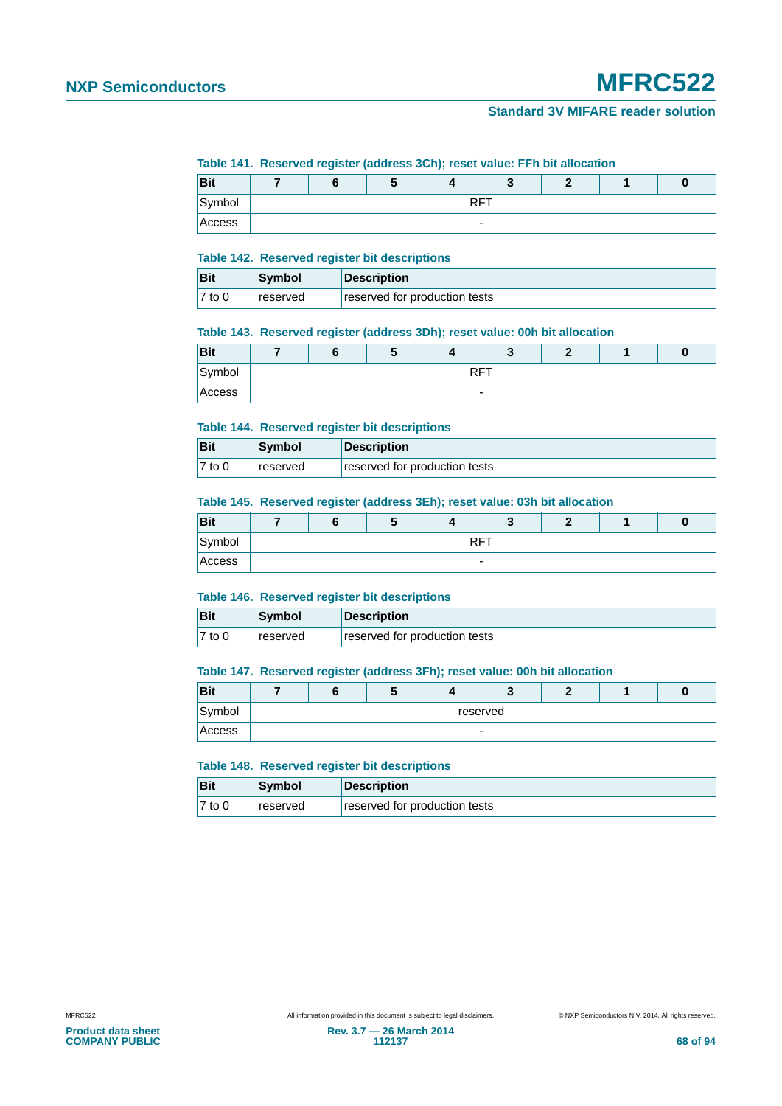# **NXP Semiconductors MFRC522**

# **Standard 3V MIFARE reader solution**

#### **Table 141. Reserved register (address 3Ch); reset value: FFh bit allocation**

| <b>Bit</b> |  |                          |  |  |  |
|------------|--|--------------------------|--|--|--|
| Symbol     |  | <b>RFT</b>               |  |  |  |
| Access     |  | $\overline{\phantom{0}}$ |  |  |  |

#### **Table 142. Reserved register bit descriptions**

| <b>Bit</b>          | Symbol          | <b>Description</b>            |
|---------------------|-----------------|-------------------------------|
| $\overline{7}$ to 0 | <b>reserved</b> | reserved for production tests |

#### **Table 143. Reserved register (address 3Dh); reset value: 00h bit allocation**

| <b>Bit</b> |                 | m | w |                          |  |  |  | u |
|------------|-----------------|---|---|--------------------------|--|--|--|---|
| Symbol     | <b>RFT</b><br>. |   |   |                          |  |  |  |   |
| Access     |                 |   |   | $\overline{\phantom{0}}$ |  |  |  |   |

#### **Table 144. Reserved register bit descriptions**

| <b>Bit</b> | <b>Symbol</b>   | <b>Description</b>            |
|------------|-----------------|-------------------------------|
| $7$ to 0   | <b>reserved</b> | reserved for production tests |

#### **Table 145. Reserved register (address 3Eh); reset value: 03h bit allocation**

| <b>Bit</b> |  |                          |  |  |
|------------|--|--------------------------|--|--|
| Symbol     |  | <b>DET</b><br>w          |  |  |
| Access     |  | $\overline{\phantom{0}}$ |  |  |

#### **Table 146. Reserved register bit descriptions**

| Bit       | <b>Symbol</b> | Description                   |
|-----------|---------------|-------------------------------|
| $ 7$ to 0 | reserved      | reserved for production tests |

#### **Table 147. Reserved register (address 3Fh); reset value: 00h bit allocation**

| <b>Bit</b> |                          |  |  |  |  | œ |  |  |
|------------|--------------------------|--|--|--|--|---|--|--|
| Symbol     | reserved                 |  |  |  |  |   |  |  |
| Access     | $\overline{\phantom{0}}$ |  |  |  |  |   |  |  |

#### **Table 148. Reserved register bit descriptions**

| Bit       | Symbol   | Description                   |
|-----------|----------|-------------------------------|
| $ 7$ to 0 | reserved | reserved for production tests |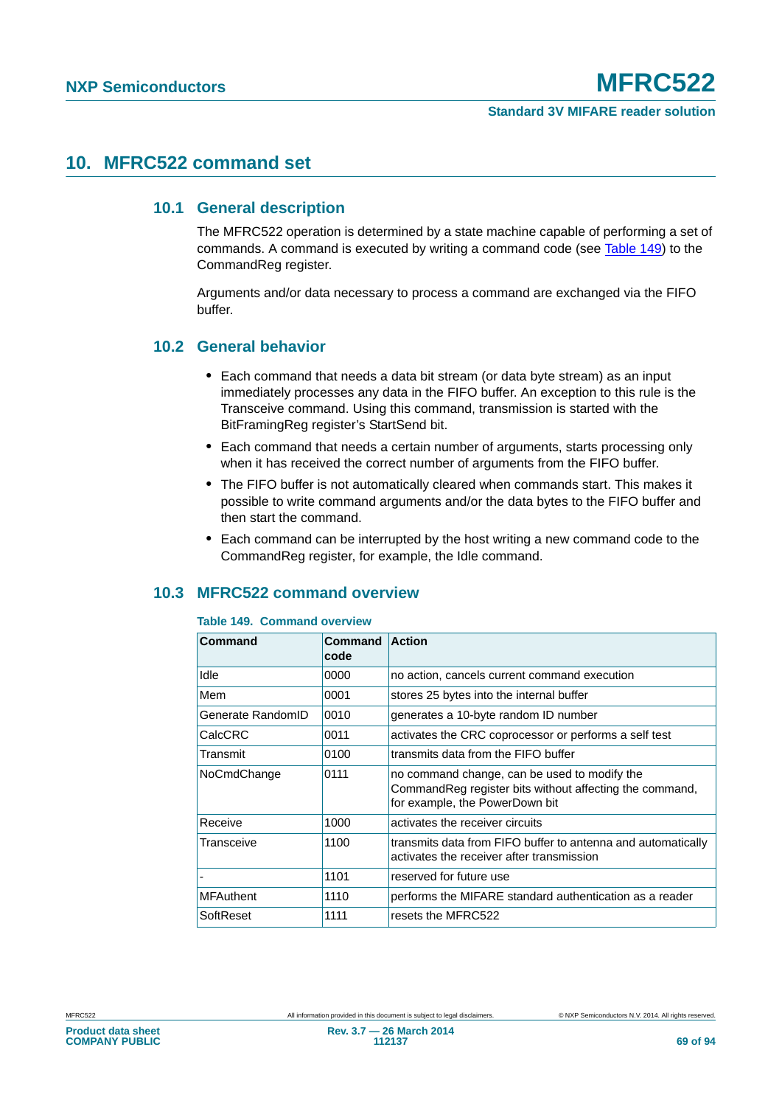# **10. MFRC522 command set**

# **10.1 General description**

The MFRC522 operation is determined by a state machine capable of performing a set of commands. A command is executed by writing a command code (see [Table 149\)](#page-68-1) to the CommandReg register.

Arguments and/or data necessary to process a command are exchanged via the FIFO buffer.

# **10.2 General behavior**

- **•** Each command that needs a data bit stream (or data byte stream) as an input immediately processes any data in the FIFO buffer. An exception to this rule is the Transceive command. Using this command, transmission is started with the BitFramingReg register's StartSend bit.
- **•** Each command that needs a certain number of arguments, starts processing only when it has received the correct number of arguments from the FIFO buffer.
- **•** The FIFO buffer is not automatically cleared when commands start. This makes it possible to write command arguments and/or the data bytes to the FIFO buffer and then start the command.
- **•** Each command can be interrupted by the host writing a new command code to the CommandReg register, for example, the Idle command.

# <span id="page-68-0"></span>**10.3 MFRC522 command overview**

#### <span id="page-68-1"></span>**Table 149. Command overview**

| Command           | Command<br>code | <b>Action</b>                                                                                                                              |
|-------------------|-----------------|--------------------------------------------------------------------------------------------------------------------------------------------|
| Idle              | 0000            | no action, cancels current command execution                                                                                               |
| Mem               | 0001            | stores 25 bytes into the internal buffer                                                                                                   |
| Generate RandomID | 0010            | generates a 10-byte random ID number                                                                                                       |
| CalcCRC           | 0011            | activates the CRC coprocessor or performs a self test                                                                                      |
| Transmit          | 0100            | transmits data from the FIFO buffer                                                                                                        |
| NoCmdChange       | 0111            | no command change, can be used to modify the<br>Command Reg register bits without affecting the command,<br>for example, the PowerDown bit |
| Receive           | 1000            | activates the receiver circuits                                                                                                            |
| Transceive        | 1100            | transmits data from FIFO buffer to antenna and automatically<br>activates the receiver after transmission                                  |
|                   | 1101            | reserved for future use                                                                                                                    |
| <b>MFAuthent</b>  | 1110            | performs the MIFARE standard authentication as a reader                                                                                    |
| SoftReset         | 1111            | resets the MFRC522                                                                                                                         |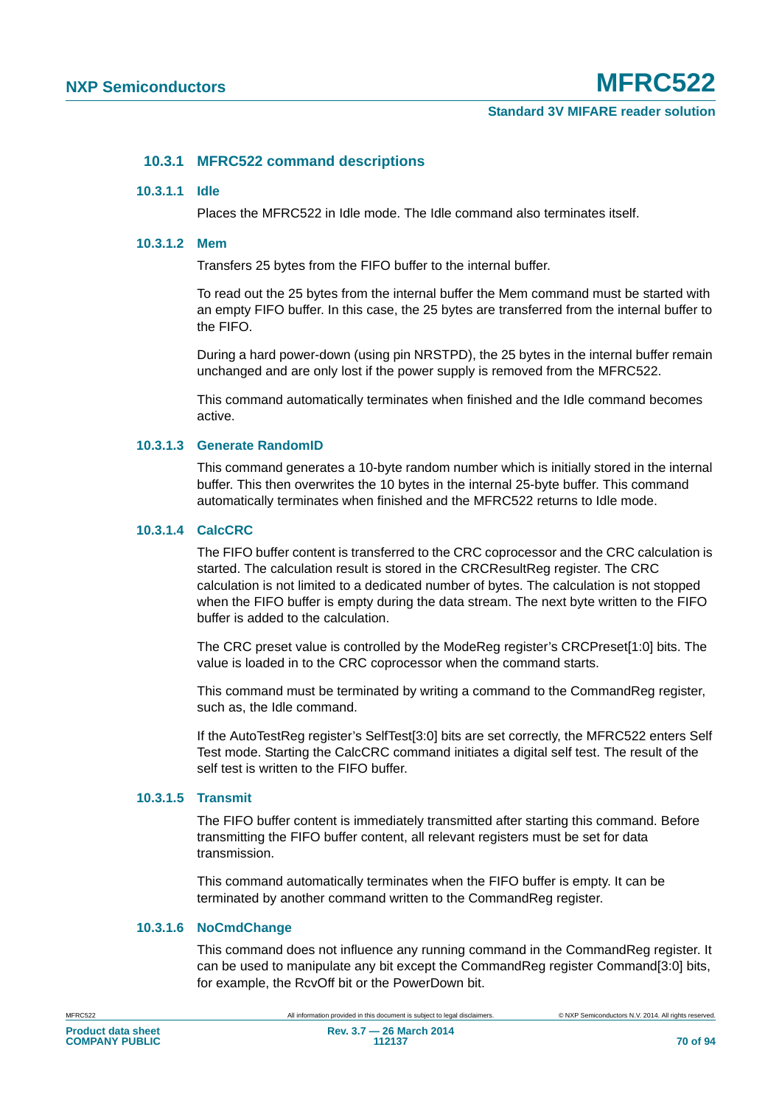# **10.3.1 MFRC522 command descriptions**

#### **10.3.1.1 Idle**

Places the MFRC522 in Idle mode. The Idle command also terminates itself.

#### **10.3.1.2 Mem**

Transfers 25 bytes from the FIFO buffer to the internal buffer.

To read out the 25 bytes from the internal buffer the Mem command must be started with an empty FIFO buffer. In this case, the 25 bytes are transferred from the internal buffer to the FIFO.

During a hard power-down (using pin NRSTPD), the 25 bytes in the internal buffer remain unchanged and are only lost if the power supply is removed from the MFRC522.

This command automatically terminates when finished and the Idle command becomes active.

#### **10.3.1.3 Generate RandomID**

This command generates a 10-byte random number which is initially stored in the internal buffer. This then overwrites the 10 bytes in the internal 25-byte buffer. This command automatically terminates when finished and the MFRC522 returns to Idle mode.

#### <span id="page-69-0"></span>**10.3.1.4 CalcCRC**

The FIFO buffer content is transferred to the CRC coprocessor and the CRC calculation is started. The calculation result is stored in the CRCResultReg register. The CRC calculation is not limited to a dedicated number of bytes. The calculation is not stopped when the FIFO buffer is empty during the data stream. The next byte written to the FIFO buffer is added to the calculation.

The CRC preset value is controlled by the ModeReg register's CRCPreset[1:0] bits. The value is loaded in to the CRC coprocessor when the command starts.

This command must be terminated by writing a command to the CommandReg register, such as, the Idle command.

If the AutoTestReg register's SelfTest[3:0] bits are set correctly, the MFRC522 enters Self Test mode. Starting the CalcCRC command initiates a digital self test. The result of the self test is written to the FIFO buffer.

# **10.3.1.5 Transmit**

The FIFO buffer content is immediately transmitted after starting this command. Before transmitting the FIFO buffer content, all relevant registers must be set for data transmission.

This command automatically terminates when the FIFO buffer is empty. It can be terminated by another command written to the CommandReg register.

## **10.3.1.6 NoCmdChange**

This command does not influence any running command in the CommandReg register. It can be used to manipulate any bit except the CommandReg register Command[3:0] bits, for example, the RcvOff bit or the PowerDown bit.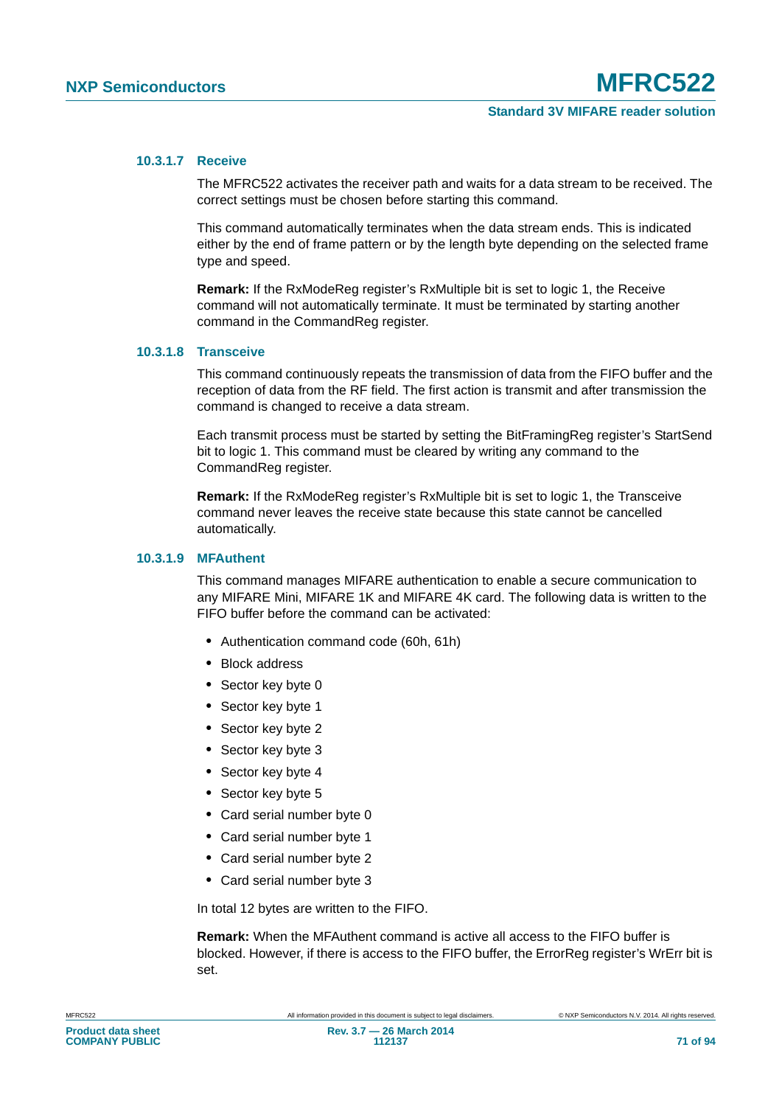### **10.3.1.7 Receive**

The MFRC522 activates the receiver path and waits for a data stream to be received. The correct settings must be chosen before starting this command.

This command automatically terminates when the data stream ends. This is indicated either by the end of frame pattern or by the length byte depending on the selected frame type and speed.

**Remark:** If the RxModeReg register's RxMultiple bit is set to logic 1, the Receive command will not automatically terminate. It must be terminated by starting another command in the CommandReg register.

# **10.3.1.8 Transceive**

This command continuously repeats the transmission of data from the FIFO buffer and the reception of data from the RF field. The first action is transmit and after transmission the command is changed to receive a data stream.

Each transmit process must be started by setting the BitFramingReg register's StartSend bit to logic 1. This command must be cleared by writing any command to the CommandReg register.

**Remark:** If the RxModeReg register's RxMultiple bit is set to logic 1, the Transceive command never leaves the receive state because this state cannot be cancelled automatically.

## **10.3.1.9 MFAuthent**

This command manages MIFARE authentication to enable a secure communication to any MIFARE Mini, MIFARE 1K and MIFARE 4K card. The following data is written to the FIFO buffer before the command can be activated:

- **•** Authentication command code (60h, 61h)
- **•** Block address
- **•** Sector key byte 0
- **•** Sector key byte 1
- **•** Sector key byte 2
- **•** Sector key byte 3
- **•** Sector key byte 4
- **•** Sector key byte 5
- **•** Card serial number byte 0
- **•** Card serial number byte 1
- **•** Card serial number byte 2
- **•** Card serial number byte 3

In total 12 bytes are written to the FIFO.

**Remark:** When the MFAuthent command is active all access to the FIFO buffer is blocked. However, if there is access to the FIFO buffer, the ErrorReg register's WrErr bit is set.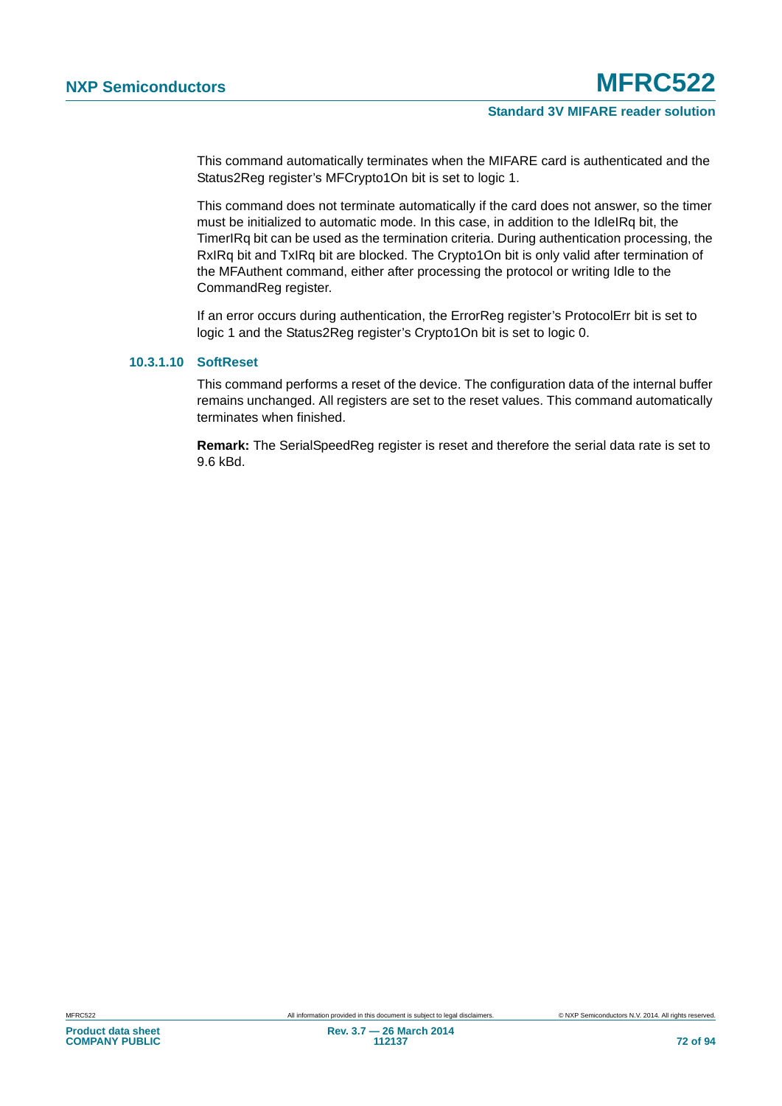This command automatically terminates when the MIFARE card is authenticated and the Status2Reg register's MFCrypto1On bit is set to logic 1.

This command does not terminate automatically if the card does not answer, so the timer must be initialized to automatic mode. In this case, in addition to the IdleIRq bit, the TimerIRq bit can be used as the termination criteria. During authentication processing, the RxIRq bit and TxIRq bit are blocked. The Crypto1On bit is only valid after termination of the MFAuthent command, either after processing the protocol or writing Idle to the CommandReg register.

If an error occurs during authentication, the ErrorReg register's ProtocolErr bit is set to logic 1 and the Status2Reg register's Crypto1On bit is set to logic 0.

## **10.3.1.10 SoftReset**

This command performs a reset of the device. The configuration data of the internal buffer remains unchanged. All registers are set to the reset values. This command automatically terminates when finished.

**Remark:** The SerialSpeedReg register is reset and therefore the serial data rate is set to 9.6 kBd.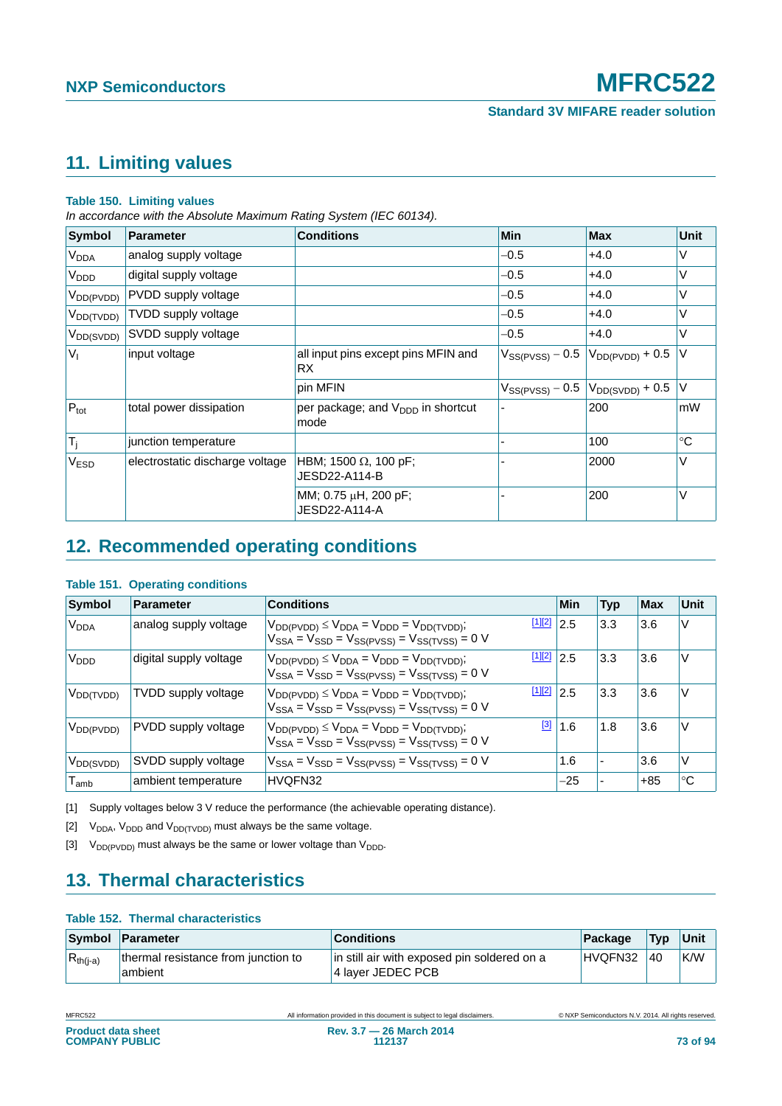# <span id="page-72-3"></span>**11. Limiting values**

### **Table 150. Limiting values**

*In accordance with the Absolute Maximum Rating System (IEC 60134).*

| Symbol                 | <b>Parameter</b>                | <b>Conditions</b>                                     | Min                  | <b>Max</b>           | <b>Unit</b> |
|------------------------|---------------------------------|-------------------------------------------------------|----------------------|----------------------|-------------|
| <b>V<sub>DDA</sub></b> | analog supply voltage           |                                                       | $-0.5$               | $+4.0$               | V           |
| V <sub>DDD</sub>       | digital supply voltage          |                                                       | $-0.5$               | $+4.0$               | V           |
| $V_{DD(PVDD)}$         | PVDD supply voltage             |                                                       | $-0.5$               | $+4.0$               | V           |
| $V_{DD(TVDD)}$         | TVDD supply voltage             |                                                       | $-0.5$               | $+4.0$               | V           |
| $V_{DD(SVDD)}$         | SVDD supply voltage             |                                                       | $-0.5$               | $+4.0$               | V           |
| V <sub>1</sub>         | input voltage                   | all input pins except pins MFIN and<br><b>RX</b>      | $V_{SS(PVSS)} - 0.5$ | $V_{DD(PVDD)} + 0.5$ | V           |
|                        |                                 | pin MFIN                                              | $V_{SS(PVSS)} - 0.5$ | $V_{DD(SVDD)} + 0.5$ | V           |
| $P_{\text{tot}}$       | total power dissipation         | per package; and $V_{\text{DDD}}$ in shortcut<br>mode |                      | 200                  | mW          |
| $T_j$                  | junction temperature            |                                                       |                      | 100                  | $^{\circ}C$ |
| V <sub>ESD</sub>       | electrostatic discharge voltage | HBM; 1500 $\Omega$ , 100 pF;<br>JESD22-A114-B         |                      | 2000                 | V           |
|                        |                                 | MM; 0.75 µH, 200 pF;<br>JESD22-A114-A                 |                      | 200                  | V           |

# <span id="page-72-4"></span>**12. Recommended operating conditions**

### **Table 151. Operating conditions**

| <b>Symbol</b>               | Parameter              | <b>Conditions</b>                                                                                                           | <b>Min</b> | <b>Typ</b>     | <b>Max</b> | Unit        |
|-----------------------------|------------------------|-----------------------------------------------------------------------------------------------------------------------------|------------|----------------|------------|-------------|
| V <sub>DDA</sub>            | analog supply voltage  | [1][2]<br>$V_{DD(PVDD)} \leq V_{DDA} = V_{DDD} = V_{DD(TVDD)}$ ;<br>$V_{SSA} = V_{SSD} = V_{SS(PVSS)} = V_{SS(TVSS)} = 0$ V | 2.5        | 3.3            | 3.6        | V           |
| V <sub>DDD</sub>            | digital supply voltage | [1][2]<br>$V_{DD(PVDD)} \leq V_{DDA} = V_{DDD} = V_{DD(TVDD)}$ ;<br>$V_{SSA} = V_{SSD} = V_{SS(PVSS)} = V_{SS(TVSS)} = 0$ V | 2.5        | 3.3            | 3.6        | V           |
| $V_{DD(TVDD)}$              | TVDD supply voltage    | [1][2]<br>$V_{DD(PVDD)} \leq V_{DDA} = V_{DDD} = V_{DD(TVDD)}$ ;<br>$V_{SSA} = V_{SSD} = V_{SS(PVSS)} = V_{SS(TVSS)} = 0$ V | 2.5        | 3.3            | 3.6        | V           |
| $V_{DD(PVDD)}$              | PVDD supply voltage    | [3]<br>$V_{DD(PVDD)} \leq V_{DDA} = V_{DDD} = V_{DD(TVDD)}$ ;<br>$V_{SSA} = V_{SSD} = V_{SS(PVSS)} = V_{SS(TVSS)} = 0$ V    | 1.6        | 1.8            | 3.6        | V           |
| V <sub>DD(SVDD)</sub>       | SVDD supply voltage    | $V_{SSA} = V_{SSD} = V_{SS(PVSS)} = V_{SS(TVSS)} = 0$ V                                                                     | 1.6        | $\blacksquare$ | 3.6        | V           |
| $\mathsf{T}_{\mathsf{amb}}$ | ambient temperature    | HVQFN32                                                                                                                     | $-25$      |                | $+85$      | $^{\circ}C$ |

<span id="page-72-0"></span>[1] Supply voltages below 3 V reduce the performance (the achievable operating distance).

<span id="page-72-1"></span>[2]  $V_{DDA}$ ,  $V_{DDD}$  and  $V_{DD(TVDD)}$  must always be the same voltage.

<span id="page-72-2"></span>[3]  $V_{DD(PVDD)}$  must always be the same or lower voltage than  $V_{DDD}$ .

## <span id="page-72-5"></span>**13. Thermal characteristics**

### **Table 152. Thermal characteristics**

|               | Symbol Parameter                               | <b>Conditions</b>                                                | Package | <b>Typ</b> | Unit |
|---------------|------------------------------------------------|------------------------------------------------------------------|---------|------------|------|
| $R_{th(i-a)}$ | thermal resistance from junction to<br>ambient | in still air with exposed pin soldered on a<br>4 laver JEDEC PCB | HVQFN32 | 40         | K/W  |

|--|

All information provided in this document is subject to legal disclaimers. <br>
© NXP Semiconductors N.V. 2014. All rights reserved.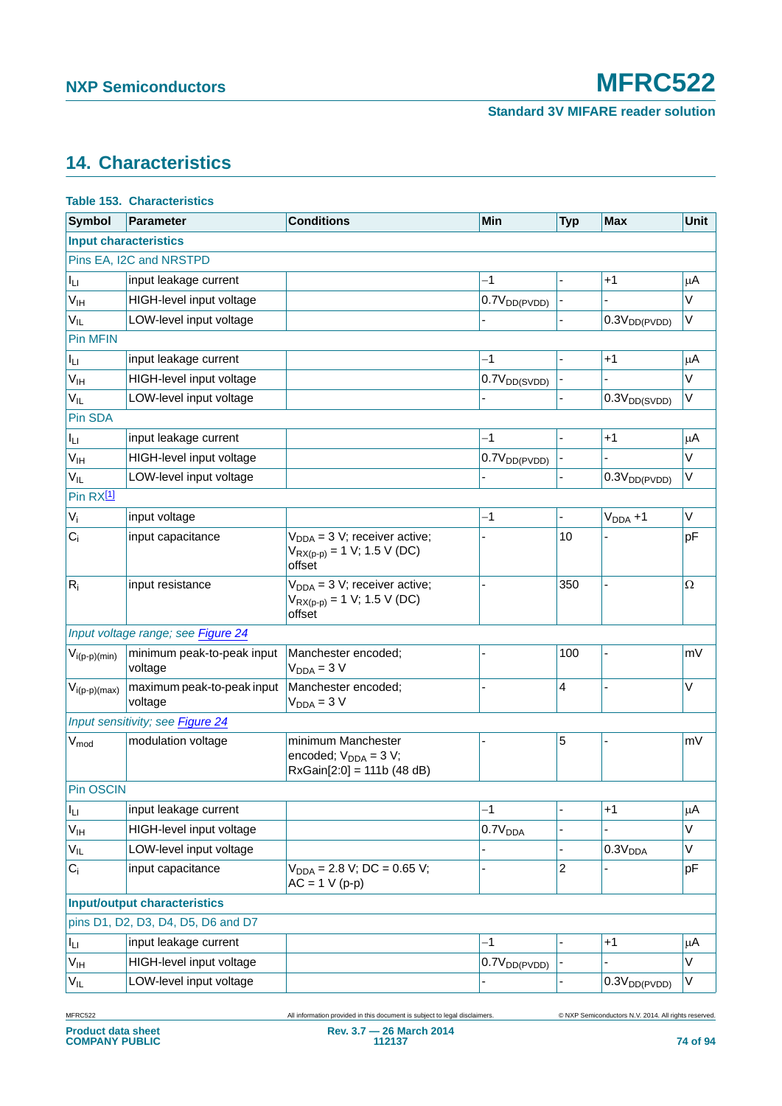# <span id="page-73-0"></span>**14. Characteristics**

|                       | <b>Table 153. Characteristics</b>     |                                                                                  |                          |            |                          |             |
|-----------------------|---------------------------------------|----------------------------------------------------------------------------------|--------------------------|------------|--------------------------|-------------|
| <b>Symbol</b>         | <b>Parameter</b>                      | <b>Conditions</b>                                                                | Min                      | <b>Typ</b> | <b>Max</b>               | <b>Unit</b> |
|                       | <b>Input characteristics</b>          |                                                                                  |                          |            |                          |             |
|                       | Pins EA, I2C and NRSTPD               |                                                                                  |                          |            |                          |             |
| Iц                    | input leakage current                 |                                                                                  | $-1$                     |            | $+1$                     | $\mu$ A     |
| $V_{\text{IH}}$       | HIGH-level input voltage              |                                                                                  | 0.7V <sub>DD(PVDD)</sub> |            |                          | V           |
| $V_{IL}$              | LOW-level input voltage               |                                                                                  |                          |            | $0.3V_{DD(PVDD)}$        | $\vee$      |
| <b>Pin MFIN</b>       |                                       |                                                                                  |                          |            |                          |             |
| Iц                    | input leakage current                 |                                                                                  | $-1$                     |            | $+1$                     | $\mu$ A     |
| V <sub>IH</sub>       | HIGH-level input voltage              |                                                                                  | 0.7V <sub>DD(SVDD)</sub> |            |                          | V           |
| $V_{IL}$              | LOW-level input voltage               |                                                                                  |                          |            | 0.3V <sub>DD(SVDD)</sub> | $\vee$      |
| Pin SDA               |                                       |                                                                                  |                          |            |                          |             |
| Iц                    | input leakage current                 |                                                                                  | $-1$                     |            | $+1$                     | $\mu$ A     |
| V <sub>IH</sub>       | HIGH-level input voltage              |                                                                                  | 0.7V <sub>DD(PVDD)</sub> |            |                          | V           |
| $V_{IL}$              | LOW-level input voltage               |                                                                                  |                          |            | 0.3V <sub>DD(PVDD)</sub> | $\vee$      |
| Pin RX <sup>[1]</sup> |                                       |                                                                                  |                          |            |                          |             |
| $V_i$                 | input voltage                         |                                                                                  | $-1$                     |            | $VDDA + 1$               | V           |
| $C_i$                 | input capacitance                     | $V_{DDA} = 3 V$ ; receiver active;<br>$V_{RX(p-p)} = 1 V; 1.5 V (DC)$<br>offset  |                          | 10         |                          | pF          |
| $R_i$                 | input resistance                      | $V_{DDA} = 3 V$ ; receiver active;<br>$V_{RX(p-p)} = 1 V; 1.5 V (DC)$<br>offset  |                          | 350        |                          | Ω           |
|                       | Input voltage range; see Figure 24    |                                                                                  |                          |            |                          |             |
| $V_{i(p-p)(min)}$     | minimum peak-to-peak input<br>voltage | Manchester encoded;<br>$V_{DDA} = 3 V$                                           |                          | 100        |                          | mV          |
| $V_{i(p-p)(max)}$     | maximum peak-to-peak input<br>voltage | Manchester encoded;<br>$V_{DDA} = 3 V$                                           |                          | 4          |                          | V           |
|                       | Input sensitivity; see Figure 24      |                                                                                  |                          |            |                          |             |
| $V_{mod}$             | modulation voltage                    | minimum Manchester<br>encoded; $V_{DDA} = 3 V$ ;<br>$RxGain[2:0] = 111b (48 dB)$ |                          | 5          |                          | mV          |
| Pin OSCIN             |                                       |                                                                                  |                          |            |                          |             |
| $I_{LI}$              | input leakage current                 |                                                                                  | $-1$                     |            | $+1$                     | $\mu$ A     |
| V <sub>IH</sub>       | HIGH-level input voltage              |                                                                                  | 0.7V <sub>DDA</sub>      |            |                          | V           |
| $V_{IL}$              | LOW-level input voltage               |                                                                                  |                          |            | 0.3V <sub>DDA</sub>      | $\vee$      |
| $C_i$                 | input capacitance                     | $V_{DDA} = 2.8 V$ ; DC = 0.65 V;<br>$AC = 1 V (p-p)$                             |                          | 2          |                          | pF          |
|                       | <b>Input/output characteristics</b>   |                                                                                  |                          |            |                          |             |
|                       | pins D1, D2, D3, D4, D5, D6 and D7    |                                                                                  |                          |            |                          |             |
| $I_{LI}$              | input leakage current                 |                                                                                  | $-1$                     |            | $+1$                     | $\mu$ A     |
| V <sub>IH</sub>       | HIGH-level input voltage              |                                                                                  | $0.7V_{DD(PVDD)}$        |            |                          | V           |
| V <sub>IL</sub>       | LOW-level input voltage               |                                                                                  |                          |            | 0.3V <sub>DD(PVDD)</sub> | V           |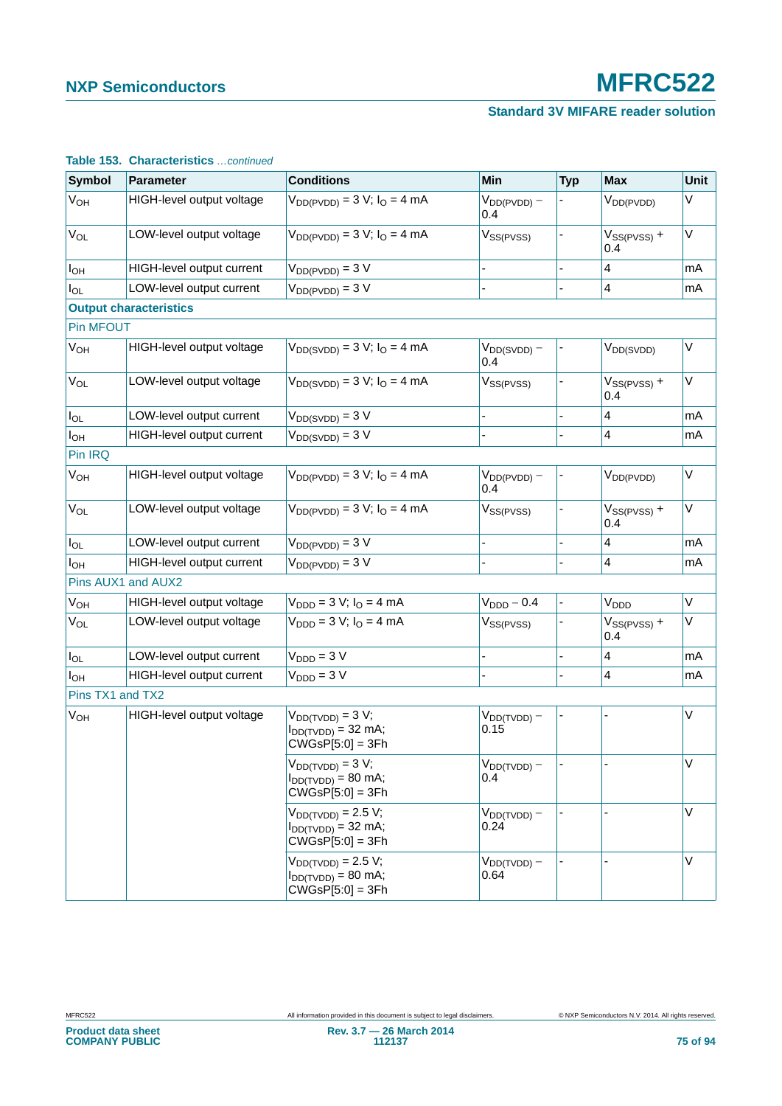### **Standard 3V MIFARE reader solution**

| <b>Symbol</b>         | <b>Parameter</b>                 | <b>Conditions</b>                                                        | <b>Min</b>               | <b>Typ</b> | <b>Max</b>              | <b>Unit</b> |
|-----------------------|----------------------------------|--------------------------------------------------------------------------|--------------------------|------------|-------------------------|-------------|
| <b>V<sub>OH</sub></b> | HIGH-level output voltage        | $V_{DD(PVDD)} = 3 V; IO = 4 mA$                                          | $V_{DD(PVDD)} -$<br>0.4  |            | $V_{DD(PVDD)}$          | V           |
| V <sub>OL</sub>       | LOW-level output voltage         | $V_{DD(PVDD)} = 3 V; IO = 4 mA$                                          | $V_{SS(PVSS)}$           |            | $V_{SS(PVSS)} +$<br>0.4 | $\vee$      |
| $I_{OH}$              | HIGH-level output current        | $V_{DD(PVDD)} = 3 V$                                                     |                          |            | $\overline{4}$          | mA          |
| $I_{OL}$              | LOW-level output current         | $V_{DD(PVDD)} = 3 V$                                                     |                          |            | $\overline{\mathbf{4}}$ | mA          |
|                       | <b>Output characteristics</b>    |                                                                          |                          |            |                         |             |
| <b>Pin MFOUT</b>      |                                  |                                                                          |                          |            |                         |             |
| <b>V<sub>OH</sub></b> | HIGH-level output voltage        | $V_{DD(SVDD)} = 3 V; IO = 4 mA$                                          | $V_{DD(SVDD)} -$<br>0.4  |            | $V_{DD(SVDD)}$          | $\vee$      |
| <b>V<sub>OL</sub></b> | LOW-level output voltage         | $V_{DD(SVDD)} = 3 V; IO = 4 mA$                                          | $V_{SS(PVSS)}$           |            | $V_{SS(PVSS)} +$<br>0.4 | $\vee$      |
| $I_{OL}$              | LOW-level output current         | $V_{DD(SVDD)} = 3 V$                                                     |                          |            | 4                       | mA          |
| $I_{OH}$              | <b>HIGH-level output current</b> | $V_{DD(SVDD)} = 3 V$                                                     | $\overline{a}$           |            | $\overline{4}$          | mA          |
| Pin IRQ               |                                  |                                                                          |                          |            |                         |             |
| V <sub>OH</sub>       | HIGH-level output voltage        | $V_{DD(PVDD)} = 3 V; IO = 4 mA$                                          | $V_{DD(PVDD)} -$<br>0.4  |            | $V_{DD(PVDD)}$          | V           |
| V <sub>OL</sub>       | LOW-level output voltage         | $V_{DD(PVDD)} = 3 V; IO = 4 mA$                                          | $V_{SS(PVSS)}$           |            | $V_{SS(PVSS)} +$<br>0.4 | V           |
| $I_{OL}$              | LOW-level output current         | $V_{DD(PVDD)} = 3 V$                                                     |                          |            | $\overline{4}$          | mA          |
| $I_{OH}$              | HIGH-level output current        | $V_{DD(PVDD)} = 3 V$                                                     |                          |            | $\overline{\mathbf{4}}$ | mA          |
|                       | Pins AUX1 and AUX2               |                                                                          |                          |            |                         |             |
| <b>V<sub>OH</sub></b> | HIGH-level output voltage        | $V_{\text{DDD}} = 3 V; I_{\text{O}} = 4 mA$                              | $VDDD - 0.4$             |            | V <sub>DDD</sub>        | $\vee$      |
| V <sub>OL</sub>       | LOW-level output voltage         | $V_{\text{DDD}} = 3 V; I_{\text{O}} = 4 mA$                              | V <sub>SS(PVSS)</sub>    |            | $V_{SS(PVSS)}$ +<br>0.4 | $\vee$      |
| $I_{OL}$              | LOW-level output current         | $VDDD = 3 V$                                                             |                          |            | $\overline{4}$          | mA          |
| $I_{OH}$              | HIGH-level output current        | $VDDD = 3 V$                                                             | ÷,                       |            | 4                       | mA          |
| Pins TX1 and TX2      |                                  |                                                                          |                          |            |                         |             |
| V <sub>OH</sub>       | HIGH-level output voltage        | $V_{DD(TVDD)} = 3 V;$<br>$I_{DD(TVDD)} = 32$ mA;<br>$CWGsP[5:0] = 3Fh$   | $V_{DD(TVDD)} -$<br>0.15 |            |                         | V           |
|                       |                                  | $V_{DD(TVDD)} = 3 V;$<br>$I_{DD(TVDD)} = 80$ mA;<br>$CWGSP[5:0] = 3Fh$   | $V_{DD(TVDD)} -$<br>0.4  |            |                         | V           |
|                       |                                  | $V_{DD(TVDD)} = 2.5 V;$<br>$I_{DD(TVDD)} = 32$ mA;<br>$CWGSP[5:0] = 3Fh$ | $V_{DD(TVDD)} -$<br>0.24 |            |                         | $\vee$      |
|                       |                                  | $V_{DD(TVDD)} = 2.5 V;$<br>$I_{DD(TVDD)} = 80$ mA;<br>$CWGsP[5:0] = 3Fh$ | $V_{DD(TVDD)} -$<br>0.64 |            |                         | $\vee$      |

### **Table 153. Characteristics** *…continued*

| <b>Product data sheet</b> |  |
|---------------------------|--|
| <b>COMPANY PUBLIC</b>     |  |
|                           |  |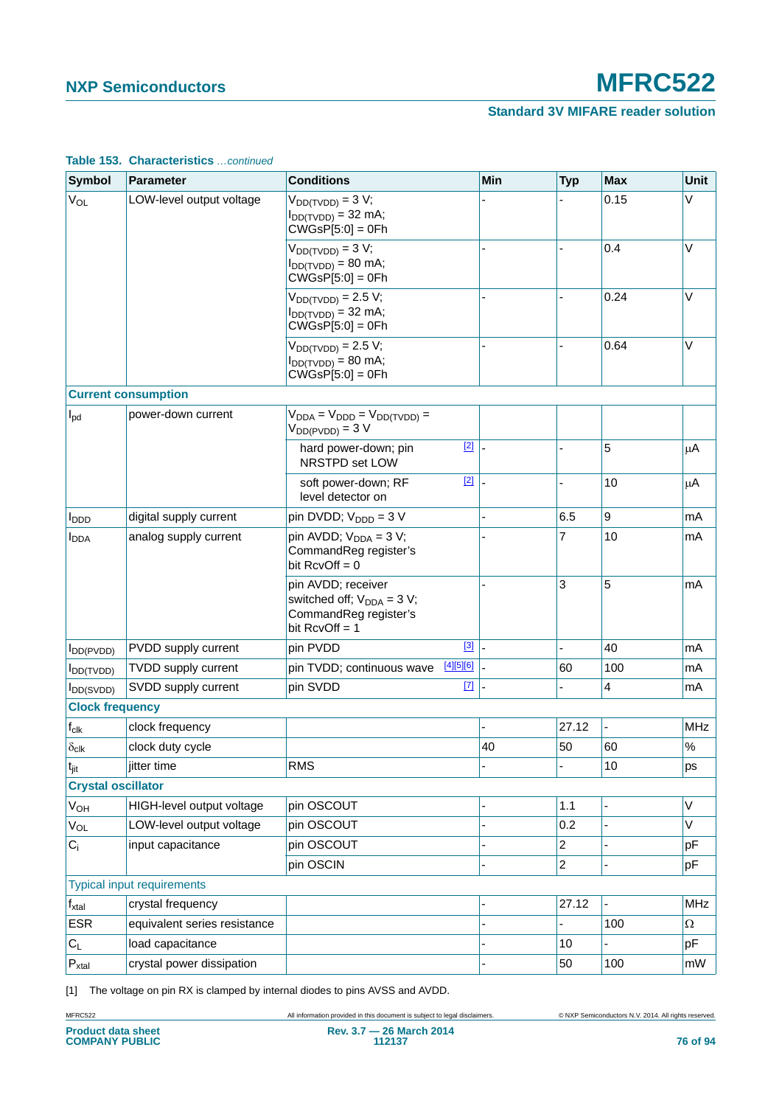### **Standard 3V MIFARE reader solution**

| <b>Symbol</b>             | <b>Parameter</b>                  | <b>Conditions</b>                                                                                  | Min | <b>Typ</b>     | <b>Max</b> | Unit       |
|---------------------------|-----------------------------------|----------------------------------------------------------------------------------------------------|-----|----------------|------------|------------|
| <b>V<sub>OL</sub></b>     | LOW-level output voltage          | $V_{DD(TVDD)} = 3 V;$<br>$I_{DD(TVDD)} = 32 \text{ mA}$ ;<br>$CWGSP[5:0] = 0Fh$                    |     |                | 0.15       | V          |
|                           |                                   | $V_{DD(TVDD)} = 3 V;$<br>$I_{DD(TVDD)} = 80$ mA;<br>$CVGSP[5:0] = 0Fh$                             |     |                | 0.4        | V          |
|                           |                                   | $V_{DD(TVDD)} = 2.5 V;$<br>$I_{DD(TVDD)} = 32$ mA;<br>$CVGSP[5:0] = 0Fh$                           |     |                | 0.24       | $\vee$     |
|                           |                                   | $V_{DD(TVDD)} = 2.5 V;$<br>$I_{DD(TVDD)} = 80$ mA;<br>$CWGsP[5:0] = 0Fh$                           |     |                | 0.64       | $\vee$     |
|                           | <b>Current consumption</b>        |                                                                                                    |     |                |            |            |
| $I_{\text{pd}}$           | power-down current                | $V_{DDA} = V_{DDD} = V_{DD(TVDD)} =$<br>$V_{DD(PVDD)} = 3 V$                                       |     |                |            |            |
|                           |                                   | $[2]$<br>hard power-down; pin<br>NRSTPD set LOW                                                    |     |                | 5          | $\mu$ A    |
|                           |                                   | $[2]$<br>soft power-down; RF<br>level detector on                                                  |     |                | 10         | $\mu$ A    |
| <b>I</b> <sub>DDD</sub>   | digital supply current            | pin DVDD; $V_{\text{DDD}} = 3 V$                                                                   |     | 6.5            | 9          | mA         |
| <b>I</b> <sub>DDA</sub>   | analog supply current             | pin AVDD; $V_{DDA} = 3 V$ ;<br>CommandReg register's<br>bit $RcvOff = 0$                           |     | 7              | 10         | mA         |
|                           |                                   | pin AVDD; receiver<br>switched off; $V_{DDA} = 3 V$ ;<br>CommandReg register's<br>bit $RcvOff = 1$ |     | 3              | 5          | mA         |
| $I_{DD(PVDD)}$            | PVDD supply current               | $\boxed{3}$<br>pin PVDD                                                                            |     |                | 40         | mA         |
| $I_{DD(TVDD)}$            | TVDD supply current               | [4][5][6]<br>pin TVDD; continuous wave                                                             |     | 60             | 100        | mA         |
| <b>I</b> DD(SVDD)         | SVDD supply current               | $[7]$<br>pin SVDD                                                                                  |     |                | 4          | mA         |
| <b>Clock frequency</b>    |                                   |                                                                                                    |     |                |            |            |
| $\mathsf{f}_{\text{clk}}$ | clock frequency                   |                                                                                                    |     | 27.12          |            | <b>MHz</b> |
| $\delta_{\text{clk}}$     | clock duty cycle                  |                                                                                                    | 40  | 50             | 60         | $\%$       |
| $t_{\text{jit}}$          | jitter time                       | <b>RMS</b>                                                                                         |     |                | 10         | ps         |
| <b>Crystal oscillator</b> |                                   |                                                                                                    |     |                |            |            |
| <b>V<sub>OH</sub></b>     | HIGH-level output voltage         | pin OSCOUT                                                                                         |     | 1.1            |            | V          |
| Vol                       | LOW-level output voltage          | pin OSCOUT                                                                                         |     | 0.2            |            | V          |
| $C_i$                     | input capacitance                 | pin OSCOUT                                                                                         |     | $\overline{c}$ |            | pF         |
|                           |                                   | pin OSCIN                                                                                          |     | $\overline{c}$ |            | pF         |
|                           | <b>Typical input requirements</b> |                                                                                                    |     |                |            |            |
| $f_{\rm xtal}$            | crystal frequency                 |                                                                                                    |     | 27.12          |            | <b>MHz</b> |
| <b>ESR</b>                | equivalent series resistance      |                                                                                                    |     |                | 100        | Ω          |
| $C_L$                     | load capacitance                  |                                                                                                    |     | 10             |            | pF         |
| $P_{xtal}$                | crystal power dissipation         |                                                                                                    |     | 50             | 100        | mW         |

#### **Table 153. Characteristics** *…continued*

<span id="page-75-0"></span>[1] The voltage on pin RX is clamped by internal diodes to pins AVSS and AVDD.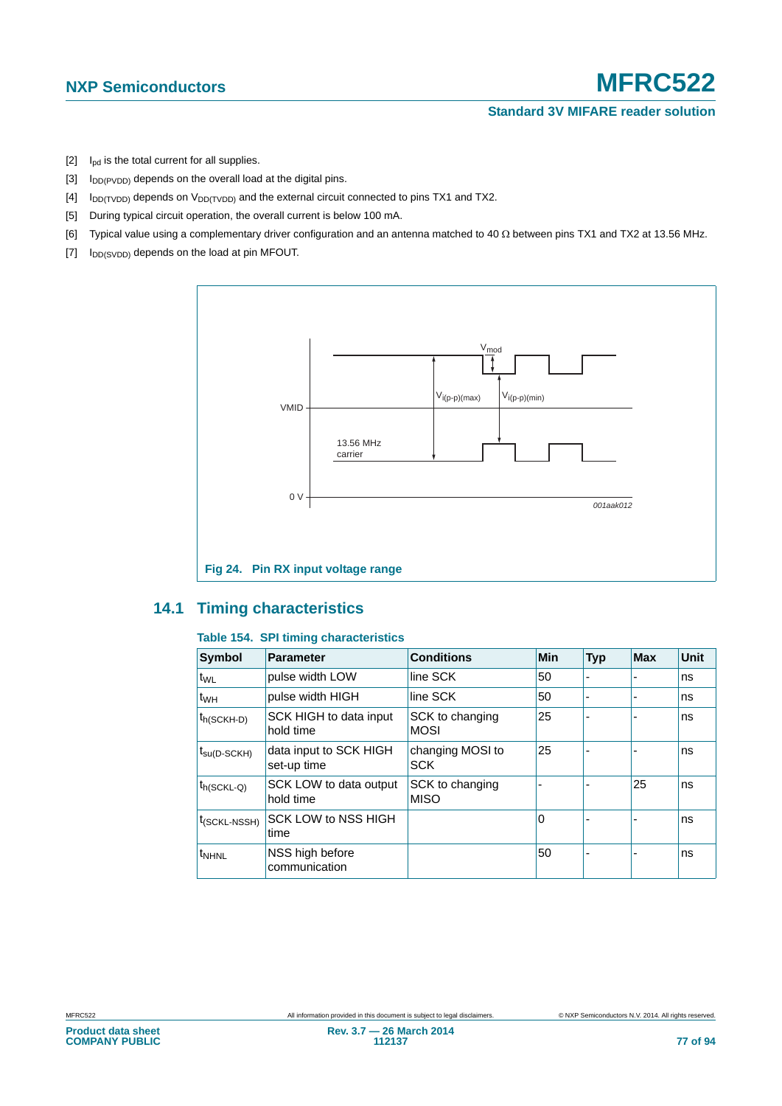- <span id="page-76-1"></span> $[2]$  I<sub>pd</sub> is the total current for all supplies.
- <span id="page-76-2"></span>[3]  $I_{DD(PVDD)}$  depends on the overall load at the digital pins.
- <span id="page-76-3"></span> $[4]$  I<sub>DD(TVDD)</sub> depends on V<sub>DD(TVDD)</sub> and the external circuit connected to pins TX1 and TX2.
- <span id="page-76-4"></span>[5] During typical circuit operation, the overall current is below 100 mA.
- <span id="page-76-5"></span>[6] Typical value using a complementary driver configuration and an antenna matched to 40  $\Omega$  between pins TX1 and TX2 at 13.56 MHz.
- <span id="page-76-6"></span> $[7]$   $I_{DD(SVDD)}$  depends on the load at pin MFOUT.



### <span id="page-76-8"></span><span id="page-76-0"></span>**14.1 Timing characteristics**

### <span id="page-76-7"></span>**Table 154. SPI timing characteristics**

| <b>Symbol</b>            | <b>Parameter</b>                      | <b>Conditions</b>              | <b>Min</b> | <b>Typ</b>               | <b>Max</b> | <b>Unit</b> |
|--------------------------|---------------------------------------|--------------------------------|------------|--------------------------|------------|-------------|
| t <sub>WL</sub>          | pulse width LOW                       | line SCK                       | 50         | $\overline{\phantom{a}}$ |            | ns          |
| t <sub>WH</sub>          | pulse width HIGH                      | line SCK                       | 50         |                          |            | ns          |
| $t_{h(SCKH-D)}$          | SCK HIGH to data input<br>hold time   | SCK to changing<br><b>MOSI</b> | 25         |                          |            | ns          |
| $t_{\text{SU(D-SCKH)}}$  | data input to SCK HIGH<br>set-up time | changing MOSI to<br><b>SCK</b> | 25         |                          |            | ns          |
| $t_{h(SCKL-Q)}$          | SCK LOW to data output<br>hold time   | SCK to changing<br><b>MISO</b> |            |                          | 25         | ns          |
| $t_{(SCKL\text{-}NSSH)}$ | <b>SCK LOW to NSS HIGH</b><br>time    |                                | 0          |                          |            | ns          |
| t <sub>NHNL</sub>        | NSS high before<br>communication      |                                | 50         |                          |            | ns          |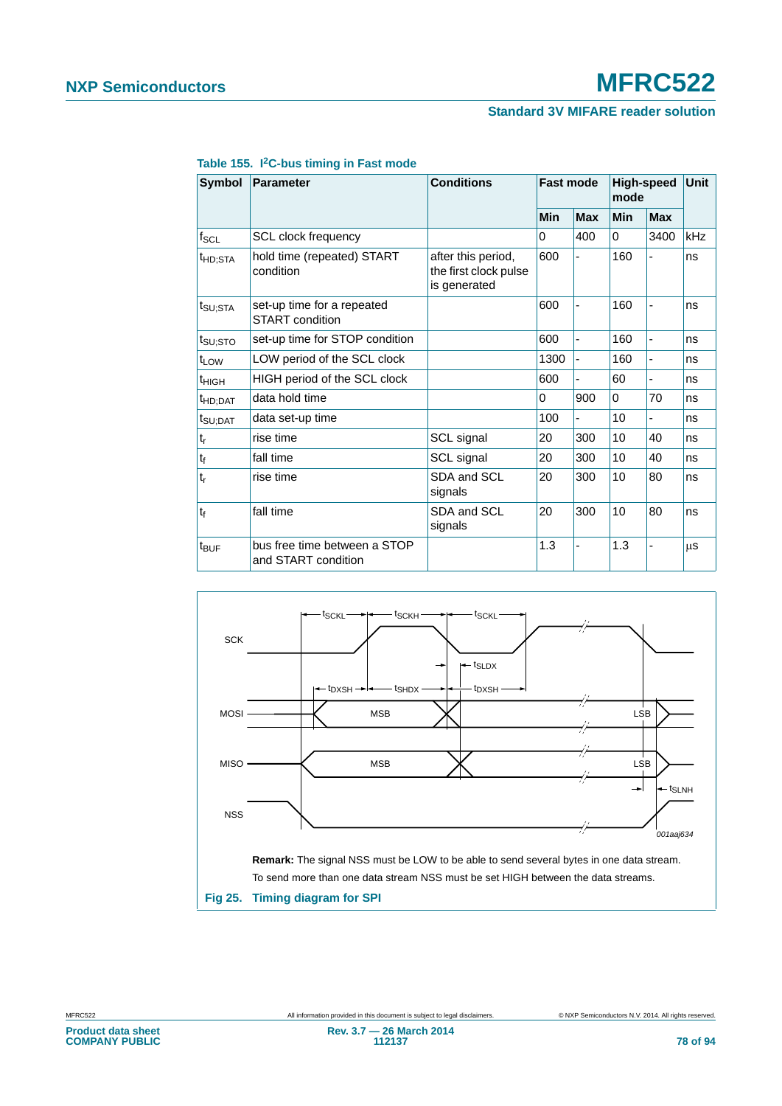| Symbol              | <b>Parameter</b>                                     | <b>Conditions</b>                                           | <b>Fast mode</b> |            | <b>High-speed</b><br>mode |                              | <b>Unit</b> |
|---------------------|------------------------------------------------------|-------------------------------------------------------------|------------------|------------|---------------------------|------------------------------|-------------|
|                     |                                                      |                                                             | Min              | <b>Max</b> | Min                       | <b>Max</b>                   |             |
| $f_{SCL}$           | <b>SCL clock frequency</b>                           |                                                             | 0                | 400        | $\Omega$                  | 3400                         | kHz         |
| <sup>t</sup> HD;STA | hold time (repeated) START<br>condition              | after this period,<br>the first clock pulse<br>is generated | 600              |            | 160                       |                              | ns          |
| t <sub>SU;STA</sub> | set-up time for a repeated<br><b>START</b> condition |                                                             | 600              |            | 160                       | ٠                            | ns          |
| t <sub>SU;STO</sub> | set-up time for STOP condition                       |                                                             | 600              |            | 160                       | $\overline{\phantom{0}}$     | ns          |
| t <sub>LOW</sub>    | LOW period of the SCL clock                          |                                                             | 1300             |            | 160                       | $\qquad \qquad \blacksquare$ | ns          |
| $t_{HIGH}$          | HIGH period of the SCL clock                         |                                                             | 600              |            | 60                        |                              | ns          |
| t <sub>HD;DAT</sub> | data hold time                                       |                                                             | 0                | 900        | $\Omega$                  | 70                           | ns          |
| t <sub>SU;DAT</sub> | data set-up time                                     |                                                             | 100              | ٠          | 10                        | $\blacksquare$               | ns          |
| $t_r$               | rise time                                            | SCL signal                                                  | 20               | 300        | 10                        | 40                           | ns          |
| $t_{\rm f}$         | fall time                                            | SCL signal                                                  | 20               | 300        | 10                        | 40                           | ns          |
| $t_{r}$             | rise time                                            | SDA and SCL<br>signals                                      | 20               | 300        | 10                        | 80                           | ns          |
| $t_{f}$             | fall time                                            | SDA and SCL<br>signals                                      | 20               | 300        | 10                        | 80                           | ns          |
| $t_{\text{BUF}}$    | bus free time between a STOP<br>and START condition  |                                                             | 1.3              | ä,         | 1.3                       | $\qquad \qquad \blacksquare$ | μS          |

#### **Table 155. I2C-bus timing in Fast mode**



**Fig 25. Timing diagram for SPI**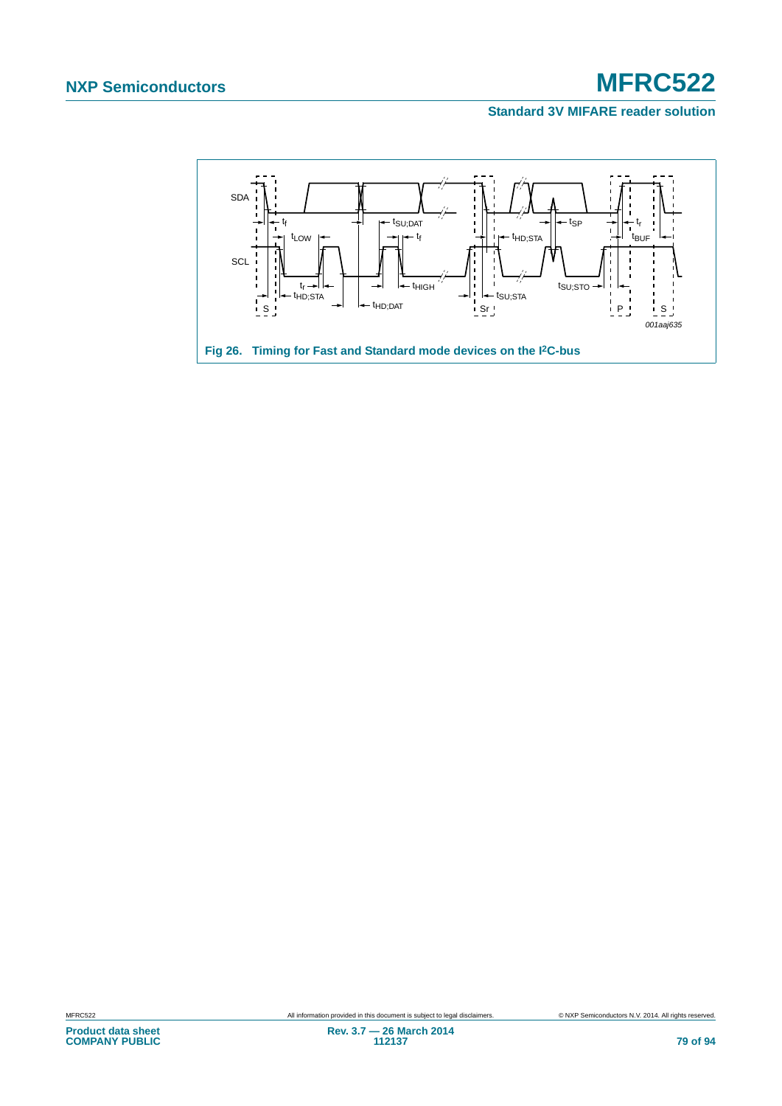### **Standard 3V MIFARE reader solution**



# **Product data sheet COMPANY PUBLIC**

MFRC522 All information provided in this document is subject to legal disclaimers. © NXP Semiconductors N.V. 2014. All rights reserved.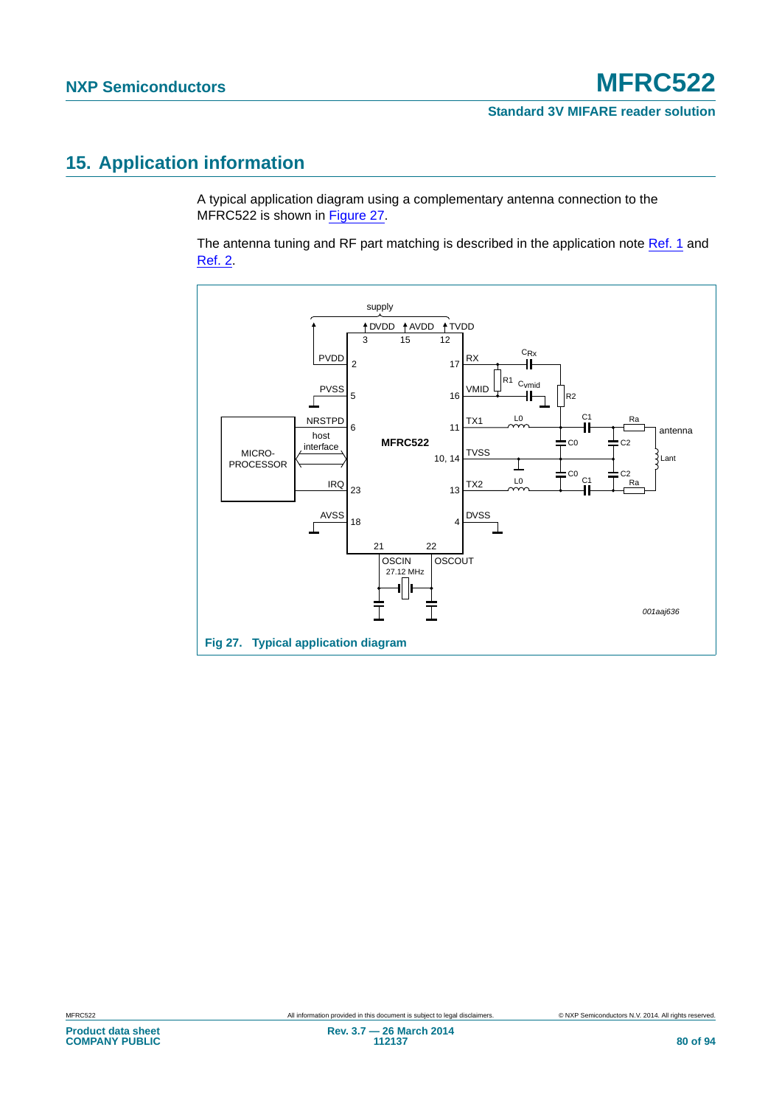# <span id="page-79-1"></span>**15. Application information**

A typical application diagram using a complementary antenna connection to the MFRC522 is shown in [Figure 27.](#page-79-0)

The antenna tuning and RF part matching is described in the application note [Ref. 1](#page-88-0) and [Ref. 2.](#page-88-1)

<span id="page-79-0"></span>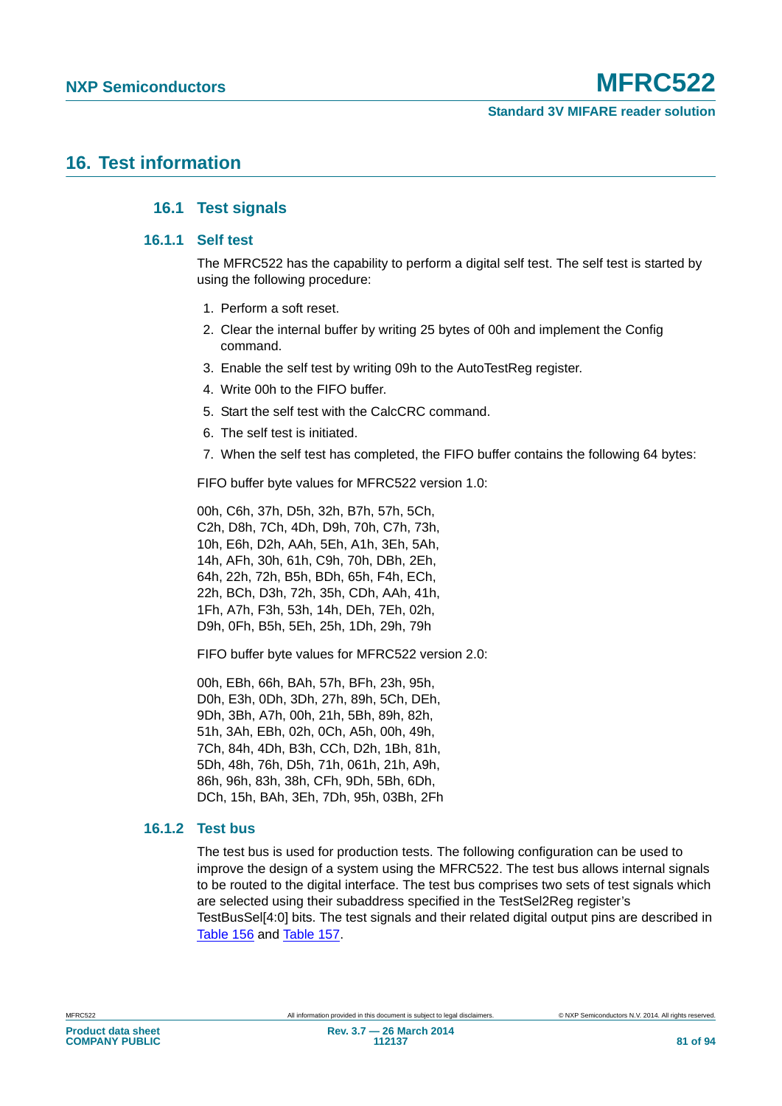### <span id="page-80-3"></span><span id="page-80-2"></span><span id="page-80-1"></span>**16. Test information**

### **16.1 Test signals**

### **16.1.1 Self test**

The MFRC522 has the capability to perform a digital self test. The self test is started by using the following procedure:

- 1. Perform a soft reset.
- 2. Clear the internal buffer by writing 25 bytes of 00h and implement the Config command.
- 3. Enable the self test by writing 09h to the AutoTestReg register.
- 4. Write 00h to the FIFO buffer.
- 5. Start the self test with the CalcCRC command.
- 6. The self test is initiated.
- 7. When the self test has completed, the FIFO buffer contains the following 64 bytes:

FIFO buffer byte values for MFRC522 version 1.0:

00h, C6h, 37h, D5h, 32h, B7h, 57h, 5Ch, C2h, D8h, 7Ch, 4Dh, D9h, 70h, C7h, 73h, 10h, E6h, D2h, AAh, 5Eh, A1h, 3Eh, 5Ah, 14h, AFh, 30h, 61h, C9h, 70h, DBh, 2Eh, 64h, 22h, 72h, B5h, BDh, 65h, F4h, ECh, 22h, BCh, D3h, 72h, 35h, CDh, AAh, 41h, 1Fh, A7h, F3h, 53h, 14h, DEh, 7Eh, 02h, D9h, 0Fh, B5h, 5Eh, 25h, 1Dh, 29h, 79h

FIFO buffer byte values for MFRC522 version 2.0:

00h, EBh, 66h, BAh, 57h, BFh, 23h, 95h, D0h, E3h, 0Dh, 3Dh, 27h, 89h, 5Ch, DEh, 9Dh, 3Bh, A7h, 00h, 21h, 5Bh, 89h, 82h, 51h, 3Ah, EBh, 02h, 0Ch, A5h, 00h, 49h, 7Ch, 84h, 4Dh, B3h, CCh, D2h, 1Bh, 81h, 5Dh, 48h, 76h, D5h, 71h, 061h, 21h, A9h, 86h, 96h, 83h, 38h, CFh, 9Dh, 5Bh, 6Dh, DCh, 15h, BAh, 3Eh, 7Dh, 95h, 03Bh, 2Fh

### <span id="page-80-0"></span>**16.1.2 Test bus**

The test bus is used for production tests. The following configuration can be used to improve the design of a system using the MFRC522. The test bus allows internal signals to be routed to the digital interface. The test bus comprises two sets of test signals which are selected using their subaddress specified in the TestSel2Reg register's TestBusSel[4:0] bits. The test signals and their related digital output pins are described in [Table 156](#page-81-0) and [Table 157](#page-81-1).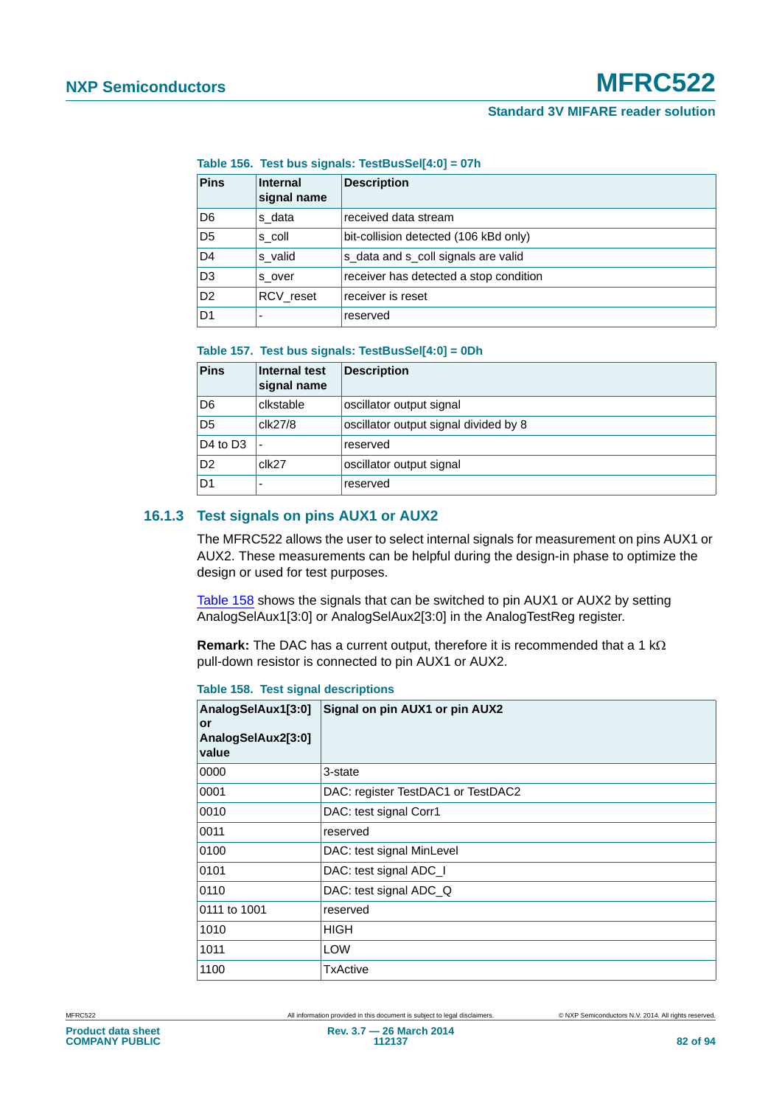<span id="page-81-0"></span>**Table 156. Test bus signals: TestBusSel[4:0] = 07h**

| <b>Pins</b>    | Internal<br>signal name | <b>Description</b>                     |
|----------------|-------------------------|----------------------------------------|
| D <sub>6</sub> | s data                  | received data stream                   |
| D <sub>5</sub> | s coll                  | bit-collision detected (106 kBd only)  |
| D <sub>4</sub> | s valid                 | s_data and s_coll signals are valid    |
| D <sub>3</sub> | s over                  | receiver has detected a stop condition |
| D <sub>2</sub> | <b>RCV</b> reset        | receiver is reset                      |
| D1             |                         | reserved                               |

#### <span id="page-81-1"></span>**Table 157. Test bus signals: TestBusSel[4:0] = 0Dh**

| <b>Pins</b>    | Internal test<br>signal name | Description                           |
|----------------|------------------------------|---------------------------------------|
| D <sub>6</sub> | clkstable                    | oscillator output signal              |
| D <sub>5</sub> | clk27/8                      | oscillator output signal divided by 8 |
| D4 to D3       | $\overline{\phantom{a}}$     | reserved                              |
| D <sub>2</sub> | clk27                        | oscillator output signal              |
| D1             |                              | reserved                              |

### <span id="page-81-3"></span>**16.1.3 Test signals on pins AUX1 or AUX2**

The MFRC522 allows the user to select internal signals for measurement on pins AUX1 or AUX2. These measurements can be helpful during the design-in phase to optimize the design or used for test purposes.

[Table 158](#page-81-2) shows the signals that can be switched to pin AUX1 or AUX2 by setting AnalogSelAux1[3:0] or AnalogSelAux2[3:0] in the AnalogTestReg register.

**Remark:** The DAC has a current output, therefore it is recommended that a 1  $k\Omega$ pull-down resistor is connected to pin AUX1 or AUX2.

<span id="page-81-2"></span>**Table 158. Test signal descriptions**

| AnalogSelAux1[3:0]<br>or<br>AnalogSelAux2[3:0]<br>value | Signal on pin AUX1 or pin AUX2     |
|---------------------------------------------------------|------------------------------------|
| 0000                                                    | 3-state                            |
| 0001                                                    | DAC: register TestDAC1 or TestDAC2 |
| 0010                                                    | DAC: test signal Corr1             |
| 0011                                                    | reserved                           |
| 0100                                                    | DAC: test signal MinLevel          |
| 0101                                                    | DAC: test signal ADC_I             |
| 0110                                                    | DAC: test signal ADC_Q             |
| 0111 to 1001                                            | reserved                           |
| 1010                                                    | <b>HIGH</b>                        |
| 1011                                                    | <b>LOW</b>                         |
| 1100                                                    | TxActive                           |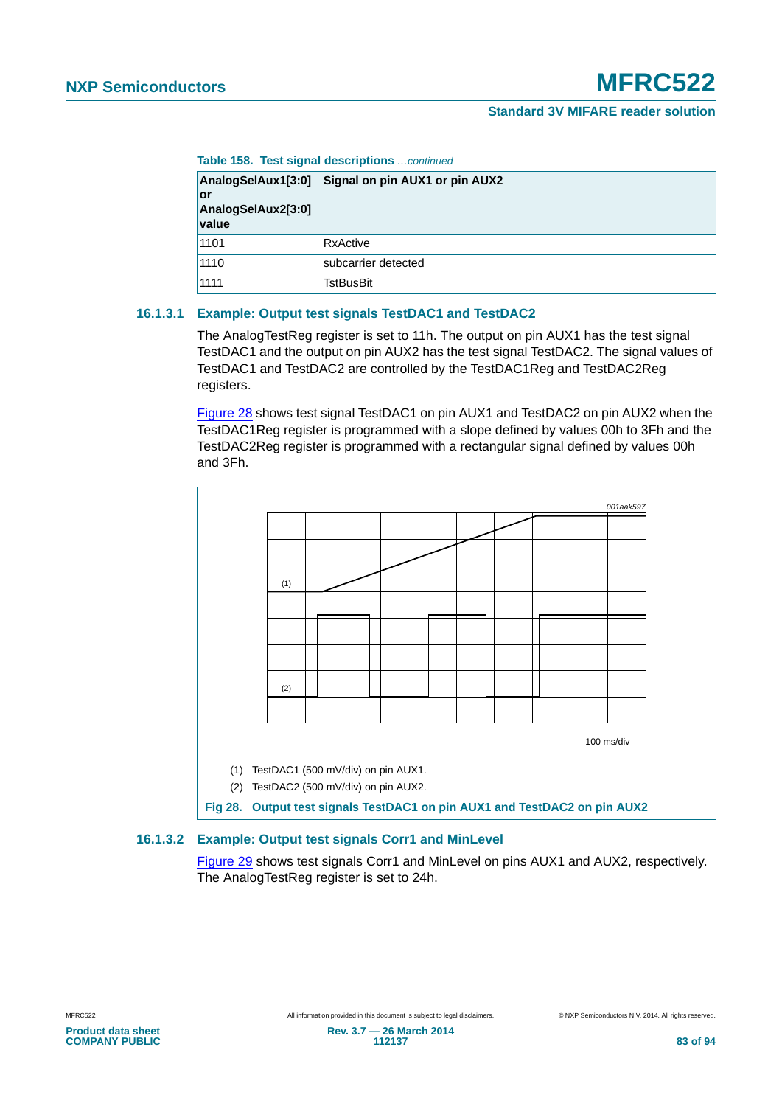**Table 158. Test signal descriptions** *…continued*

| AnalogSelAux1[3:0]<br>or<br>AnalogSelAux2[3:0]<br>value | Signal on pin AUX1 or pin AUX2 |
|---------------------------------------------------------|--------------------------------|
| 1101                                                    | RxActive                       |
| 1110                                                    | subcarrier detected            |
| 1111                                                    | TstBusBit                      |

### <span id="page-82-1"></span>**16.1.3.1 Example: Output test signals TestDAC1 and TestDAC2**

The AnalogTestReg register is set to 11h. The output on pin AUX1 has the test signal TestDAC1 and the output on pin AUX2 has the test signal TestDAC2. The signal values of TestDAC1 and TestDAC2 are controlled by the TestDAC1Reg and TestDAC2Reg registers.

[Figure 28](#page-82-0) shows test signal TestDAC1 on pin AUX1 and TestDAC2 on pin AUX2 when the TestDAC1Reg register is programmed with a slope defined by values 00h to 3Fh and the TestDAC2Reg register is programmed with a rectangular signal defined by values 00h and 3Fh.



### <span id="page-82-2"></span>**16.1.3.2 Example: Output test signals Corr1 and MinLevel**

<span id="page-82-0"></span>[Figure 29](#page-83-0) shows test signals Corr1 and MinLevel on pins AUX1 and AUX2, respectively. The AnalogTestReg register is set to 24h.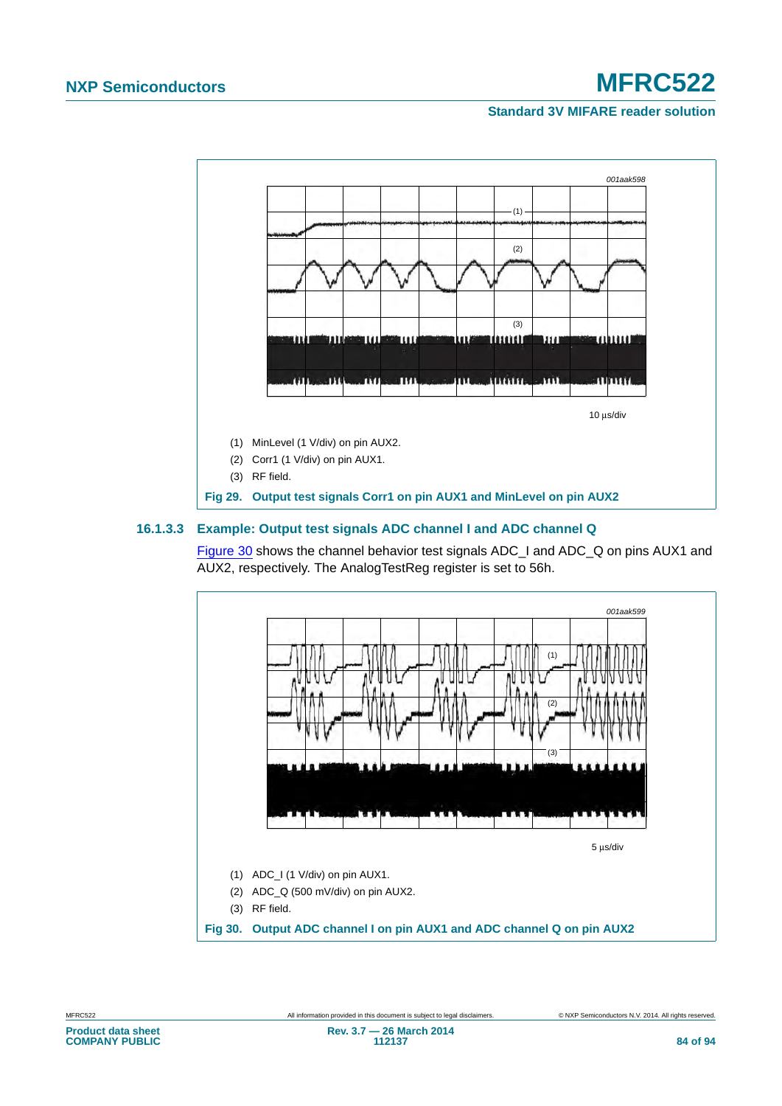### **Standard 3V MIFARE reader solution**



### <span id="page-83-2"></span>**16.1.3.3 Example: Output test signals ADC channel I and ADC channel Q**

<span id="page-83-0"></span>[Figure 30](#page-83-1) shows the channel behavior test signals ADC\_I and ADC\_Q on pins AUX1 and AUX2, respectively. The AnalogTestReg register is set to 56h.

<span id="page-83-1"></span>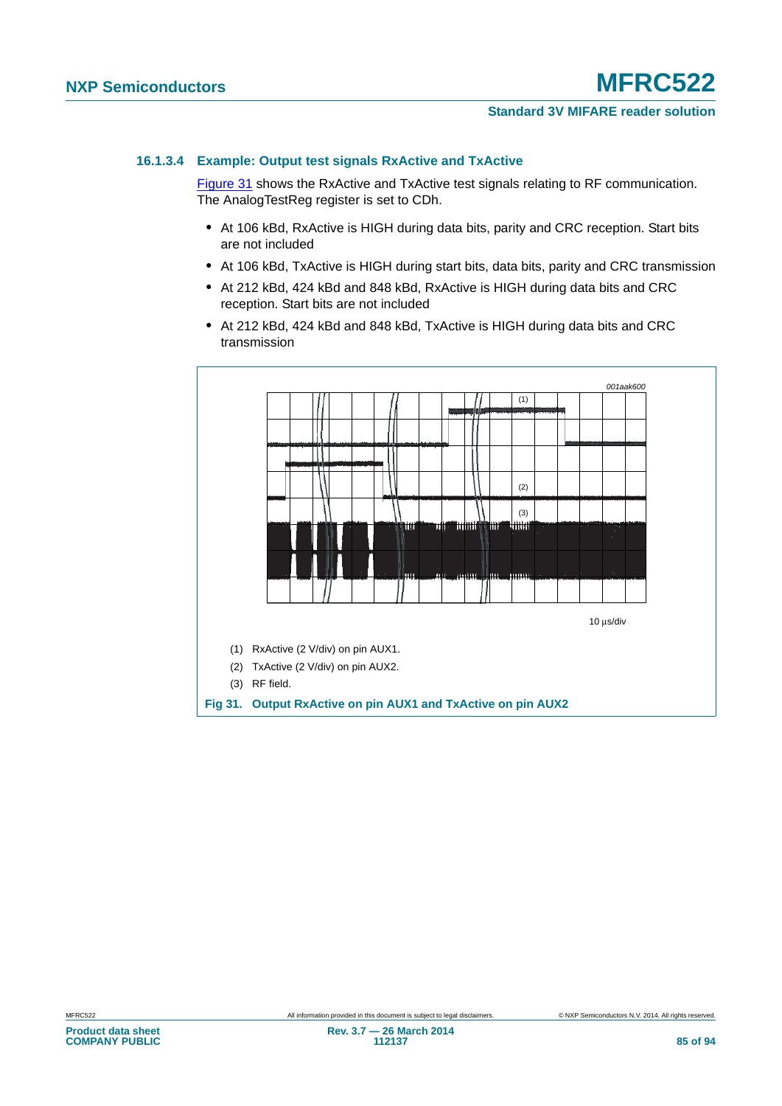### **Standard 3V MIFARE reader solution**

### <span id="page-84-1"></span>**16.1.3.4 Example: Output test signals RxActive and TxActive**

[Figure 31](#page-84-0) shows the RxActive and TxActive test signals relating to RF communication. The AnalogTestReg register is set to CDh.

- **•** At 106 kBd, RxActive is HIGH during data bits, parity and CRC reception. Start bits are not included
- **•** At 106 kBd, TxActive is HIGH during start bits, data bits, parity and CRC transmission
- **•** At 212 kBd, 424 kBd and 848 kBd, RxActive is HIGH during data bits and CRC reception. Start bits are not included
- **•** At 212 kBd, 424 kBd and 848 kBd, TxActive is HIGH during data bits and CRC transmission

<span id="page-84-0"></span>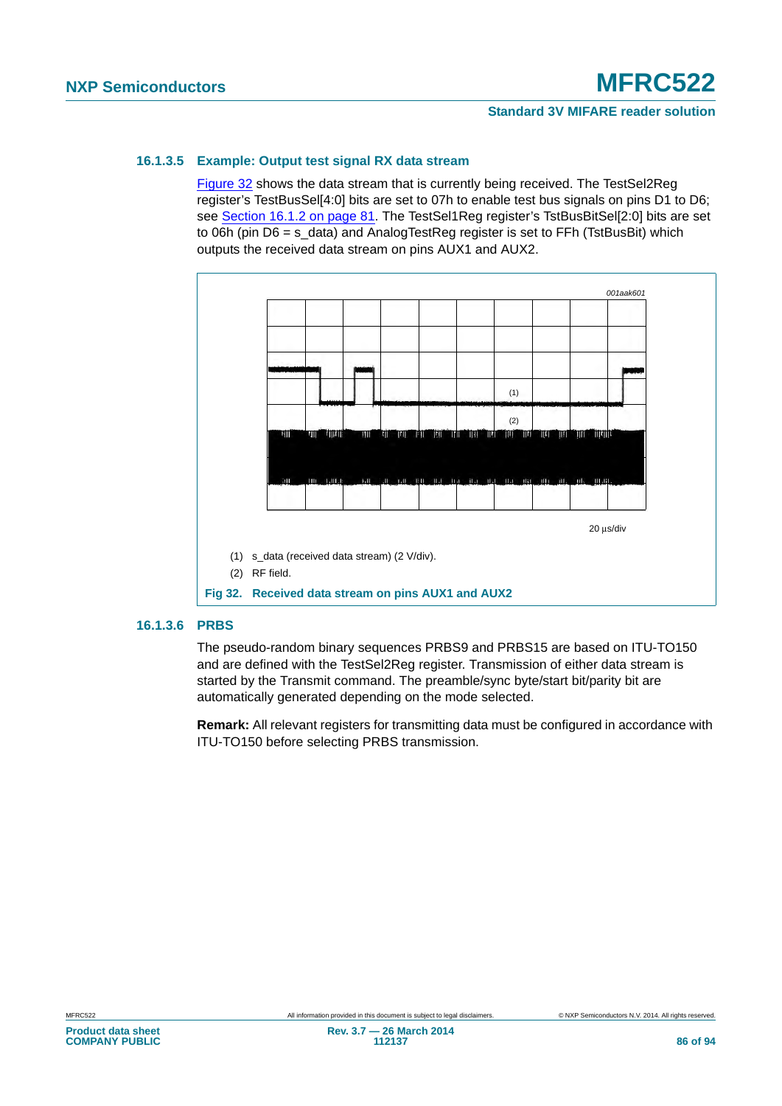### <span id="page-85-1"></span>**16.1.3.5 Example: Output test signal RX data stream**

[Figure 32](#page-85-0) shows the data stream that is currently being received. The TestSel2Reg register's TestBusSel[4:0] bits are set to 07h to enable test bus signals on pins D1 to D6; see [Section 16.1.2 on page 81.](#page-80-0) The TestSel1Reg register's TstBusBitSel[2:0] bits are set to 06h (pin D6 = s\_data) and AnalogTestReg register is set to FFh (TstBusBit) which outputs the received data stream on pins AUX1 and AUX2.



### <span id="page-85-2"></span>**16.1.3.6 PRBS**

<span id="page-85-0"></span>The pseudo-random binary sequences PRBS9 and PRBS15 are based on ITU-TO150 and are defined with the TestSel2Reg register. Transmission of either data stream is started by the Transmit command. The preamble/sync byte/start bit/parity bit are automatically generated depending on the mode selected.

**Remark:** All relevant registers for transmitting data must be configured in accordance with ITU-TO150 before selecting PRBS transmission.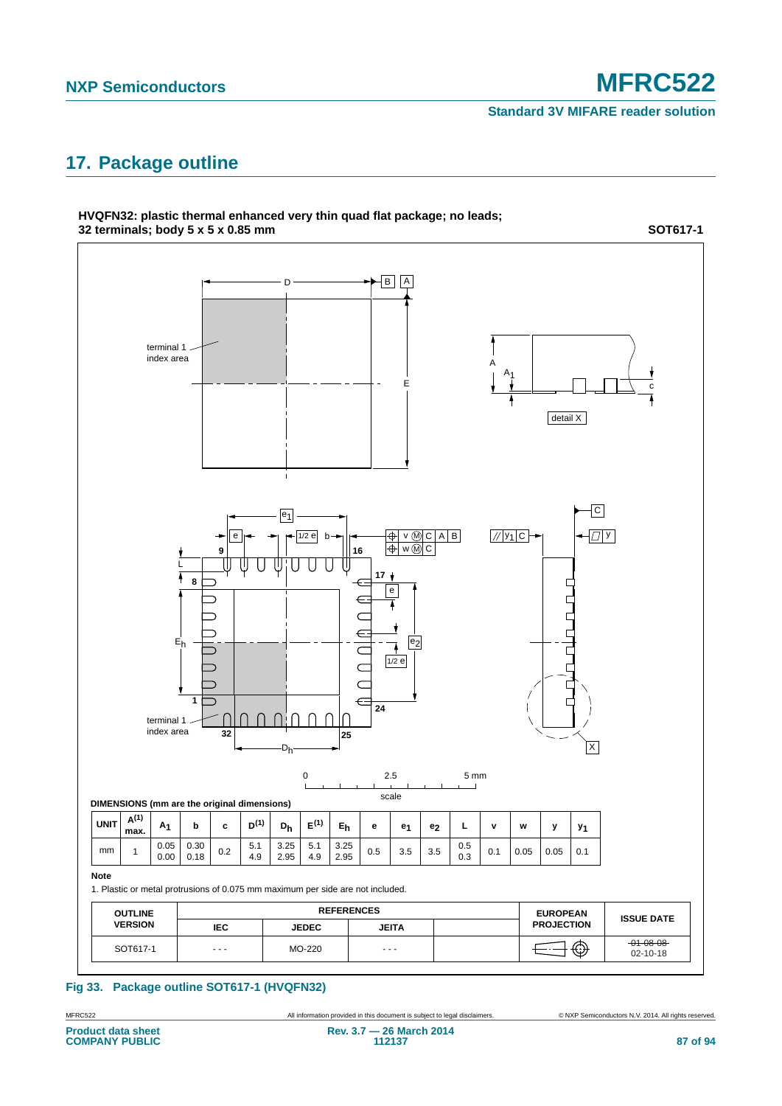# <span id="page-86-0"></span>**17. Package outline**



**HVQFN32: plastic thermal enhanced very thin quad flat package; no leads; 32 terminals; body 5 x 5 x 0.85 mm**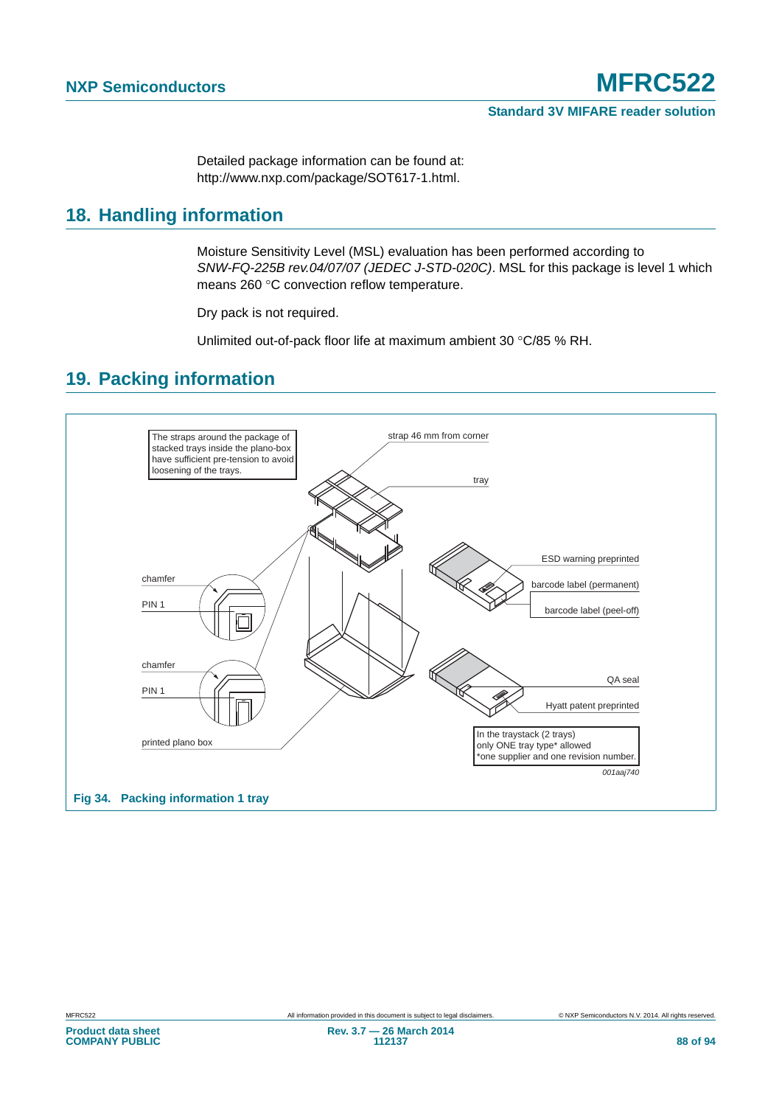Detailed package information can be found at: http://www.nxp.com/package/SOT617-1.html.

### <span id="page-87-0"></span>**18. Handling information**

Moisture Sensitivity Level (MSL) evaluation has been performed according to *SNW-FQ-225B rev.04/07/07 (JEDEC J-STD-020C)*. MSL for this package is level 1 which means 260 °C convection reflow temperature.

Dry pack is not required.

Unlimited out-of-pack floor life at maximum ambient 30 °C/85 % RH.

### <span id="page-87-1"></span>**19. Packing information**

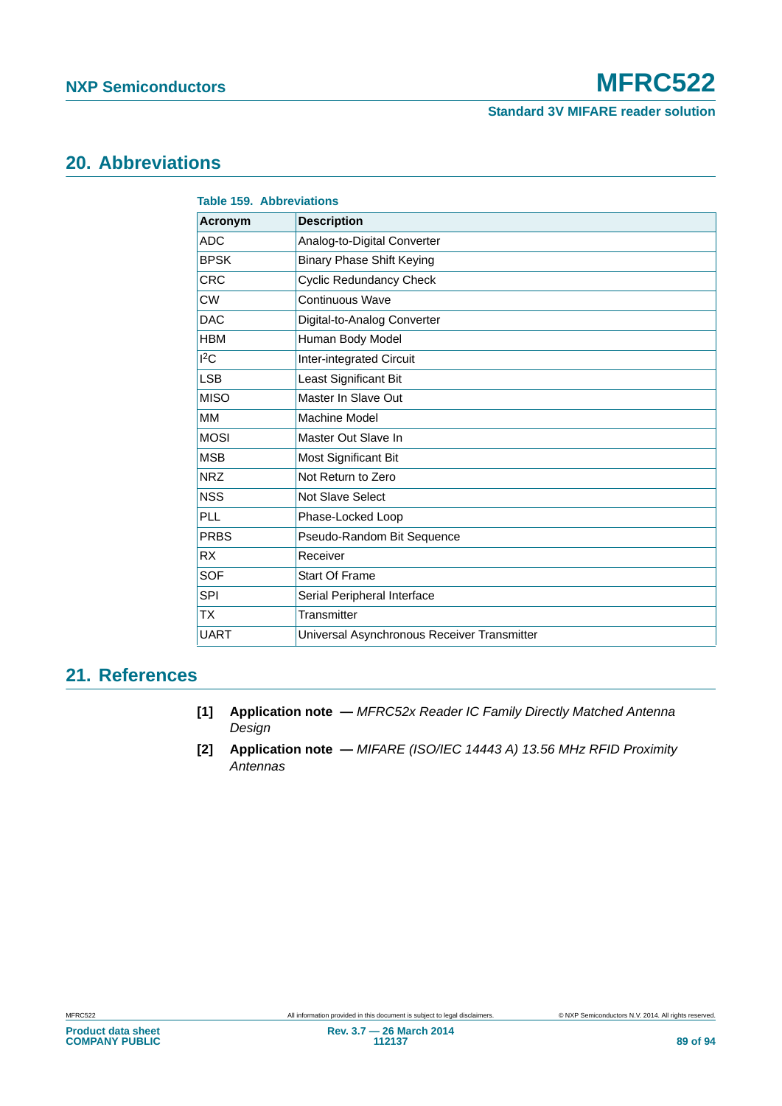# <span id="page-88-2"></span>**20. Abbreviations**

| <b>Table 159. Abbreviations</b> |                                             |
|---------------------------------|---------------------------------------------|
| <b>Acronym</b>                  | <b>Description</b>                          |
| <b>ADC</b>                      | Analog-to-Digital Converter                 |
| <b>BPSK</b>                     | <b>Binary Phase Shift Keying</b>            |
| <b>CRC</b>                      | <b>Cyclic Redundancy Check</b>              |
| <b>CW</b>                       | Continuous Wave                             |
| <b>DAC</b>                      | Digital-to-Analog Converter                 |
| <b>HBM</b>                      | Human Body Model                            |
| 12C                             | Inter-integrated Circuit                    |
| <b>LSB</b>                      | Least Significant Bit                       |
| <b>MISO</b>                     | Master In Slave Out                         |
| MM                              | Machine Model                               |
| <b>MOSI</b>                     | Master Out Slave In                         |
| <b>MSB</b>                      | Most Significant Bit                        |
| <b>NRZ</b>                      | Not Return to Zero                          |
| <b>NSS</b>                      | Not Slave Select                            |
| PLL                             | Phase-Locked Loop                           |
| <b>PRBS</b>                     | Pseudo-Random Bit Sequence                  |
| <b>RX</b>                       | Receiver                                    |
| <b>SOF</b>                      | <b>Start Of Frame</b>                       |
| <b>SPI</b>                      | Serial Peripheral Interface                 |
| <b>TX</b>                       | Transmitter                                 |
| <b>UART</b>                     | Universal Asynchronous Receiver Transmitter |

### <span id="page-88-3"></span>**21. References**

- <span id="page-88-0"></span>**[1] Application note —** *MFRC52x Reader IC Family Directly Matched Antenna Design*
- <span id="page-88-1"></span>**[2] Application note —** *MIFARE (ISO/IEC 14443 A) 13.56 MHz RFID Proximity Antennas*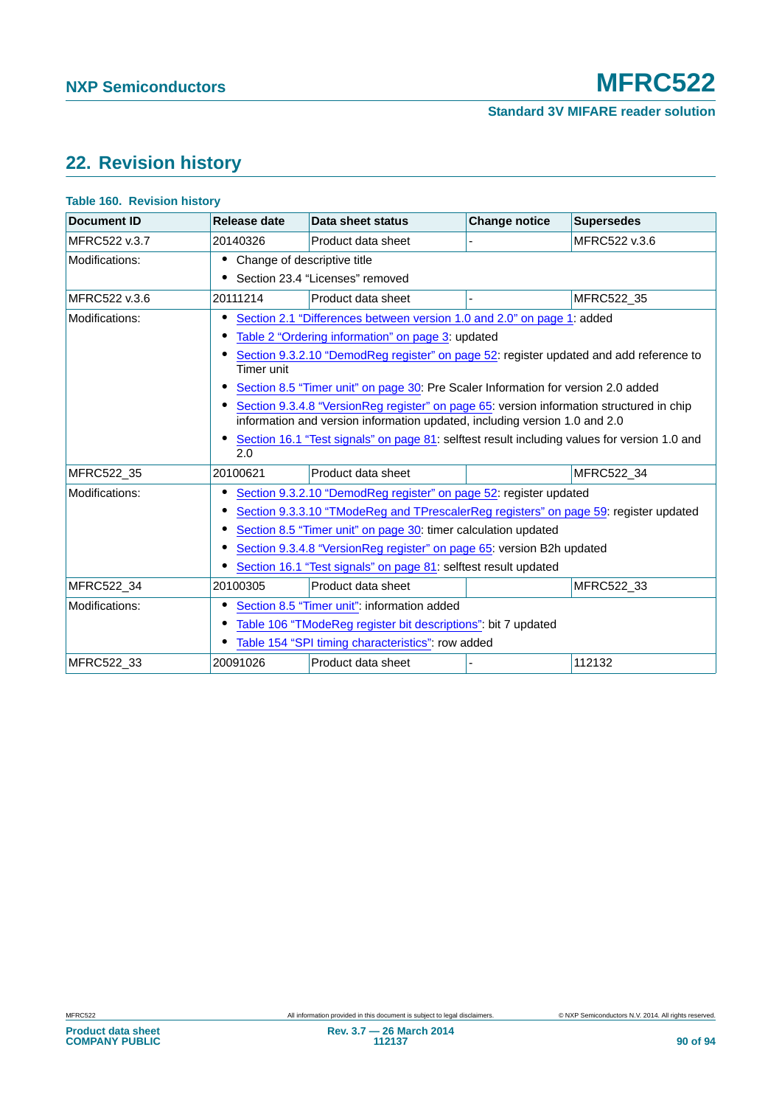# <span id="page-89-0"></span>**22. Revision history**

### **Table 160. Revision history**

| <b>Document ID</b> | Release date                                                                                                                                                           | Data sheet status                                                                            | <b>Change notice</b> | <b>Supersedes</b> |
|--------------------|------------------------------------------------------------------------------------------------------------------------------------------------------------------------|----------------------------------------------------------------------------------------------|----------------------|-------------------|
| MFRC522 v.3.7      | 20140326                                                                                                                                                               | Product data sheet                                                                           |                      | MFRC522 v.3.6     |
| Modifications:     | • Change of descriptive title                                                                                                                                          |                                                                                              |                      |                   |
|                    |                                                                                                                                                                        | • Section 23.4 "Licenses" removed                                                            |                      |                   |
| MFRC522 v.3.6      | 20111214                                                                                                                                                               | Product data sheet                                                                           |                      | MFRC522_35        |
| Modifications:     |                                                                                                                                                                        | Section 2.1 "Differences between version 1.0 and 2.0" on page 1: added                       |                      |                   |
|                    |                                                                                                                                                                        | Table 2 "Ordering information" on page 3: updated                                            |                      |                   |
|                    | Timer unit                                                                                                                                                             | Section 9.3.2.10 "DemodReg register" on page 52: register updated and add reference to       |                      |                   |
|                    |                                                                                                                                                                        | Section 8.5 "Timer unit" on page 30: Pre Scaler Information for version 2.0 added            |                      |                   |
|                    | Section 9.3.4.8 "VersionReg register" on page 65: version information structured in chip<br>information and version information updated, including version 1.0 and 2.0 |                                                                                              |                      |                   |
|                    | 2.0                                                                                                                                                                    | Section 16.1 "Test signals" on page 81: selftest result including values for version 1.0 and |                      |                   |
| MFRC522 35         | 20100621                                                                                                                                                               | Product data sheet                                                                           |                      | MFRC522 34        |
| Modifications:     |                                                                                                                                                                        | Section 9.3.2.10 "DemodReg register" on page 52: register updated                            |                      |                   |
|                    |                                                                                                                                                                        | Section 9.3.3.10 "TModeReg and TPrescalerReg registers" on page 59: register updated         |                      |                   |
|                    |                                                                                                                                                                        | Section 8.5 "Timer unit" on page 30: timer calculation updated                               |                      |                   |
|                    |                                                                                                                                                                        | Section 9.3.4.8 "VersionReg register" on page 65: version B2h updated                        |                      |                   |
|                    |                                                                                                                                                                        | Section 16.1 "Test signals" on page 81: selftest result updated                              |                      |                   |
| MFRC522_34         | 20100305                                                                                                                                                               | Product data sheet                                                                           |                      | MFRC522_33        |
| Modifications:     |                                                                                                                                                                        | Section 8.5 "Timer unit": information added                                                  |                      |                   |
|                    |                                                                                                                                                                        | Table 106 "TModeReg register bit descriptions": bit 7 updated                                |                      |                   |
|                    |                                                                                                                                                                        | Table 154 "SPI timing characteristics": row added                                            |                      |                   |
| MFRC522_33         | 20091026                                                                                                                                                               | Product data sheet                                                                           |                      | 112132            |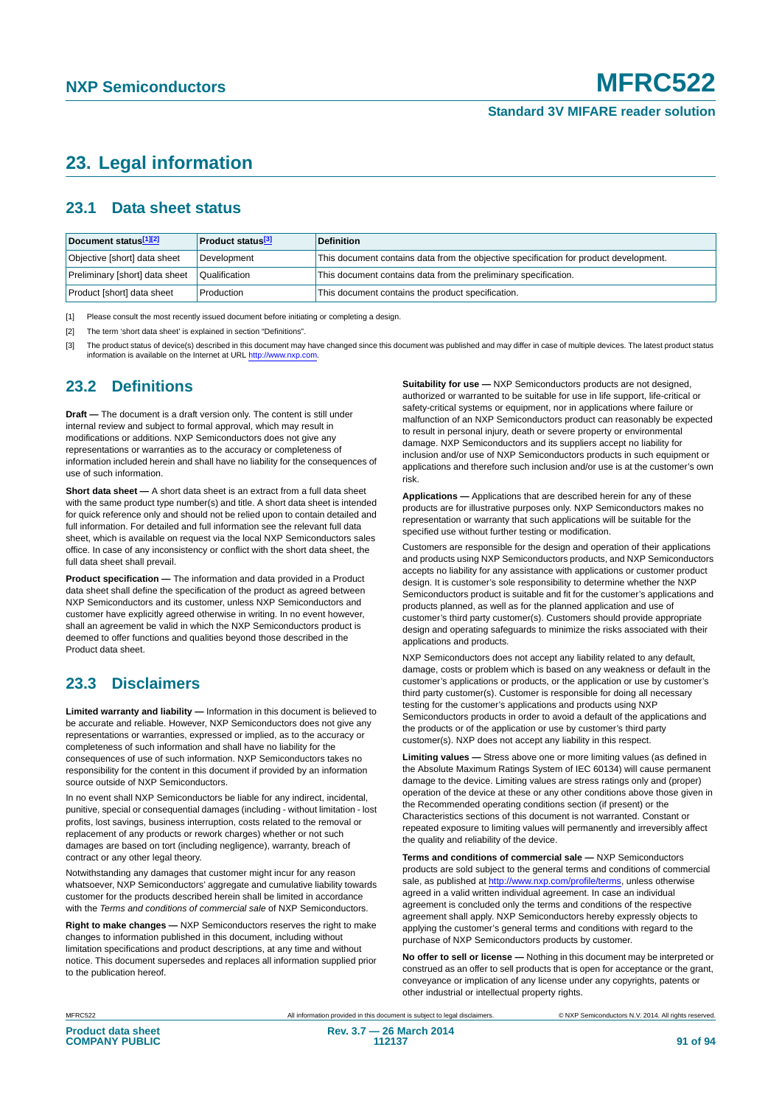# <span id="page-90-3"></span>**23. Legal information**

### <span id="page-90-4"></span>**23.1 Data sheet status**

| Document status[1][2]          | <b>Product status</b> <sup>[3]</sup> | <b>Definition</b>                                                                     |
|--------------------------------|--------------------------------------|---------------------------------------------------------------------------------------|
| Objective [short] data sheet   | Development                          | This document contains data from the objective specification for product development. |
| Preliminary [short] data sheet | Qualification                        | This document contains data from the preliminary specification.                       |
| Product [short] data sheet     | Production                           | This document contains the product specification.                                     |

<span id="page-90-0"></span>[1] Please consult the most recently issued document before initiating or completing a design.

<span id="page-90-1"></span>[2] The term 'short data sheet' is explained in section "Definitions".

<span id="page-90-2"></span>[3] The product status of device(s) described in this document may have changed since this document was published and may differ in case of multiple devices. The latest product status<br>information is available on the Intern

### <span id="page-90-5"></span>**23.2 Definitions**

**Draft —** The document is a draft version only. The content is still under internal review and subject to formal approval, which may result in modifications or additions. NXP Semiconductors does not give any representations or warranties as to the accuracy or completeness of information included herein and shall have no liability for the consequences of use of such information.

**Short data sheet —** A short data sheet is an extract from a full data sheet with the same product type number(s) and title. A short data sheet is intended for quick reference only and should not be relied upon to contain detailed and full information. For detailed and full information see the relevant full data sheet, which is available on request via the local NXP Semiconductors sales office. In case of any inconsistency or conflict with the short data sheet, the full data sheet shall prevail.

**Product specification —** The information and data provided in a Product data sheet shall define the specification of the product as agreed between NXP Semiconductors and its customer, unless NXP Semiconductors and customer have explicitly agreed otherwise in writing. In no event however, shall an agreement be valid in which the NXP Semiconductors product is deemed to offer functions and qualities beyond those described in the Product data sheet.

### <span id="page-90-6"></span>**23.3 Disclaimers**

**Limited warranty and liability —** Information in this document is believed to be accurate and reliable. However, NXP Semiconductors does not give any representations or warranties, expressed or implied, as to the accuracy or completeness of such information and shall have no liability for the consequences of use of such information. NXP Semiconductors takes no responsibility for the content in this document if provided by an information source outside of NXP Semiconductors.

In no event shall NXP Semiconductors be liable for any indirect, incidental, punitive, special or consequential damages (including - without limitation - lost profits, lost savings, business interruption, costs related to the removal or replacement of any products or rework charges) whether or not such damages are based on tort (including negligence), warranty, breach of contract or any other legal theory.

Notwithstanding any damages that customer might incur for any reason whatsoever, NXP Semiconductors' aggregate and cumulative liability towards customer for the products described herein shall be limited in accordance with the *Terms and conditions of commercial sale* of NXP Semiconductors.

**Right to make changes —** NXP Semiconductors reserves the right to make changes to information published in this document, including without limitation specifications and product descriptions, at any time and without notice. This document supersedes and replaces all information supplied prior to the publication hereof.

**Suitability for use —** NXP Semiconductors products are not designed, authorized or warranted to be suitable for use in life support, life-critical or safety-critical systems or equipment, nor in applications where failure or malfunction of an NXP Semiconductors product can reasonably be expected to result in personal injury, death or severe property or environmental damage. NXP Semiconductors and its suppliers accept no liability for inclusion and/or use of NXP Semiconductors products in such equipment or applications and therefore such inclusion and/or use is at the customer's own risk.

**Applications —** Applications that are described herein for any of these products are for illustrative purposes only. NXP Semiconductors makes no representation or warranty that such applications will be suitable for the specified use without further testing or modification.

Customers are responsible for the design and operation of their applications and products using NXP Semiconductors products, and NXP Semiconductors accepts no liability for any assistance with applications or customer product design. It is customer's sole responsibility to determine whether the NXP Semiconductors product is suitable and fit for the customer's applications and products planned, as well as for the planned application and use of customer's third party customer(s). Customers should provide appropriate design and operating safeguards to minimize the risks associated with their applications and products.

NXP Semiconductors does not accept any liability related to any default, damage, costs or problem which is based on any weakness or default in the customer's applications or products, or the application or use by customer's third party customer(s). Customer is responsible for doing all necessary testing for the customer's applications and products using NXP Semiconductors products in order to avoid a default of the applications and the products or of the application or use by customer's third party customer(s). NXP does not accept any liability in this respect.

**Limiting values —** Stress above one or more limiting values (as defined in the Absolute Maximum Ratings System of IEC 60134) will cause permanent damage to the device. Limiting values are stress ratings only and (proper) operation of the device at these or any other conditions above those given in the Recommended operating conditions section (if present) or the Characteristics sections of this document is not warranted. Constant or repeated exposure to limiting values will permanently and irreversibly affect the quality and reliability of the device.

**Terms and conditions of commercial sale —** NXP Semiconductors products are sold subject to the general terms and conditions of commercial sale, as published at<http://www.nxp.com/profile/terms>, unless otherwise agreed in a valid written individual agreement. In case an individual agreement is concluded only the terms and conditions of the respective agreement shall apply. NXP Semiconductors hereby expressly objects to applying the customer's general terms and conditions with regard to the purchase of NXP Semiconductors products by customer.

**No offer to sell or license —** Nothing in this document may be interpreted or construed as an offer to sell products that is open for acceptance or the grant, conveyance or implication of any license under any copyrights, patents or other industrial or intellectual property rights.

MFRC522 All information provided in this document is subject to legal disclaimers. © NXP Semiconductors N.V. 2014. All rights reserved.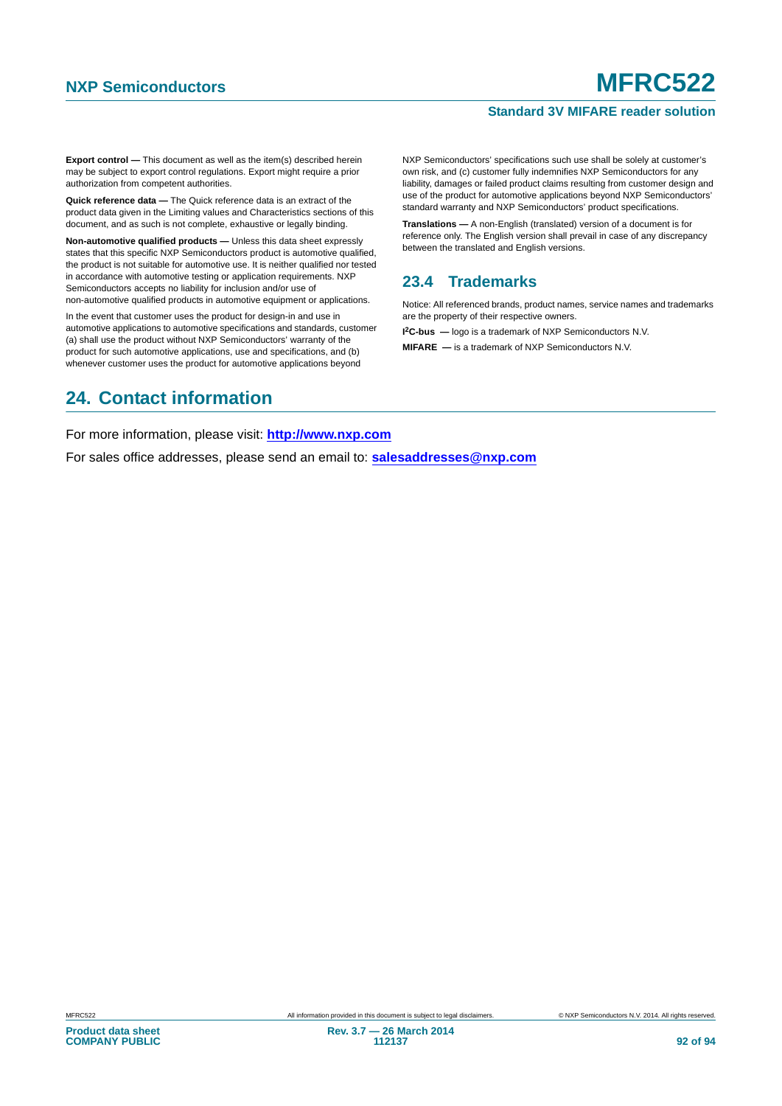### **Standard 3V MIFARE reader solution**

**Export control —** This document as well as the item(s) described herein may be subject to export control regulations. Export might require a prior authorization from competent authorities.

**Quick reference data —** The Quick reference data is an extract of the product data given in the Limiting values and Characteristics sections of this document, and as such is not complete, exhaustive or legally binding.

**Non-automotive qualified products —** Unless this data sheet expressly states that this specific NXP Semiconductors product is automotive qualified, the product is not suitable for automotive use. It is neither qualified nor tested in accordance with automotive testing or application requirements. NXP Semiconductors accepts no liability for inclusion and/or use of non-automotive qualified products in automotive equipment or applications.

In the event that customer uses the product for design-in and use in automotive applications to automotive specifications and standards, customer (a) shall use the product without NXP Semiconductors' warranty of the product for such automotive applications, use and specifications, and (b) whenever customer uses the product for automotive applications beyond

## <span id="page-91-1"></span>**24. Contact information**

NXP Semiconductors' specifications such use shall be solely at customer's own risk, and (c) customer fully indemnifies NXP Semiconductors for any liability, damages or failed product claims resulting from customer design and use of the product for automotive applications beyond NXP Semiconductors' standard warranty and NXP Semiconductors' product specifications.

**Translations —** A non-English (translated) version of a document is for reference only. The English version shall prevail in case of any discrepancy between the translated and English versions.

### <span id="page-91-0"></span>**23.4 Trademarks**

Notice: All referenced brands, product names, service names and trademarks are the property of their respective owners.

**I 2C-bus —** logo is a trademark of NXP Semiconductors N.V.

**MIFARE —** is a trademark of NXP Semiconductors N.V.

For more information, please visit: **http://www.nxp.com**

For sales office addresses, please send an email to: **salesaddresses@nxp.com**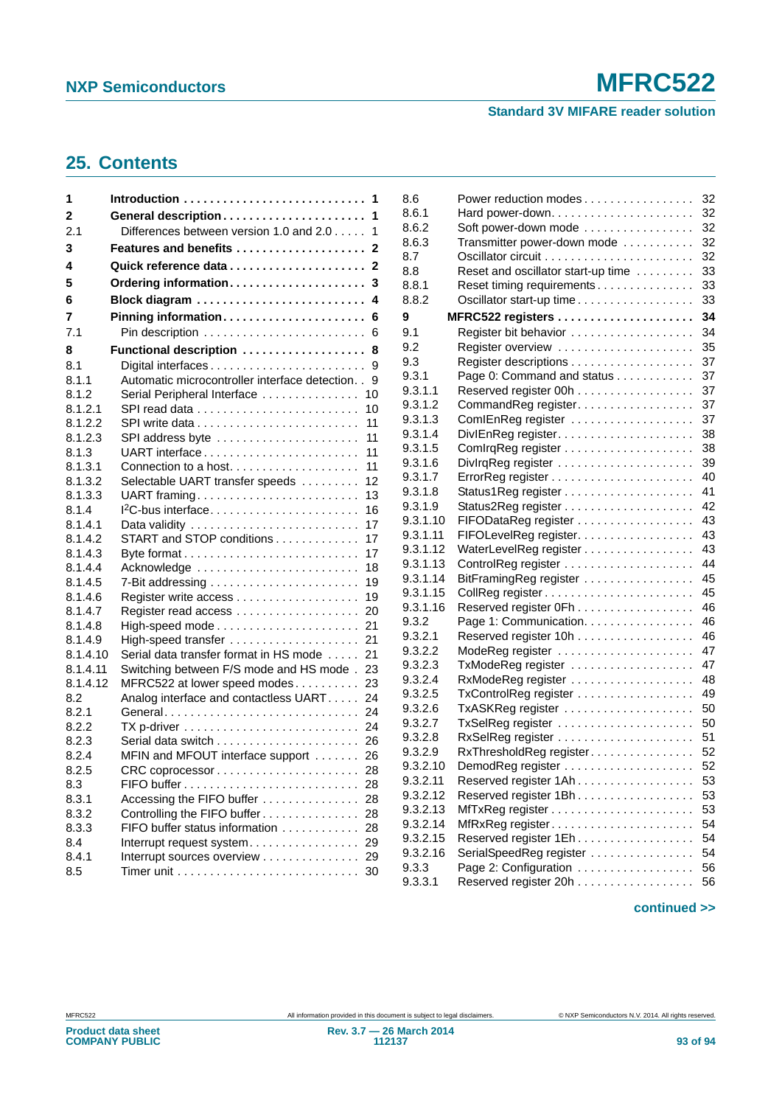### **Standard 3V MIFARE reader solution**

# <span id="page-92-0"></span>**25. Contents**

| 1        | 1                                                                                  |
|----------|------------------------------------------------------------------------------------|
| 2        | 1                                                                                  |
| 2.1      | Differences between version 1.0 and 2.0<br>1                                       |
| 3        | Features and benefits<br>2                                                         |
| 4        | $\mathbf{2}$                                                                       |
| 5        | Ordering information<br>3                                                          |
| 6        | Block diagram<br>4                                                                 |
| 7        | Pinning information<br>6                                                           |
| 7.1      | 6                                                                                  |
| 8        | Functional description<br>8                                                        |
| 8.1      | 9                                                                                  |
| 8.1.1    | Automatic microcontroller interface detection. .<br>9                              |
| 8.1.2    | Serial Peripheral Interface<br>10                                                  |
| 8.1.2.1  | SPI read data<br>10                                                                |
| 8.1.2.2  | 11                                                                                 |
| 8.1.2.3  | SPI address byte<br>11                                                             |
| 8.1.3    | UART interface<br>11                                                               |
| 8.1.3.1  | 11<br>Connection to a host                                                         |
| 8.1.3.2  | Selectable UART transfer speeds<br>12                                              |
| 8.1.3.3  | UART framing<br>13                                                                 |
| 8.1.4    | 16                                                                                 |
| 8.1.4.1  | 17                                                                                 |
| 8.1.4.2  | START and STOP conditions<br>17                                                    |
| 8.1.4.3  | 17                                                                                 |
| 8.1.4.4  | Acknowledge<br>18                                                                  |
| 8.1.4.5  | 7-Bit addressing $\ldots \ldots \ldots \ldots \ldots \ldots \ldots$<br>19          |
| 8.1.4.6  | 19                                                                                 |
| 8.1.4.7  | 20                                                                                 |
| 8.1.4.8  | 21                                                                                 |
| 8.1.4.9  | 21                                                                                 |
| 8.1.4.10 | Serial data transfer format in HS mode<br>21                                       |
| 8.1.4.11 | Switching between F/S mode and HS mode.<br>23                                      |
| 8.1.4.12 | MFRC522 at lower speed modes<br>23                                                 |
| 8.2      | Analog interface and contactless UART 24                                           |
| 8.2.1    | General<br>24                                                                      |
| 8.2.2    | TX p-driver $\ldots \ldots \ldots \ldots \ldots \ldots \ldots \ldots \ldots$<br>24 |
| 8.2.3    | 26                                                                                 |
| 8.2.4    | MFIN and MFOUT interface support<br>26                                             |
| 8.2.5    | 28                                                                                 |
| 8.3      | 28                                                                                 |
| 8.3.1    | Accessing the FIFO buffer<br>28                                                    |
| 8.3.2    | Controlling the FIFO buffer<br>28                                                  |
| 8.3.3    | FIFO buffer status information<br>28                                               |
| 8.4      | Interrupt request system<br>29                                                     |
| 8.4.1    | Interrupt sources overview<br>29                                                   |
| 8.5      | Timer unit $\ldots \ldots \ldots \ldots \ldots \ldots \ldots \ldots$<br>30         |
|          |                                                                                    |

| 8.6      | Power reduction modes              | 32 |
|----------|------------------------------------|----|
| 8.6.1    |                                    | 32 |
| 8.6.2    | Soft power-down mode               | 32 |
| 8.6.3    | Transmitter power-down mode        | 32 |
| 8.7      |                                    | 32 |
| 8.8      | Reset and oscillator start-up time | 33 |
| 8.8.1    | Reset timing requirements          | 33 |
| 8.8.2    | Oscillator start-up time           | 33 |
| 9        |                                    | 34 |
| 9.1      |                                    | 34 |
| 9.2      |                                    | 35 |
| 9.3      |                                    | 37 |
| 9.3.1    | Page 0: Command and status         | 37 |
| 9.3.1.1  | Reserved register 00h              | 37 |
| 9.3.1.2  | CommandReg register.               | 37 |
| 9.3.1.3  | ComIEnReg register                 | 37 |
| 9.3.1.4  | DivIEnReg register                 | 38 |
| 9.3.1.5  |                                    | 38 |
| 9.3.1.6  |                                    | 39 |
| 9.3.1.7  |                                    | 40 |
| 9.3.1.8  |                                    | 41 |
| 9.3.1.9  |                                    | 42 |
| 9.3.1.10 | FIFODataReg register               | 43 |
| 9.3.1.11 | FIFOLevelReg register.             | 43 |
| 9.3.1.12 | WaterLevelReg register             | 43 |
| 9.3.1.13 |                                    | 44 |
| 9.3.1.14 | BitFramingReg register             | 45 |
| 9.3.1.15 |                                    | 45 |
| 9.3.1.16 | Reserved register 0Fh              | 46 |
| 9.3.2    | Page 1: Communication.             | 46 |
| 9.3.2.1  | Reserved register 10h              | 46 |
| 9.3.2.2  |                                    | 47 |
| 9.3.2.3  | TxModeReg register                 | 47 |
| 9.3.2.4  |                                    | 48 |
| 9.3.2.5  | TxControlReg register              | 49 |
| 9.3.2.6  | TxASKReg register                  | 50 |
| 9.3.2.7  | TxSelReg register                  | 50 |
| 9.3.2.8  |                                    | 51 |
| 9.3.2.9  | RxThresholdReg register            | 52 |
| 9.3.2.10 | DemodReg register                  | 52 |
| 9.3.2.11 | Reserved register 1Ah              | 53 |
| 9.3.2.12 | Reserved register 1Bh              | 53 |
| 9.3.2.13 |                                    | 53 |
| 9.3.2.14 |                                    | 54 |
| 9.3.2.15 | Reserved register 1Eh.             | 54 |
| 9.3.2.16 | SerialSpeedReg register            | 54 |
| 9.3.3    | Page 2: Configuration              | 56 |
| 9.3.3.1  | Reserved register 20h              | 56 |
|          |                                    |    |

### **continued >>**